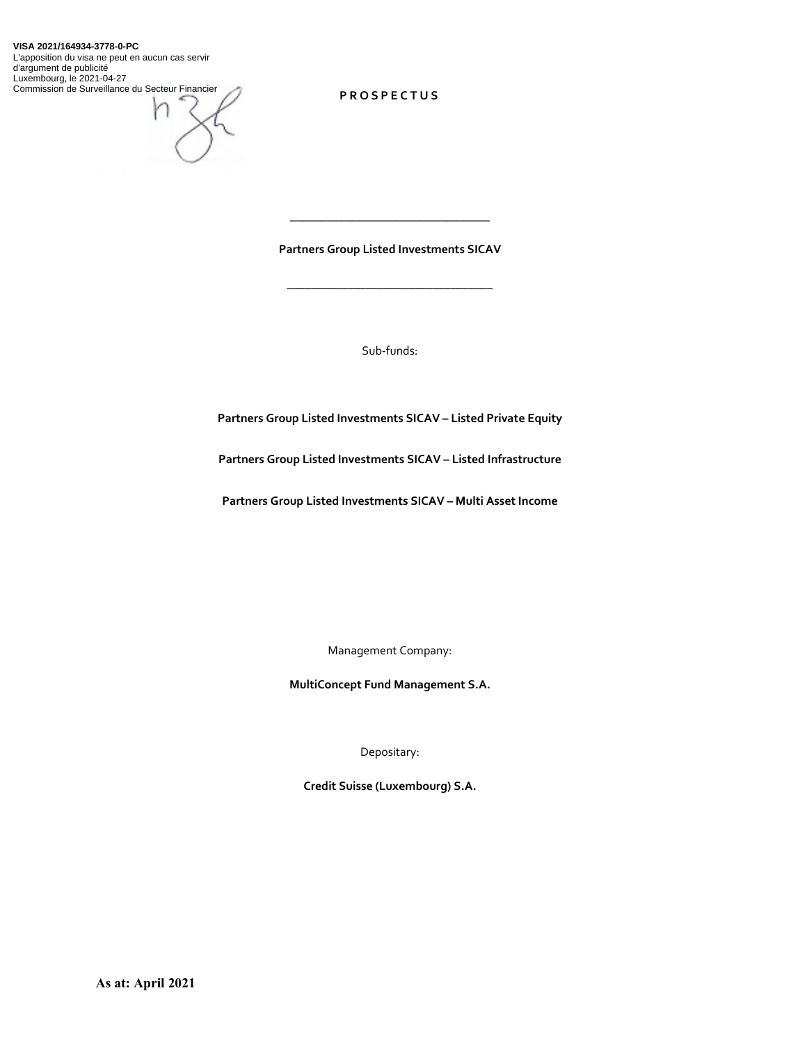#### **VISA 2021/164934-3778-0-PC**

L'apposition du visa ne peut en aucun cas servir d'argument de publicité Luxembourg, le 2021-04-27 Commission de Surveillance du Secteur Financier



**PROSPECTUS** 

**Partners Group Listed Investments SICAV** 

\_\_\_\_\_\_\_\_\_\_\_\_\_\_\_\_\_\_\_\_\_\_\_\_\_\_\_\_\_\_\_\_\_\_

\_\_\_\_\_\_\_\_\_\_\_\_\_\_\_\_\_\_\_\_\_\_\_\_\_\_\_\_\_\_\_\_\_

Sub-funds:

**Partners Group Listed Investments SICAV – Listed Private Equity** 

**Partners Group Listed Investments SICAV – Listed Infrastructure** 

**Partners Group Listed Investments SICAV – Multi Asset Income** 

Management Company:

**MultiConcept Fund Management S.A.** 

Depositary:

**Credit Suisse (Luxembourg) S.A.**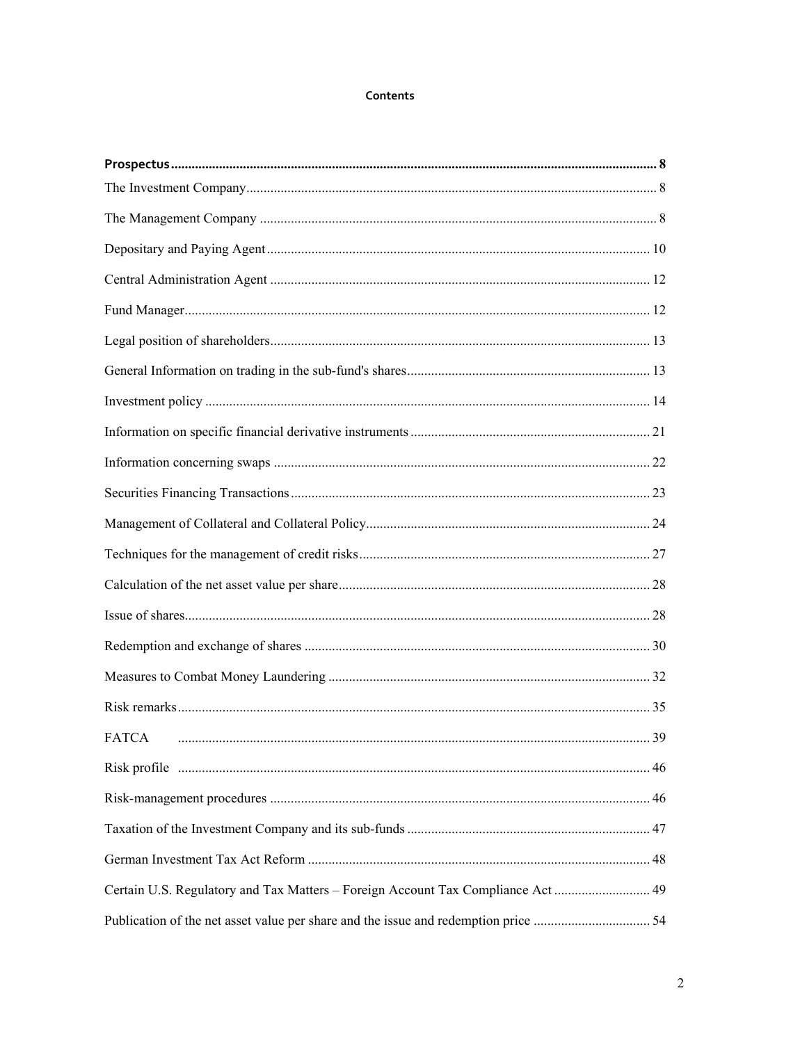### Contents

| <b>FATCA</b>                                                                     |  |
|----------------------------------------------------------------------------------|--|
|                                                                                  |  |
|                                                                                  |  |
|                                                                                  |  |
|                                                                                  |  |
| Certain U.S. Regulatory and Tax Matters - Foreign Account Tax Compliance Act  49 |  |
|                                                                                  |  |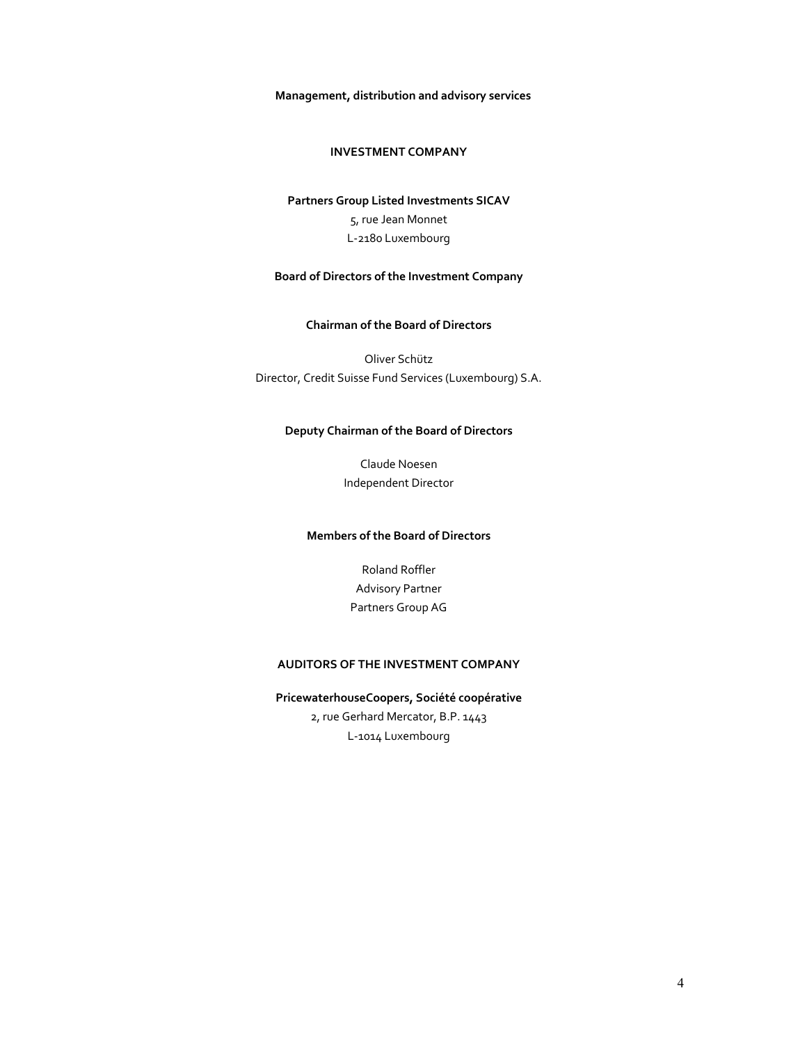**Management, distribution and advisory services** 

### **INVESTMENT COMPANY**

# **Partners Group Listed Investments SICAV**  5, rue Jean Monnet L-2180 Luxembourg

### **Board of Directors of the Investment Company**

### **Chairman of the Board of Directors**

Oliver Schütz Director, Credit Suisse Fund Services (Luxembourg) S.A.

### **Deputy Chairman of the Board of Directors**

Claude Noesen Independent Director

### **Members of the Board of Directors**

Roland Roffler Advisory Partner Partners Group AG

### **AUDITORS OF THE INVESTMENT COMPANY**

## **PricewaterhouseCoopers, Société coopérative**  2, rue Gerhard Mercator, B.P. 1443 L-1014 Luxembourg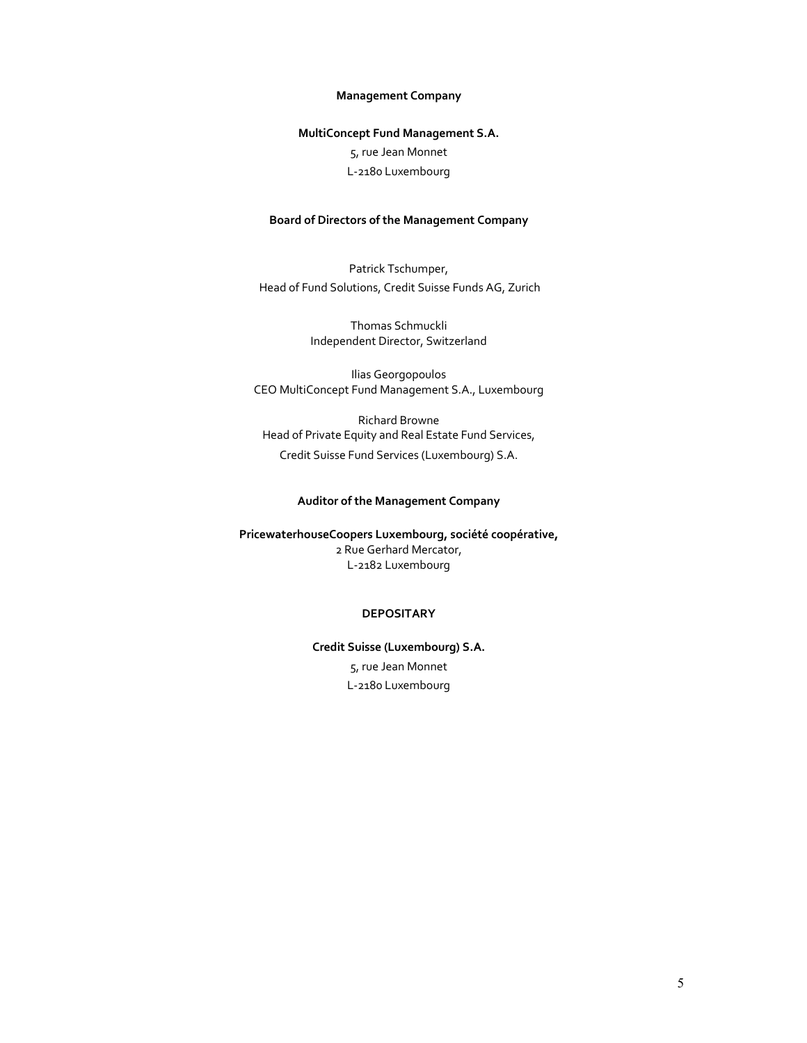### **Management Company**

## **MultiConcept Fund Management S.A.**  5, rue Jean Monnet L-2180 Luxembourg

## **Board of Directors of the Management Company**

Patrick Tschumper, Head of Fund Solutions, Credit Suisse Funds AG, Zurich

> Thomas Schmuckli Independent Director, Switzerland

Ilias Georgopoulos CEO MultiConcept Fund Management S.A., Luxembourg

Richard Browne Head of Private Equity and Real Estate Fund Services, Credit Suisse Fund Services (Luxembourg) S.A.

### **Auditor of the Management Company**

**PricewaterhouseCoopers Luxembourg, société coopérative,**  2 Rue Gerhard Mercator, L-2182 Luxembourg

### **DEPOSITARY**

**Credit Suisse (Luxembourg) S.A.**  5, rue Jean Monnet L-2180 Luxembourg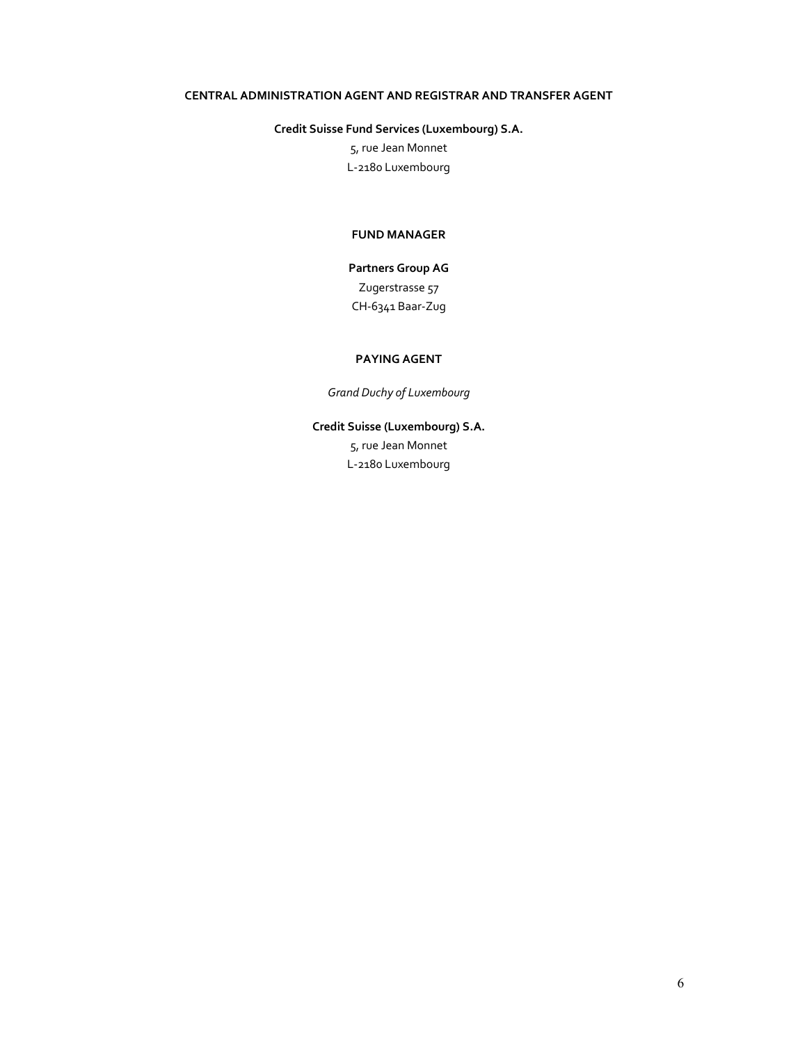### **CENTRAL ADMINISTRATION AGENT AND REGISTRAR AND TRANSFER AGENT**

### **Credit Suisse Fund Services (Luxembourg) S.A.**

5, rue Jean Monnet L-2180 Luxembourg

### **FUND MANAGER**

# **Partners Group AG**  Zugerstrasse 57 CH-6341 Baar-Zug

### **PAYING AGENT**

*Grand Duchy of Luxembourg* 

# **Credit Suisse (Luxembourg) S.A.**

5, rue Jean Monnet L-2180 Luxembourg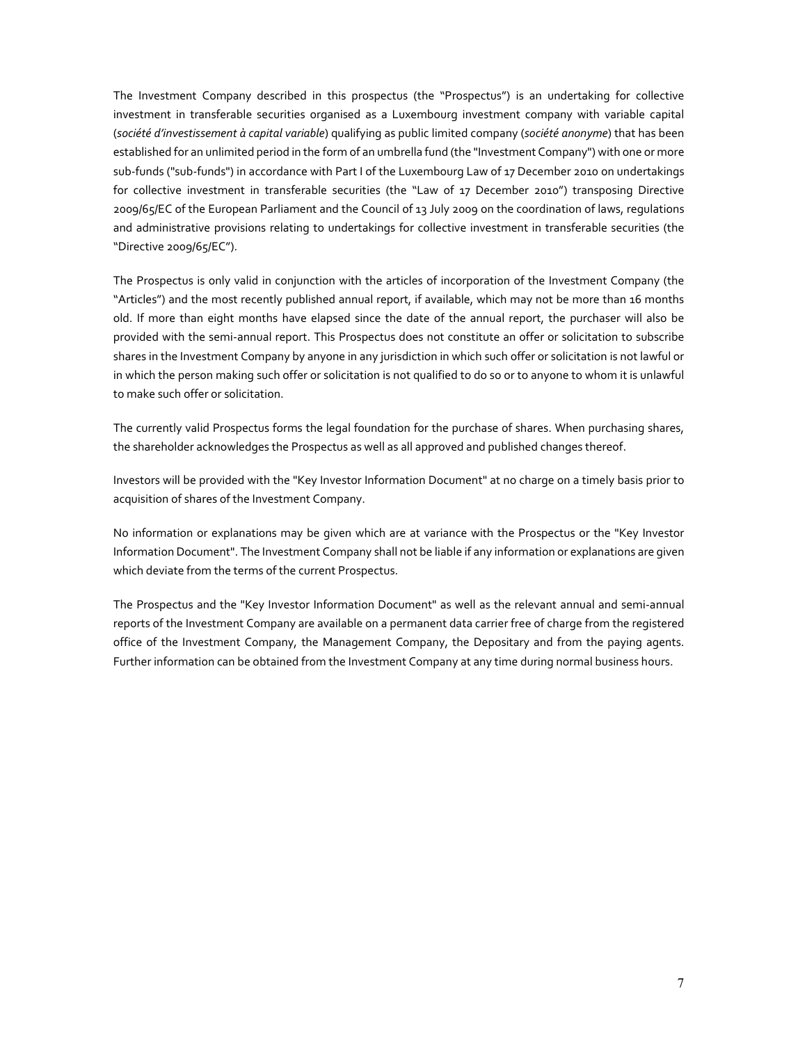The Investment Company described in this prospectus (the "Prospectus") is an undertaking for collective investment in transferable securities organised as a Luxembourg investment company with variable capital (*société d'investissement à capital variable*) qualifying as public limited company (*société anonyme*) that has been established for an unlimited period in the form of an umbrella fund (the "Investment Company") with one or more sub-funds ("sub-funds") in accordance with Part I of the Luxembourg Law of 17 December 2010 on undertakings for collective investment in transferable securities (the "Law of 17 December 2010") transposing Directive 2009/65/EC of the European Parliament and the Council of 13 July 2009 on the coordination of laws, regulations and administrative provisions relating to undertakings for collective investment in transferable securities (the "Directive 2009/65/EC").

The Prospectus is only valid in conjunction with the articles of incorporation of the Investment Company (the "Articles") and the most recently published annual report, if available, which may not be more than 16 months old. If more than eight months have elapsed since the date of the annual report, the purchaser will also be provided with the semi-annual report. This Prospectus does not constitute an offer or solicitation to subscribe shares in the Investment Company by anyone in any jurisdiction in which such offer or solicitation is not lawful or in which the person making such offer or solicitation is not qualified to do so or to anyone to whom it is unlawful to make such offer or solicitation.

The currently valid Prospectus forms the legal foundation for the purchase of shares. When purchasing shares, the shareholder acknowledges the Prospectus as well as all approved and published changes thereof.

Investors will be provided with the "Key Investor Information Document" at no charge on a timely basis prior to acquisition of shares of the Investment Company.

No information or explanations may be given which are at variance with the Prospectus or the "Key Investor Information Document". The Investment Company shall not be liable if any information or explanations are given which deviate from the terms of the current Prospectus.

The Prospectus and the "Key Investor Information Document" as well as the relevant annual and semi-annual reports of the Investment Company are available on a permanent data carrier free of charge from the registered office of the Investment Company, the Management Company, the Depositary and from the paying agents. Further information can be obtained from the Investment Company at any time during normal business hours.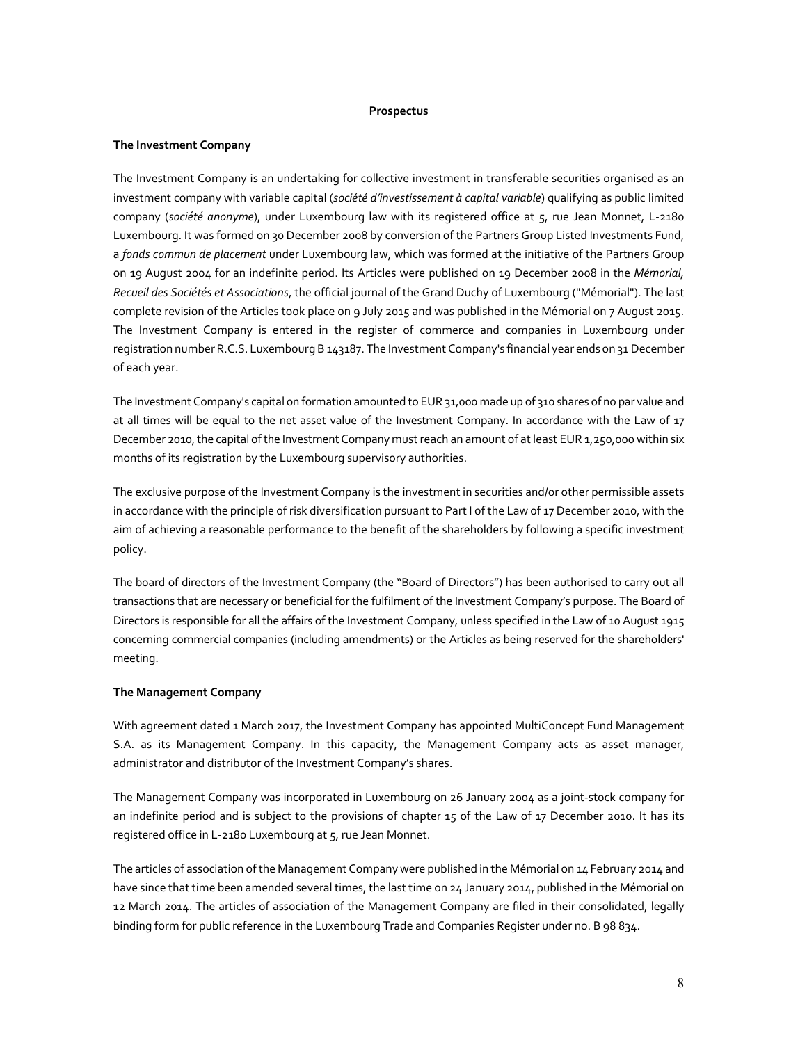#### **Prospectus**

### **The Investment Company**

The Investment Company is an undertaking for collective investment in transferable securities organised as an investment company with variable capital (*société d'investissement à capital variable*) qualifying as public limited company (*société anonyme*), under Luxembourg law with its registered office at 5, rue Jean Monnet, L-2180 Luxembourg. It was formed on 30 December 2008 by conversion of the Partners Group Listed Investments Fund, a *fonds commun de placement* under Luxembourg law, which was formed at the initiative of the Partners Group on 19 August 2004 for an indefinite period. Its Articles were published on 19 December 2008 in the *Mémorial, Recueil des Sociétés et Associations*, the official journal of the Grand Duchy of Luxembourg ("Mémorial"). The last complete revision of the Articles took place on 9 July 2015 and was published in the Mémorial on 7 August 2015. The Investment Company is entered in the register of commerce and companies in Luxembourg under registration number R.C.S. Luxembourg B 143187. The Investment Company's financial year ends on 31 December of each year.

The Investment Company's capital on formation amounted to EUR 31,000 made up of 310 shares of no par value and at all times will be equal to the net asset value of the Investment Company. In accordance with the Law of 17 December 2010, the capital of the Investment Company must reach an amount of at least EUR 1,250,000 within six months of its registration by the Luxembourg supervisory authorities.

The exclusive purpose of the Investment Company is the investment in securities and/or other permissible assets in accordance with the principle of risk diversification pursuant to Part I of the Law of 17 December 2010, with the aim of achieving a reasonable performance to the benefit of the shareholders by following a specific investment policy.

The board of directors of the Investment Company (the "Board of Directors") has been authorised to carry out all transactions that are necessary or beneficial for the fulfilment of the Investment Company's purpose. The Board of Directors is responsible for all the affairs of the Investment Company, unless specified in the Law of 10 August 1915 concerning commercial companies (including amendments) or the Articles as being reserved for the shareholders' meeting.

### **The Management Company**

With agreement dated 1 March 2017, the Investment Company has appointed MultiConcept Fund Management S.A. as its Management Company. In this capacity, the Management Company acts as asset manager, administrator and distributor of the Investment Company's shares.

The Management Company was incorporated in Luxembourg on 26 January 2004 as a joint-stock company for an indefinite period and is subject to the provisions of chapter 15 of the Law of 17 December 2010. It has its registered office in L-2180 Luxembourg at 5, rue Jean Monnet.

The articles of association of the Management Company were published in the Mémorial on 14 February 2014 and have since that time been amended several times, the last time on 24 January 2014, published in the Mémorial on 12 March 2014. The articles of association of the Management Company are filed in their consolidated, legally binding form for public reference in the Luxembourg Trade and Companies Register under no. B 98 834.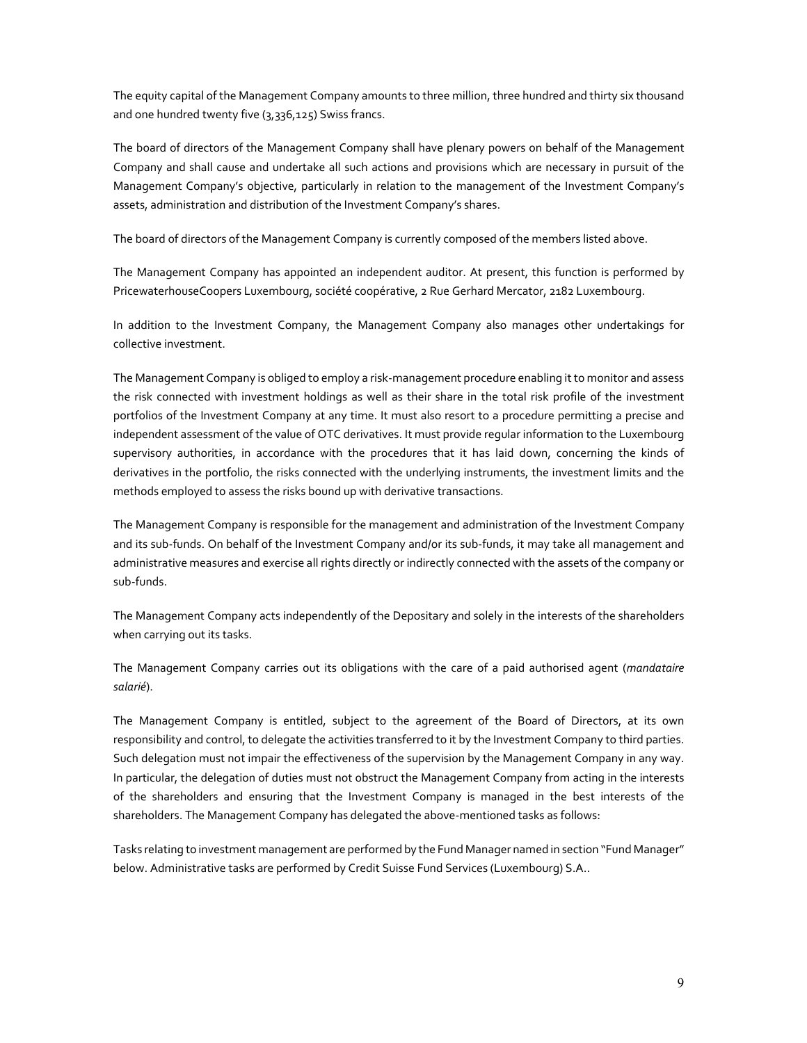The equity capital of the Management Company amounts to three million, three hundred and thirty six thousand and one hundred twenty five (3,336,125) Swiss francs.

The board of directors of the Management Company shall have plenary powers on behalf of the Management Company and shall cause and undertake all such actions and provisions which are necessary in pursuit of the Management Company's objective, particularly in relation to the management of the Investment Company's assets, administration and distribution of the Investment Company's shares.

The board of directors of the Management Company is currently composed of the members listed above.

The Management Company has appointed an independent auditor. At present, this function is performed by PricewaterhouseCoopers Luxembourg, société coopérative, 2 Rue Gerhard Mercator, 2182 Luxembourg.

In addition to the Investment Company, the Management Company also manages other undertakings for collective investment.

The Management Company is obliged to employ a risk-management procedure enabling it to monitor and assess the risk connected with investment holdings as well as their share in the total risk profile of the investment portfolios of the Investment Company at any time. It must also resort to a procedure permitting a precise and independent assessment of the value of OTC derivatives. It must provide regular information to the Luxembourg supervisory authorities, in accordance with the procedures that it has laid down, concerning the kinds of derivatives in the portfolio, the risks connected with the underlying instruments, the investment limits and the methods employed to assess the risks bound up with derivative transactions.

The Management Company is responsible for the management and administration of the Investment Company and its sub-funds. On behalf of the Investment Company and/or its sub-funds, it may take all management and administrative measures and exercise all rights directly or indirectly connected with the assets of the company or sub-funds.

The Management Company acts independently of the Depositary and solely in the interests of the shareholders when carrying out its tasks.

The Management Company carries out its obligations with the care of a paid authorised agent (*mandataire salarié*).

The Management Company is entitled, subject to the agreement of the Board of Directors, at its own responsibility and control, to delegate the activities transferred to it by the Investment Company to third parties. Such delegation must not impair the effectiveness of the supervision by the Management Company in any way. In particular, the delegation of duties must not obstruct the Management Company from acting in the interests of the shareholders and ensuring that the Investment Company is managed in the best interests of the shareholders. The Management Company has delegated the above-mentioned tasks as follows:

Tasks relating to investment management are performed by the Fund Manager named in section "Fund Manager" below. Administrative tasks are performed by Credit Suisse Fund Services (Luxembourg) S.A..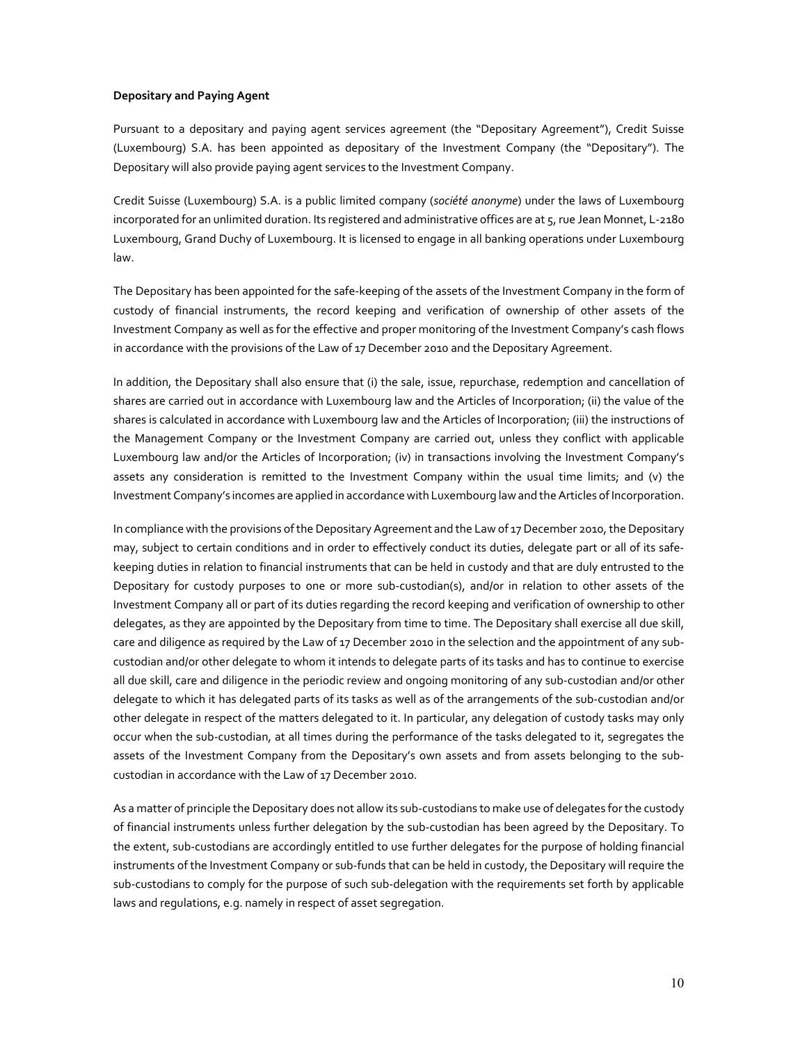### **Depositary and Paying Agent**

Pursuant to a depositary and paying agent services agreement (the "Depositary Agreement"), Credit Suisse (Luxembourg) S.A. has been appointed as depositary of the Investment Company (the "Depositary"). The Depositary will also provide paying agent services to the Investment Company.

Credit Suisse (Luxembourg) S.A. is a public limited company (*société anonyme*) under the laws of Luxembourg incorporated for an unlimited duration. Its registered and administrative offices are at 5, rue Jean Monnet, L-2180 Luxembourg, Grand Duchy of Luxembourg. It is licensed to engage in all banking operations under Luxembourg law.

The Depositary has been appointed for the safe-keeping of the assets of the Investment Company in the form of custody of financial instruments, the record keeping and verification of ownership of other assets of the Investment Company as well as for the effective and proper monitoring of the Investment Company's cash flows in accordance with the provisions of the Law of 17 December 2010 and the Depositary Agreement.

In addition, the Depositary shall also ensure that (i) the sale, issue, repurchase, redemption and cancellation of shares are carried out in accordance with Luxembourg law and the Articles of Incorporation; (ii) the value of the shares is calculated in accordance with Luxembourg law and the Articles of Incorporation; (iii) the instructions of the Management Company or the Investment Company are carried out, unless they conflict with applicable Luxembourg law and/or the Articles of Incorporation; (iv) in transactions involving the Investment Company's assets any consideration is remitted to the Investment Company within the usual time limits; and (v) the Investment Company's incomes are applied in accordance with Luxembourg law and the Articles of Incorporation.

In compliance with the provisions of the Depositary Agreement and the Law of 17 December 2010, the Depositary may, subject to certain conditions and in order to effectively conduct its duties, delegate part or all of its safekeeping duties in relation to financial instruments that can be held in custody and that are duly entrusted to the Depositary for custody purposes to one or more sub-custodian(s), and/or in relation to other assets of the Investment Company all or part of its duties regarding the record keeping and verification of ownership to other delegates, as they are appointed by the Depositary from time to time. The Depositary shall exercise all due skill, care and diligence as required by the Law of 17 December 2010 in the selection and the appointment of any subcustodian and/or other delegate to whom it intends to delegate parts of its tasks and has to continue to exercise all due skill, care and diligence in the periodic review and ongoing monitoring of any sub-custodian and/or other delegate to which it has delegated parts of its tasks as well as of the arrangements of the sub-custodian and/or other delegate in respect of the matters delegated to it. In particular, any delegation of custody tasks may only occur when the sub-custodian, at all times during the performance of the tasks delegated to it, segregates the assets of the Investment Company from the Depositary's own assets and from assets belonging to the subcustodian in accordance with the Law of 17 December 2010.

As a matter of principle the Depositary does not allow its sub-custodians to make use of delegates for the custody of financial instruments unless further delegation by the sub-custodian has been agreed by the Depositary. To the extent, sub-custodians are accordingly entitled to use further delegates for the purpose of holding financial instruments of the Investment Company or sub-funds that can be held in custody, the Depositary will require the sub-custodians to comply for the purpose of such sub-delegation with the requirements set forth by applicable laws and regulations, e.g. namely in respect of asset segregation.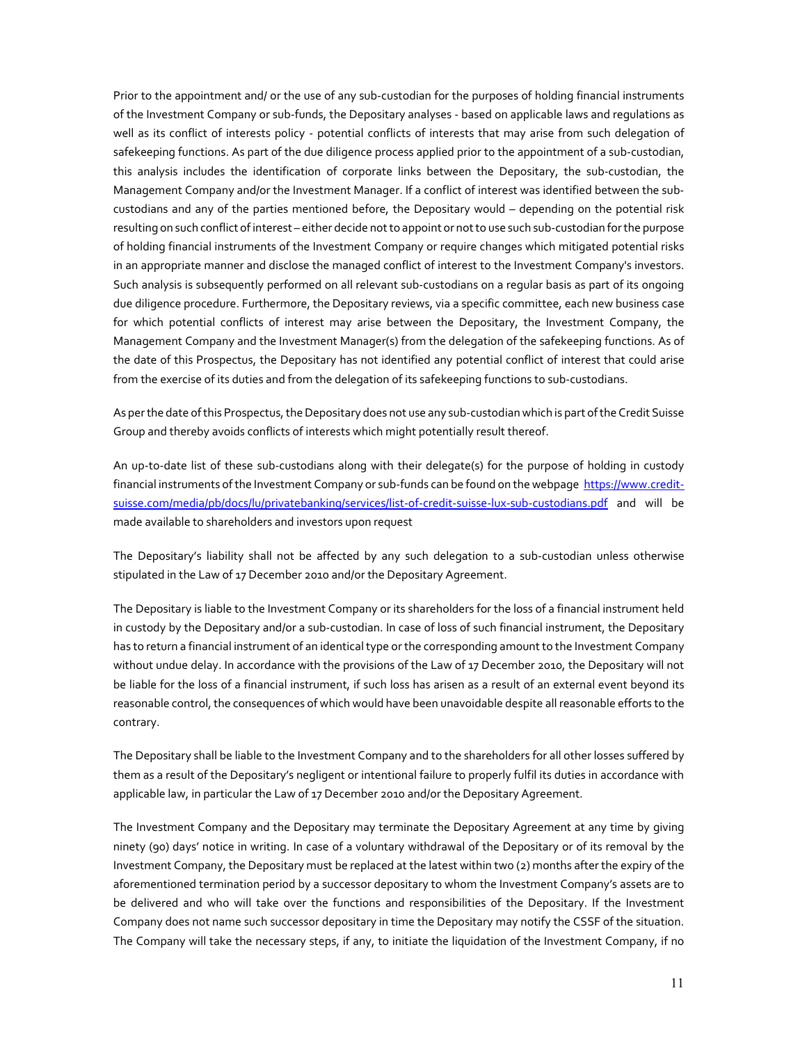Prior to the appointment and/ or the use of any sub-custodian for the purposes of holding financial instruments of the Investment Company or sub-funds, the Depositary analyses - based on applicable laws and regulations as well as its conflict of interests policy - potential conflicts of interests that may arise from such delegation of safekeeping functions. As part of the due diligence process applied prior to the appointment of a sub-custodian, this analysis includes the identification of corporate links between the Depositary, the sub-custodian, the Management Company and/or the Investment Manager. If a conflict of interest was identified between the subcustodians and any of the parties mentioned before, the Depositary would – depending on the potential risk resulting on such conflict of interest – either decide not to appoint or not to use such sub-custodian for the purpose of holding financial instruments of the Investment Company or require changes which mitigated potential risks in an appropriate manner and disclose the managed conflict of interest to the Investment Company's investors. Such analysis is subsequently performed on all relevant sub-custodians on a regular basis as part of its ongoing due diligence procedure. Furthermore, the Depositary reviews, via a specific committee, each new business case for which potential conflicts of interest may arise between the Depositary, the Investment Company, the Management Company and the Investment Manager(s) from the delegation of the safekeeping functions. As of the date of this Prospectus, the Depositary has not identified any potential conflict of interest that could arise from the exercise of its duties and from the delegation of its safekeeping functions to sub-custodians.

As per the date of this Prospectus, the Depositary does not use any sub-custodian which is part of the Credit Suisse Group and thereby avoids conflicts of interests which might potentially result thereof.

An up-to-date list of these sub-custodians along with their delegate(s) for the purpose of holding in custody financial instruments of the Investment Company or sub-funds can be found on the webpage https://www.creditsuisse.com/media/pb/docs/lu/privatebanking/services/list-of-credit-suisse-lux-sub-custodians.pdf and will be made available to shareholders and investors upon request

The Depositary's liability shall not be affected by any such delegation to a sub-custodian unless otherwise stipulated in the Law of 17 December 2010 and/or the Depositary Agreement.

The Depositary is liable to the Investment Company or its shareholders for the loss of a financial instrument held in custody by the Depositary and/or a sub-custodian. In case of loss of such financial instrument, the Depositary has to return a financial instrument of an identical type or the corresponding amount to the Investment Company without undue delay. In accordance with the provisions of the Law of 17 December 2010, the Depositary will not be liable for the loss of a financial instrument, if such loss has arisen as a result of an external event beyond its reasonable control, the consequences of which would have been unavoidable despite all reasonable efforts to the contrary.

The Depositary shall be liable to the Investment Company and to the shareholders for all other losses suffered by them as a result of the Depositary's negligent or intentional failure to properly fulfil its duties in accordance with applicable law, in particular the Law of 17 December 2010 and/or the Depositary Agreement.

The Investment Company and the Depositary may terminate the Depositary Agreement at any time by giving ninety (90) days' notice in writing. In case of a voluntary withdrawal of the Depositary or of its removal by the Investment Company, the Depositary must be replaced at the latest within two (2) months after the expiry of the aforementioned termination period by a successor depositary to whom the Investment Company's assets are to be delivered and who will take over the functions and responsibilities of the Depositary. If the Investment Company does not name such successor depositary in time the Depositary may notify the CSSF of the situation. The Company will take the necessary steps, if any, to initiate the liquidation of the Investment Company, if no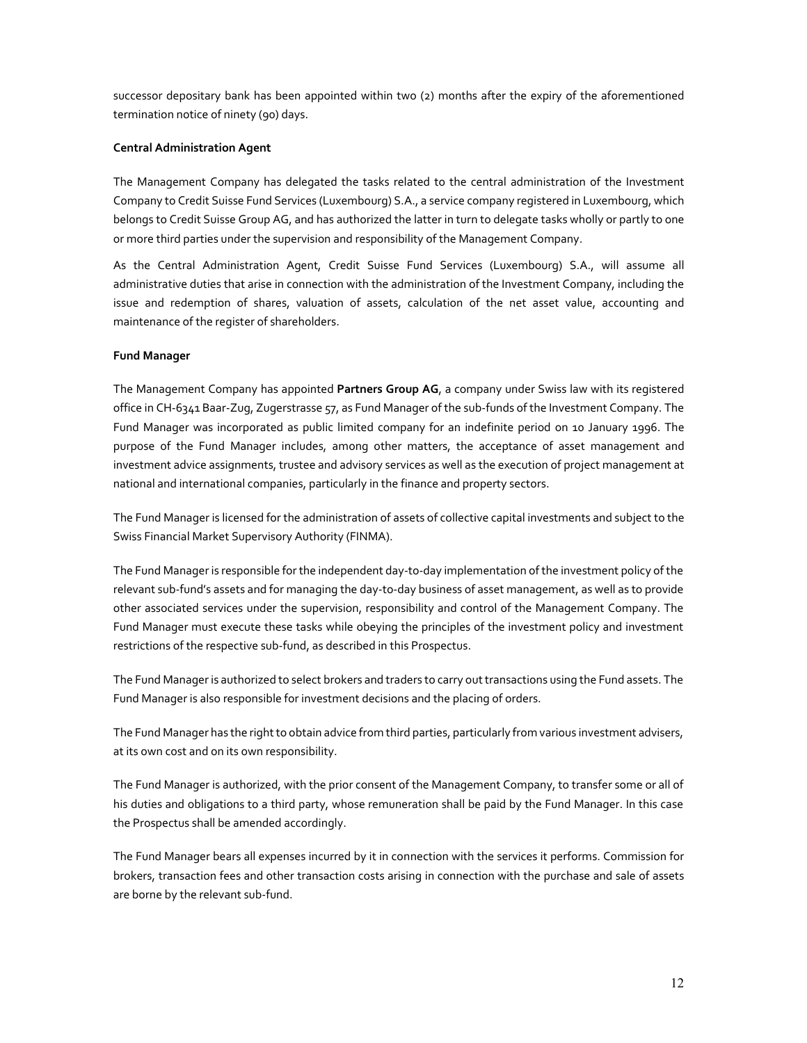successor depositary bank has been appointed within two (2) months after the expiry of the aforementioned termination notice of ninety (90) days.

### **Central Administration Agent**

The Management Company has delegated the tasks related to the central administration of the Investment Company to Credit Suisse Fund Services (Luxembourg) S.A., a service company registered in Luxembourg, which belongs to Credit Suisse Group AG, and has authorized the latter in turn to delegate tasks wholly or partly to one or more third parties under the supervision and responsibility of the Management Company.

As the Central Administration Agent, Credit Suisse Fund Services (Luxembourg) S.A., will assume all administrative duties that arise in connection with the administration of the Investment Company, including the issue and redemption of shares, valuation of assets, calculation of the net asset value, accounting and maintenance of the register of shareholders.

### **Fund Manager**

The Management Company has appointed **Partners Group AG**, a company under Swiss law with its registered office in CH-6341 Baar-Zug, Zugerstrasse 57, as Fund Manager of the sub-funds of the Investment Company. The Fund Manager was incorporated as public limited company for an indefinite period on 10 January 1996. The purpose of the Fund Manager includes, among other matters, the acceptance of asset management and investment advice assignments, trustee and advisory services as well as the execution of project management at national and international companies, particularly in the finance and property sectors.

The Fund Manager is licensed for the administration of assets of collective capital investments and subject to the Swiss Financial Market Supervisory Authority (FINMA).

The Fund Manager is responsible for the independent day-to-day implementation of the investment policy of the relevant sub-fund's assets and for managing the day-to-day business of asset management, as well as to provide other associated services under the supervision, responsibility and control of the Management Company. The Fund Manager must execute these tasks while obeying the principles of the investment policy and investment restrictions of the respective sub-fund, as described in this Prospectus.

The Fund Manager is authorized to select brokers and traders to carry out transactions using the Fund assets. The Fund Manager is also responsible for investment decisions and the placing of orders.

The Fund Manager has the right to obtain advice from third parties, particularly from various investment advisers, at its own cost and on its own responsibility.

The Fund Manager is authorized, with the prior consent of the Management Company, to transfer some or all of his duties and obligations to a third party, whose remuneration shall be paid by the Fund Manager. In this case the Prospectus shall be amended accordingly.

The Fund Manager bears all expenses incurred by it in connection with the services it performs. Commission for brokers, transaction fees and other transaction costs arising in connection with the purchase and sale of assets are borne by the relevant sub-fund.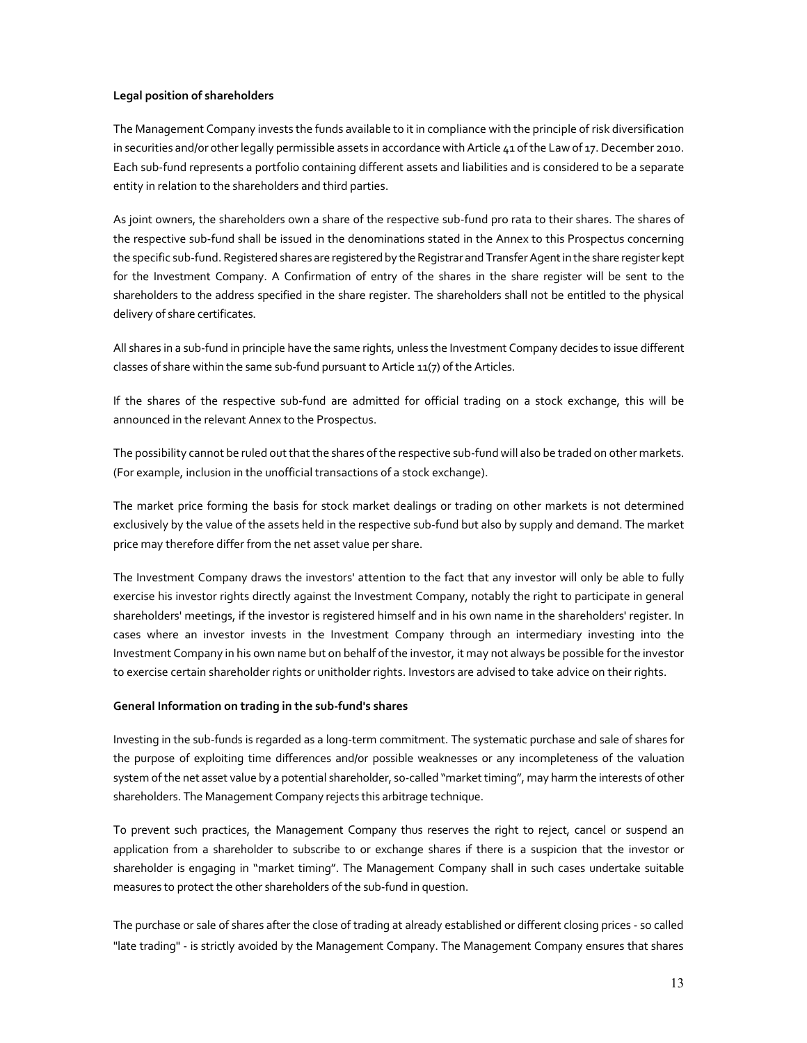### **Legal position of shareholders**

The Management Company invests the funds available to it in compliance with the principle of risk diversification in securities and/or other legally permissible assets in accordance with Article 41 of the Law of 17. December 2010. Each sub-fund represents a portfolio containing different assets and liabilities and is considered to be a separate entity in relation to the shareholders and third parties.

As joint owners, the shareholders own a share of the respective sub-fund pro rata to their shares. The shares of the respective sub-fund shall be issued in the denominations stated in the Annex to this Prospectus concerning the specific sub-fund. Registered shares are registered by the Registrar and Transfer Agent in the share register kept for the Investment Company. A Confirmation of entry of the shares in the share register will be sent to the shareholders to the address specified in the share register. The shareholders shall not be entitled to the physical delivery of share certificates.

All shares in a sub-fund in principle have the same rights, unless the Investment Company decides to issue different classes of share within the same sub-fund pursuant to Article 11(7) of the Articles.

If the shares of the respective sub-fund are admitted for official trading on a stock exchange, this will be announced in the relevant Annex to the Prospectus.

The possibility cannot be ruled out that the shares of the respective sub-fund will also be traded on other markets. (For example, inclusion in the unofficial transactions of a stock exchange).

The market price forming the basis for stock market dealings or trading on other markets is not determined exclusively by the value of the assets held in the respective sub-fund but also by supply and demand. The market price may therefore differ from the net asset value per share.

The Investment Company draws the investors' attention to the fact that any investor will only be able to fully exercise his investor rights directly against the Investment Company, notably the right to participate in general shareholders' meetings, if the investor is registered himself and in his own name in the shareholders' register. In cases where an investor invests in the Investment Company through an intermediary investing into the Investment Company in his own name but on behalf of the investor, it may not always be possible for the investor to exercise certain shareholder rights or unitholder rights. Investors are advised to take advice on their rights.

### **General Information on trading in the sub-fund's shares**

Investing in the sub-funds is regarded as a long-term commitment. The systematic purchase and sale of shares for the purpose of exploiting time differences and/or possible weaknesses or any incompleteness of the valuation system of the net asset value by a potential shareholder, so-called "market timing", may harm the interests of other shareholders. The Management Company rejects this arbitrage technique.

To prevent such practices, the Management Company thus reserves the right to reject, cancel or suspend an application from a shareholder to subscribe to or exchange shares if there is a suspicion that the investor or shareholder is engaging in "market timing". The Management Company shall in such cases undertake suitable measures to protect the other shareholders of the sub-fund in question.

The purchase or sale of shares after the close of trading at already established or different closing prices - so called "late trading" - is strictly avoided by the Management Company. The Management Company ensures that shares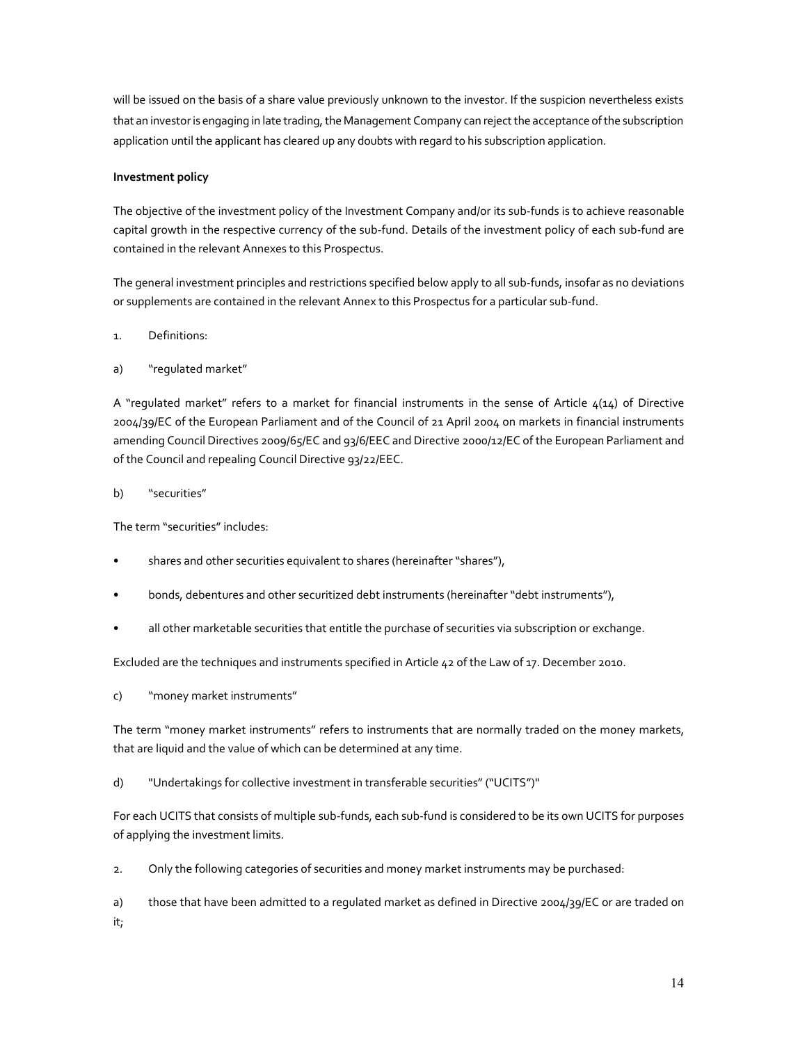will be issued on the basis of a share value previously unknown to the investor. If the suspicion nevertheless exists that an investor is engaging in late trading, the Management Company can reject the acceptance of the subscription application until the applicant has cleared up any doubts with regard to his subscription application.

### **Investment policy**

The objective of the investment policy of the Investment Company and/or its sub-funds is to achieve reasonable capital growth in the respective currency of the sub-fund. Details of the investment policy of each sub-fund are contained in the relevant Annexes to this Prospectus.

The general investment principles and restrictions specified below apply to all sub-funds, insofar as no deviations or supplements are contained in the relevant Annex to this Prospectus for a particular sub-fund.

### 1. Definitions:

### a) "regulated market"

A "regulated market" refers to a market for financial instruments in the sense of Article  $\mu(14)$  of Directive 2004/39/EC of the European Parliament and of the Council of 21 April 2004 on markets in financial instruments amending Council Directives 2009/65/EC and 93/6/EEC and Directive 2000/12/EC of the European Parliament and of the Council and repealing Council Directive 93/22/EEC.

### b) "securities"

The term "securities" includes:

- shares and other securities equivalent to shares (hereinafter "shares"),
- bonds, debentures and other securitized debt instruments (hereinafter "debt instruments"),
- all other marketable securities that entitle the purchase of securities via subscription or exchange.

Excluded are the techniques and instruments specified in Article 42 of the Law of 17. December 2010.

c) "money market instruments"

The term "money market instruments" refers to instruments that are normally traded on the money markets, that are liquid and the value of which can be determined at any time.

d) "Undertakings for collective investment in transferable securities" ("UCITS")"

For each UCITS that consists of multiple sub-funds, each sub-fund is considered to be its own UCITS for purposes of applying the investment limits.

2. Only the following categories of securities and money market instruments may be purchased:

a) those that have been admitted to a regulated market as defined in Directive 2004/39/EC or are traded on it;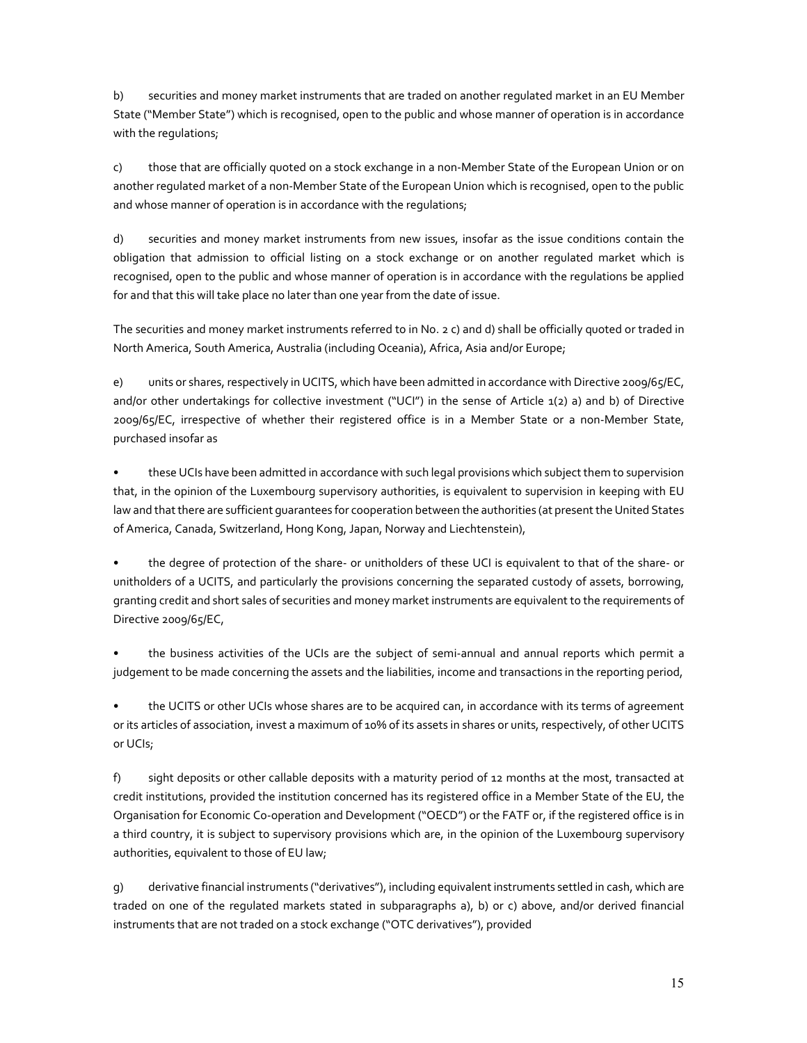b) securities and money market instruments that are traded on another regulated market in an EU Member State ("Member State") which is recognised, open to the public and whose manner of operation is in accordance with the regulations;

c) those that are officially quoted on a stock exchange in a non-Member State of the European Union or on another regulated market of a non-Member State of the European Union which is recognised, open to the public and whose manner of operation is in accordance with the regulations;

d) securities and money market instruments from new issues, insofar as the issue conditions contain the obligation that admission to official listing on a stock exchange or on another regulated market which is recognised, open to the public and whose manner of operation is in accordance with the regulations be applied for and that this will take place no later than one year from the date of issue.

The securities and money market instruments referred to in No. 2 c) and d) shall be officially quoted or traded in North America, South America, Australia (including Oceania), Africa, Asia and/or Europe;

e) units or shares, respectively in UCITS, which have been admitted in accordance with Directive 2009/65/EC, and/or other undertakings for collective investment ("UCI") in the sense of Article 1(2) a) and b) of Directive 2009/65/EC, irrespective of whether their registered office is in a Member State or a non-Member State, purchased insofar as

• these UCIs have been admitted in accordance with such legal provisions which subject them to supervision that, in the opinion of the Luxembourg supervisory authorities, is equivalent to supervision in keeping with EU law and that there are sufficient guarantees for cooperation between the authorities (at present the United States of America, Canada, Switzerland, Hong Kong, Japan, Norway and Liechtenstein),

• the degree of protection of the share- or unitholders of these UCI is equivalent to that of the share- or unitholders of a UCITS, and particularly the provisions concerning the separated custody of assets, borrowing, granting credit and short sales of securities and money market instruments are equivalent to the requirements of Directive 2009/65/EC,

• the business activities of the UCIs are the subject of semi-annual and annual reports which permit a judgement to be made concerning the assets and the liabilities, income and transactions in the reporting period,

• the UCITS or other UCIs whose shares are to be acquired can, in accordance with its terms of agreement or its articles of association, invest a maximum of 10% of its assets in shares or units, respectively, of other UCITS or UCIs;

f) sight deposits or other callable deposits with a maturity period of 12 months at the most, transacted at credit institutions, provided the institution concerned has its registered office in a Member State of the EU, the Organisation for Economic Co-operation and Development ("OECD") or the FATF or, if the registered office is in a third country, it is subject to supervisory provisions which are, in the opinion of the Luxembourg supervisory authorities, equivalent to those of EU law;

g) derivative financial instruments ("derivatives"), including equivalent instruments settled in cash, which are traded on one of the regulated markets stated in subparagraphs a), b) or c) above, and/or derived financial instruments that are not traded on a stock exchange ("OTC derivatives"), provided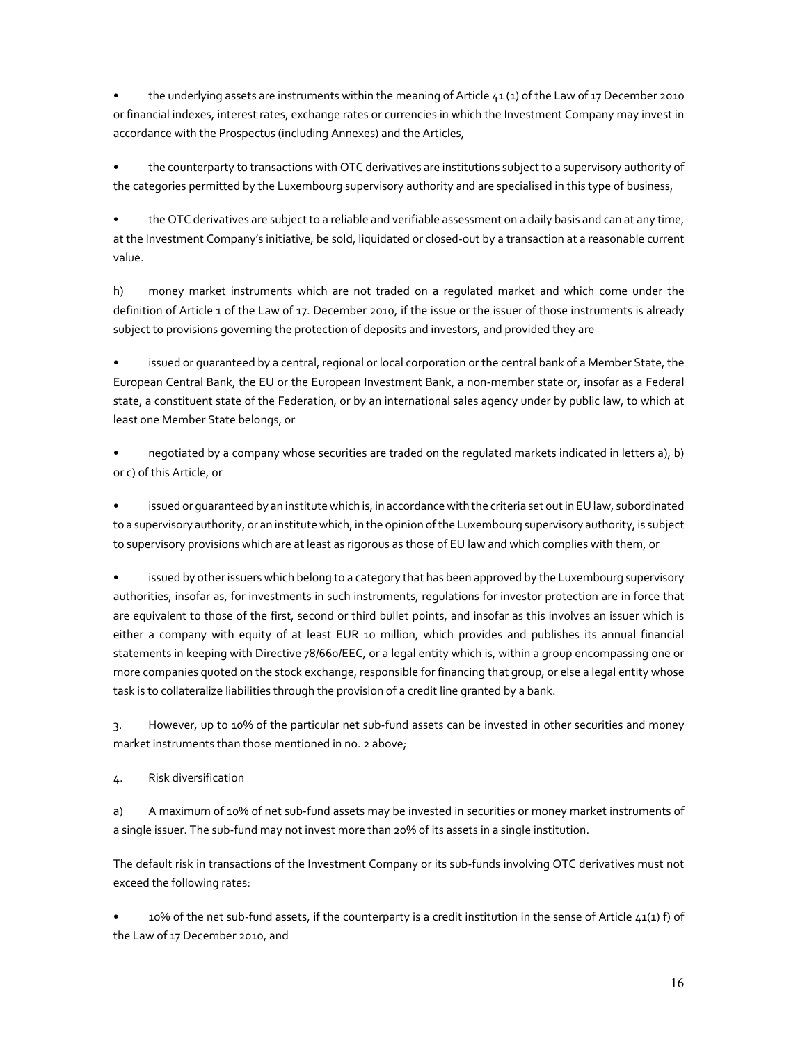• the underlying assets are instruments within the meaning of Article 41 (1) of the Law of 17 December 2010 or financial indexes, interest rates, exchange rates or currencies in which the Investment Company may invest in accordance with the Prospectus (including Annexes) and the Articles,

• the counterparty to transactions with OTC derivatives are institutions subject to a supervisory authority of the categories permitted by the Luxembourg supervisory authority and are specialised in this type of business,

• the OTC derivatives are subject to a reliable and verifiable assessment on a daily basis and can at any time, at the Investment Company's initiative, be sold, liquidated or closed-out by a transaction at a reasonable current value.

h) money market instruments which are not traded on a regulated market and which come under the definition of Article 1 of the Law of 17. December 2010, if the issue or the issuer of those instruments is already subject to provisions governing the protection of deposits and investors, and provided they are

• issued or guaranteed by a central, regional or local corporation or the central bank of a Member State, the European Central Bank, the EU or the European Investment Bank, a non-member state or, insofar as a Federal state, a constituent state of the Federation, or by an international sales agency under by public law, to which at least one Member State belongs, or

• negotiated by a company whose securities are traded on the regulated markets indicated in letters a), b) or c) of this Article, or

issued or guaranteed by an institute which is, in accordance with the criteria set out in EU law, subordinated to a supervisory authority, or an institute which, in the opinion of the Luxembourg supervisory authority, is subject to supervisory provisions which are at least as rigorous as those of EU law and which complies with them, or

issued by other issuers which belong to a category that has been approved by the Luxembourg supervisory authorities, insofar as, for investments in such instruments, regulations for investor protection are in force that are equivalent to those of the first, second or third bullet points, and insofar as this involves an issuer which is either a company with equity of at least EUR 10 million, which provides and publishes its annual financial statements in keeping with Directive 78/660/EEC, or a legal entity which is, within a group encompassing one or more companies quoted on the stock exchange, responsible for financing that group, or else a legal entity whose task is to collateralize liabilities through the provision of a credit line granted by a bank.

3. However, up to 10% of the particular net sub-fund assets can be invested in other securities and money market instruments than those mentioned in no. 2 above;

4. Risk diversification

a) A maximum of 10% of net sub-fund assets may be invested in securities or money market instruments of a single issuer. The sub-fund may not invest more than 20% of its assets in a single institution.

The default risk in transactions of the Investment Company or its sub-funds involving OTC derivatives must not exceed the following rates:

10% of the net sub-fund assets, if the counterparty is a credit institution in the sense of Article  $41(1)$  f) of the Law of 17 December 2010, and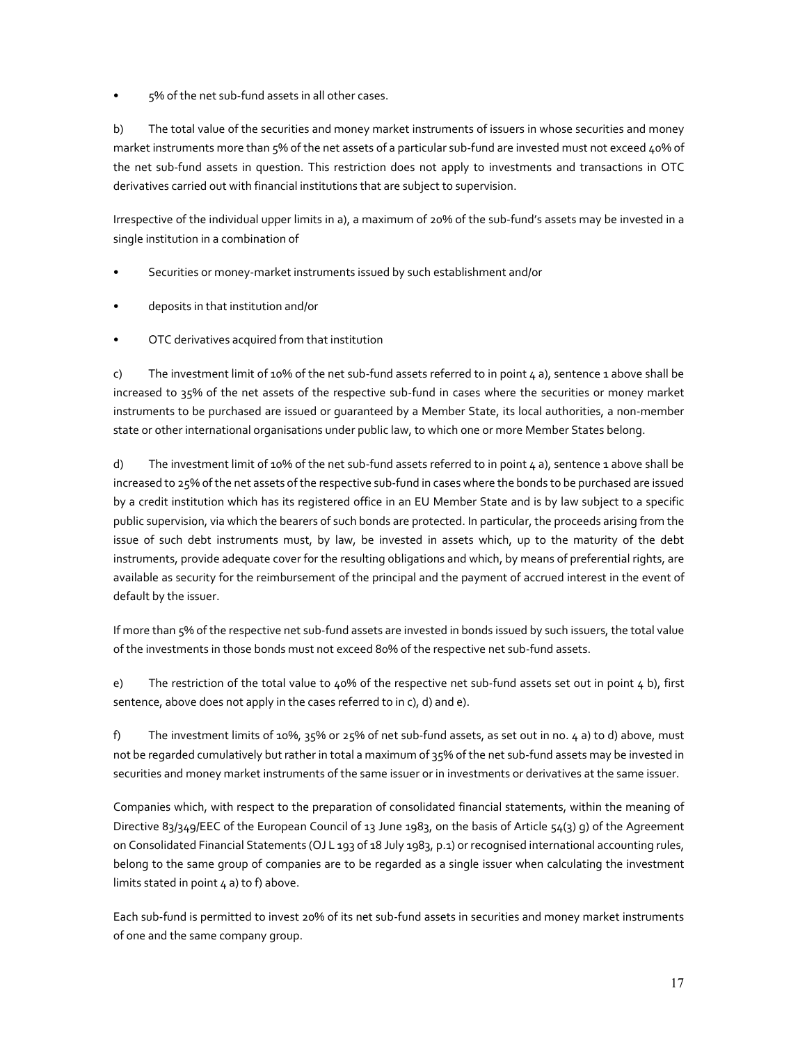• 5% of the net sub-fund assets in all other cases.

b) The total value of the securities and money market instruments of issuers in whose securities and money market instruments more than 5% of the net assets of a particular sub-fund are invested must not exceed 40% of the net sub-fund assets in question. This restriction does not apply to investments and transactions in OTC derivatives carried out with financial institutions that are subject to supervision.

Irrespective of the individual upper limits in a), a maximum of 20% of the sub-fund's assets may be invested in a single institution in a combination of

- Securities or money-market instruments issued by such establishment and/or
- deposits in that institution and/or
- OTC derivatives acquired from that institution

c) The investment limit of 10% of the net sub-fund assets referred to in point  $4$  a), sentence 1 above shall be increased to 35% of the net assets of the respective sub-fund in cases where the securities or money market instruments to be purchased are issued or guaranteed by a Member State, its local authorities, a non-member state or other international organisations under public law, to which one or more Member States belong.

d) The investment limit of 10% of the net sub-fund assets referred to in point  $4$  a), sentence 1 above shall be increased to 25% of the net assets of the respective sub-fund in cases where the bonds to be purchased are issued by a credit institution which has its registered office in an EU Member State and is by law subject to a specific public supervision, via which the bearers of such bonds are protected. In particular, the proceeds arising from the issue of such debt instruments must, by law, be invested in assets which, up to the maturity of the debt instruments, provide adequate cover for the resulting obligations and which, by means of preferential rights, are available as security for the reimbursement of the principal and the payment of accrued interest in the event of default by the issuer.

If more than 5% of the respective net sub-fund assets are invested in bonds issued by such issuers, the total value of the investments in those bonds must not exceed 80% of the respective net sub-fund assets.

e) The restriction of the total value to 40% of the respective net sub-fund assets set out in point 4 b), first sentence, above does not apply in the cases referred to in c), d) and e).

f) The investment limits of 10%, 35% or 25% of net sub-fund assets, as set out in no. 4 a) to d) above, must not be regarded cumulatively but rather in total a maximum of 35% of the net sub-fund assets may be invested in securities and money market instruments of the same issuer or in investments or derivatives at the same issuer.

Companies which, with respect to the preparation of consolidated financial statements, within the meaning of Directive 83/349/EEC of the European Council of 13 June 1983, on the basis of Article 54(3) g) of the Agreement on Consolidated Financial Statements (OJ L 193 of 18 July 1983, p.1) or recognised international accounting rules, belong to the same group of companies are to be regarded as a single issuer when calculating the investment limits stated in point  $4$  a) to f) above.

Each sub-fund is permitted to invest 20% of its net sub-fund assets in securities and money market instruments of one and the same company group.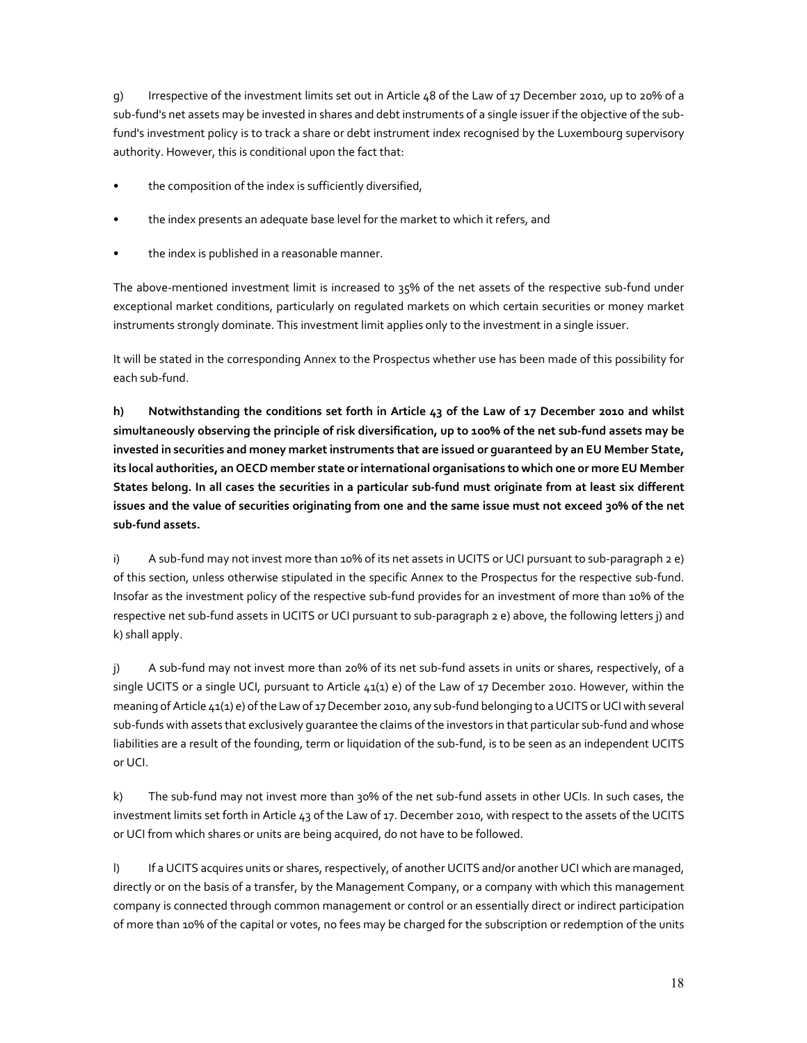g) Irrespective of the investment limits set out in Article 48 of the Law of 17 December 2010, up to 20% of a sub-fund's net assets may be invested in shares and debt instruments of a single issuer if the objective of the subfund's investment policy is to track a share or debt instrument index recognised by the Luxembourg supervisory authority. However, this is conditional upon the fact that:

- the composition of the index is sufficiently diversified,
- the index presents an adequate base level for the market to which it refers, and
- the index is published in a reasonable manner.

The above-mentioned investment limit is increased to 35% of the net assets of the respective sub-fund under exceptional market conditions, particularly on regulated markets on which certain securities or money market instruments strongly dominate. This investment limit applies only to the investment in a single issuer.

It will be stated in the corresponding Annex to the Prospectus whether use has been made of this possibility for each sub-fund.

**h) Notwithstanding the conditions set forth in Article 43 of the Law of 17 December 2010 and whilst simultaneously observing the principle of risk diversification, up to 100% of the net sub-fund assets may be invested in securities and money market instruments that are issued or guaranteed by an EU Member State, its local authorities, an OECD member state or international organisations to which one or more EU Member States belong. In all cases the securities in a particular sub-fund must originate from at least six different issues and the value of securities originating from one and the same issue must not exceed 30% of the net sub-fund assets.** 

i) A sub-fund may not invest more than 10% of its net assets in UCITS or UCI pursuant to sub-paragraph 2 e) of this section, unless otherwise stipulated in the specific Annex to the Prospectus for the respective sub-fund. Insofar as the investment policy of the respective sub-fund provides for an investment of more than 10% of the respective net sub-fund assets in UCITS or UCI pursuant to sub-paragraph 2 e) above, the following letters j) and k) shall apply.

j) A sub-fund may not invest more than 20% of its net sub-fund assets in units or shares, respectively, of a single UCITS or a single UCI, pursuant to Article 41(1) e) of the Law of 17 December 2010. However, within the meaning of Article 41(1) e) of the Law of 17 December 2010, any sub-fund belonging to a UCITS or UCI with several sub-funds with assets that exclusively guarantee the claims of the investors in that particular sub-fund and whose liabilities are a result of the founding, term or liquidation of the sub-fund, is to be seen as an independent UCITS or UCI.

k) The sub-fund may not invest more than 30% of the net sub-fund assets in other UCIs. In such cases, the investment limits set forth in Article 43 of the Law of 17. December 2010, with respect to the assets of the UCITS or UCI from which shares or units are being acquired, do not have to be followed.

l) If a UCITS acquires units or shares, respectively, of another UCITS and/or another UCI which are managed, directly or on the basis of a transfer, by the Management Company, or a company with which this management company is connected through common management or control or an essentially direct or indirect participation of more than 10% of the capital or votes, no fees may be charged for the subscription or redemption of the units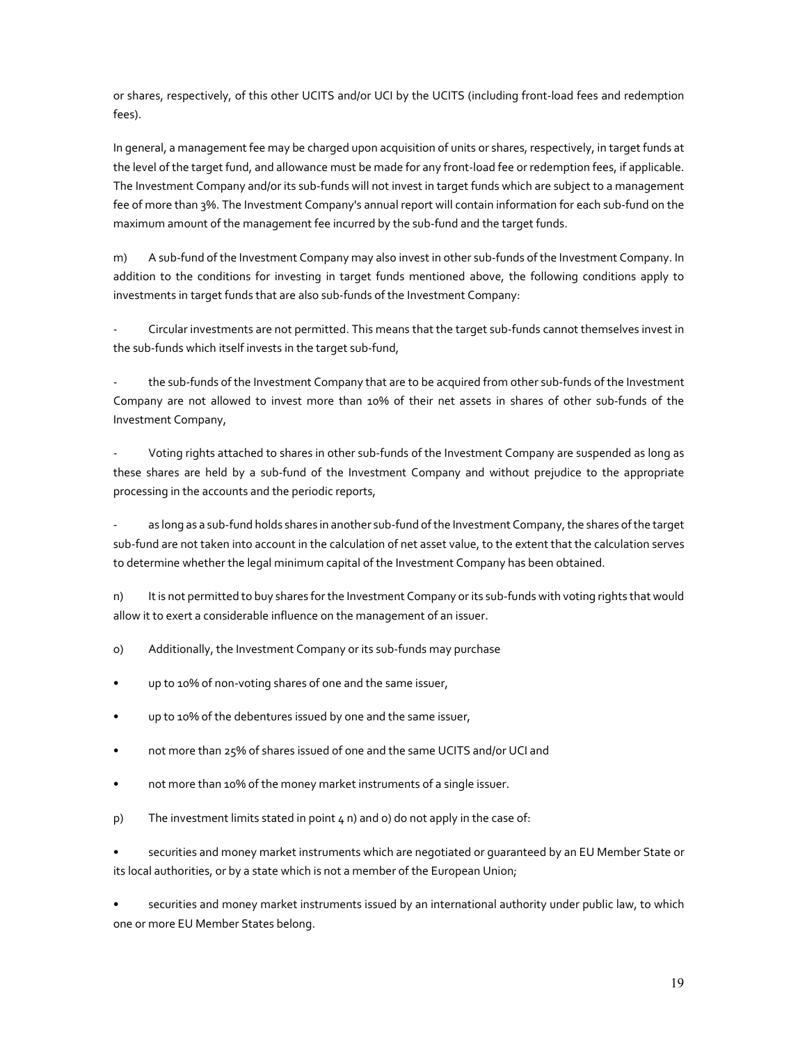or shares, respectively, of this other UCITS and/or UCI by the UCITS (including front-load fees and redemption fees).

In general, a management fee may be charged upon acquisition of units or shares, respectively, in target funds at the level of the target fund, and allowance must be made for any front-load fee or redemption fees, if applicable. The Investment Company and/or its sub-funds will not invest in target funds which are subject to a management fee of more than 3%. The Investment Company's annual report will contain information for each sub-fund on the maximum amount of the management fee incurred by the sub-fund and the target funds.

m) A sub-fund of the Investment Company may also invest in other sub-funds of the Investment Company. In addition to the conditions for investing in target funds mentioned above, the following conditions apply to investments in target funds that are also sub-funds of the Investment Company:

- Circular investments are not permitted. This means that the target sub-funds cannot themselves invest in the sub-funds which itself invests in the target sub-fund,

the sub-funds of the Investment Company that are to be acquired from other sub-funds of the Investment Company are not allowed to invest more than 10% of their net assets in shares of other sub-funds of the Investment Company,

- Voting rights attached to shares in other sub-funds of the Investment Company are suspended as long as these shares are held by a sub-fund of the Investment Company and without prejudice to the appropriate processing in the accounts and the periodic reports,

as long as a sub-fund holds shares in another sub-fund of the Investment Company, the shares of the target sub-fund are not taken into account in the calculation of net asset value, to the extent that the calculation serves to determine whether the legal minimum capital of the Investment Company has been obtained.

n) It is not permitted to buy shares for the Investment Company or its sub-funds with voting rights that would allow it to exert a considerable influence on the management of an issuer.

o) Additionally, the Investment Company or its sub-funds may purchase

- up to 10% of non-voting shares of one and the same issuer,
- up to 10% of the debentures issued by one and the same issuer,
- not more than 25% of shares issued of one and the same UCITS and/or UCI and
- not more than 10% of the money market instruments of a single issuer.
- p) The investment limits stated in point  $4$  n) and o) do not apply in the case of:

• securities and money market instruments which are negotiated or guaranteed by an EU Member State or its local authorities, or by a state which is not a member of the European Union;

• securities and money market instruments issued by an international authority under public law, to which one or more EU Member States belong.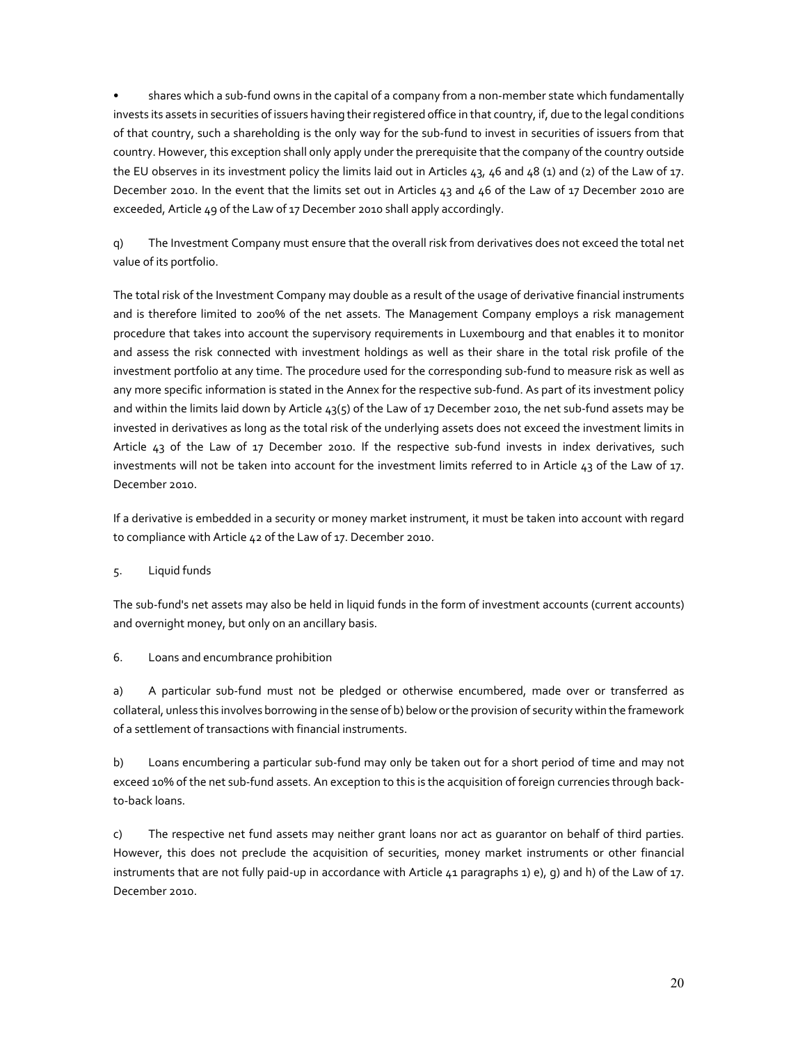• shares which a sub-fund owns in the capital of a company from a non-member state which fundamentally invests its assets in securities of issuers having their registered office in that country, if, due to the legal conditions of that country, such a shareholding is the only way for the sub-fund to invest in securities of issuers from that country. However, this exception shall only apply under the prerequisite that the company of the country outside the EU observes in its investment policy the limits laid out in Articles  $43, 46$  and  $48$  (1) and (2) of the Law of 17. December 2010. In the event that the limits set out in Articles 43 and 46 of the Law of 17 December 2010 are exceeded, Article 49 of the Law of 17 December 2010 shall apply accordingly.

q) The Investment Company must ensure that the overall risk from derivatives does not exceed the total net value of its portfolio.

The total risk of the Investment Company may double as a result of the usage of derivative financial instruments and is therefore limited to 200% of the net assets. The Management Company employs a risk management procedure that takes into account the supervisory requirements in Luxembourg and that enables it to monitor and assess the risk connected with investment holdings as well as their share in the total risk profile of the investment portfolio at any time. The procedure used for the corresponding sub-fund to measure risk as well as any more specific information is stated in the Annex for the respective sub-fund. As part of its investment policy and within the limits laid down by Article 43(5) of the Law of 17 December 2010, the net sub-fund assets may be invested in derivatives as long as the total risk of the underlying assets does not exceed the investment limits in Article 43 of the Law of 17 December 2010. If the respective sub-fund invests in index derivatives, such investments will not be taken into account for the investment limits referred to in Article 43 of the Law of 17. December 2010.

If a derivative is embedded in a security or money market instrument, it must be taken into account with regard to compliance with Article 42 of the Law of 17. December 2010.

5. Liquid funds

The sub-fund's net assets may also be held in liquid funds in the form of investment accounts (current accounts) and overnight money, but only on an ancillary basis.

6. Loans and encumbrance prohibition

a) A particular sub-fund must not be pledged or otherwise encumbered, made over or transferred as collateral, unless this involves borrowing in the sense of b) below or the provision of security within the framework of a settlement of transactions with financial instruments.

b) Loans encumbering a particular sub-fund may only be taken out for a short period of time and may not exceed 10% of the net sub-fund assets. An exception to this is the acquisition of foreign currencies through backto-back loans.

c) The respective net fund assets may neither grant loans nor act as guarantor on behalf of third parties. However, this does not preclude the acquisition of securities, money market instruments or other financial instruments that are not fully paid-up in accordance with Article 41 paragraphs 1) e), g) and h) of the Law of 17. December 2010.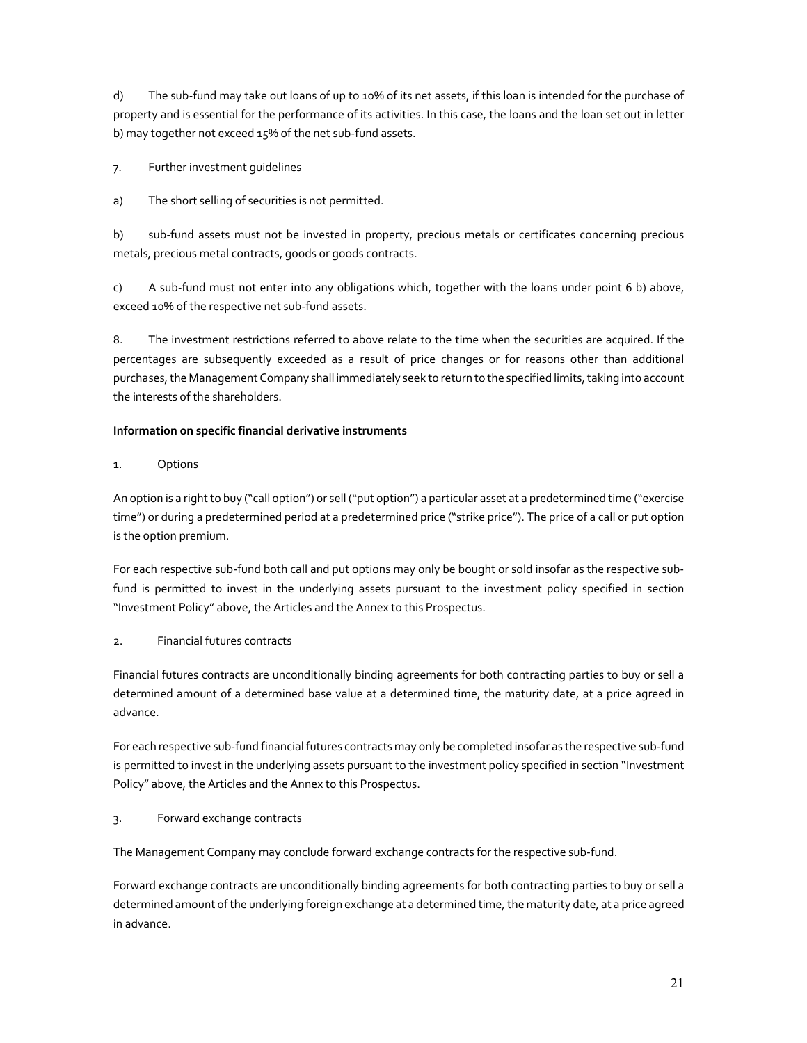d) The sub-fund may take out loans of up to 10% of its net assets, if this loan is intended for the purchase of property and is essential for the performance of its activities. In this case, the loans and the loan set out in letter b) may together not exceed 15% of the net sub-fund assets.

7. Further investment guidelines

a) The short selling of securities is not permitted.

b) sub-fund assets must not be invested in property, precious metals or certificates concerning precious metals, precious metal contracts, goods or goods contracts.

c) A sub-fund must not enter into any obligations which, together with the loans under point 6 b) above, exceed 10% of the respective net sub-fund assets.

8. The investment restrictions referred to above relate to the time when the securities are acquired. If the percentages are subsequently exceeded as a result of price changes or for reasons other than additional purchases, the Management Company shall immediately seek to return to the specified limits, taking into account the interests of the shareholders.

### **Information on specific financial derivative instruments**

1. Options

An option is a right to buy ("call option") or sell ("put option") a particular asset at a predetermined time ("exercise time") or during a predetermined period at a predetermined price ("strike price"). The price of a call or put option is the option premium.

For each respective sub-fund both call and put options may only be bought or sold insofar as the respective subfund is permitted to invest in the underlying assets pursuant to the investment policy specified in section "Investment Policy" above, the Articles and the Annex to this Prospectus.

## 2. Financial futures contracts

Financial futures contracts are unconditionally binding agreements for both contracting parties to buy or sell a determined amount of a determined base value at a determined time, the maturity date, at a price agreed in advance.

For each respective sub-fund financial futures contracts may only be completed insofar as the respective sub-fund is permitted to invest in the underlying assets pursuant to the investment policy specified in section "Investment Policy" above, the Articles and the Annex to this Prospectus.

## 3. Forward exchange contracts

The Management Company may conclude forward exchange contracts for the respective sub-fund.

Forward exchange contracts are unconditionally binding agreements for both contracting parties to buy or sell a determined amount of the underlying foreign exchange at a determined time, the maturity date, at a price agreed in advance.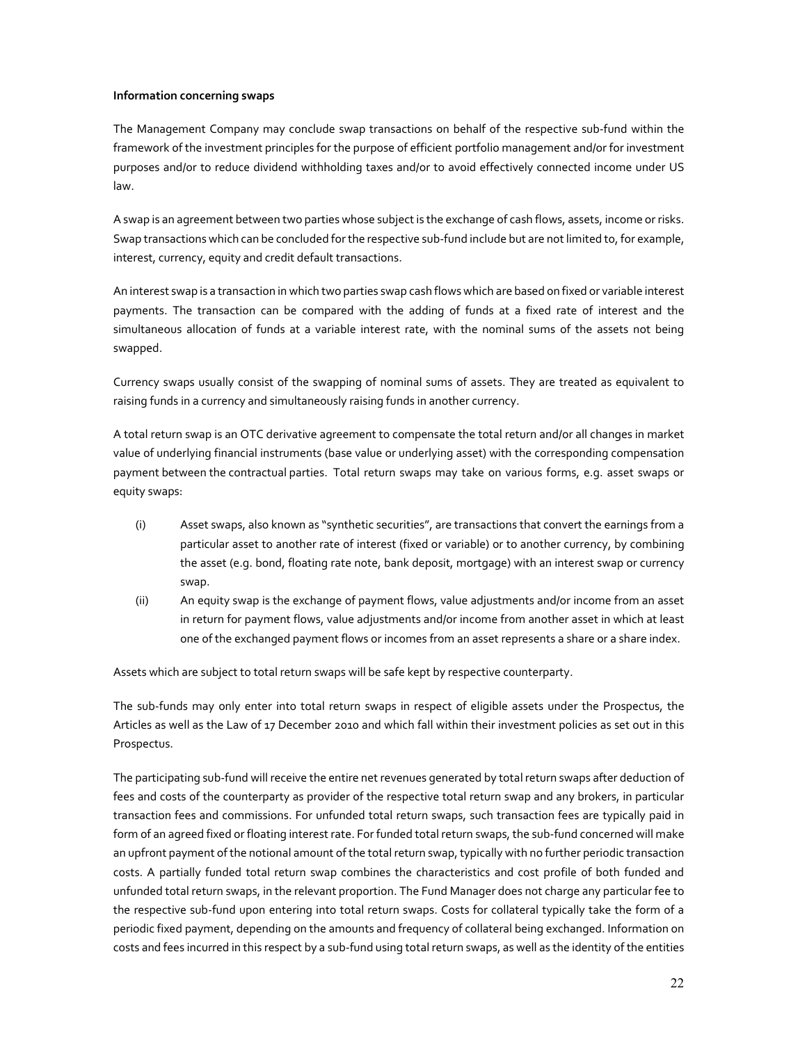### **Information concerning swaps**

The Management Company may conclude swap transactions on behalf of the respective sub-fund within the framework of the investment principles for the purpose of efficient portfolio management and/or for investment purposes and/or to reduce dividend withholding taxes and/or to avoid effectively connected income under US law.

A swap is an agreement between two parties whose subject is the exchange of cash flows, assets, income or risks. Swap transactions which can be concluded for the respective sub-fund include but are not limited to, for example, interest, currency, equity and credit default transactions.

An interest swap is a transaction in which two parties swap cash flows which are based on fixed or variable interest payments. The transaction can be compared with the adding of funds at a fixed rate of interest and the simultaneous allocation of funds at a variable interest rate, with the nominal sums of the assets not being swapped.

Currency swaps usually consist of the swapping of nominal sums of assets. They are treated as equivalent to raising funds in a currency and simultaneously raising funds in another currency.

A total return swap is an OTC derivative agreement to compensate the total return and/or all changes in market value of underlying financial instruments (base value or underlying asset) with the corresponding compensation payment between the contractual parties. Total return swaps may take on various forms, e.g. asset swaps or equity swaps:

- (i) Asset swaps, also known as "synthetic securities", are transactions that convert the earnings from a particular asset to another rate of interest (fixed or variable) or to another currency, by combining the asset (e.g. bond, floating rate note, bank deposit, mortgage) with an interest swap or currency swap.
- (ii) An equity swap is the exchange of payment flows, value adjustments and/or income from an asset in return for payment flows, value adjustments and/or income from another asset in which at least one of the exchanged payment flows or incomes from an asset represents a share or a share index.

Assets which are subject to total return swaps will be safe kept by respective counterparty.

The sub-funds may only enter into total return swaps in respect of eligible assets under the Prospectus, the Articles as well as the Law of 17 December 2010 and which fall within their investment policies as set out in this Prospectus.

The participating sub-fund will receive the entire net revenues generated by total return swaps after deduction of fees and costs of the counterparty as provider of the respective total return swap and any brokers, in particular transaction fees and commissions. For unfunded total return swaps, such transaction fees are typically paid in form of an agreed fixed or floating interest rate. For funded total return swaps, the sub-fund concerned will make an upfront payment of the notional amount of the total return swap, typically with no further periodic transaction costs. A partially funded total return swap combines the characteristics and cost profile of both funded and unfunded total return swaps, in the relevant proportion. The Fund Manager does not charge any particular fee to the respective sub-fund upon entering into total return swaps. Costs for collateral typically take the form of a periodic fixed payment, depending on the amounts and frequency of collateral being exchanged. Information on costs and fees incurred in this respect by a sub-fund using total return swaps, as well as the identity of the entities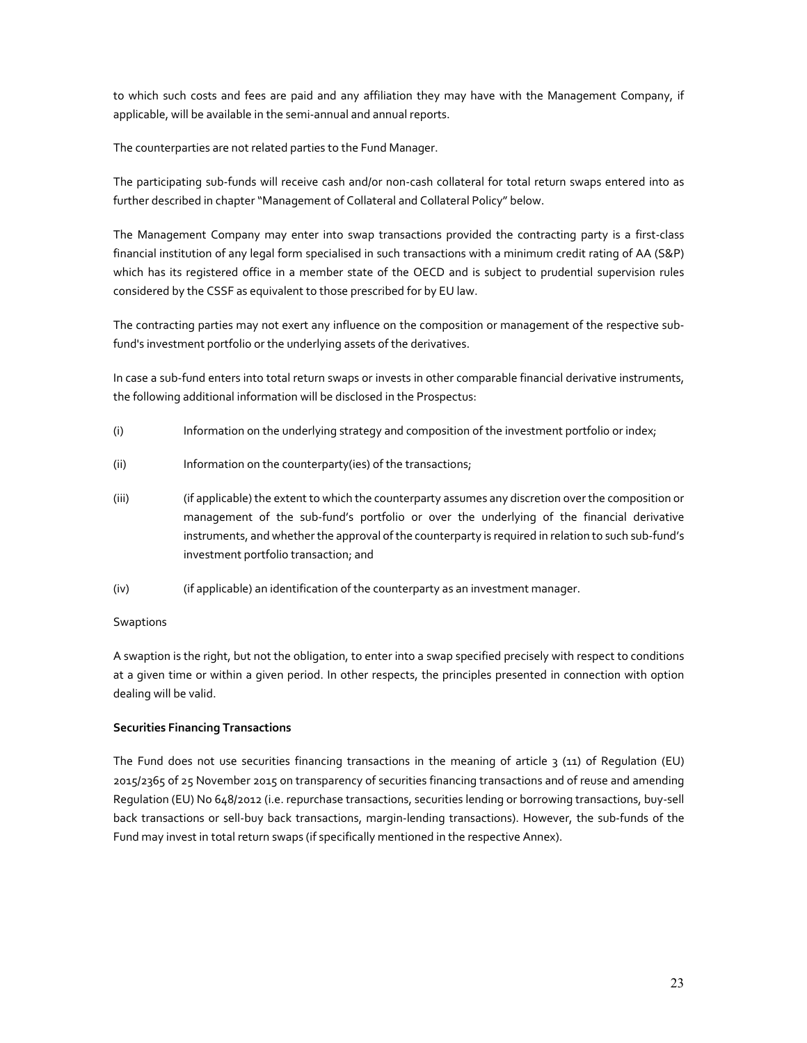to which such costs and fees are paid and any affiliation they may have with the Management Company, if applicable, will be available in the semi-annual and annual reports.

The counterparties are not related parties to the Fund Manager.

The participating sub-funds will receive cash and/or non-cash collateral for total return swaps entered into as further described in chapter "Management of Collateral and Collateral Policy" below.

The Management Company may enter into swap transactions provided the contracting party is a first-class financial institution of any legal form specialised in such transactions with a minimum credit rating of AA (S&P) which has its registered office in a member state of the OECD and is subject to prudential supervision rules considered by the CSSF as equivalent to those prescribed for by EU law.

The contracting parties may not exert any influence on the composition or management of the respective subfund's investment portfolio or the underlying assets of the derivatives.

In case a sub-fund enters into total return swaps or invests in other comparable financial derivative instruments, the following additional information will be disclosed in the Prospectus:

- (i) Information on the underlying strategy and composition of the investment portfolio or index;
- (ii) Information on the counterparty(ies) of the transactions;
- (iii) (if applicable) the extent to which the counterparty assumes any discretion over the composition or management of the sub-fund's portfolio or over the underlying of the financial derivative instruments, and whether the approval of the counterparty is required in relation to such sub-fund's investment portfolio transaction; and
- (iv) (if applicable) an identification of the counterparty as an investment manager.

### Swaptions

A swaption is the right, but not the obligation, to enter into a swap specified precisely with respect to conditions at a given time or within a given period. In other respects, the principles presented in connection with option dealing will be valid.

### **Securities Financing Transactions**

The Fund does not use securities financing transactions in the meaning of article  $3$  (11) of Regulation (EU) 2015/2365 of 25 November 2015 on transparency of securities financing transactions and of reuse and amending Regulation (EU) No 648/2012 (i.e. repurchase transactions, securities lending or borrowing transactions, buy-sell back transactions or sell-buy back transactions, margin-lending transactions). However, the sub-funds of the Fund may invest in total return swaps (if specifically mentioned in the respective Annex).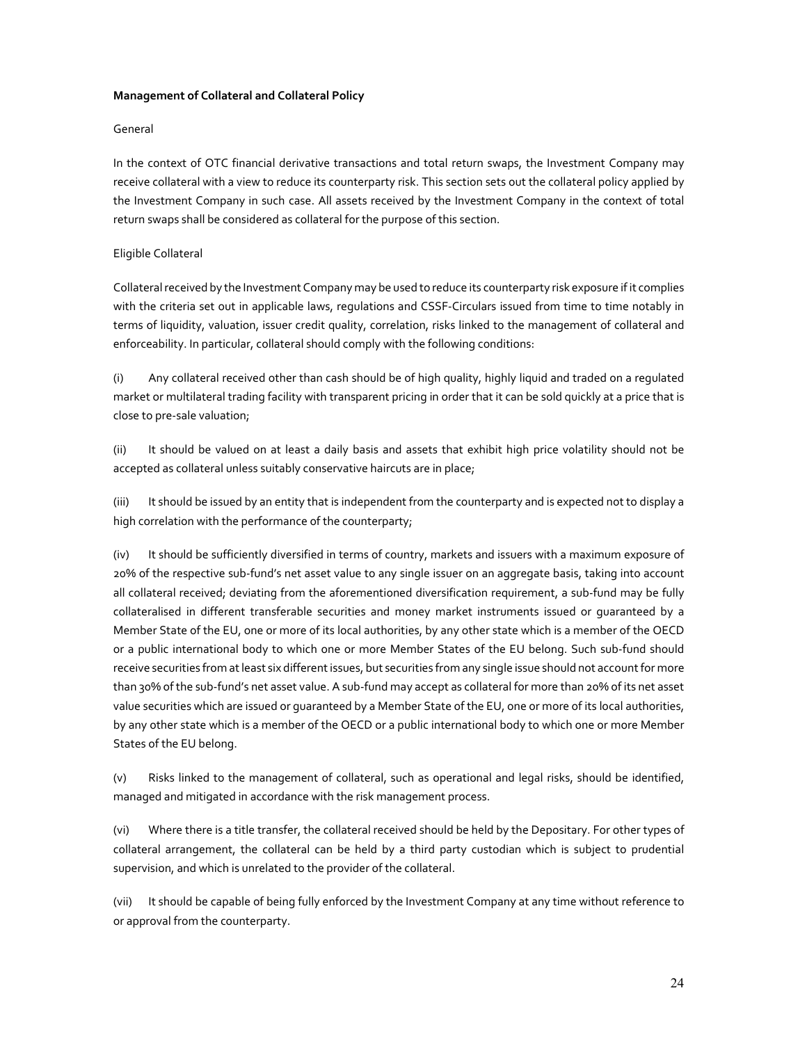### **Management of Collateral and Collateral Policy**

### General

In the context of OTC financial derivative transactions and total return swaps, the Investment Company may receive collateral with a view to reduce its counterparty risk. This section sets out the collateral policy applied by the Investment Company in such case. All assets received by the Investment Company in the context of total return swaps shall be considered as collateral for the purpose of this section.

### Eligible Collateral

Collateral received by the Investment Company may be used to reduce its counterparty risk exposure if it complies with the criteria set out in applicable laws, regulations and CSSF-Circulars issued from time to time notably in terms of liquidity, valuation, issuer credit quality, correlation, risks linked to the management of collateral and enforceability. In particular, collateral should comply with the following conditions:

(i) Any collateral received other than cash should be of high quality, highly liquid and traded on a regulated market or multilateral trading facility with transparent pricing in order that it can be sold quickly at a price that is close to pre-sale valuation;

(ii) It should be valued on at least a daily basis and assets that exhibit high price volatility should not be accepted as collateral unless suitably conservative haircuts are in place;

(iii) It should be issued by an entity that is independent from the counterparty and is expected not to display a high correlation with the performance of the counterparty;

(iv) It should be sufficiently diversified in terms of country, markets and issuers with a maximum exposure of 20% of the respective sub-fund's net asset value to any single issuer on an aggregate basis, taking into account all collateral received; deviating from the aforementioned diversification requirement, a sub-fund may be fully collateralised in different transferable securities and money market instruments issued or guaranteed by a Member State of the EU, one or more of its local authorities, by any other state which is a member of the OECD or a public international body to which one or more Member States of the EU belong. Such sub-fund should receive securities from at least six different issues, but securities from any single issue should not account for more than 30% of the sub-fund's net asset value. A sub-fund may accept as collateral for more than 20% of its net asset value securities which are issued or guaranteed by a Member State of the EU, one or more of its local authorities, by any other state which is a member of the OECD or a public international body to which one or more Member States of the EU belong.

(v) Risks linked to the management of collateral, such as operational and legal risks, should be identified, managed and mitigated in accordance with the risk management process.

(vi) Where there is a title transfer, the collateral received should be held by the Depositary. For other types of collateral arrangement, the collateral can be held by a third party custodian which is subject to prudential supervision, and which is unrelated to the provider of the collateral.

(vii) It should be capable of being fully enforced by the Investment Company at any time without reference to or approval from the counterparty.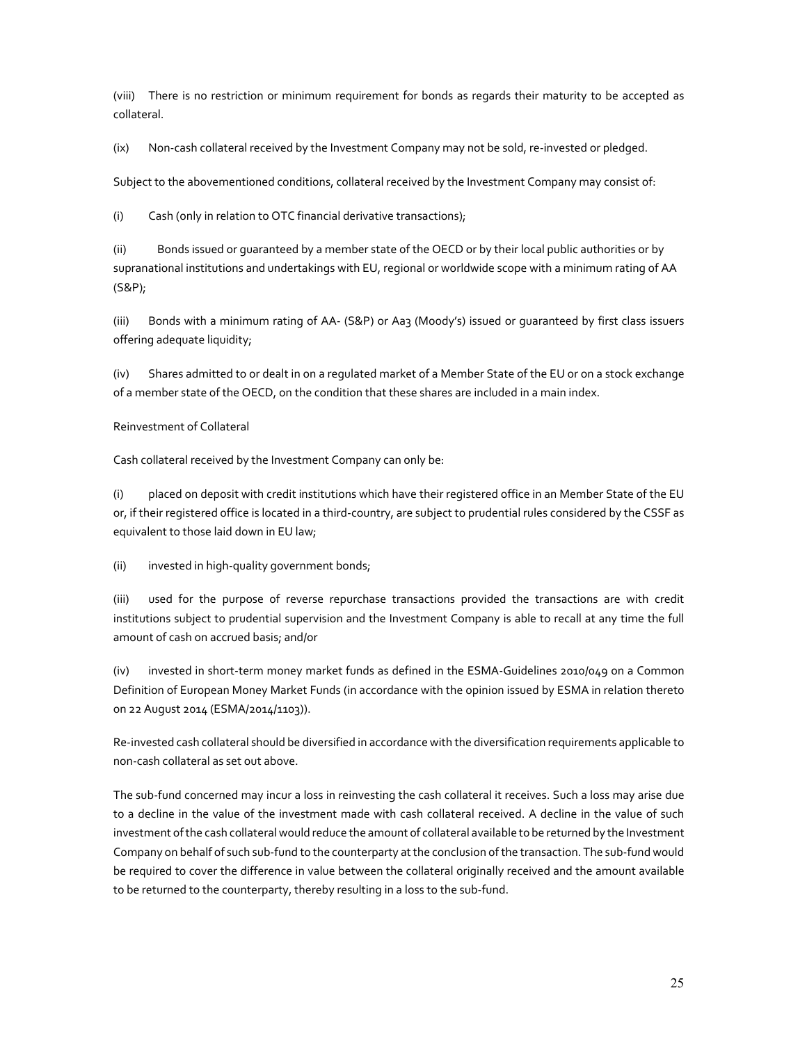(viii) There is no restriction or minimum requirement for bonds as regards their maturity to be accepted as collateral.

(ix) Non-cash collateral received by the Investment Company may not be sold, re-invested or pledged.

Subject to the abovementioned conditions, collateral received by the Investment Company may consist of:

(i) Cash (only in relation to OTC financial derivative transactions);

(ii) Bonds issued or guaranteed by a member state of the OECD or by their local public authorities or by supranational institutions and undertakings with EU, regional or worldwide scope with a minimum rating of AA (S&P);

(iii) Bonds with a minimum rating of AA- (S&P) or Aa3 (Moody's) issued or guaranteed by first class issuers offering adequate liquidity;

(iv) Shares admitted to or dealt in on a regulated market of a Member State of the EU or on a stock exchange of a member state of the OECD, on the condition that these shares are included in a main index.

### Reinvestment of Collateral

Cash collateral received by the Investment Company can only be:

(i) placed on deposit with credit institutions which have their registered office in an Member State of the EU or, if their registered office is located in a third-country, are subject to prudential rules considered by the CSSF as equivalent to those laid down in EU law;

(ii) invested in high-quality government bonds;

(iii) used for the purpose of reverse repurchase transactions provided the transactions are with credit institutions subject to prudential supervision and the Investment Company is able to recall at any time the full amount of cash on accrued basis; and/or

(iv) invested in short-term money market funds as defined in the ESMA-Guidelines 2010/049 on a Common Definition of European Money Market Funds (in accordance with the opinion issued by ESMA in relation thereto on 22 August 2014 (ESMA/2014/1103)).

Re-invested cash collateral should be diversified in accordance with the diversification requirements applicable to non-cash collateral as set out above.

The sub-fund concerned may incur a loss in reinvesting the cash collateral it receives. Such a loss may arise due to a decline in the value of the investment made with cash collateral received. A decline in the value of such investment of the cash collateral would reduce the amount of collateral available to be returned by the Investment Company on behalf of such sub-fund to the counterparty at the conclusion of the transaction. The sub-fund would be required to cover the difference in value between the collateral originally received and the amount available to be returned to the counterparty, thereby resulting in a loss to the sub-fund.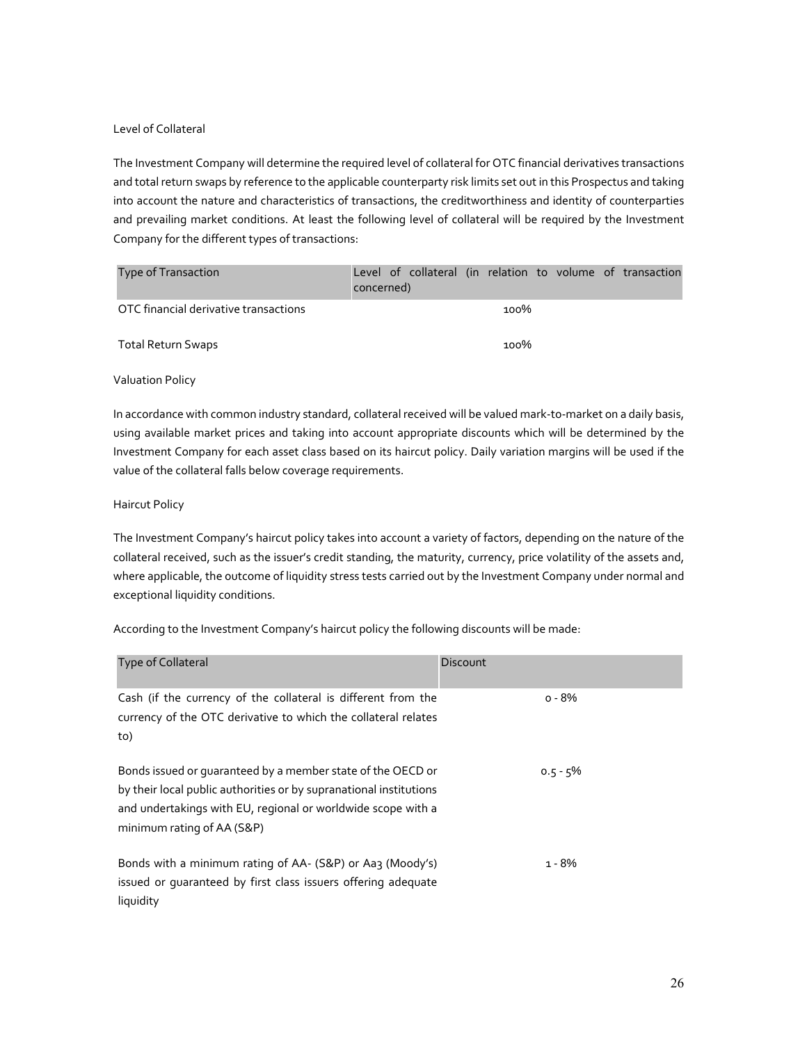### Level of Collateral

The Investment Company will determine the required level of collateral for OTC financial derivatives transactions and total return swaps by reference to the applicable counterparty risk limits set out in this Prospectus and taking into account the nature and characteristics of transactions, the creditworthiness and identity of counterparties and prevailing market conditions. At least the following level of collateral will be required by the Investment Company for the different types of transactions:

| Type of Transaction                   | concerned) |  |      |  | Level of collateral (in relation to volume of transaction |
|---------------------------------------|------------|--|------|--|-----------------------------------------------------------|
| OTC financial derivative transactions |            |  | 100% |  |                                                           |
| Total Return Swaps                    |            |  | 100% |  |                                                           |

### Valuation Policy

In accordance with common industry standard, collateral received will be valued mark-to-market on a daily basis, using available market prices and taking into account appropriate discounts which will be determined by the Investment Company for each asset class based on its haircut policy. Daily variation margins will be used if the value of the collateral falls below coverage requirements.

### Haircut Policy

The Investment Company's haircut policy takes into account a variety of factors, depending on the nature of the collateral received, such as the issuer's credit standing, the maturity, currency, price volatility of the assets and, where applicable, the outcome of liquidity stress tests carried out by the Investment Company under normal and exceptional liquidity conditions.

According to the Investment Company's haircut policy the following discounts will be made:

| Type of Collateral                                                                                                                                                                                                              | <b>Discount</b> |
|---------------------------------------------------------------------------------------------------------------------------------------------------------------------------------------------------------------------------------|-----------------|
| Cash (if the currency of the collateral is different from the<br>currency of the OTC derivative to which the collateral relates<br>to)                                                                                          | $o - 8%$        |
| Bonds issued or guaranteed by a member state of the OECD or<br>by their local public authorities or by supranational institutions<br>and undertakings with EU, regional or worldwide scope with a<br>minimum rating of AA (S&P) | $0.5 - 5\%$     |
| Bonds with a minimum rating of AA- (S&P) or Aa3 (Moody's)<br>issued or quaranteed by first class issuers offering adequate<br>liquidity                                                                                         | 1 - 8%          |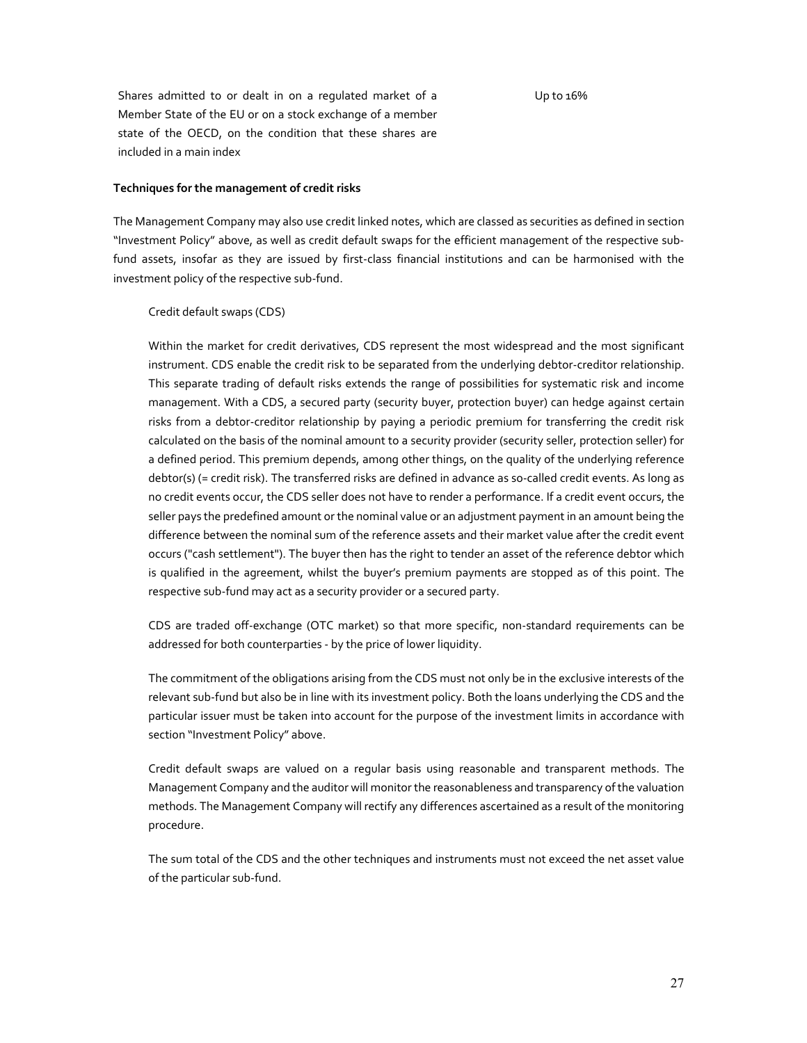Up to 16%

Shares admitted to or dealt in on a regulated market of a Member State of the EU or on a stock exchange of a member state of the OECD, on the condition that these shares are included in a main index

#### **Techniques for the management of credit risks**

The Management Company may also use credit linked notes, which are classed as securities as defined in section "Investment Policy" above, as well as credit default swaps for the efficient management of the respective subfund assets, insofar as they are issued by first-class financial institutions and can be harmonised with the investment policy of the respective sub-fund.

### Credit default swaps (CDS)

Within the market for credit derivatives, CDS represent the most widespread and the most significant instrument. CDS enable the credit risk to be separated from the underlying debtor-creditor relationship. This separate trading of default risks extends the range of possibilities for systematic risk and income management. With a CDS, a secured party (security buyer, protection buyer) can hedge against certain risks from a debtor-creditor relationship by paying a periodic premium for transferring the credit risk calculated on the basis of the nominal amount to a security provider (security seller, protection seller) for a defined period. This premium depends, among other things, on the quality of the underlying reference debtor(s) (= credit risk). The transferred risks are defined in advance as so-called credit events. As long as no credit events occur, the CDS seller does not have to render a performance. If a credit event occurs, the seller pays the predefined amount or the nominal value or an adjustment payment in an amount being the difference between the nominal sum of the reference assets and their market value after the credit event occurs ("cash settlement"). The buyer then has the right to tender an asset of the reference debtor which is qualified in the agreement, whilst the buyer's premium payments are stopped as of this point. The respective sub-fund may act as a security provider or a secured party.

CDS are traded off-exchange (OTC market) so that more specific, non-standard requirements can be addressed for both counterparties - by the price of lower liquidity.

The commitment of the obligations arising from the CDS must not only be in the exclusive interests of the relevant sub-fund but also be in line with its investment policy. Both the loans underlying the CDS and the particular issuer must be taken into account for the purpose of the investment limits in accordance with section "Investment Policy" above.

Credit default swaps are valued on a regular basis using reasonable and transparent methods. The Management Company and the auditor will monitor the reasonableness and transparency of the valuation methods. The Management Company will rectify any differences ascertained as a result of the monitoring procedure.

The sum total of the CDS and the other techniques and instruments must not exceed the net asset value of the particular sub-fund.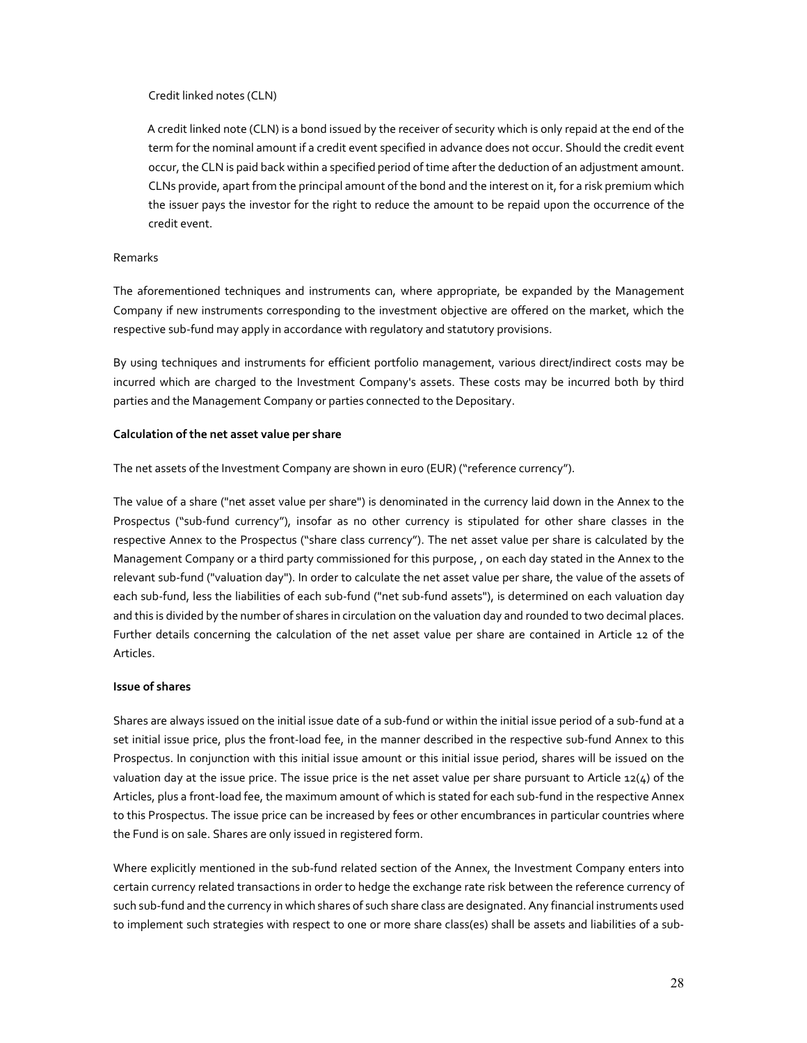### Credit linked notes (CLN)

A credit linked note (CLN) is a bond issued by the receiver of security which is only repaid at the end of the term for the nominal amount if a credit event specified in advance does not occur. Should the credit event occur, the CLN is paid back within a specified period of time after the deduction of an adjustment amount. CLNs provide, apart from the principal amount of the bond and the interest on it, for a risk premium which the issuer pays the investor for the right to reduce the amount to be repaid upon the occurrence of the credit event.

#### Remarks

The aforementioned techniques and instruments can, where appropriate, be expanded by the Management Company if new instruments corresponding to the investment objective are offered on the market, which the respective sub-fund may apply in accordance with regulatory and statutory provisions.

By using techniques and instruments for efficient portfolio management, various direct/indirect costs may be incurred which are charged to the Investment Company's assets. These costs may be incurred both by third parties and the Management Company or parties connected to the Depositary.

#### **Calculation of the net asset value per share**

The net assets of the Investment Company are shown in euro (EUR) ("reference currency").

The value of a share ("net asset value per share") is denominated in the currency laid down in the Annex to the Prospectus ("sub-fund currency"), insofar as no other currency is stipulated for other share classes in the respective Annex to the Prospectus ("share class currency"). The net asset value per share is calculated by the Management Company or a third party commissioned for this purpose, , on each day stated in the Annex to the relevant sub-fund ("valuation day"). In order to calculate the net asset value per share, the value of the assets of each sub-fund, less the liabilities of each sub-fund ("net sub-fund assets"), is determined on each valuation day and this is divided by the number of shares in circulation on the valuation day and rounded to two decimal places. Further details concerning the calculation of the net asset value per share are contained in Article 12 of the Articles.

### **Issue of shares**

Shares are always issued on the initial issue date of a sub-fund or within the initial issue period of a sub-fund at a set initial issue price, plus the front-load fee, in the manner described in the respective sub-fund Annex to this Prospectus. In conjunction with this initial issue amount or this initial issue period, shares will be issued on the valuation day at the issue price. The issue price is the net asset value per share pursuant to Article 12( $4$ ) of the Articles, plus a front-load fee, the maximum amount of which is stated for each sub-fund in the respective Annex to this Prospectus. The issue price can be increased by fees or other encumbrances in particular countries where the Fund is on sale. Shares are only issued in registered form.

Where explicitly mentioned in the sub-fund related section of the Annex, the Investment Company enters into certain currency related transactions in order to hedge the exchange rate risk between the reference currency of such sub-fund and the currency in which shares of such share class are designated. Any financial instruments used to implement such strategies with respect to one or more share class(es) shall be assets and liabilities of a sub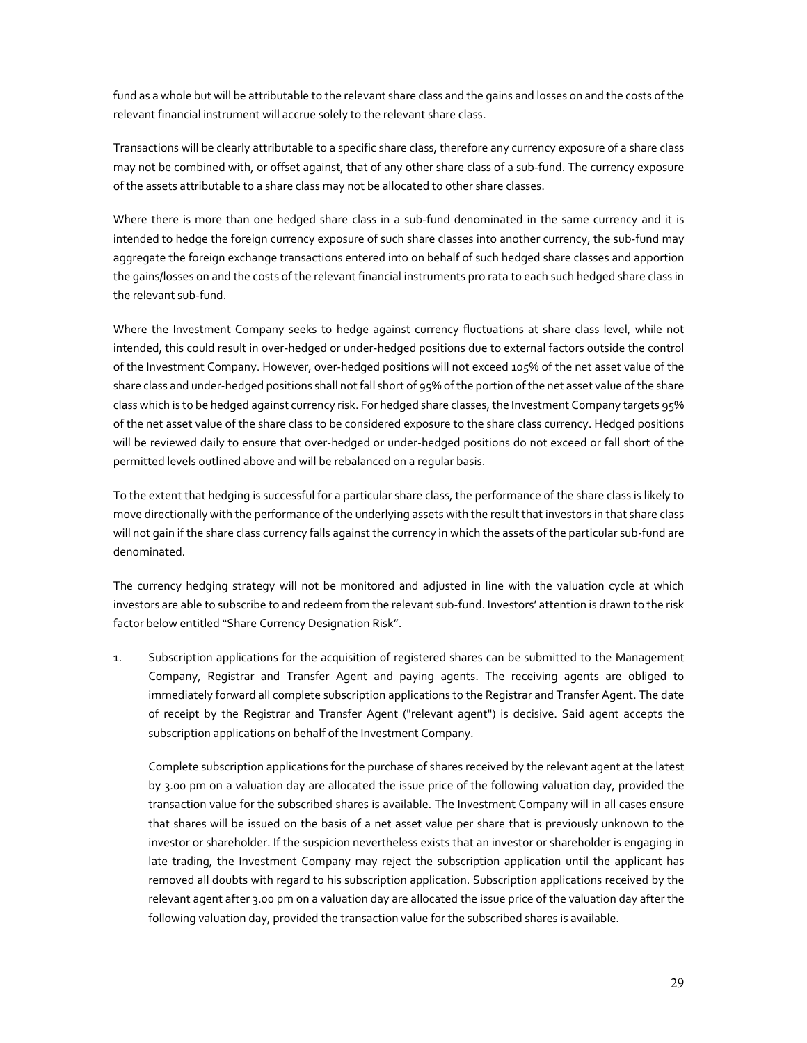fund as a whole but will be attributable to the relevant share class and the gains and losses on and the costs of the relevant financial instrument will accrue solely to the relevant share class.

Transactions will be clearly attributable to a specific share class, therefore any currency exposure of a share class may not be combined with, or offset against, that of any other share class of a sub-fund. The currency exposure of the assets attributable to a share class may not be allocated to other share classes.

Where there is more than one hedged share class in a sub-fund denominated in the same currency and it is intended to hedge the foreign currency exposure of such share classes into another currency, the sub-fund may aggregate the foreign exchange transactions entered into on behalf of such hedged share classes and apportion the gains/losses on and the costs of the relevant financial instruments pro rata to each such hedged share class in the relevant sub-fund.

Where the Investment Company seeks to hedge against currency fluctuations at share class level, while not intended, this could result in over-hedged or under-hedged positions due to external factors outside the control of the Investment Company. However, over-hedged positions will not exceed 105% of the net asset value of the share class and under-hedged positions shall not fall short of 95% of the portion of the net asset value of the share class which is to be hedged against currency risk. For hedged share classes, the Investment Company targets 95% of the net asset value of the share class to be considered exposure to the share class currency. Hedged positions will be reviewed daily to ensure that over-hedged or under-hedged positions do not exceed or fall short of the permitted levels outlined above and will be rebalanced on a regular basis.

To the extent that hedging is successful for a particular share class, the performance of the share class is likely to move directionally with the performance of the underlying assets with the result that investors in that share class will not gain if the share class currency falls against the currency in which the assets of the particular sub-fund are denominated.

The currency hedging strategy will not be monitored and adjusted in line with the valuation cycle at which investors are able to subscribe to and redeem from the relevant sub-fund. Investors' attention is drawn to the risk factor below entitled "Share Currency Designation Risk".

1. Subscription applications for the acquisition of registered shares can be submitted to the Management Company, Registrar and Transfer Agent and paying agents. The receiving agents are obliged to immediately forward all complete subscription applications to the Registrar and Transfer Agent. The date of receipt by the Registrar and Transfer Agent ("relevant agent") is decisive. Said agent accepts the subscription applications on behalf of the Investment Company.

Complete subscription applications for the purchase of shares received by the relevant agent at the latest by 3.00 pm on a valuation day are allocated the issue price of the following valuation day, provided the transaction value for the subscribed shares is available. The Investment Company will in all cases ensure that shares will be issued on the basis of a net asset value per share that is previously unknown to the investor or shareholder. If the suspicion nevertheless exists that an investor or shareholder is engaging in late trading, the Investment Company may reject the subscription application until the applicant has removed all doubts with regard to his subscription application. Subscription applications received by the relevant agent after 3.00 pm on a valuation day are allocated the issue price of the valuation day after the following valuation day, provided the transaction value for the subscribed shares is available.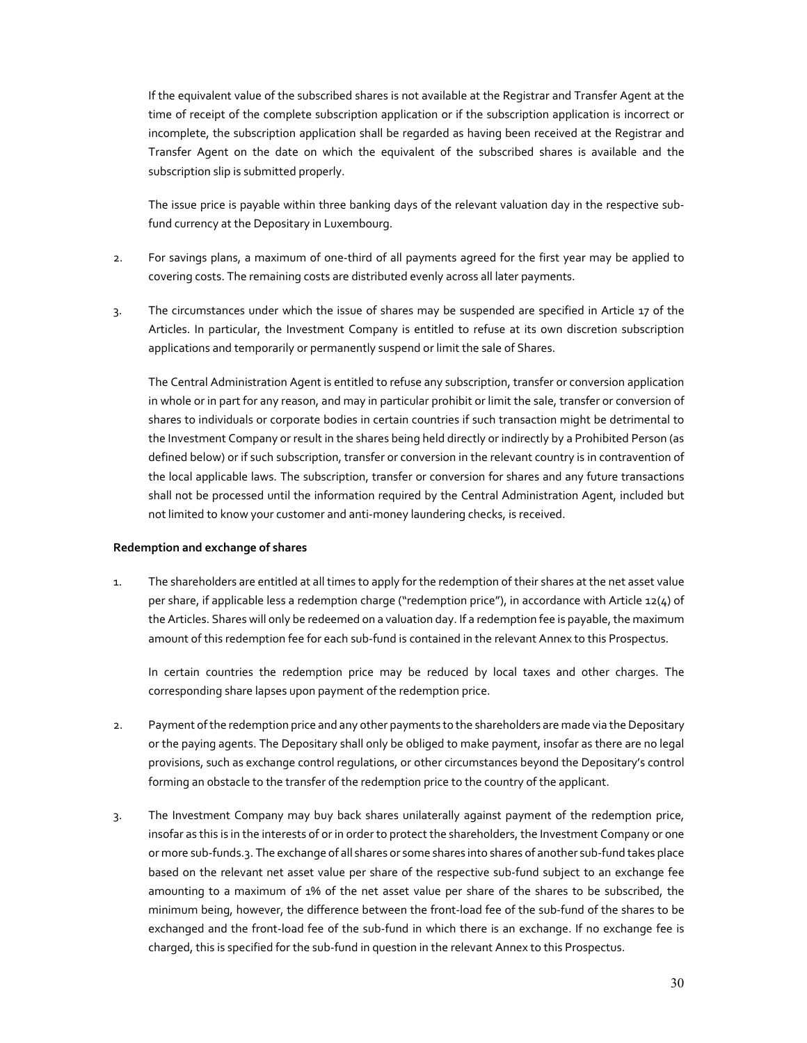If the equivalent value of the subscribed shares is not available at the Registrar and Transfer Agent at the time of receipt of the complete subscription application or if the subscription application is incorrect or incomplete, the subscription application shall be regarded as having been received at the Registrar and Transfer Agent on the date on which the equivalent of the subscribed shares is available and the subscription slip is submitted properly.

The issue price is payable within three banking days of the relevant valuation day in the respective subfund currency at the Depositary in Luxembourg.

- 2. For savings plans, a maximum of one-third of all payments agreed for the first year may be applied to covering costs. The remaining costs are distributed evenly across all later payments.
- 3. The circumstances under which the issue of shares may be suspended are specified in Article 17 of the Articles. In particular, the Investment Company is entitled to refuse at its own discretion subscription applications and temporarily or permanently suspend or limit the sale of Shares.

The Central Administration Agent is entitled to refuse any subscription, transfer or conversion application in whole or in part for any reason, and may in particular prohibit or limit the sale, transfer or conversion of shares to individuals or corporate bodies in certain countries if such transaction might be detrimental to the Investment Company or result in the shares being held directly or indirectly by a Prohibited Person (as defined below) or if such subscription, transfer or conversion in the relevant country is in contravention of the local applicable laws. The subscription, transfer or conversion for shares and any future transactions shall not be processed until the information required by the Central Administration Agent, included but not limited to know your customer and anti-money laundering checks, is received.

### **Redemption and exchange of shares**

1. The shareholders are entitled at all times to apply for the redemption of their shares at the net asset value per share, if applicable less a redemption charge ("redemption price"), in accordance with Article 12(4) of the Articles. Shares will only be redeemed on a valuation day. If a redemption fee is payable, the maximum amount of this redemption fee for each sub-fund is contained in the relevant Annex to this Prospectus.

In certain countries the redemption price may be reduced by local taxes and other charges. The corresponding share lapses upon payment of the redemption price.

- 2. Payment of the redemption price and any other payments to the shareholders are made via the Depositary or the paying agents. The Depositary shall only be obliged to make payment, insofar as there are no legal provisions, such as exchange control regulations, or other circumstances beyond the Depositary's control forming an obstacle to the transfer of the redemption price to the country of the applicant.
- 3. The Investment Company may buy back shares unilaterally against payment of the redemption price, insofar as this is in the interests of or in order to protect the shareholders, the Investment Company or one or more sub-funds.3. The exchange of all shares or some shares into shares of another sub-fund takes place based on the relevant net asset value per share of the respective sub-fund subject to an exchange fee amounting to a maximum of 1% of the net asset value per share of the shares to be subscribed, the minimum being, however, the difference between the front-load fee of the sub-fund of the shares to be exchanged and the front-load fee of the sub-fund in which there is an exchange. If no exchange fee is charged, this is specified for the sub-fund in question in the relevant Annex to this Prospectus.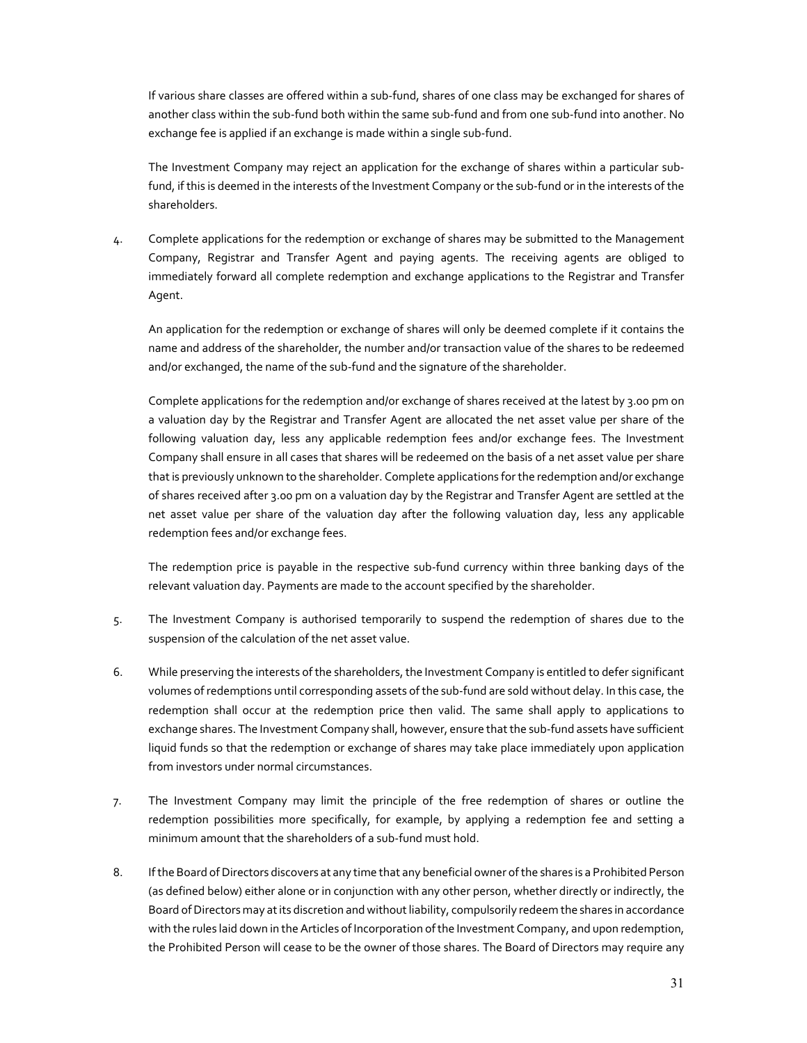If various share classes are offered within a sub-fund, shares of one class may be exchanged for shares of another class within the sub-fund both within the same sub-fund and from one sub-fund into another. No exchange fee is applied if an exchange is made within a single sub-fund.

The Investment Company may reject an application for the exchange of shares within a particular subfund, if this is deemed in the interests of the Investment Company or the sub-fund or in the interests of the shareholders.

4. Complete applications for the redemption or exchange of shares may be submitted to the Management Company, Registrar and Transfer Agent and paying agents. The receiving agents are obliged to immediately forward all complete redemption and exchange applications to the Registrar and Transfer Agent.

An application for the redemption or exchange of shares will only be deemed complete if it contains the name and address of the shareholder, the number and/or transaction value of the shares to be redeemed and/or exchanged, the name of the sub-fund and the signature of the shareholder.

Complete applications for the redemption and/or exchange of shares received at the latest by 3.00 pm on a valuation day by the Registrar and Transfer Agent are allocated the net asset value per share of the following valuation day, less any applicable redemption fees and/or exchange fees. The Investment Company shall ensure in all cases that shares will be redeemed on the basis of a net asset value per share that is previously unknown to the shareholder. Complete applications for the redemption and/or exchange of shares received after 3.00 pm on a valuation day by the Registrar and Transfer Agent are settled at the net asset value per share of the valuation day after the following valuation day, less any applicable redemption fees and/or exchange fees.

The redemption price is payable in the respective sub-fund currency within three banking days of the relevant valuation day. Payments are made to the account specified by the shareholder.

- 5. The Investment Company is authorised temporarily to suspend the redemption of shares due to the suspension of the calculation of the net asset value.
- 6. While preserving the interests of the shareholders, the Investment Company is entitled to defer significant volumes of redemptions until corresponding assets of the sub-fund are sold without delay. In this case, the redemption shall occur at the redemption price then valid. The same shall apply to applications to exchange shares. The Investment Company shall, however, ensure that the sub-fund assets have sufficient liquid funds so that the redemption or exchange of shares may take place immediately upon application from investors under normal circumstances.
- 7. The Investment Company may limit the principle of the free redemption of shares or outline the redemption possibilities more specifically, for example, by applying a redemption fee and setting a minimum amount that the shareholders of a sub-fund must hold.
- 8. If the Board of Directors discovers at any time that any beneficial owner of the shares is a Prohibited Person (as defined below) either alone or in conjunction with any other person, whether directly or indirectly, the Board of Directors may at its discretion and without liability, compulsorily redeem the shares in accordance with the rules laid down in the Articles of Incorporation of the Investment Company, and upon redemption, the Prohibited Person will cease to be the owner of those shares. The Board of Directors may require any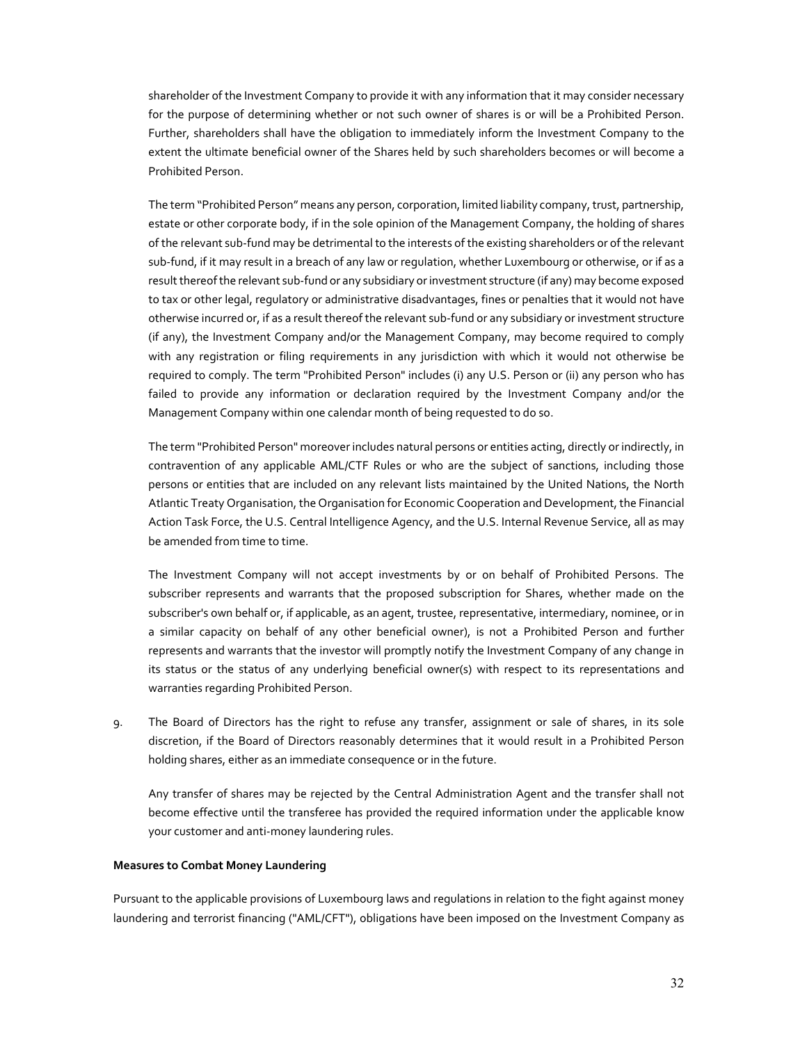shareholder of the Investment Company to provide it with any information that it may consider necessary for the purpose of determining whether or not such owner of shares is or will be a Prohibited Person. Further, shareholders shall have the obligation to immediately inform the Investment Company to the extent the ultimate beneficial owner of the Shares held by such shareholders becomes or will become a Prohibited Person.

The term "Prohibited Person" means any person, corporation, limited liability company, trust, partnership, estate or other corporate body, if in the sole opinion of the Management Company, the holding of shares of the relevant sub-fund may be detrimental to the interests of the existing shareholders or of the relevant sub-fund, if it may result in a breach of any law or regulation, whether Luxembourg or otherwise, or if as a result thereof the relevant sub-fund or any subsidiary or investment structure (if any) may become exposed to tax or other legal, regulatory or administrative disadvantages, fines or penalties that it would not have otherwise incurred or, if as a result thereof the relevant sub-fund or any subsidiary or investment structure (if any), the Investment Company and/or the Management Company, may become required to comply with any registration or filing requirements in any jurisdiction with which it would not otherwise be required to comply. The term "Prohibited Person" includes (i) any U.S. Person or (ii) any person who has failed to provide any information or declaration required by the Investment Company and/or the Management Company within one calendar month of being requested to do so.

 The term "Prohibited Person" moreover includes natural persons or entities acting, directly or indirectly, in contravention of any applicable AML/CTF Rules or who are the subject of sanctions, including those persons or entities that are included on any relevant lists maintained by the United Nations, the North Atlantic Treaty Organisation, the Organisation for Economic Cooperation and Development, the Financial Action Task Force, the U.S. Central Intelligence Agency, and the U.S. Internal Revenue Service, all as may be amended from time to time.

The Investment Company will not accept investments by or on behalf of Prohibited Persons. The subscriber represents and warrants that the proposed subscription for Shares, whether made on the subscriber's own behalf or, if applicable, as an agent, trustee, representative, intermediary, nominee, or in a similar capacity on behalf of any other beneficial owner), is not a Prohibited Person and further represents and warrants that the investor will promptly notify the Investment Company of any change in its status or the status of any underlying beneficial owner(s) with respect to its representations and warranties regarding Prohibited Person.

9. The Board of Directors has the right to refuse any transfer, assignment or sale of shares, in its sole discretion, if the Board of Directors reasonably determines that it would result in a Prohibited Person holding shares, either as an immediate consequence or in the future.

Any transfer of shares may be rejected by the Central Administration Agent and the transfer shall not become effective until the transferee has provided the required information under the applicable know your customer and anti-money laundering rules.

### **Measures to Combat Money Laundering**

Pursuant to the applicable provisions of Luxembourg laws and regulations in relation to the fight against money laundering and terrorist financing ("AML/CFT"), obligations have been imposed on the Investment Company as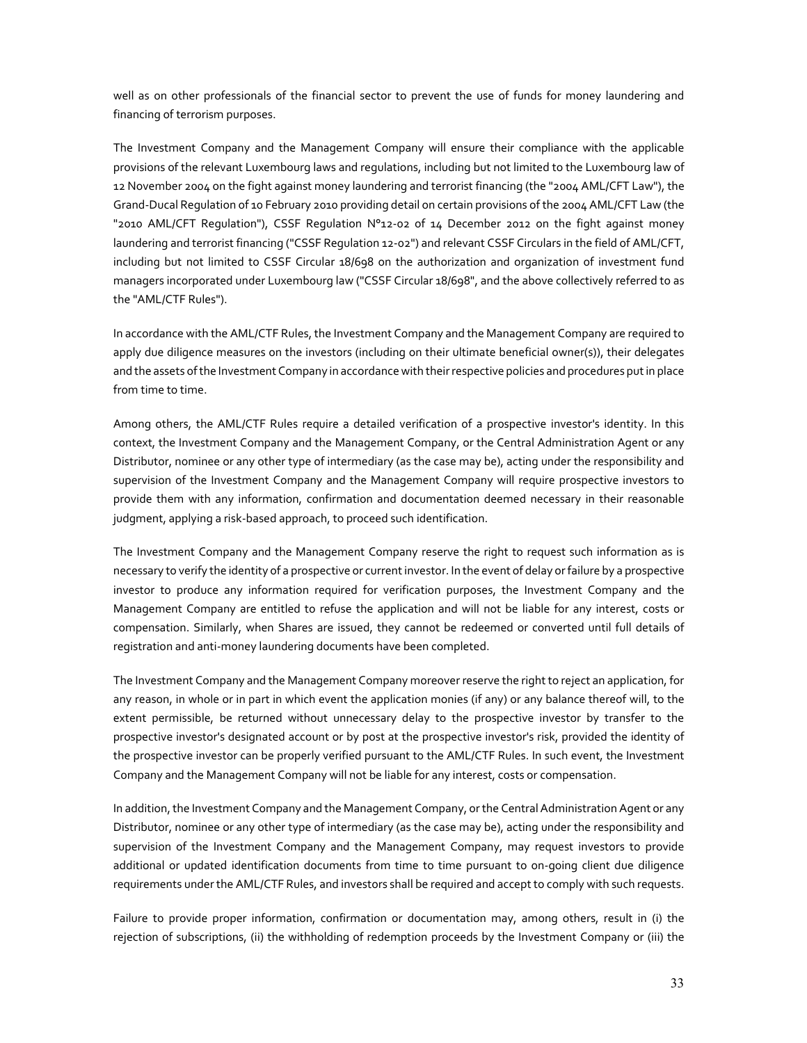well as on other professionals of the financial sector to prevent the use of funds for money laundering and financing of terrorism purposes.

The Investment Company and the Management Company will ensure their compliance with the applicable provisions of the relevant Luxembourg laws and regulations, including but not limited to the Luxembourg law of 12 November 2004 on the fight against money laundering and terrorist financing (the "2004 AML/CFT Law"), the Grand-Ducal Regulation of 10 February 2010 providing detail on certain provisions of the 2004 AML/CFT Law (the "2010 AML/CFT Regulation"), CSSF Regulation N°12-02 of 14 December 2012 on the fight against money laundering and terrorist financing ("CSSF Regulation 12-02") and relevant CSSF Circulars in the field of AML/CFT, including but not limited to CSSF Circular 18/698 on the authorization and organization of investment fund managers incorporated under Luxembourg law ("CSSF Circular 18/698", and the above collectively referred to as the "AML/CTF Rules").

In accordance with the AML/CTF Rules, the Investment Company and the Management Company are required to apply due diligence measures on the investors (including on their ultimate beneficial owner(s)), their delegates and the assets of the Investment Company in accordance with their respective policies and procedures put in place from time to time.

Among others, the AML/CTF Rules require a detailed verification of a prospective investor's identity. In this context, the Investment Company and the Management Company, or the Central Administration Agent or any Distributor, nominee or any other type of intermediary (as the case may be), acting under the responsibility and supervision of the Investment Company and the Management Company will require prospective investors to provide them with any information, confirmation and documentation deemed necessary in their reasonable judgment, applying a risk-based approach, to proceed such identification.

The Investment Company and the Management Company reserve the right to request such information as is necessary to verify the identity of a prospective or current investor. In the event of delay or failure by a prospective investor to produce any information required for verification purposes, the Investment Company and the Management Company are entitled to refuse the application and will not be liable for any interest, costs or compensation. Similarly, when Shares are issued, they cannot be redeemed or converted until full details of registration and anti-money laundering documents have been completed.

The Investment Company and the Management Company moreover reserve the right to reject an application, for any reason, in whole or in part in which event the application monies (if any) or any balance thereof will, to the extent permissible, be returned without unnecessary delay to the prospective investor by transfer to the prospective investor's designated account or by post at the prospective investor's risk, provided the identity of the prospective investor can be properly verified pursuant to the AML/CTF Rules. In such event, the Investment Company and the Management Company will not be liable for any interest, costs or compensation.

In addition, the Investment Company and the Management Company, or the Central Administration Agent or any Distributor, nominee or any other type of intermediary (as the case may be), acting under the responsibility and supervision of the Investment Company and the Management Company, may request investors to provide additional or updated identification documents from time to time pursuant to on-going client due diligence requirements under the AML/CTF Rules, and investors shall be required and accept to comply with such requests.

Failure to provide proper information, confirmation or documentation may, among others, result in (i) the rejection of subscriptions, (ii) the withholding of redemption proceeds by the Investment Company or (iii) the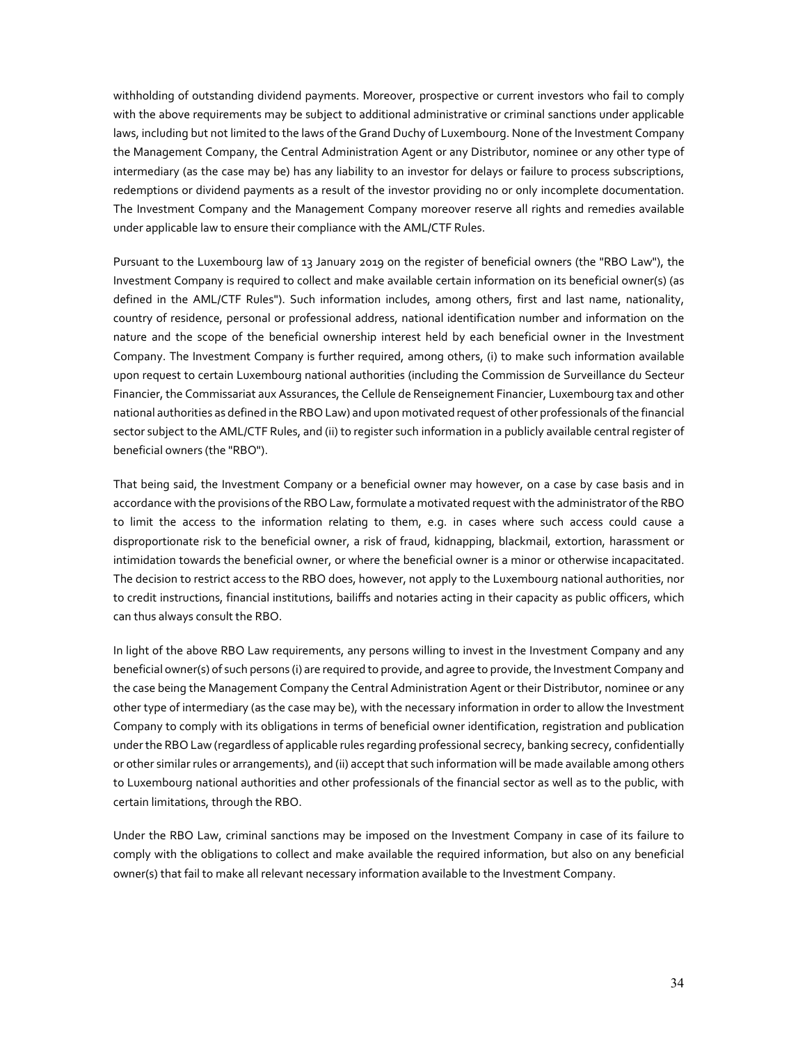withholding of outstanding dividend payments. Moreover, prospective or current investors who fail to comply with the above requirements may be subject to additional administrative or criminal sanctions under applicable laws, including but not limited to the laws of the Grand Duchy of Luxembourg. None of the Investment Company the Management Company, the Central Administration Agent or any Distributor, nominee or any other type of intermediary (as the case may be) has any liability to an investor for delays or failure to process subscriptions, redemptions or dividend payments as a result of the investor providing no or only incomplete documentation. The Investment Company and the Management Company moreover reserve all rights and remedies available under applicable law to ensure their compliance with the AML/CTF Rules.

Pursuant to the Luxembourg law of 13 January 2019 on the register of beneficial owners (the "RBO Law"), the Investment Company is required to collect and make available certain information on its beneficial owner(s) (as defined in the AML/CTF Rules"). Such information includes, among others, first and last name, nationality, country of residence, personal or professional address, national identification number and information on the nature and the scope of the beneficial ownership interest held by each beneficial owner in the Investment Company. The Investment Company is further required, among others, (i) to make such information available upon request to certain Luxembourg national authorities (including the Commission de Surveillance du Secteur Financier, the Commissariat aux Assurances, the Cellule de Renseignement Financier, Luxembourg tax and other national authorities as defined in the RBO Law) and upon motivated request of other professionals of the financial sector subject to the AML/CTF Rules, and (ii) to register such information in a publicly available central register of beneficial owners (the "RBO").

That being said, the Investment Company or a beneficial owner may however, on a case by case basis and in accordance with the provisions of the RBO Law, formulate a motivated request with the administrator of the RBO to limit the access to the information relating to them, e.g. in cases where such access could cause a disproportionate risk to the beneficial owner, a risk of fraud, kidnapping, blackmail, extortion, harassment or intimidation towards the beneficial owner, or where the beneficial owner is a minor or otherwise incapacitated. The decision to restrict access to the RBO does, however, not apply to the Luxembourg national authorities, nor to credit instructions, financial institutions, bailiffs and notaries acting in their capacity as public officers, which can thus always consult the RBO.

In light of the above RBO Law requirements, any persons willing to invest in the Investment Company and any beneficial owner(s) of such persons (i) are required to provide, and agree to provide, the Investment Company and the case being the Management Company the Central Administration Agent or their Distributor, nominee or any other type of intermediary (as the case may be), with the necessary information in order to allow the Investment Company to comply with its obligations in terms of beneficial owner identification, registration and publication under the RBO Law (regardless of applicable rules regarding professional secrecy, banking secrecy, confidentially or other similar rules or arrangements), and (ii) accept that such information will be made available among others to Luxembourg national authorities and other professionals of the financial sector as well as to the public, with certain limitations, through the RBO.

Under the RBO Law, criminal sanctions may be imposed on the Investment Company in case of its failure to comply with the obligations to collect and make available the required information, but also on any beneficial owner(s) that fail to make all relevant necessary information available to the Investment Company.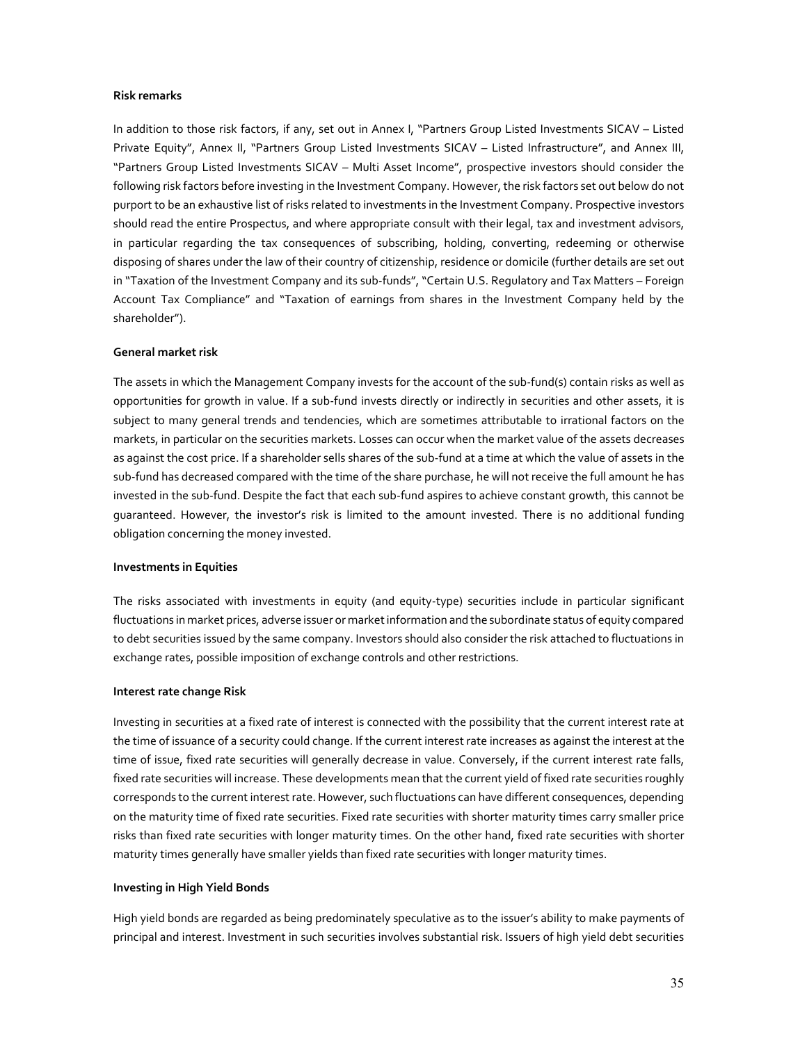#### **Risk remarks**

In addition to those risk factors, if any, set out in Annex I, "Partners Group Listed Investments SICAV – Listed Private Equity", Annex II, "Partners Group Listed Investments SICAV – Listed Infrastructure", and Annex III, "Partners Group Listed Investments SICAV – Multi Asset Income", prospective investors should consider the following risk factors before investing in the Investment Company. However, the risk factors set out below do not purport to be an exhaustive list of risks related to investments in the Investment Company. Prospective investors should read the entire Prospectus, and where appropriate consult with their legal, tax and investment advisors, in particular regarding the tax consequences of subscribing, holding, converting, redeeming or otherwise disposing of shares under the law of their country of citizenship, residence or domicile (further details are set out in "Taxation of the Investment Company and its sub-funds", "Certain U.S. Regulatory and Tax Matters – Foreign Account Tax Compliance" and "Taxation of earnings from shares in the Investment Company held by the shareholder").

#### **General market risk**

The assets in which the Management Company invests for the account of the sub-fund(s) contain risks as well as opportunities for growth in value. If a sub-fund invests directly or indirectly in securities and other assets, it is subject to many general trends and tendencies, which are sometimes attributable to irrational factors on the markets, in particular on the securities markets. Losses can occur when the market value of the assets decreases as against the cost price. If a shareholder sells shares of the sub-fund at a time at which the value of assets in the sub-fund has decreased compared with the time of the share purchase, he will not receive the full amount he has invested in the sub-fund. Despite the fact that each sub-fund aspires to achieve constant growth, this cannot be guaranteed. However, the investor's risk is limited to the amount invested. There is no additional funding obligation concerning the money invested.

#### **Investments in Equities**

The risks associated with investments in equity (and equity-type) securities include in particular significant fluctuations in market prices, adverse issuer or market information and the subordinate status of equity compared to debt securities issued by the same company. Investors should also consider the risk attached to fluctuations in exchange rates, possible imposition of exchange controls and other restrictions.

#### **Interest rate change Risk**

Investing in securities at a fixed rate of interest is connected with the possibility that the current interest rate at the time of issuance of a security could change. If the current interest rate increases as against the interest at the time of issue, fixed rate securities will generally decrease in value. Conversely, if the current interest rate falls, fixed rate securities will increase. These developments mean that the current yield of fixed rate securities roughly corresponds to the current interest rate. However, such fluctuations can have different consequences, depending on the maturity time of fixed rate securities. Fixed rate securities with shorter maturity times carry smaller price risks than fixed rate securities with longer maturity times. On the other hand, fixed rate securities with shorter maturity times generally have smaller yields than fixed rate securities with longer maturity times.

#### **Investing in High Yield Bonds**

High yield bonds are regarded as being predominately speculative as to the issuer's ability to make payments of principal and interest. Investment in such securities involves substantial risk. Issuers of high yield debt securities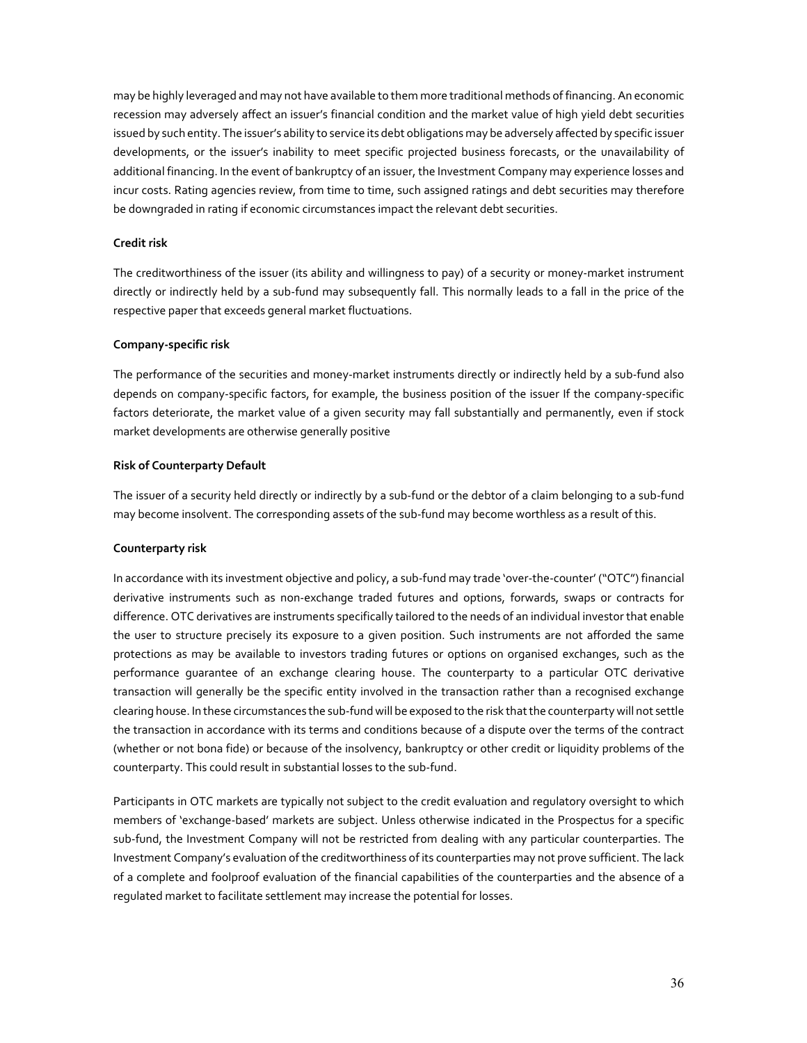may be highly leveraged and may not have available to them more traditional methods of financing. An economic recession may adversely affect an issuer's financial condition and the market value of high yield debt securities issued by such entity. The issuer's ability to service its debt obligations may be adversely affected by specific issuer developments, or the issuer's inability to meet specific projected business forecasts, or the unavailability of additional financing. In the event of bankruptcy of an issuer, the Investment Company may experience losses and incur costs. Rating agencies review, from time to time, such assigned ratings and debt securities may therefore be downgraded in rating if economic circumstances impact the relevant debt securities.

### **Credit risk**

The creditworthiness of the issuer (its ability and willingness to pay) of a security or money-market instrument directly or indirectly held by a sub-fund may subsequently fall. This normally leads to a fall in the price of the respective paper that exceeds general market fluctuations.

### **Company-specific risk**

The performance of the securities and money-market instruments directly or indirectly held by a sub-fund also depends on company-specific factors, for example, the business position of the issuer If the company-specific factors deteriorate, the market value of a given security may fall substantially and permanently, even if stock market developments are otherwise generally positive

### **Risk of Counterparty Default**

The issuer of a security held directly or indirectly by a sub-fund or the debtor of a claim belonging to a sub-fund may become insolvent. The corresponding assets of the sub-fund may become worthless as a result of this.

### **Counterparty risk**

In accordance with its investment objective and policy, a sub-fund may trade 'over-the-counter' ("OTC") financial derivative instruments such as non-exchange traded futures and options, forwards, swaps or contracts for difference. OTC derivatives are instruments specifically tailored to the needs of an individual investor that enable the user to structure precisely its exposure to a given position. Such instruments are not afforded the same protections as may be available to investors trading futures or options on organised exchanges, such as the performance guarantee of an exchange clearing house. The counterparty to a particular OTC derivative transaction will generally be the specific entity involved in the transaction rather than a recognised exchange clearing house. In these circumstances the sub-fund will be exposed to the risk that the counterparty will not settle the transaction in accordance with its terms and conditions because of a dispute over the terms of the contract (whether or not bona fide) or because of the insolvency, bankruptcy or other credit or liquidity problems of the counterparty. This could result in substantial losses to the sub-fund.

Participants in OTC markets are typically not subject to the credit evaluation and regulatory oversight to which members of 'exchange-based' markets are subject. Unless otherwise indicated in the Prospectus for a specific sub-fund, the Investment Company will not be restricted from dealing with any particular counterparties. The Investment Company's evaluation of the creditworthiness of its counterparties may not prove sufficient. The lack of a complete and foolproof evaluation of the financial capabilities of the counterparties and the absence of a regulated market to facilitate settlement may increase the potential for losses.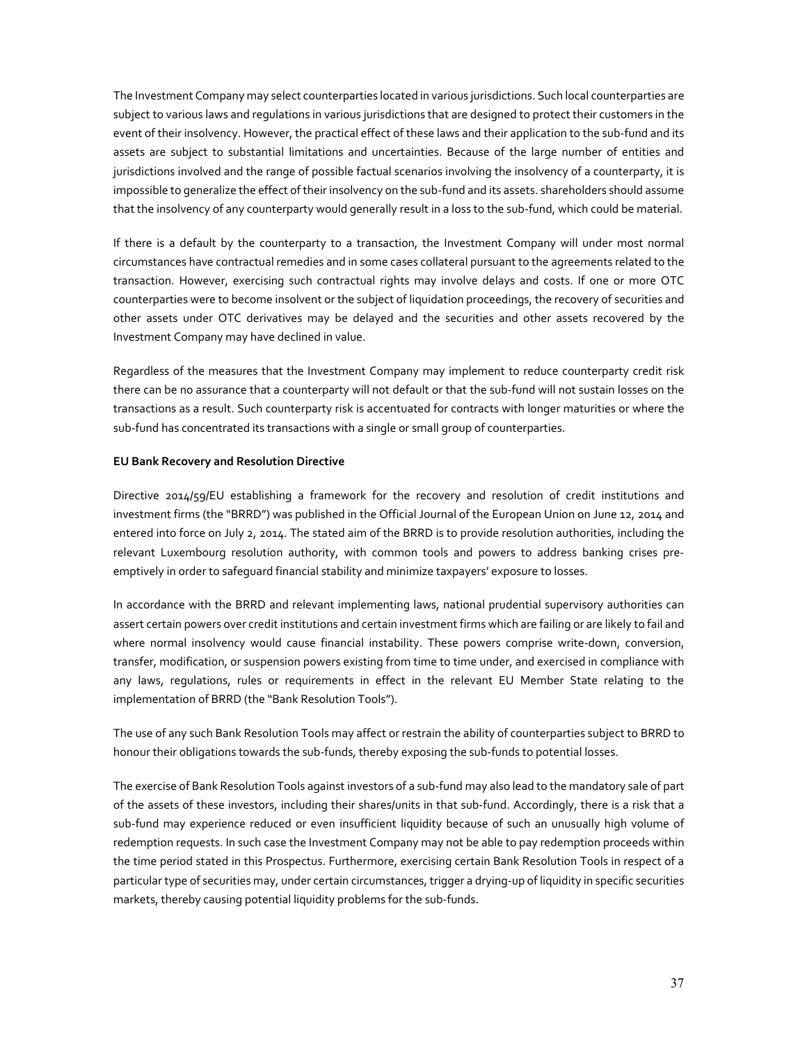The Investment Company may select counterparties located in various jurisdictions. Such local counterparties are subject to various laws and regulations in various jurisdictions that are designed to protect their customers in the event of their insolvency. However, the practical effect of these laws and their application to the sub-fund and its assets are subject to substantial limitations and uncertainties. Because of the large number of entities and jurisdictions involved and the range of possible factual scenarios involving the insolvency of a counterparty, it is impossible to generalize the effect of their insolvency on the sub-fund and its assets. shareholders should assume that the insolvency of any counterparty would generally result in a loss to the sub-fund, which could be material.

If there is a default by the counterparty to a transaction, the Investment Company will under most normal circumstances have contractual remedies and in some cases collateral pursuant to the agreements related to the transaction. However, exercising such contractual rights may involve delays and costs. If one or more OTC counterparties were to become insolvent or the subject of liquidation proceedings, the recovery of securities and other assets under OTC derivatives may be delayed and the securities and other assets recovered by the Investment Company may have declined in value.

Regardless of the measures that the Investment Company may implement to reduce counterparty credit risk there can be no assurance that a counterparty will not default or that the sub-fund will not sustain losses on the transactions as a result. Such counterparty risk is accentuated for contracts with longer maturities or where the sub-fund has concentrated its transactions with a single or small group of counterparties.

## **EU Bank Recovery and Resolution Directive**

Directive 2014/59/EU establishing a framework for the recovery and resolution of credit institutions and investment firms (the "BRRD") was published in the Official Journal of the European Union on June 12, 2014 and entered into force on July 2, 2014. The stated aim of the BRRD is to provide resolution authorities, including the relevant Luxembourg resolution authority, with common tools and powers to address banking crises preemptively in order to safeguard financial stability and minimize taxpayers' exposure to losses.

In accordance with the BRRD and relevant implementing laws, national prudential supervisory authorities can assert certain powers over credit institutions and certain investment firms which are failing or are likely to fail and where normal insolvency would cause financial instability. These powers comprise write-down, conversion, transfer, modification, or suspension powers existing from time to time under, and exercised in compliance with any laws, regulations, rules or requirements in effect in the relevant EU Member State relating to the implementation of BRRD (the "Bank Resolution Tools").

The use of any such Bank Resolution Tools may affect or restrain the ability of counterparties subject to BRRD to honour their obligations towards the sub-funds, thereby exposing the sub-funds to potential losses.

The exercise of Bank Resolution Tools against investors of a sub-fund may also lead to the mandatory sale of part of the assets of these investors, including their shares/units in that sub-fund. Accordingly, there is a risk that a sub-fund may experience reduced or even insufficient liquidity because of such an unusually high volume of redemption requests. In such case the Investment Company may not be able to pay redemption proceeds within the time period stated in this Prospectus. Furthermore, exercising certain Bank Resolution Tools in respect of a particular type of securities may, under certain circumstances, trigger a drying-up of liquidity in specific securities markets, thereby causing potential liquidity problems for the sub-funds.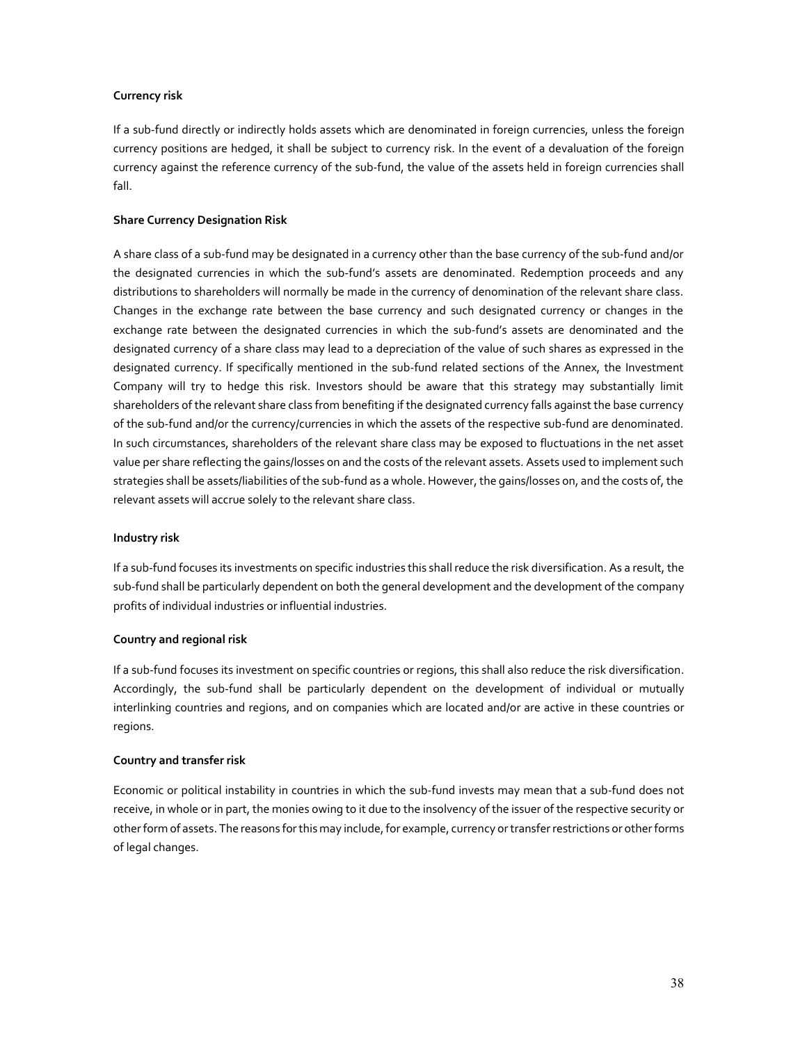## **Currency risk**

If a sub-fund directly or indirectly holds assets which are denominated in foreign currencies, unless the foreign currency positions are hedged, it shall be subject to currency risk. In the event of a devaluation of the foreign currency against the reference currency of the sub-fund, the value of the assets held in foreign currencies shall fall.

## **Share Currency Designation Risk**

A share class of a sub-fund may be designated in a currency other than the base currency of the sub-fund and/or the designated currencies in which the sub-fund's assets are denominated. Redemption proceeds and any distributions to shareholders will normally be made in the currency of denomination of the relevant share class. Changes in the exchange rate between the base currency and such designated currency or changes in the exchange rate between the designated currencies in which the sub-fund's assets are denominated and the designated currency of a share class may lead to a depreciation of the value of such shares as expressed in the designated currency. If specifically mentioned in the sub-fund related sections of the Annex, the Investment Company will try to hedge this risk. Investors should be aware that this strategy may substantially limit shareholders of the relevant share class from benefiting if the designated currency falls against the base currency of the sub-fund and/or the currency/currencies in which the assets of the respective sub-fund are denominated. In such circumstances, shareholders of the relevant share class may be exposed to fluctuations in the net asset value per share reflecting the gains/losses on and the costs of the relevant assets. Assets used to implement such strategies shall be assets/liabilities of the sub-fund as a whole. However, the gains/losses on, and the costs of, the relevant assets will accrue solely to the relevant share class.

## **Industry risk**

If a sub-fund focuses its investments on specific industries this shall reduce the risk diversification. As a result, the sub-fund shall be particularly dependent on both the general development and the development of the company profits of individual industries or influential industries.

## **Country and regional risk**

If a sub-fund focuses its investment on specific countries or regions, this shall also reduce the risk diversification. Accordingly, the sub-fund shall be particularly dependent on the development of individual or mutually interlinking countries and regions, and on companies which are located and/or are active in these countries or regions.

## **Country and transfer risk**

Economic or political instability in countries in which the sub-fund invests may mean that a sub-fund does not receive, in whole or in part, the monies owing to it due to the insolvency of the issuer of the respective security or other form of assets. The reasons for this may include, for example, currency or transfer restrictions or other forms of legal changes.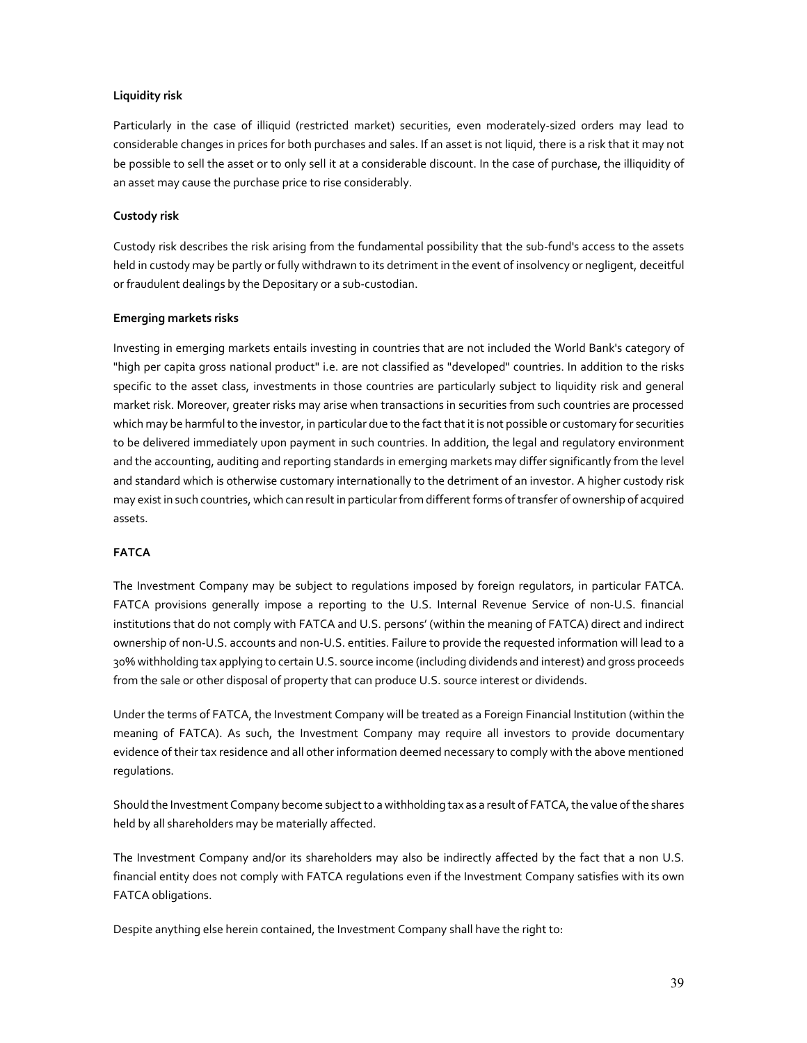## **Liquidity risk**

Particularly in the case of illiquid (restricted market) securities, even moderately-sized orders may lead to considerable changes in prices for both purchases and sales. If an asset is not liquid, there is a risk that it may not be possible to sell the asset or to only sell it at a considerable discount. In the case of purchase, the illiquidity of an asset may cause the purchase price to rise considerably.

## **Custody risk**

Custody risk describes the risk arising from the fundamental possibility that the sub-fund's access to the assets held in custody may be partly or fully withdrawn to its detriment in the event of insolvency or negligent, deceitful or fraudulent dealings by the Depositary or a sub-custodian.

## **Emerging markets risks**

Investing in emerging markets entails investing in countries that are not included the World Bank's category of "high per capita gross national product" i.e. are not classified as "developed" countries. In addition to the risks specific to the asset class, investments in those countries are particularly subject to liquidity risk and general market risk. Moreover, greater risks may arise when transactions in securities from such countries are processed which may be harmful to the investor, in particular due to the fact that it is not possible or customary for securities to be delivered immediately upon payment in such countries. In addition, the legal and regulatory environment and the accounting, auditing and reporting standards in emerging markets may differ significantly from the level and standard which is otherwise customary internationally to the detriment of an investor. A higher custody risk may exist in such countries, which can result in particular from different forms of transfer of ownership of acquired assets.

# **FATCA**

The Investment Company may be subject to regulations imposed by foreign regulators, in particular FATCA. FATCA provisions generally impose a reporting to the U.S. Internal Revenue Service of non-U.S. financial institutions that do not comply with FATCA and U.S. persons' (within the meaning of FATCA) direct and indirect ownership of non-U.S. accounts and non-U.S. entities. Failure to provide the requested information will lead to a 30% withholding tax applying to certain U.S. source income (including dividends and interest) and gross proceeds from the sale or other disposal of property that can produce U.S. source interest or dividends.

Under the terms of FATCA, the Investment Company will be treated as a Foreign Financial Institution (within the meaning of FATCA). As such, the Investment Company may require all investors to provide documentary evidence of their tax residence and all other information deemed necessary to comply with the above mentioned regulations.

Should the Investment Company become subject to a withholding tax as a result of FATCA, the value of the shares held by all shareholders may be materially affected.

The Investment Company and/or its shareholders may also be indirectly affected by the fact that a non U.S. financial entity does not comply with FATCA regulations even if the Investment Company satisfies with its own FATCA obligations.

Despite anything else herein contained, the Investment Company shall have the right to: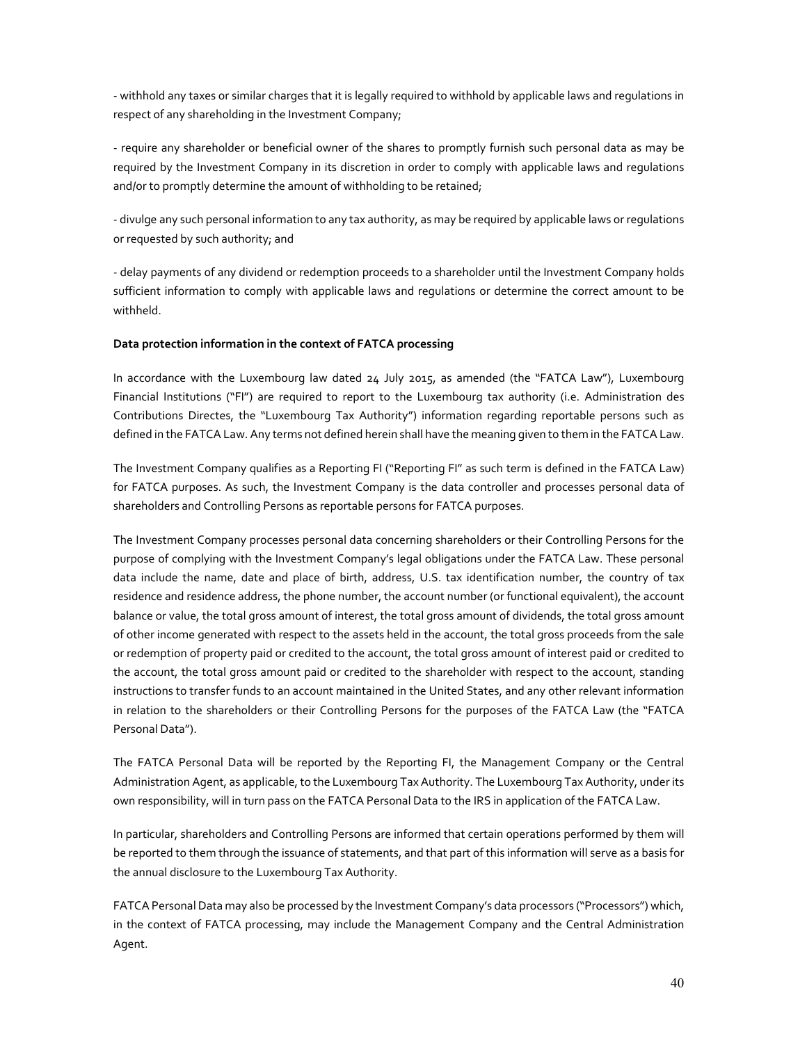- withhold any taxes or similar charges that it is legally required to withhold by applicable laws and regulations in respect of any shareholding in the Investment Company;

- require any shareholder or beneficial owner of the shares to promptly furnish such personal data as may be required by the Investment Company in its discretion in order to comply with applicable laws and regulations and/or to promptly determine the amount of withholding to be retained;

- divulge any such personal information to any tax authority, as may be required by applicable laws or regulations or requested by such authority; and

- delay payments of any dividend or redemption proceeds to a shareholder until the Investment Company holds sufficient information to comply with applicable laws and regulations or determine the correct amount to be withheld.

## **Data protection information in the context of FATCA processing**

In accordance with the Luxembourg law dated 24 July 2015, as amended (the "FATCA Law"), Luxembourg Financial Institutions ("FI") are required to report to the Luxembourg tax authority (i.e. Administration des Contributions Directes, the "Luxembourg Tax Authority") information regarding reportable persons such as defined in the FATCA Law. Any terms not defined herein shall have the meaning given to them in the FATCA Law.

The Investment Company qualifies as a Reporting FI ("Reporting FI" as such term is defined in the FATCA Law) for FATCA purposes. As such, the Investment Company is the data controller and processes personal data of shareholders and Controlling Persons as reportable persons for FATCA purposes.

The Investment Company processes personal data concerning shareholders or their Controlling Persons for the purpose of complying with the Investment Company's legal obligations under the FATCA Law. These personal data include the name, date and place of birth, address, U.S. tax identification number, the country of tax residence and residence address, the phone number, the account number (or functional equivalent), the account balance or value, the total gross amount of interest, the total gross amount of dividends, the total gross amount of other income generated with respect to the assets held in the account, the total gross proceeds from the sale or redemption of property paid or credited to the account, the total gross amount of interest paid or credited to the account, the total gross amount paid or credited to the shareholder with respect to the account, standing instructions to transfer funds to an account maintained in the United States, and any other relevant information in relation to the shareholders or their Controlling Persons for the purposes of the FATCA Law (the "FATCA Personal Data").

The FATCA Personal Data will be reported by the Reporting FI, the Management Company or the Central Administration Agent, as applicable, to the Luxembourg Tax Authority. The Luxembourg Tax Authority, under its own responsibility, will in turn pass on the FATCA Personal Data to the IRS in application of the FATCA Law.

In particular, shareholders and Controlling Persons are informed that certain operations performed by them will be reported to them through the issuance of statements, and that part of this information will serve as a basis for the annual disclosure to the Luxembourg Tax Authority.

FATCA Personal Data may also be processed by the Investment Company's data processors ("Processors") which, in the context of FATCA processing, may include the Management Company and the Central Administration Agent.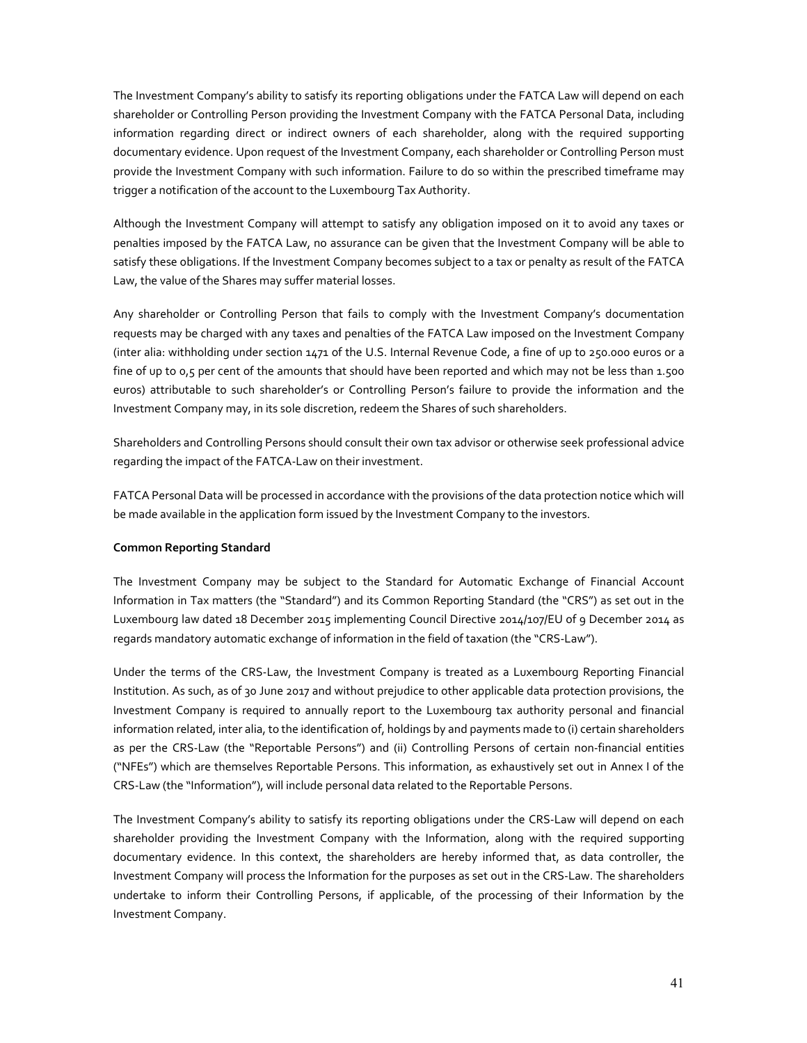The Investment Company's ability to satisfy its reporting obligations under the FATCA Law will depend on each shareholder or Controlling Person providing the Investment Company with the FATCA Personal Data, including information regarding direct or indirect owners of each shareholder, along with the required supporting documentary evidence. Upon request of the Investment Company, each shareholder or Controlling Person must provide the Investment Company with such information. Failure to do so within the prescribed timeframe may trigger a notification of the account to the Luxembourg Tax Authority.

Although the Investment Company will attempt to satisfy any obligation imposed on it to avoid any taxes or penalties imposed by the FATCA Law, no assurance can be given that the Investment Company will be able to satisfy these obligations. If the Investment Company becomes subject to a tax or penalty as result of the FATCA Law, the value of the Shares may suffer material losses.

Any shareholder or Controlling Person that fails to comply with the Investment Company's documentation requests may be charged with any taxes and penalties of the FATCA Law imposed on the Investment Company (inter alia: withholding under section 1471 of the U.S. Internal Revenue Code, a fine of up to 250.000 euros or a fine of up to 0,5 per cent of the amounts that should have been reported and which may not be less than 1.500 euros) attributable to such shareholder's or Controlling Person's failure to provide the information and the Investment Company may, in its sole discretion, redeem the Shares of such shareholders.

Shareholders and Controlling Persons should consult their own tax advisor or otherwise seek professional advice regarding the impact of the FATCA-Law on their investment.

FATCA Personal Data will be processed in accordance with the provisions of the data protection notice which will be made available in the application form issued by the Investment Company to the investors.

## **Common Reporting Standard**

The Investment Company may be subject to the Standard for Automatic Exchange of Financial Account Information in Tax matters (the "Standard") and its Common Reporting Standard (the "CRS") as set out in the Luxembourg law dated 18 December 2015 implementing Council Directive 2014/107/EU of 9 December 2014 as regards mandatory automatic exchange of information in the field of taxation (the "CRS-Law").

Under the terms of the CRS-Law, the Investment Company is treated as a Luxembourg Reporting Financial Institution. As such, as of 30 June 2017 and without prejudice to other applicable data protection provisions, the Investment Company is required to annually report to the Luxembourg tax authority personal and financial information related, inter alia, to the identification of, holdings by and payments made to (i) certain shareholders as per the CRS-Law (the "Reportable Persons") and (ii) Controlling Persons of certain non-financial entities ("NFEs") which are themselves Reportable Persons. This information, as exhaustively set out in Annex I of the CRS-Law (the "Information"), will include personal data related to the Reportable Persons.

The Investment Company's ability to satisfy its reporting obligations under the CRS-Law will depend on each shareholder providing the Investment Company with the Information, along with the required supporting documentary evidence. In this context, the shareholders are hereby informed that, as data controller, the Investment Company will process the Information for the purposes as set out in the CRS-Law. The shareholders undertake to inform their Controlling Persons, if applicable, of the processing of their Information by the Investment Company.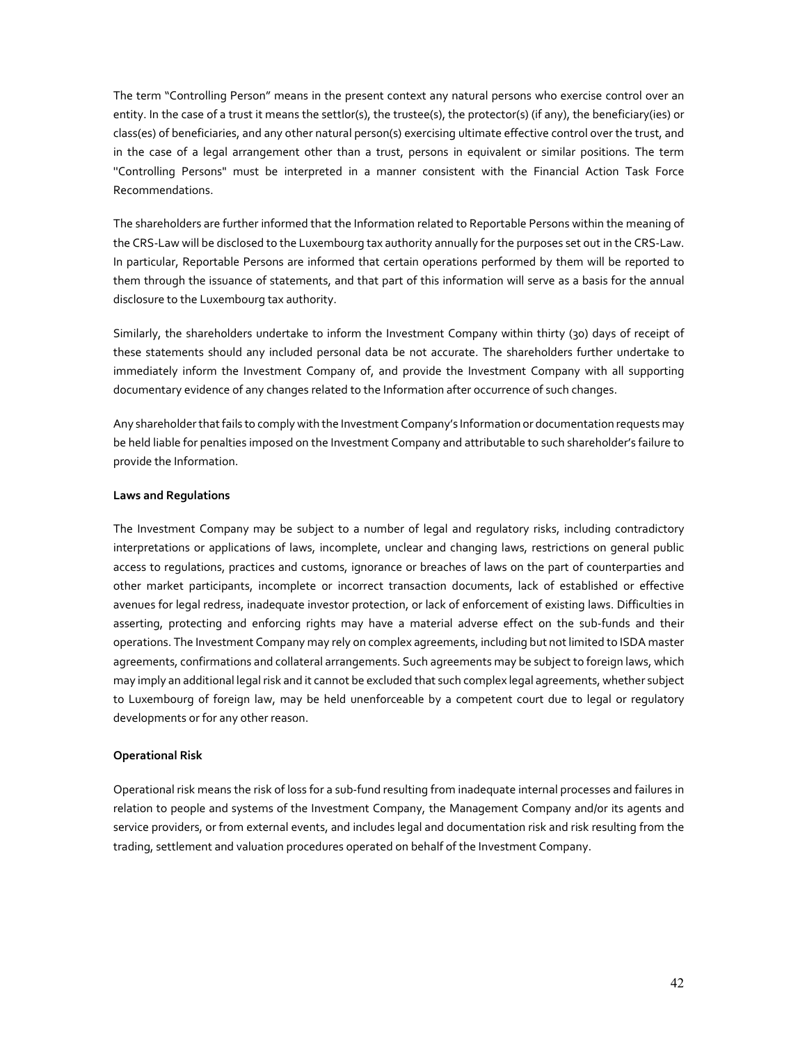The term "Controlling Person" means in the present context any natural persons who exercise control over an entity. In the case of a trust it means the settlor(s), the trustee(s), the protector(s) (if any), the beneficiary(ies) or class(es) of beneficiaries, and any other natural person(s) exercising ultimate effective control over the trust, and in the case of a legal arrangement other than a trust, persons in equivalent or similar positions. The term ''Controlling Persons" must be interpreted in a manner consistent with the Financial Action Task Force Recommendations.

The shareholders are further informed that the Information related to Reportable Persons within the meaning of the CRS-Law will be disclosed to the Luxembourg tax authority annually for the purposes set out in the CRS-Law. In particular, Reportable Persons are informed that certain operations performed by them will be reported to them through the issuance of statements, and that part of this information will serve as a basis for the annual disclosure to the Luxembourg tax authority.

Similarly, the shareholders undertake to inform the Investment Company within thirty (30) days of receipt of these statements should any included personal data be not accurate. The shareholders further undertake to immediately inform the Investment Company of, and provide the Investment Company with all supporting documentary evidence of any changes related to the Information after occurrence of such changes.

Any shareholder that fails to comply with the Investment Company's Information or documentation requests may be held liable for penalties imposed on the Investment Company and attributable to such shareholder's failure to provide the Information.

#### **Laws and Regulations**

The Investment Company may be subject to a number of legal and regulatory risks, including contradictory interpretations or applications of laws, incomplete, unclear and changing laws, restrictions on general public access to regulations, practices and customs, ignorance or breaches of laws on the part of counterparties and other market participants, incomplete or incorrect transaction documents, lack of established or effective avenues for legal redress, inadequate investor protection, or lack of enforcement of existing laws. Difficulties in asserting, protecting and enforcing rights may have a material adverse effect on the sub-funds and their operations. The Investment Company may rely on complex agreements, including but not limited to ISDA master agreements, confirmations and collateral arrangements. Such agreements may be subject to foreign laws, which may imply an additional legal risk and it cannot be excluded that such complex legal agreements, whether subject to Luxembourg of foreign law, may be held unenforceable by a competent court due to legal or regulatory developments or for any other reason.

## **Operational Risk**

Operational risk means the risk of loss for a sub-fund resulting from inadequate internal processes and failures in relation to people and systems of the Investment Company, the Management Company and/or its agents and service providers, or from external events, and includes legal and documentation risk and risk resulting from the trading, settlement and valuation procedures operated on behalf of the Investment Company.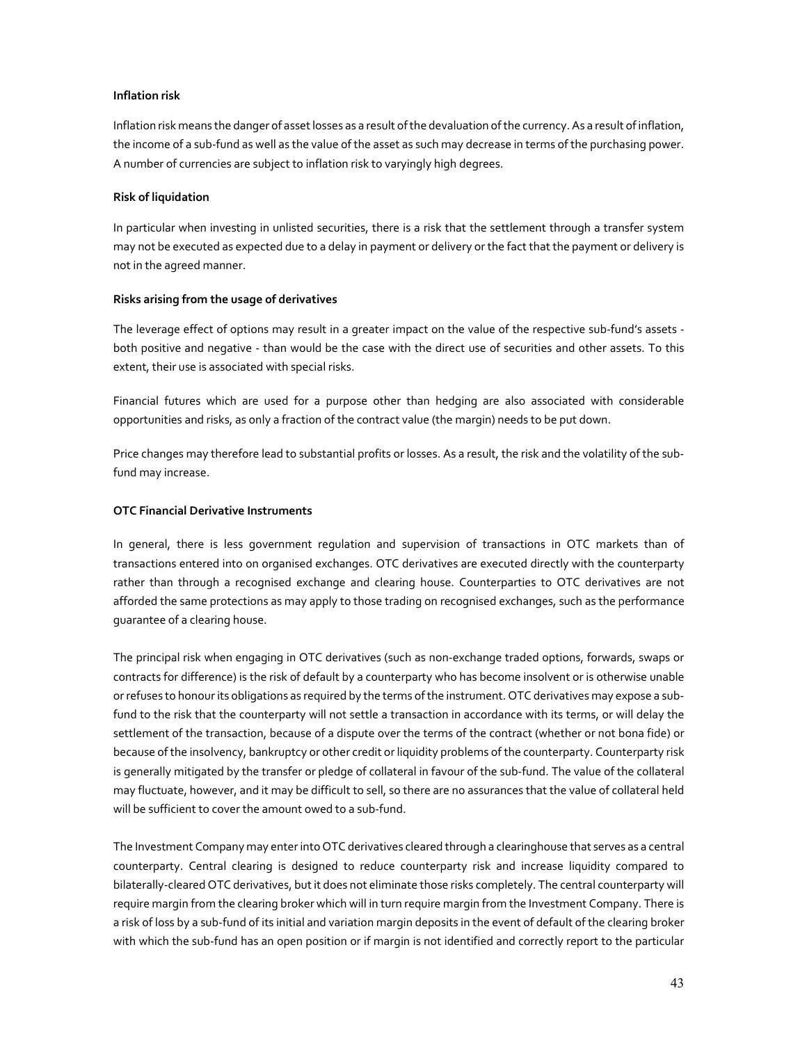# **Inflation risk**

Inflation risk means the danger of asset losses as a result of the devaluation of the currency. As a result of inflation, the income of a sub-fund as well as the value of the asset as such may decrease in terms of the purchasing power. A number of currencies are subject to inflation risk to varyingly high degrees.

## **Risk of liquidation**

In particular when investing in unlisted securities, there is a risk that the settlement through a transfer system may not be executed as expected due to a delay in payment or delivery or the fact that the payment or delivery is not in the agreed manner.

## **Risks arising from the usage of derivatives**

The leverage effect of options may result in a greater impact on the value of the respective sub-fund's assets both positive and negative - than would be the case with the direct use of securities and other assets. To this extent, their use is associated with special risks.

Financial futures which are used for a purpose other than hedging are also associated with considerable opportunities and risks, as only a fraction of the contract value (the margin) needs to be put down.

Price changes may therefore lead to substantial profits or losses. As a result, the risk and the volatility of the subfund may increase.

# **OTC Financial Derivative Instruments**

In general, there is less government regulation and supervision of transactions in OTC markets than of transactions entered into on organised exchanges. OTC derivatives are executed directly with the counterparty rather than through a recognised exchange and clearing house. Counterparties to OTC derivatives are not afforded the same protections as may apply to those trading on recognised exchanges, such as the performance guarantee of a clearing house.

The principal risk when engaging in OTC derivatives (such as non-exchange traded options, forwards, swaps or contracts for difference) is the risk of default by a counterparty who has become insolvent or is otherwise unable or refuses to honour its obligations as required by the terms of the instrument. OTC derivatives may expose a subfund to the risk that the counterparty will not settle a transaction in accordance with its terms, or will delay the settlement of the transaction, because of a dispute over the terms of the contract (whether or not bona fide) or because of the insolvency, bankruptcy or other credit or liquidity problems of the counterparty. Counterparty risk is generally mitigated by the transfer or pledge of collateral in favour of the sub-fund. The value of the collateral may fluctuate, however, and it may be difficult to sell, so there are no assurances that the value of collateral held will be sufficient to cover the amount owed to a sub-fund.

The Investment Company may enter into OTC derivatives cleared through a clearinghouse that serves as a central counterparty. Central clearing is designed to reduce counterparty risk and increase liquidity compared to bilaterally-cleared OTC derivatives, but it does not eliminate those risks completely. The central counterparty will require margin from the clearing broker which will in turn require margin from the Investment Company. There is a risk of loss by a sub-fund of its initial and variation margin deposits in the event of default of the clearing broker with which the sub-fund has an open position or if margin is not identified and correctly report to the particular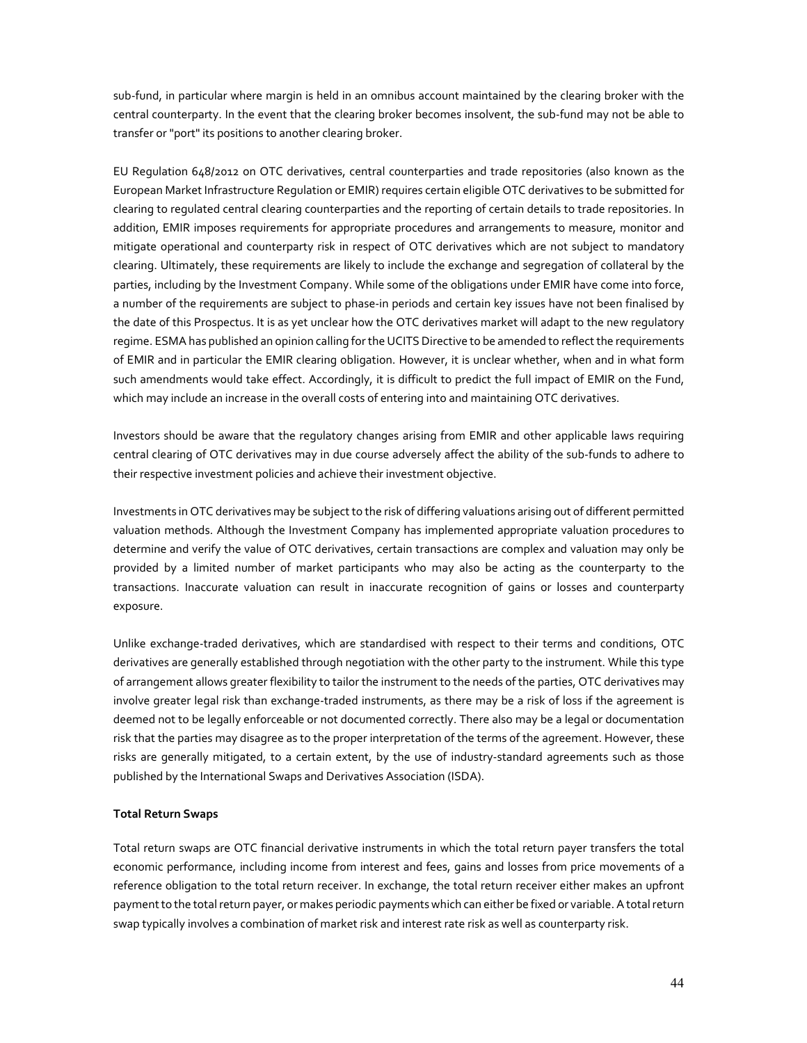sub-fund, in particular where margin is held in an omnibus account maintained by the clearing broker with the central counterparty. In the event that the clearing broker becomes insolvent, the sub-fund may not be able to transfer or "port" its positions to another clearing broker.

EU Regulation 648/2012 on OTC derivatives, central counterparties and trade repositories (also known as the European Market Infrastructure Regulation or EMIR) requires certain eligible OTC derivatives to be submitted for clearing to regulated central clearing counterparties and the reporting of certain details to trade repositories. In addition, EMIR imposes requirements for appropriate procedures and arrangements to measure, monitor and mitigate operational and counterparty risk in respect of OTC derivatives which are not subject to mandatory clearing. Ultimately, these requirements are likely to include the exchange and segregation of collateral by the parties, including by the Investment Company. While some of the obligations under EMIR have come into force, a number of the requirements are subject to phase-in periods and certain key issues have not been finalised by the date of this Prospectus. It is as yet unclear how the OTC derivatives market will adapt to the new regulatory regime. ESMA has published an opinion calling for the UCITS Directive to be amended to reflect the requirements of EMIR and in particular the EMIR clearing obligation. However, it is unclear whether, when and in what form such amendments would take effect. Accordingly, it is difficult to predict the full impact of EMIR on the Fund, which may include an increase in the overall costs of entering into and maintaining OTC derivatives.

Investors should be aware that the regulatory changes arising from EMIR and other applicable laws requiring central clearing of OTC derivatives may in due course adversely affect the ability of the sub-funds to adhere to their respective investment policies and achieve their investment objective.

Investments in OTC derivatives may be subject to the risk of differing valuations arising out of different permitted valuation methods. Although the Investment Company has implemented appropriate valuation procedures to determine and verify the value of OTC derivatives, certain transactions are complex and valuation may only be provided by a limited number of market participants who may also be acting as the counterparty to the transactions. Inaccurate valuation can result in inaccurate recognition of gains or losses and counterparty exposure.

Unlike exchange-traded derivatives, which are standardised with respect to their terms and conditions, OTC derivatives are generally established through negotiation with the other party to the instrument. While this type of arrangement allows greater flexibility to tailor the instrument to the needs of the parties, OTC derivatives may involve greater legal risk than exchange-traded instruments, as there may be a risk of loss if the agreement is deemed not to be legally enforceable or not documented correctly. There also may be a legal or documentation risk that the parties may disagree as to the proper interpretation of the terms of the agreement. However, these risks are generally mitigated, to a certain extent, by the use of industry-standard agreements such as those published by the International Swaps and Derivatives Association (ISDA).

## **Total Return Swaps**

Total return swaps are OTC financial derivative instruments in which the total return payer transfers the total economic performance, including income from interest and fees, gains and losses from price movements of a reference obligation to the total return receiver. In exchange, the total return receiver either makes an upfront payment to the total return payer, or makes periodic payments which can either be fixed or variable. A total return swap typically involves a combination of market risk and interest rate risk as well as counterparty risk.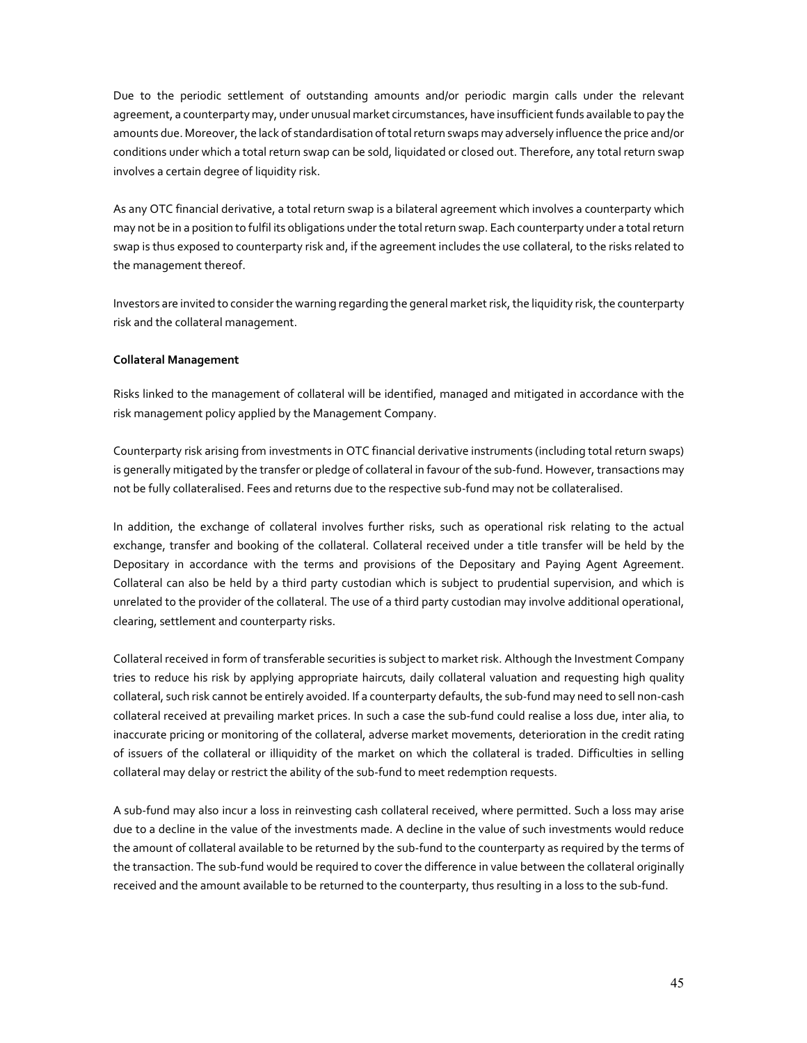Due to the periodic settlement of outstanding amounts and/or periodic margin calls under the relevant agreement, a counterparty may, under unusual market circumstances, have insufficient funds available to pay the amounts due. Moreover, the lack of standardisation of total return swaps may adversely influence the price and/or conditions under which a total return swap can be sold, liquidated or closed out. Therefore, any total return swap involves a certain degree of liquidity risk.

As any OTC financial derivative, a total return swap is a bilateral agreement which involves a counterparty which may not be in a position to fulfil its obligations under the total return swap. Each counterparty under a total return swap is thus exposed to counterparty risk and, if the agreement includes the use collateral, to the risks related to the management thereof.

Investors are invited to consider the warning regarding the general market risk, the liquidity risk, the counterparty risk and the collateral management.

## **Collateral Management**

Risks linked to the management of collateral will be identified, managed and mitigated in accordance with the risk management policy applied by the Management Company.

Counterparty risk arising from investments in OTC financial derivative instruments (including total return swaps) is generally mitigated by the transfer or pledge of collateral in favour of the sub-fund. However, transactions may not be fully collateralised. Fees and returns due to the respective sub-fund may not be collateralised.

In addition, the exchange of collateral involves further risks, such as operational risk relating to the actual exchange, transfer and booking of the collateral. Collateral received under a title transfer will be held by the Depositary in accordance with the terms and provisions of the Depositary and Paying Agent Agreement. Collateral can also be held by a third party custodian which is subject to prudential supervision, and which is unrelated to the provider of the collateral. The use of a third party custodian may involve additional operational, clearing, settlement and counterparty risks.

Collateral received in form of transferable securities is subject to market risk. Although the Investment Company tries to reduce his risk by applying appropriate haircuts, daily collateral valuation and requesting high quality collateral, such risk cannot be entirely avoided. If a counterparty defaults, the sub-fund may need to sell non-cash collateral received at prevailing market prices. In such a case the sub-fund could realise a loss due, inter alia, to inaccurate pricing or monitoring of the collateral, adverse market movements, deterioration in the credit rating of issuers of the collateral or illiquidity of the market on which the collateral is traded. Difficulties in selling collateral may delay or restrict the ability of the sub-fund to meet redemption requests.

A sub-fund may also incur a loss in reinvesting cash collateral received, where permitted. Such a loss may arise due to a decline in the value of the investments made. A decline in the value of such investments would reduce the amount of collateral available to be returned by the sub-fund to the counterparty as required by the terms of the transaction. The sub-fund would be required to cover the difference in value between the collateral originally received and the amount available to be returned to the counterparty, thus resulting in a loss to the sub-fund.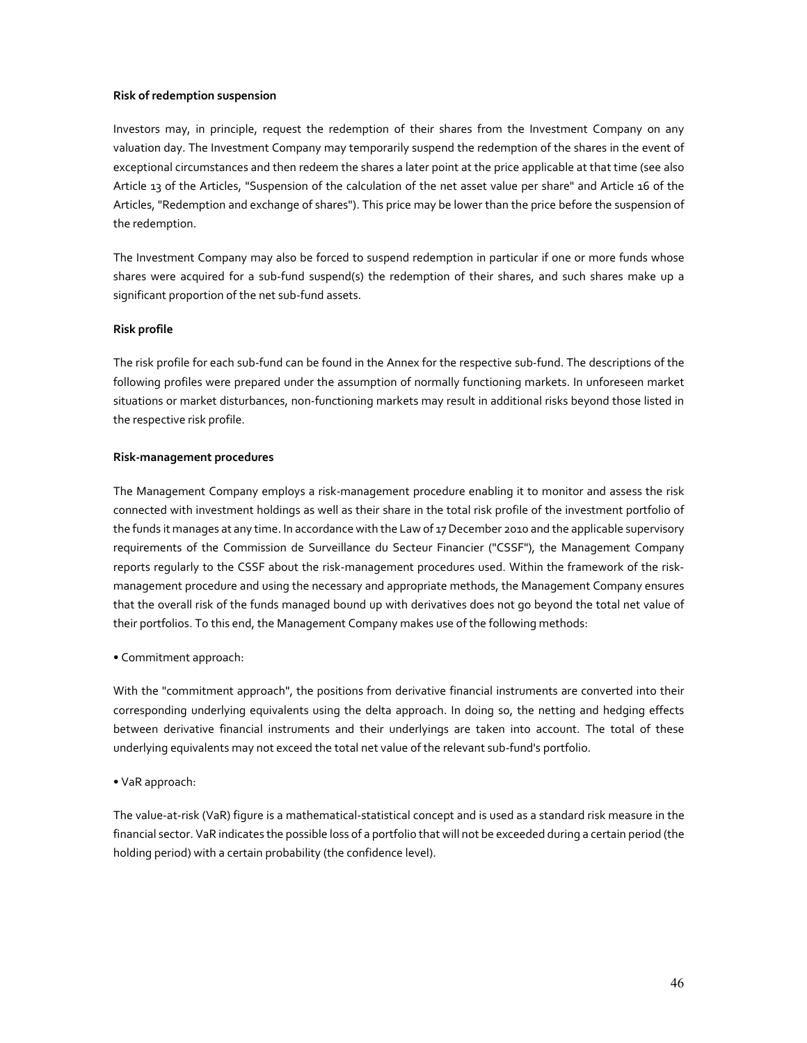## **Risk of redemption suspension**

Investors may, in principle, request the redemption of their shares from the Investment Company on any valuation day. The Investment Company may temporarily suspend the redemption of the shares in the event of exceptional circumstances and then redeem the shares a later point at the price applicable at that time (see also Article 13 of the Articles, "Suspension of the calculation of the net asset value per share" and Article 16 of the Articles, "Redemption and exchange of shares"). This price may be lower than the price before the suspension of the redemption.

The Investment Company may also be forced to suspend redemption in particular if one or more funds whose shares were acquired for a sub-fund suspend(s) the redemption of their shares, and such shares make up a significant proportion of the net sub-fund assets.

## **Risk profile**

The risk profile for each sub-fund can be found in the Annex for the respective sub-fund. The descriptions of the following profiles were prepared under the assumption of normally functioning markets. In unforeseen market situations or market disturbances, non-functioning markets may result in additional risks beyond those listed in the respective risk profile.

## **Risk-management procedures**

The Management Company employs a risk-management procedure enabling it to monitor and assess the risk connected with investment holdings as well as their share in the total risk profile of the investment portfolio of the funds it manages at any time. In accordance with the Law of 17 December 2010 and the applicable supervisory requirements of the Commission de Surveillance du Secteur Financier ("CSSF"), the Management Company reports regularly to the CSSF about the risk-management procedures used. Within the framework of the riskmanagement procedure and using the necessary and appropriate methods, the Management Company ensures that the overall risk of the funds managed bound up with derivatives does not go beyond the total net value of their portfolios. To this end, the Management Company makes use of the following methods:

# • Commitment approach:

With the "commitment approach", the positions from derivative financial instruments are converted into their corresponding underlying equivalents using the delta approach. In doing so, the netting and hedging effects between derivative financial instruments and their underlyings are taken into account. The total of these underlying equivalents may not exceed the total net value of the relevant sub-fund's portfolio.

# • VaR approach:

The value-at-risk (VaR) figure is a mathematical-statistical concept and is used as a standard risk measure in the financial sector. VaR indicates the possible loss of a portfolio that will not be exceeded during a certain period (the holding period) with a certain probability (the confidence level).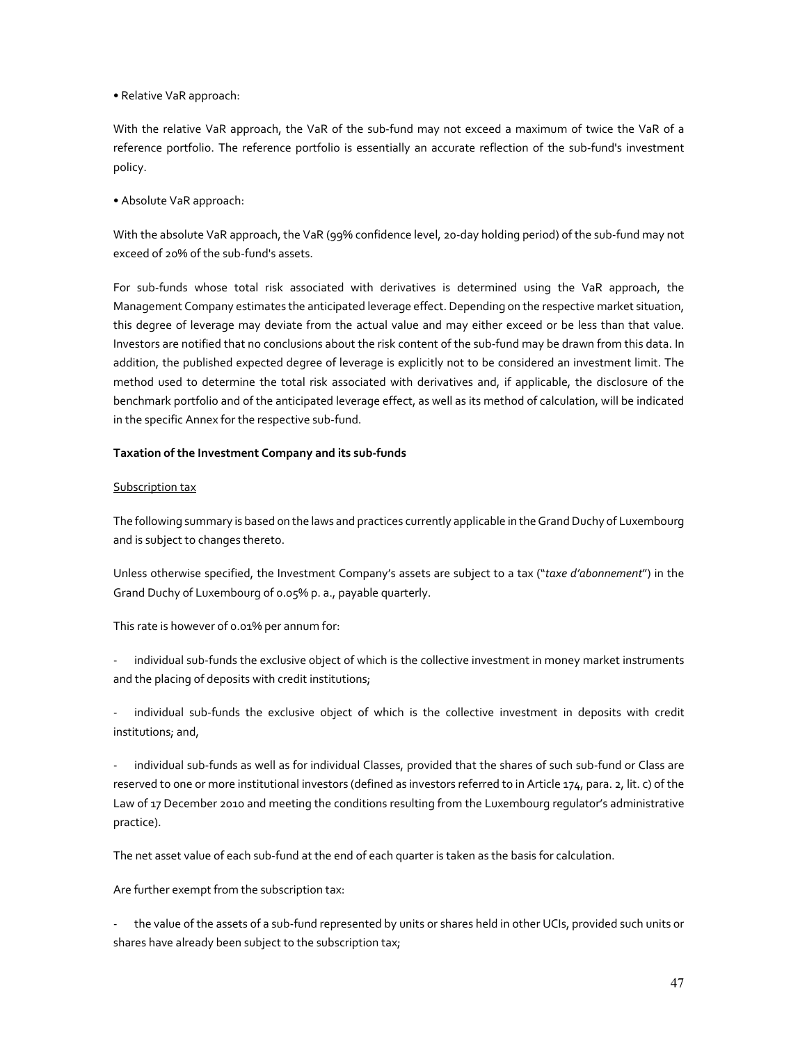• Relative VaR approach:

With the relative VaR approach, the VaR of the sub-fund may not exceed a maximum of twice the VaR of a reference portfolio. The reference portfolio is essentially an accurate reflection of the sub-fund's investment policy.

• Absolute VaR approach:

With the absolute VaR approach, the VaR (99% confidence level, 20-day holding period) of the sub-fund may not exceed of 20% of the sub-fund's assets.

For sub-funds whose total risk associated with derivatives is determined using the VaR approach, the Management Company estimates the anticipated leverage effect. Depending on the respective market situation, this degree of leverage may deviate from the actual value and may either exceed or be less than that value. Investors are notified that no conclusions about the risk content of the sub-fund may be drawn from this data. In addition, the published expected degree of leverage is explicitly not to be considered an investment limit. The method used to determine the total risk associated with derivatives and, if applicable, the disclosure of the benchmark portfolio and of the anticipated leverage effect, as well as its method of calculation, will be indicated in the specific Annex for the respective sub-fund.

## **Taxation of the Investment Company and its sub-funds**

## Subscription tax

The following summary is based on the laws and practices currently applicable in the Grand Duchy of Luxembourg and is subject to changes thereto.

Unless otherwise specified, the Investment Company's assets are subject to a tax ("*taxe d'abonnement*") in the Grand Duchy of Luxembourg of 0.05% p. a., payable quarterly.

This rate is however of 0.01% per annum for:

individual sub-funds the exclusive object of which is the collective investment in money market instruments and the placing of deposits with credit institutions;

individual sub-funds the exclusive object of which is the collective investment in deposits with credit institutions; and,

individual sub-funds as well as for individual Classes, provided that the shares of such sub-fund or Class are reserved to one or more institutional investors (defined as investors referred to in Article 174, para. 2, lit. c) of the Law of 17 December 2010 and meeting the conditions resulting from the Luxembourg regulator's administrative practice).

The net asset value of each sub-fund at the end of each quarter is taken as the basis for calculation.

Are further exempt from the subscription tax:

- the value of the assets of a sub-fund represented by units or shares held in other UCIs, provided such units or shares have already been subject to the subscription tax;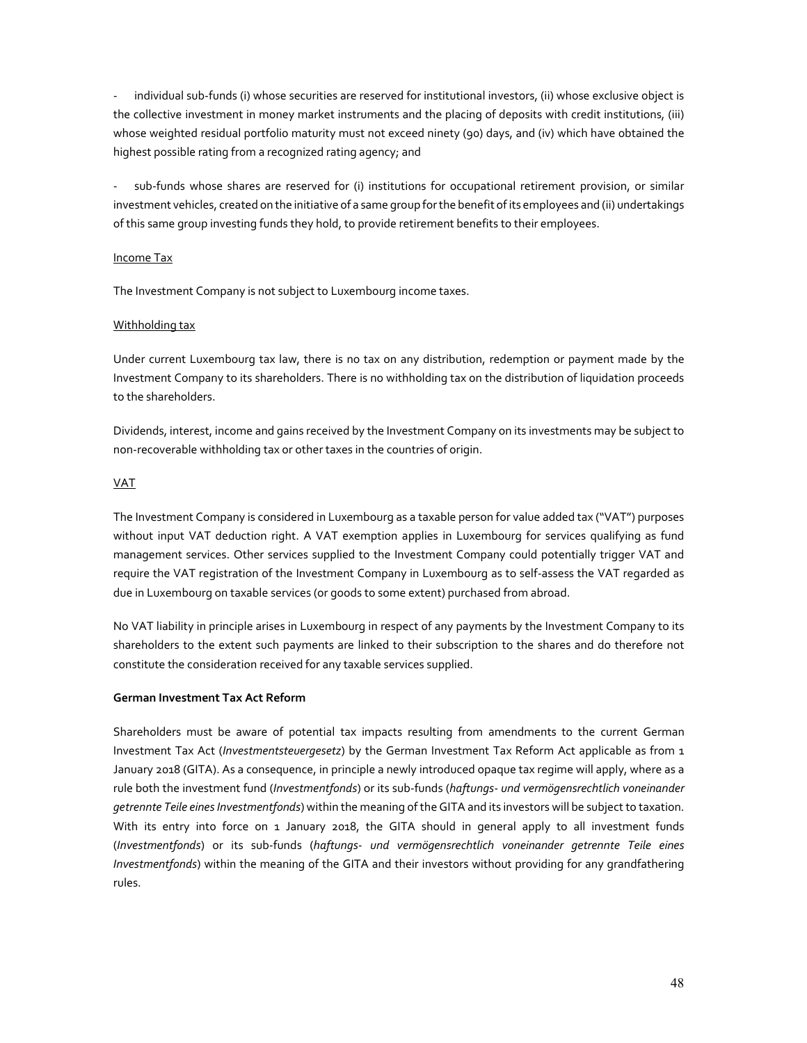- individual sub-funds (i) whose securities are reserved for institutional investors, (ii) whose exclusive object is the collective investment in money market instruments and the placing of deposits with credit institutions, (iii) whose weighted residual portfolio maturity must not exceed ninety (90) days, and (iv) which have obtained the highest possible rating from a recognized rating agency; and

sub-funds whose shares are reserved for (i) institutions for occupational retirement provision, or similar investment vehicles, created on the initiative of a same group for the benefit of its employees and (ii) undertakings of this same group investing funds they hold, to provide retirement benefits to their employees.

## Income Tax

The Investment Company is not subject to Luxembourg income taxes.

## Withholding tax

Under current Luxembourg tax law, there is no tax on any distribution, redemption or payment made by the Investment Company to its shareholders. There is no withholding tax on the distribution of liquidation proceeds to the shareholders.

Dividends, interest, income and gains received by the Investment Company on its investments may be subject to non-recoverable withholding tax or other taxes in the countries of origin.

# VAT

The Investment Company is considered in Luxembourg as a taxable person for value added tax ("VAT") purposes without input VAT deduction right. A VAT exemption applies in Luxembourg for services qualifying as fund management services. Other services supplied to the Investment Company could potentially trigger VAT and require the VAT registration of the Investment Company in Luxembourg as to self-assess the VAT regarded as due in Luxembourg on taxable services (or goods to some extent) purchased from abroad.

No VAT liability in principle arises in Luxembourg in respect of any payments by the Investment Company to its shareholders to the extent such payments are linked to their subscription to the shares and do therefore not constitute the consideration received for any taxable services supplied.

## **German Investment Tax Act Reform**

Shareholders must be aware of potential tax impacts resulting from amendments to the current German Investment Tax Act (*Investmentsteuergesetz*) by the German Investment Tax Reform Act applicable as from 1 January 2018 (GITA). As a consequence, in principle a newly introduced opaque tax regime will apply, where as a rule both the investment fund (*Investmentfonds*) or its sub-funds (*haftungs- und vermögensrechtlich voneinander getrennte Teile eines Investmentfonds*) within the meaning of the GITA and its investors will be subject to taxation. With its entry into force on 1 January 2018, the GITA should in general apply to all investment funds (*Investmentfonds*) or its sub-funds (*haftungs- und vermögensrechtlich voneinander getrennte Teile eines Investmentfonds*) within the meaning of the GITA and their investors without providing for any grandfathering rules.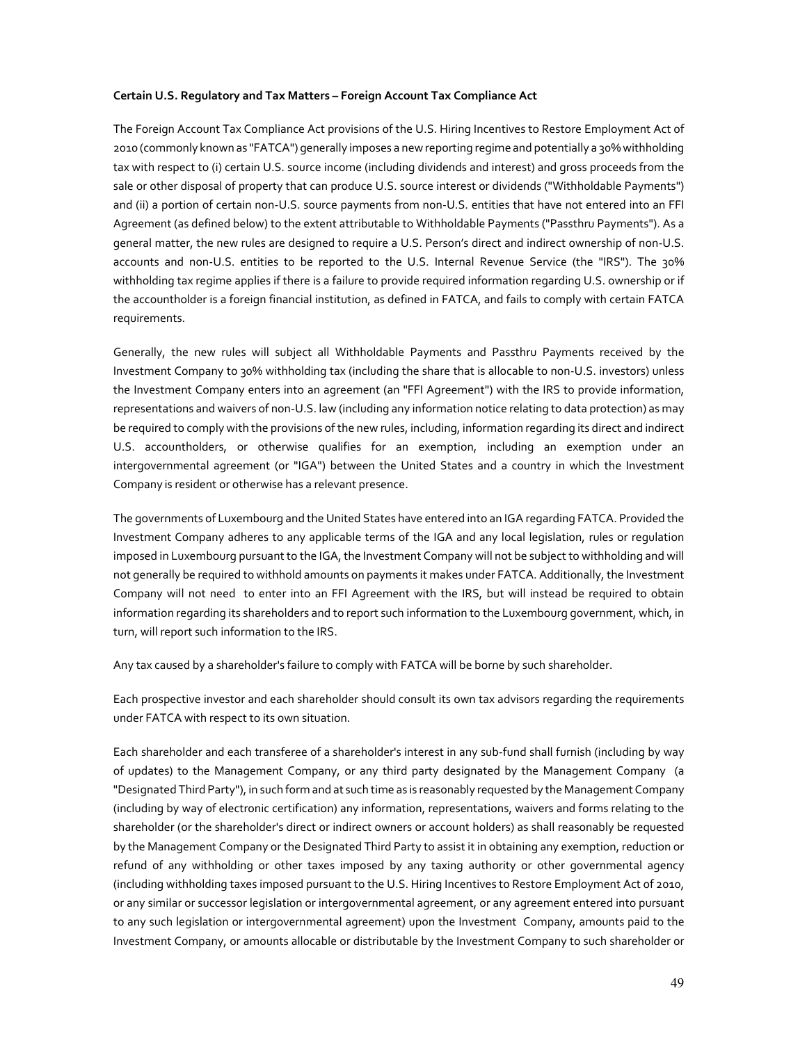#### **Certain U.S. Regulatory and Tax Matters – Foreign Account Tax Compliance Act**

The Foreign Account Tax Compliance Act provisions of the U.S. Hiring Incentives to Restore Employment Act of 2010 (commonly known as "FATCA") generally imposes a new reporting regime and potentially a 30% withholding tax with respect to (i) certain U.S. source income (including dividends and interest) and gross proceeds from the sale or other disposal of property that can produce U.S. source interest or dividends ("Withholdable Payments") and (ii) a portion of certain non-U.S. source payments from non-U.S. entities that have not entered into an FFI Agreement (as defined below) to the extent attributable to Withholdable Payments ("Passthru Payments"). As a general matter, the new rules are designed to require a U.S. Person's direct and indirect ownership of non-U.S. accounts and non-U.S. entities to be reported to the U.S. Internal Revenue Service (the "IRS"). The 30% withholding tax regime applies if there is a failure to provide required information regarding U.S. ownership or if the accountholder is a foreign financial institution, as defined in FATCA, and fails to comply with certain FATCA requirements.

Generally, the new rules will subject all Withholdable Payments and Passthru Payments received by the Investment Company to 30% withholding tax (including the share that is allocable to non-U.S. investors) unless the Investment Company enters into an agreement (an "FFI Agreement") with the IRS to provide information, representations and waivers of non-U.S. law (including any information notice relating to data protection) as may be required to comply with the provisions of the new rules, including, information regarding its direct and indirect U.S. accountholders, or otherwise qualifies for an exemption, including an exemption under an intergovernmental agreement (or "IGA") between the United States and a country in which the Investment Company is resident or otherwise has a relevant presence.

The governments of Luxembourg and the United States have entered into an IGA regarding FATCA. Provided the Investment Company adheres to any applicable terms of the IGA and any local legislation, rules or regulation imposed in Luxembourg pursuant to the IGA, the Investment Company will not be subject to withholding and will not generally be required to withhold amounts on payments it makes under FATCA. Additionally, the Investment Company will not need to enter into an FFI Agreement with the IRS, but will instead be required to obtain information regarding its shareholders and to report such information to the Luxembourg government, which, in turn, will report such information to the IRS.

Any tax caused by a shareholder's failure to comply with FATCA will be borne by such shareholder.

Each prospective investor and each shareholder should consult its own tax advisors regarding the requirements under FATCA with respect to its own situation.

Each shareholder and each transferee of a shareholder's interest in any sub-fund shall furnish (including by way of updates) to the Management Company, or any third party designated by the Management Company (a "Designated Third Party"), in such form and at such time as is reasonably requested by the Management Company (including by way of electronic certification) any information, representations, waivers and forms relating to the shareholder (or the shareholder's direct or indirect owners or account holders) as shall reasonably be requested by the Management Company or the Designated Third Party to assist it in obtaining any exemption, reduction or refund of any withholding or other taxes imposed by any taxing authority or other governmental agency (including withholding taxes imposed pursuant to the U.S. Hiring Incentives to Restore Employment Act of 2010, or any similar or successor legislation or intergovernmental agreement, or any agreement entered into pursuant to any such legislation or intergovernmental agreement) upon the Investment Company, amounts paid to the Investment Company, or amounts allocable or distributable by the Investment Company to such shareholder or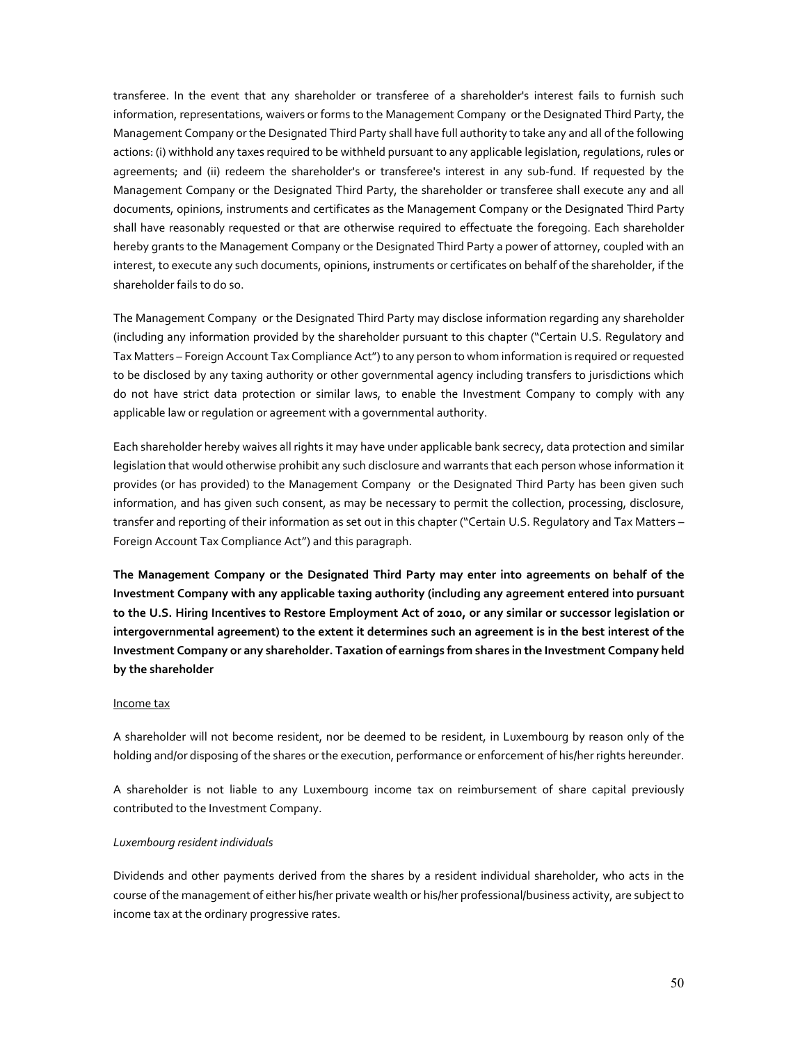transferee. In the event that any shareholder or transferee of a shareholder's interest fails to furnish such information, representations, waivers or forms to the Management Company or the Designated Third Party, the Management Company or the Designated Third Party shall have full authority to take any and all of the following actions: (i) withhold any taxes required to be withheld pursuant to any applicable legislation, regulations, rules or agreements; and (ii) redeem the shareholder's or transferee's interest in any sub-fund. If requested by the Management Company or the Designated Third Party, the shareholder or transferee shall execute any and all documents, opinions, instruments and certificates as the Management Company or the Designated Third Party shall have reasonably requested or that are otherwise required to effectuate the foregoing. Each shareholder hereby grants to the Management Company or the Designated Third Party a power of attorney, coupled with an interest, to execute any such documents, opinions, instruments or certificates on behalf of the shareholder, if the shareholder fails to do so.

The Management Company or the Designated Third Party may disclose information regarding any shareholder (including any information provided by the shareholder pursuant to this chapter ("Certain U.S. Regulatory and Tax Matters – Foreign Account Tax Compliance Act") to any person to whom information is required or requested to be disclosed by any taxing authority or other governmental agency including transfers to jurisdictions which do not have strict data protection or similar laws, to enable the Investment Company to comply with any applicable law or regulation or agreement with a governmental authority.

Each shareholder hereby waives all rights it may have under applicable bank secrecy, data protection and similar legislation that would otherwise prohibit any such disclosure and warrants that each person whose information it provides (or has provided) to the Management Company or the Designated Third Party has been given such information, and has given such consent, as may be necessary to permit the collection, processing, disclosure, transfer and reporting of their information as set out in this chapter ("Certain U.S. Regulatory and Tax Matters – Foreign Account Tax Compliance Act") and this paragraph.

**The Management Company or the Designated Third Party may enter into agreements on behalf of the Investment Company with any applicable taxing authority (including any agreement entered into pursuant to the U.S. Hiring Incentives to Restore Employment Act of 2010, or any similar or successor legislation or intergovernmental agreement) to the extent it determines such an agreement is in the best interest of the Investment Company or any shareholder. Taxation of earnings from shares in the Investment Company held by the shareholder** 

## Income tax

A shareholder will not become resident, nor be deemed to be resident, in Luxembourg by reason only of the holding and/or disposing of the shares or the execution, performance or enforcement of his/her rights hereunder.

A shareholder is not liable to any Luxembourg income tax on reimbursement of share capital previously contributed to the Investment Company.

#### *Luxembourg resident individuals*

Dividends and other payments derived from the shares by a resident individual shareholder, who acts in the course of the management of either his/her private wealth or his/her professional/business activity, are subject to income tax at the ordinary progressive rates.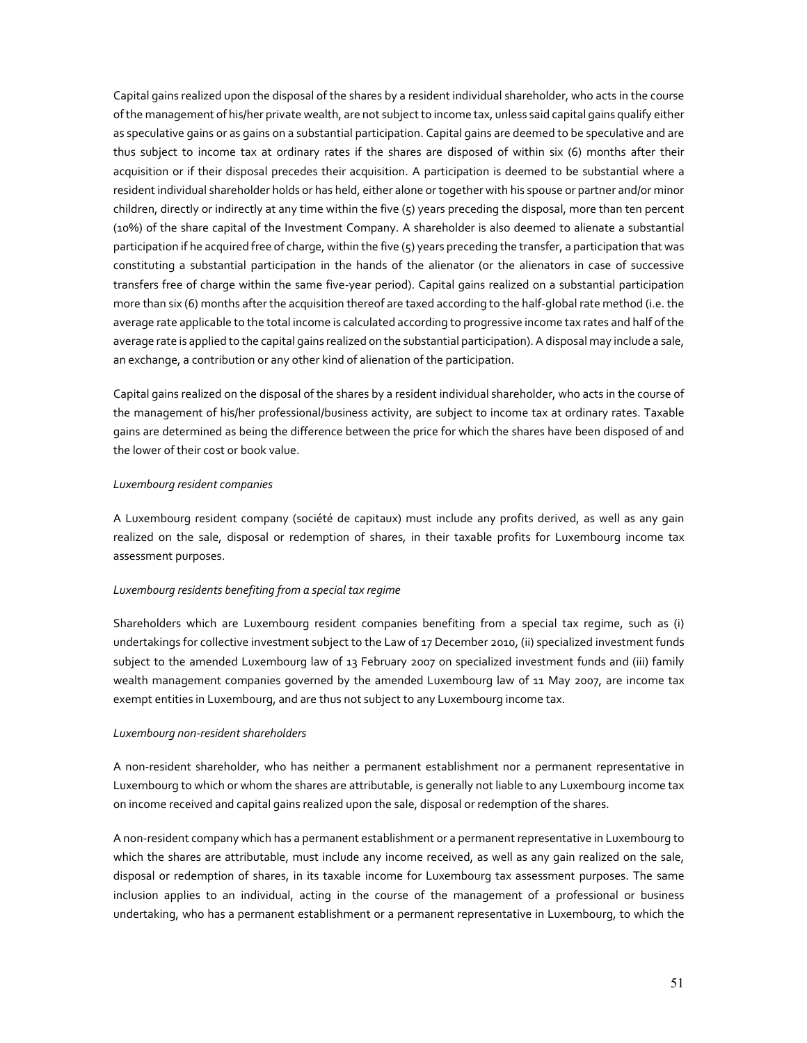Capital gains realized upon the disposal of the shares by a resident individual shareholder, who acts in the course of the management of his/her private wealth, are not subject to income tax, unless said capital gains qualify either as speculative gains or as gains on a substantial participation. Capital gains are deemed to be speculative and are thus subject to income tax at ordinary rates if the shares are disposed of within six (6) months after their acquisition or if their disposal precedes their acquisition. A participation is deemed to be substantial where a resident individual shareholder holds or has held, either alone or together with his spouse or partner and/or minor children, directly or indirectly at any time within the five (5) years preceding the disposal, more than ten percent (10%) of the share capital of the Investment Company. A shareholder is also deemed to alienate a substantial participation if he acquired free of charge, within the five (5) years preceding the transfer, a participation that was constituting a substantial participation in the hands of the alienator (or the alienators in case of successive transfers free of charge within the same five-year period). Capital gains realized on a substantial participation more than six (6) months after the acquisition thereof are taxed according to the half-global rate method (i.e. the average rate applicable to the total income is calculated according to progressive income tax rates and half of the average rate is applied to the capital gains realized on the substantial participation). A disposal may include a sale, an exchange, a contribution or any other kind of alienation of the participation.

Capital gains realized on the disposal of the shares by a resident individual shareholder, who acts in the course of the management of his/her professional/business activity, are subject to income tax at ordinary rates. Taxable gains are determined as being the difference between the price for which the shares have been disposed of and the lower of their cost or book value.

## *Luxembourg resident companies*

A Luxembourg resident company (société de capitaux) must include any profits derived, as well as any gain realized on the sale, disposal or redemption of shares, in their taxable profits for Luxembourg income tax assessment purposes.

## *Luxembourg residents benefiting from a special tax regime*

Shareholders which are Luxembourg resident companies benefiting from a special tax regime, such as (i) undertakings for collective investment subject to the Law of 17 December 2010, (ii) specialized investment funds subject to the amended Luxembourg law of 13 February 2007 on specialized investment funds and (iii) family wealth management companies governed by the amended Luxembourg law of 11 May 2007, are income tax exempt entities in Luxembourg, and are thus not subject to any Luxembourg income tax.

#### *Luxembourg non-resident shareholders*

A non-resident shareholder, who has neither a permanent establishment nor a permanent representative in Luxembourg to which or whom the shares are attributable, is generally not liable to any Luxembourg income tax on income received and capital gains realized upon the sale, disposal or redemption of the shares.

A non-resident company which has a permanent establishment or a permanent representative in Luxembourg to which the shares are attributable, must include any income received, as well as any gain realized on the sale, disposal or redemption of shares, in its taxable income for Luxembourg tax assessment purposes. The same inclusion applies to an individual, acting in the course of the management of a professional or business undertaking, who has a permanent establishment or a permanent representative in Luxembourg, to which the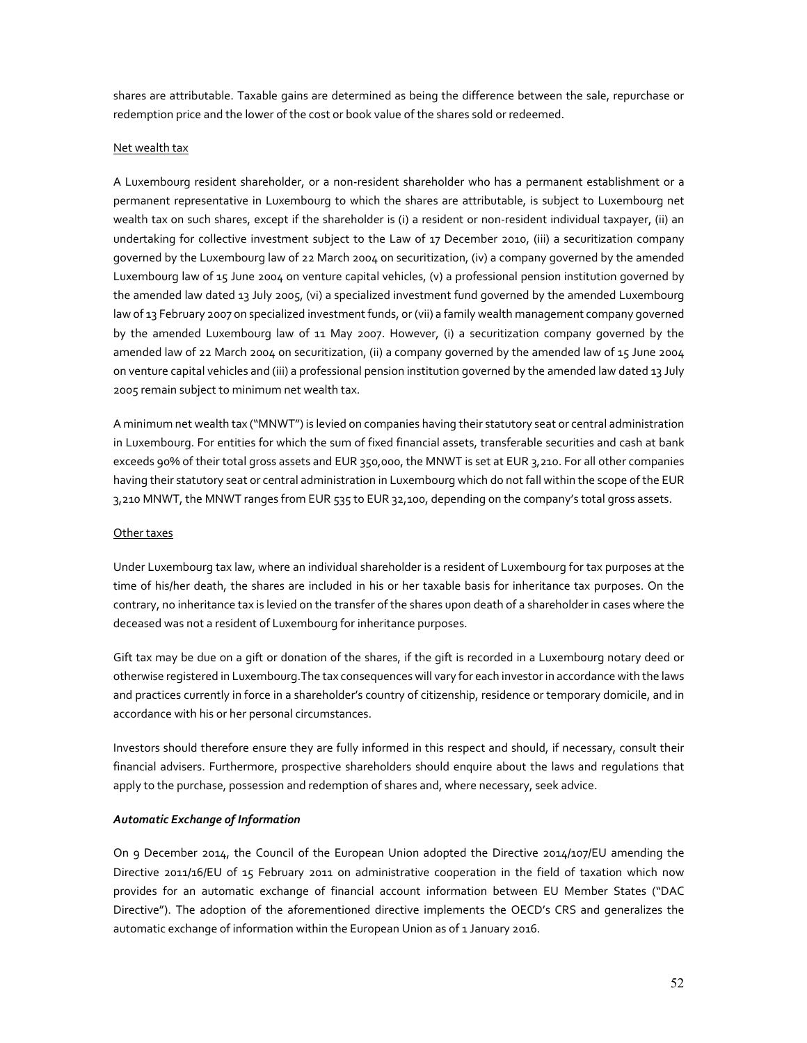shares are attributable. Taxable gains are determined as being the difference between the sale, repurchase or redemption price and the lower of the cost or book value of the shares sold or redeemed.

#### Net wealth tax

A Luxembourg resident shareholder, or a non-resident shareholder who has a permanent establishment or a permanent representative in Luxembourg to which the shares are attributable, is subject to Luxembourg net wealth tax on such shares, except if the shareholder is (i) a resident or non-resident individual taxpayer, (ii) an undertaking for collective investment subject to the Law of 17 December 2010, (iii) a securitization company governed by the Luxembourg law of 22 March 2004 on securitization, (iv) a company governed by the amended Luxembourg law of 15 June 2004 on venture capital vehicles, (v) a professional pension institution governed by the amended law dated 13 July 2005, (vi) a specialized investment fund governed by the amended Luxembourg law of 13 February 2007 on specialized investment funds, or (vii) a family wealth management company governed by the amended Luxembourg law of 11 May 2007. However, (i) a securitization company governed by the amended law of 22 March 2004 on securitization, (ii) a company governed by the amended law of 15 June 2004 on venture capital vehicles and (iii) a professional pension institution governed by the amended law dated 13 July 2005 remain subject to minimum net wealth tax.

A minimum net wealth tax ("MNWT") is levied on companies having their statutory seat or central administration in Luxembourg. For entities for which the sum of fixed financial assets, transferable securities and cash at bank exceeds 90% of their total gross assets and EUR 350,000, the MNWT is set at EUR 3,210. For all other companies having their statutory seat or central administration in Luxembourg which do not fall within the scope of the EUR 3,210 MNWT, the MNWT ranges from EUR 535 to EUR 32,100, depending on the company's total gross assets.

#### Other taxes

Under Luxembourg tax law, where an individual shareholder is a resident of Luxembourg for tax purposes at the time of his/her death, the shares are included in his or her taxable basis for inheritance tax purposes. On the contrary, no inheritance tax is levied on the transfer of the shares upon death of a shareholder in cases where the deceased was not a resident of Luxembourg for inheritance purposes.

Gift tax may be due on a gift or donation of the shares, if the gift is recorded in a Luxembourg notary deed or otherwise registered in Luxembourg.The tax consequences will vary for each investor in accordance with the laws and practices currently in force in a shareholder's country of citizenship, residence or temporary domicile, and in accordance with his or her personal circumstances.

Investors should therefore ensure they are fully informed in this respect and should, if necessary, consult their financial advisers. Furthermore, prospective shareholders should enquire about the laws and regulations that apply to the purchase, possession and redemption of shares and, where necessary, seek advice.

## *Automatic Exchange of Information*

On 9 December 2014, the Council of the European Union adopted the Directive 2014/107/EU amending the Directive 2011/16/EU of 15 February 2011 on administrative cooperation in the field of taxation which now provides for an automatic exchange of financial account information between EU Member States ("DAC Directive"). The adoption of the aforementioned directive implements the OECD's CRS and generalizes the automatic exchange of information within the European Union as of 1 January 2016.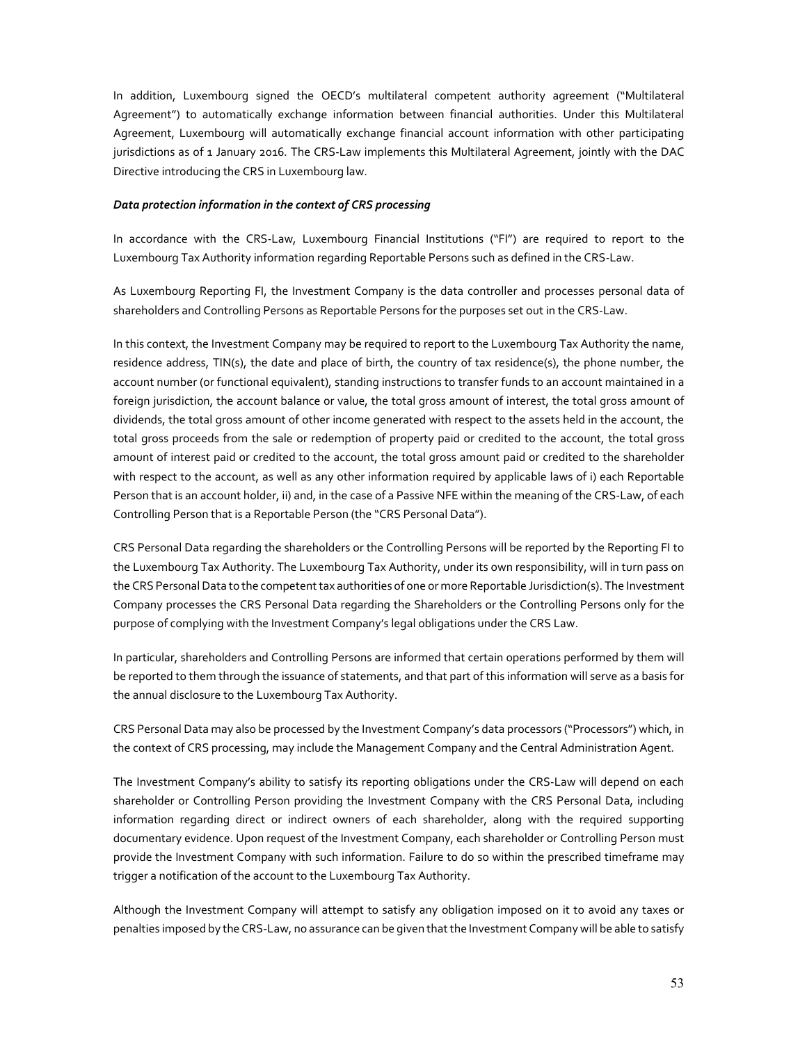In addition, Luxembourg signed the OECD's multilateral competent authority agreement ("Multilateral Agreement") to automatically exchange information between financial authorities. Under this Multilateral Agreement, Luxembourg will automatically exchange financial account information with other participating jurisdictions as of 1 January 2016. The CRS-Law implements this Multilateral Agreement, jointly with the DAC Directive introducing the CRS in Luxembourg law.

#### *Data protection information in the context of CRS processing*

In accordance with the CRS-Law, Luxembourg Financial Institutions ("FI") are required to report to the Luxembourg Tax Authority information regarding Reportable Persons such as defined in the CRS-Law.

As Luxembourg Reporting FI, the Investment Company is the data controller and processes personal data of shareholders and Controlling Persons as Reportable Persons for the purposes set out in the CRS-Law.

In this context, the Investment Company may be required to report to the Luxembourg Tax Authority the name, residence address, TIN(s), the date and place of birth, the country of tax residence(s), the phone number, the account number (or functional equivalent), standing instructions to transfer funds to an account maintained in a foreign jurisdiction, the account balance or value, the total gross amount of interest, the total gross amount of dividends, the total gross amount of other income generated with respect to the assets held in the account, the total gross proceeds from the sale or redemption of property paid or credited to the account, the total gross amount of interest paid or credited to the account, the total gross amount paid or credited to the shareholder with respect to the account, as well as any other information required by applicable laws of i) each Reportable Person that is an account holder, ii) and, in the case of a Passive NFE within the meaning of the CRS-Law, of each Controlling Person that is a Reportable Person (the "CRS Personal Data").

CRS Personal Data regarding the shareholders or the Controlling Persons will be reported by the Reporting FI to the Luxembourg Tax Authority. The Luxembourg Tax Authority, under its own responsibility, will in turn pass on the CRS Personal Data to the competent tax authorities of one or more Reportable Jurisdiction(s). The Investment Company processes the CRS Personal Data regarding the Shareholders or the Controlling Persons only for the purpose of complying with the Investment Company's legal obligations under the CRS Law.

In particular, shareholders and Controlling Persons are informed that certain operations performed by them will be reported to them through the issuance of statements, and that part of this information will serve as a basis for the annual disclosure to the Luxembourg Tax Authority.

CRS Personal Data may also be processed by the Investment Company's data processors ("Processors") which, in the context of CRS processing, may include the Management Company and the Central Administration Agent.

The Investment Company's ability to satisfy its reporting obligations under the CRS-Law will depend on each shareholder or Controlling Person providing the Investment Company with the CRS Personal Data, including information regarding direct or indirect owners of each shareholder, along with the required supporting documentary evidence. Upon request of the Investment Company, each shareholder or Controlling Person must provide the Investment Company with such information. Failure to do so within the prescribed timeframe may trigger a notification of the account to the Luxembourg Tax Authority.

Although the Investment Company will attempt to satisfy any obligation imposed on it to avoid any taxes or penalties imposed by the CRS-Law, no assurance can be given that the Investment Company will be able to satisfy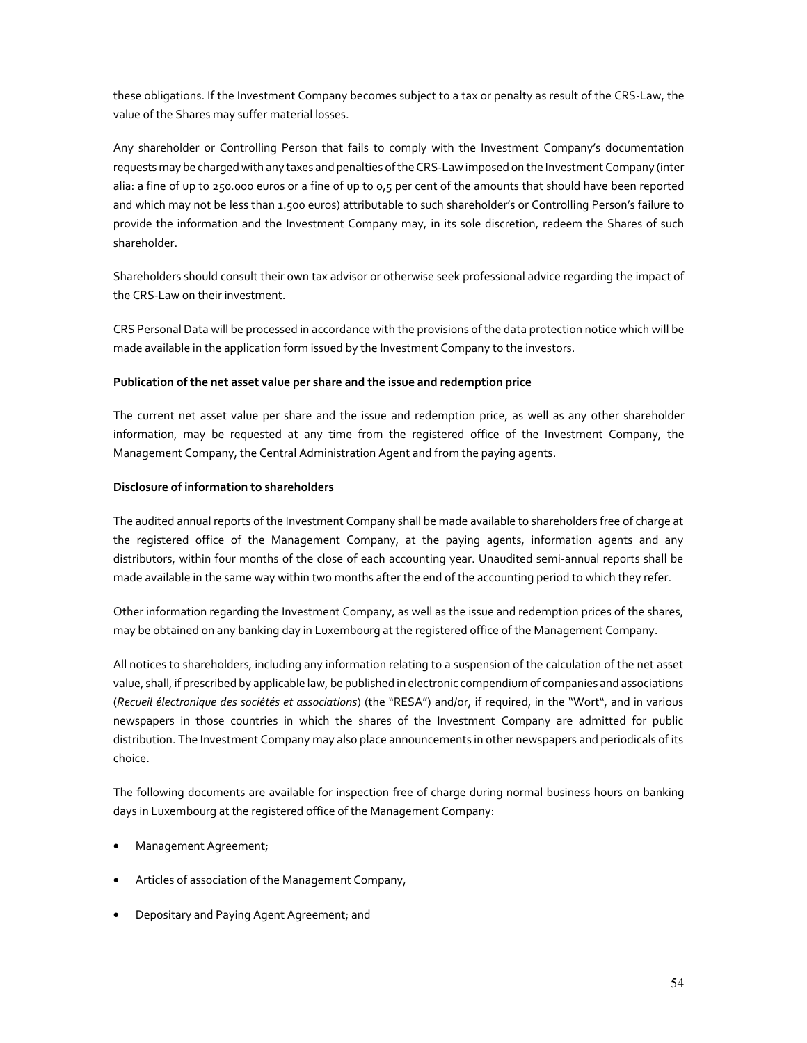these obligations. If the Investment Company becomes subject to a tax or penalty as result of the CRS-Law, the value of the Shares may suffer material losses.

Any shareholder or Controlling Person that fails to comply with the Investment Company's documentation requests may be charged with any taxes and penalties of the CRS-Law imposed on the Investment Company (inter alia: a fine of up to 250.000 euros or a fine of up to 0,5 per cent of the amounts that should have been reported and which may not be less than 1.500 euros) attributable to such shareholder's or Controlling Person's failure to provide the information and the Investment Company may, in its sole discretion, redeem the Shares of such shareholder.

Shareholders should consult their own tax advisor or otherwise seek professional advice regarding the impact of the CRS-Law on their investment.

CRS Personal Data will be processed in accordance with the provisions of the data protection notice which will be made available in the application form issued by the Investment Company to the investors.

## **Publication of the net asset value per share and the issue and redemption price**

The current net asset value per share and the issue and redemption price, as well as any other shareholder information, may be requested at any time from the registered office of the Investment Company, the Management Company, the Central Administration Agent and from the paying agents.

## **Disclosure of information to shareholders**

The audited annual reports of the Investment Company shall be made available to shareholders free of charge at the registered office of the Management Company, at the paying agents, information agents and any distributors, within four months of the close of each accounting year. Unaudited semi-annual reports shall be made available in the same way within two months after the end of the accounting period to which they refer.

Other information regarding the Investment Company, as well as the issue and redemption prices of the shares, may be obtained on any banking day in Luxembourg at the registered office of the Management Company.

All notices to shareholders, including any information relating to a suspension of the calculation of the net asset value, shall, if prescribed by applicable law, be published in electronic compendium of companies and associations (*Recueil électronique des sociétés et associations*) (the "RESA") and/or, if required, in the "Wort", and in various newspapers in those countries in which the shares of the Investment Company are admitted for public distribution. The Investment Company may also place announcements in other newspapers and periodicals of its choice.

The following documents are available for inspection free of charge during normal business hours on banking days in Luxembourg at the registered office of the Management Company:

- Management Agreement;
- Articles of association of the Management Company,
- Depositary and Paying Agent Agreement; and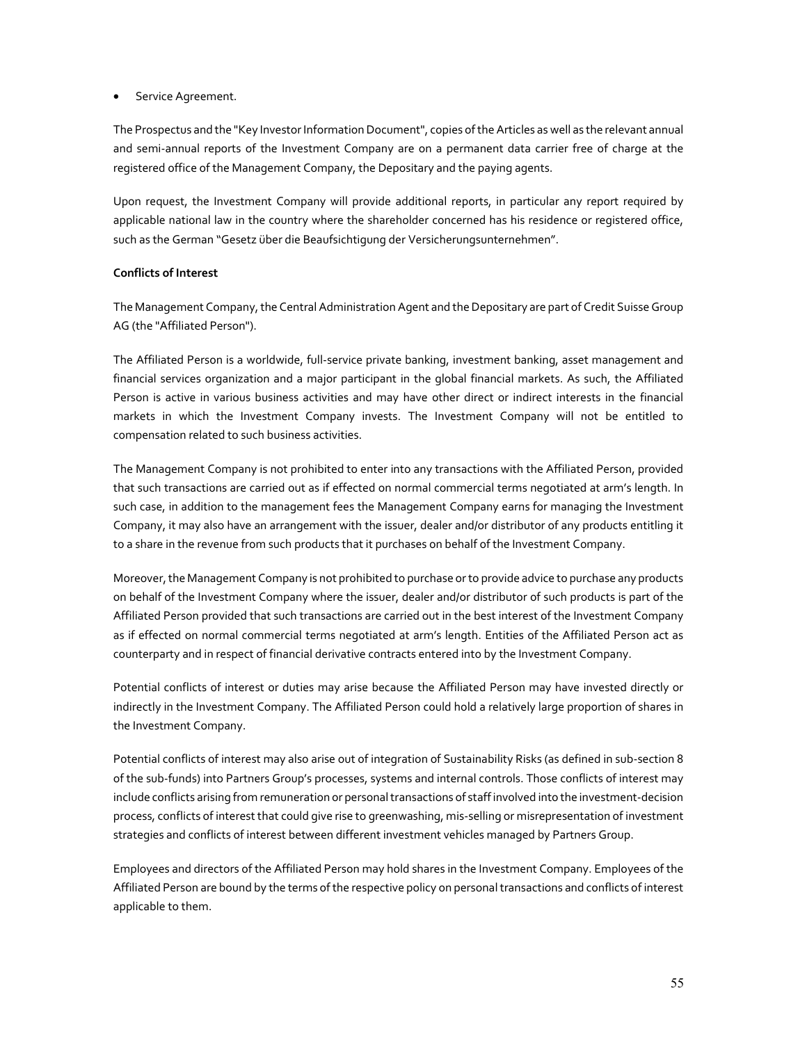## Service Agreement.

The Prospectus and the "Key Investor Information Document", copies of the Articles as well as the relevant annual and semi-annual reports of the Investment Company are on a permanent data carrier free of charge at the registered office of the Management Company, the Depositary and the paying agents.

Upon request, the Investment Company will provide additional reports, in particular any report required by applicable national law in the country where the shareholder concerned has his residence or registered office, such as the German "Gesetz über die Beaufsichtigung der Versicherungsunternehmen".

# **Conflicts of Interest**

The Management Company, the Central Administration Agent and the Depositary are part of Credit Suisse Group AG (the "Affiliated Person").

The Affiliated Person is a worldwide, full-service private banking, investment banking, asset management and financial services organization and a major participant in the global financial markets. As such, the Affiliated Person is active in various business activities and may have other direct or indirect interests in the financial markets in which the Investment Company invests. The Investment Company will not be entitled to compensation related to such business activities.

The Management Company is not prohibited to enter into any transactions with the Affiliated Person, provided that such transactions are carried out as if effected on normal commercial terms negotiated at arm's length. In such case, in addition to the management fees the Management Company earns for managing the Investment Company, it may also have an arrangement with the issuer, dealer and/or distributor of any products entitling it to a share in the revenue from such products that it purchases on behalf of the Investment Company.

Moreover, the Management Company is not prohibited to purchase or to provide advice to purchase any products on behalf of the Investment Company where the issuer, dealer and/or distributor of such products is part of the Affiliated Person provided that such transactions are carried out in the best interest of the Investment Company as if effected on normal commercial terms negotiated at arm's length. Entities of the Affiliated Person act as counterparty and in respect of financial derivative contracts entered into by the Investment Company.

Potential conflicts of interest or duties may arise because the Affiliated Person may have invested directly or indirectly in the Investment Company. The Affiliated Person could hold a relatively large proportion of shares in the Investment Company.

Potential conflicts of interest may also arise out of integration of Sustainability Risks (as defined in sub-section 8 of the sub-funds) into Partners Group's processes, systems and internal controls. Those conflicts of interest may include conflicts arising from remuneration or personal transactions of staff involved into the investment-decision process, conflicts of interest that could give rise to greenwashing, mis-selling or misrepresentation of investment strategies and conflicts of interest between different investment vehicles managed by Partners Group.

Employees and directors of the Affiliated Person may hold shares in the Investment Company. Employees of the Affiliated Person are bound by the terms of the respective policy on personal transactions and conflicts of interest applicable to them.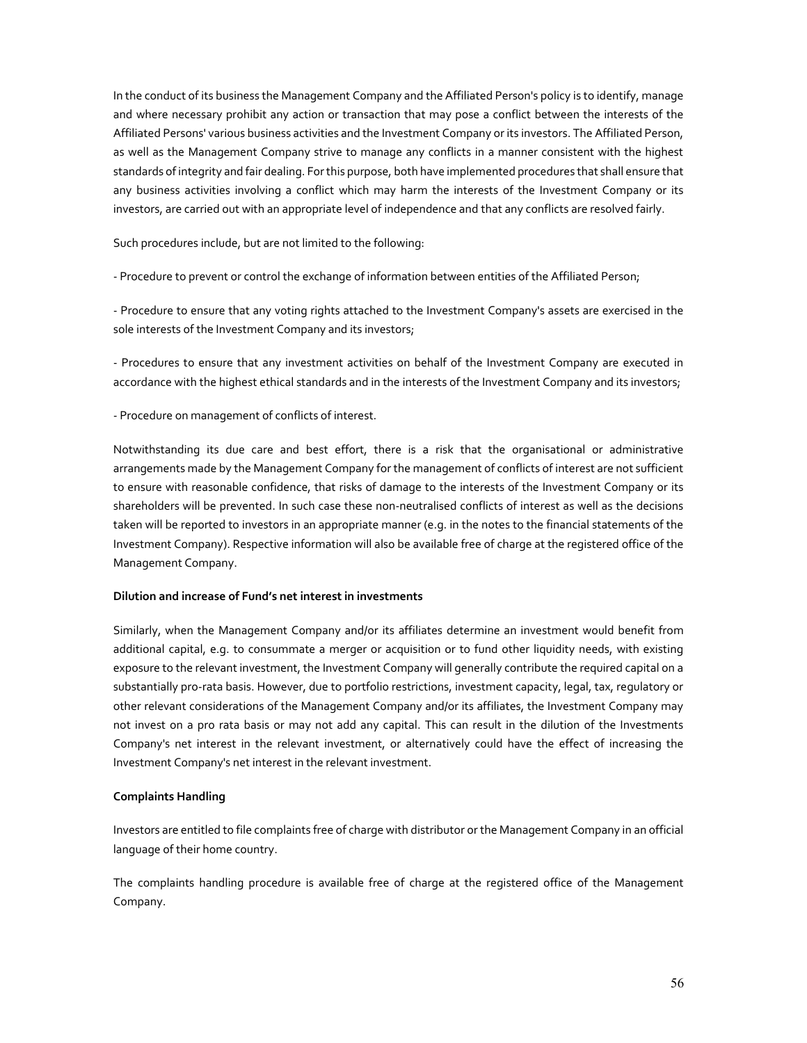In the conduct of its business the Management Company and the Affiliated Person's policy is to identify, manage and where necessary prohibit any action or transaction that may pose a conflict between the interests of the Affiliated Persons' various business activities and the Investment Company or its investors. The Affiliated Person, as well as the Management Company strive to manage any conflicts in a manner consistent with the highest standards of integrity and fair dealing. For this purpose, both have implemented procedures that shall ensure that any business activities involving a conflict which may harm the interests of the Investment Company or its investors, are carried out with an appropriate level of independence and that any conflicts are resolved fairly.

Such procedures include, but are not limited to the following:

- Procedure to prevent or control the exchange of information between entities of the Affiliated Person;

- Procedure to ensure that any voting rights attached to the Investment Company's assets are exercised in the sole interests of the Investment Company and its investors;

- Procedures to ensure that any investment activities on behalf of the Investment Company are executed in accordance with the highest ethical standards and in the interests of the Investment Company and its investors;

- Procedure on management of conflicts of interest.

Notwithstanding its due care and best effort, there is a risk that the organisational or administrative arrangements made by the Management Company for the management of conflicts of interest are not sufficient to ensure with reasonable confidence, that risks of damage to the interests of the Investment Company or its shareholders will be prevented. In such case these non-neutralised conflicts of interest as well as the decisions taken will be reported to investors in an appropriate manner (e.g. in the notes to the financial statements of the Investment Company). Respective information will also be available free of charge at the registered office of the Management Company.

## **Dilution and increase of Fund's net interest in investments**

Similarly, when the Management Company and/or its affiliates determine an investment would benefit from additional capital, e.g. to consummate a merger or acquisition or to fund other liquidity needs, with existing exposure to the relevant investment, the Investment Company will generally contribute the required capital on a substantially pro-rata basis. However, due to portfolio restrictions, investment capacity, legal, tax, regulatory or other relevant considerations of the Management Company and/or its affiliates, the Investment Company may not invest on a pro rata basis or may not add any capital. This can result in the dilution of the Investments Company's net interest in the relevant investment, or alternatively could have the effect of increasing the Investment Company's net interest in the relevant investment.

## **Complaints Handling**

Investors are entitled to file complaints free of charge with distributor or the Management Company in an official language of their home country.

The complaints handling procedure is available free of charge at the registered office of the Management Company.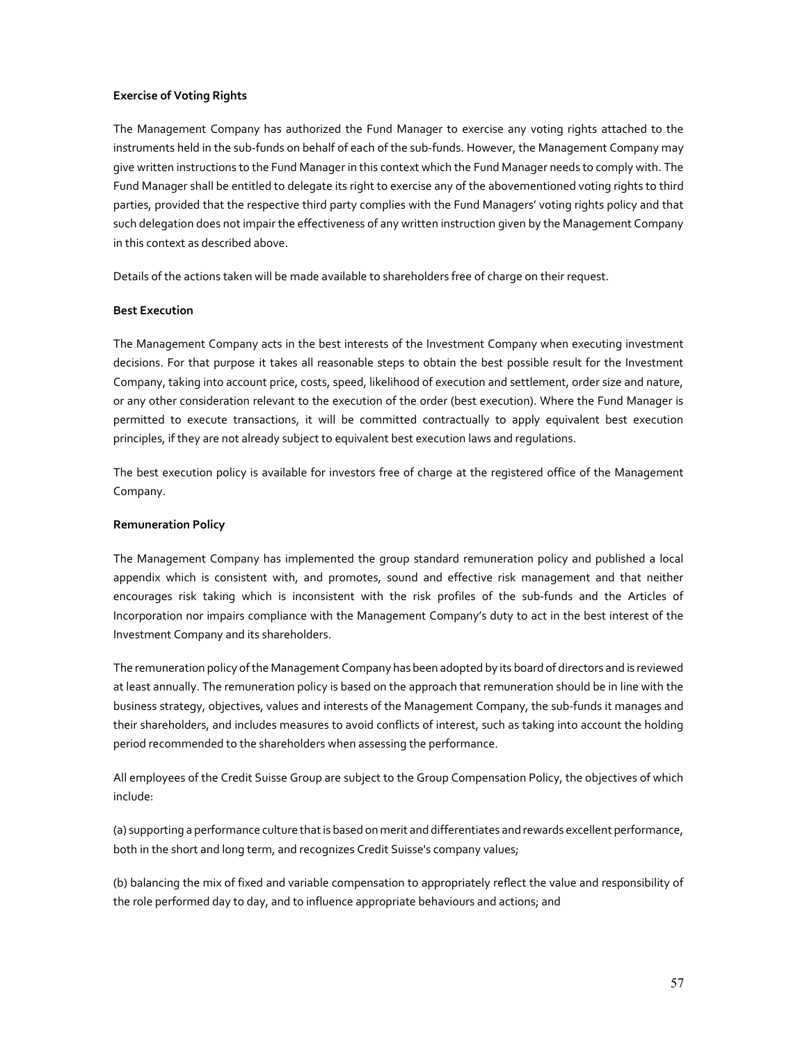## **Exercise of Voting Rights**

The Management Company has authorized the Fund Manager to exercise any voting rights attached to the instruments held in the sub-funds on behalf of each of the sub-funds. However, the Management Company may give written instructions to the Fund Manager in this context which the Fund Manager needs to comply with. The Fund Manager shall be entitled to delegate its right to exercise any of the abovementioned voting rights to third parties, provided that the respective third party complies with the Fund Managers' voting rights policy and that such delegation does not impair the effectiveness of any written instruction given by the Management Company in this context as described above.

Details of the actions taken will be made available to shareholders free of charge on their request.

## **Best Execution**

The Management Company acts in the best interests of the Investment Company when executing investment decisions. For that purpose it takes all reasonable steps to obtain the best possible result for the Investment Company, taking into account price, costs, speed, likelihood of execution and settlement, order size and nature, or any other consideration relevant to the execution of the order (best execution). Where the Fund Manager is permitted to execute transactions, it will be committed contractually to apply equivalent best execution principles, if they are not already subject to equivalent best execution laws and regulations.

The best execution policy is available for investors free of charge at the registered office of the Management Company.

## **Remuneration Policy**

The Management Company has implemented the group standard remuneration policy and published a local appendix which is consistent with, and promotes, sound and effective risk management and that neither encourages risk taking which is inconsistent with the risk profiles of the sub-funds and the Articles of Incorporation nor impairs compliance with the Management Company's duty to act in the best interest of the Investment Company and its shareholders.

The remuneration policy of the Management Company has been adopted by its board of directors and is reviewed at least annually. The remuneration policy is based on the approach that remuneration should be in line with the business strategy, objectives, values and interests of the Management Company, the sub-funds it manages and their shareholders, and includes measures to avoid conflicts of interest, such as taking into account the holding period recommended to the shareholders when assessing the performance.

All employees of the Credit Suisse Group are subject to the Group Compensation Policy, the objectives of which include:

(a) supporting a performance culture that is based on merit and differentiates and rewards excellent performance, both in the short and long term, and recognizes Credit Suisse's company values;

(b) balancing the mix of fixed and variable compensation to appropriately reflect the value and responsibility of the role performed day to day, and to influence appropriate behaviours and actions; and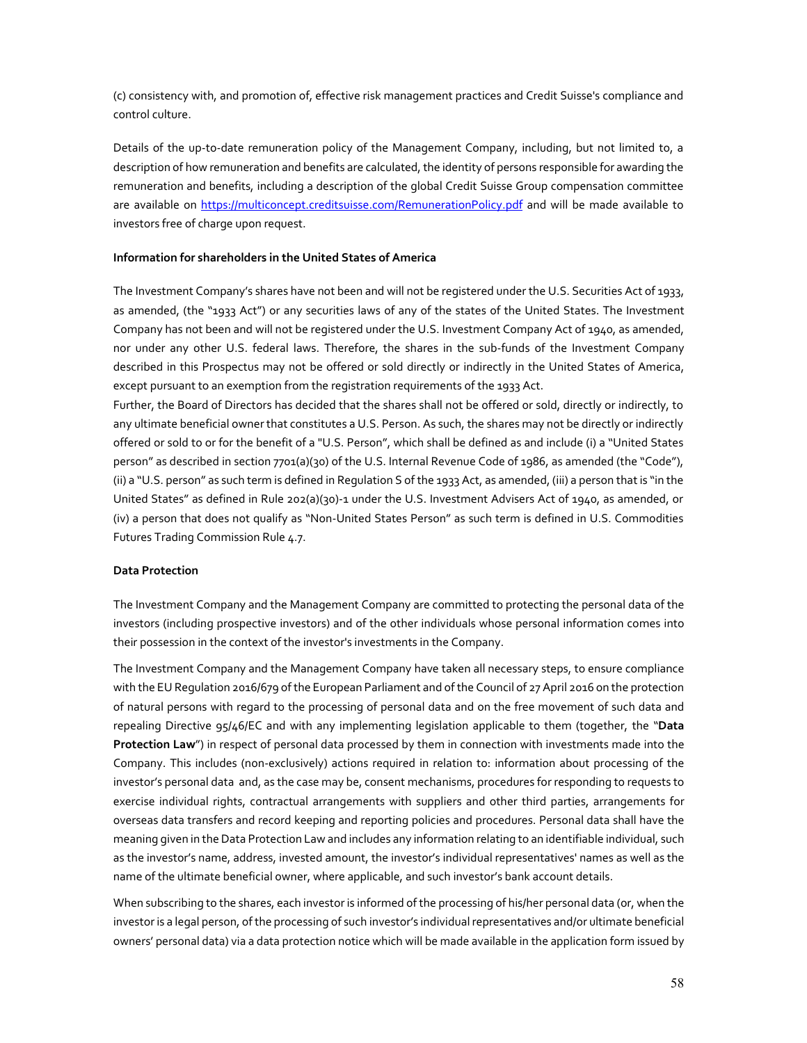(c) consistency with, and promotion of, effective risk management practices and Credit Suisse's compliance and control culture.

Details of the up-to-date remuneration policy of the Management Company, including, but not limited to, a description of how remuneration and benefits are calculated, the identity of persons responsible for awarding the remuneration and benefits, including a description of the global Credit Suisse Group compensation committee are available on https://multiconcept.creditsuisse.com/RemunerationPolicy.pdf and will be made available to investors free of charge upon request.

#### **Information for shareholders in the United States of America**

The Investment Company's shares have not been and will not be registered under the U.S. Securities Act of 1933, as amended, (the "1933 Act") or any securities laws of any of the states of the United States. The Investment Company has not been and will not be registered under the U.S. Investment Company Act of 1940, as amended, nor under any other U.S. federal laws. Therefore, the shares in the sub-funds of the Investment Company described in this Prospectus may not be offered or sold directly or indirectly in the United States of America, except pursuant to an exemption from the registration requirements of the 1933 Act.

Further, the Board of Directors has decided that the shares shall not be offered or sold, directly or indirectly, to any ultimate beneficial owner that constitutes a U.S. Person. As such, the shares may not be directly or indirectly offered or sold to or for the benefit of a "U.S. Person", which shall be defined as and include (i) a "United States person" as described in section 7701(a)(30) of the U.S. Internal Revenue Code of 1986, as amended (the "Code"), (ii) a "U.S. person" as such term is defined in Regulation S of the 1933 Act, as amended, (iii) a person that is "in the United States" as defined in Rule 202(a)(30)-1 under the U.S. Investment Advisers Act of 1940, as amended, or (iv) a person that does not qualify as "Non-United States Person" as such term is defined in U.S. Commodities Futures Trading Commission Rule 4.7.

#### **Data Protection**

The Investment Company and the Management Company are committed to protecting the personal data of the investors (including prospective investors) and of the other individuals whose personal information comes into their possession in the context of the investor's investments in the Company.

The Investment Company and the Management Company have taken all necessary steps, to ensure compliance with the EU Regulation 2016/679 of the European Parliament and of the Council of 27 April 2016 on the protection of natural persons with regard to the processing of personal data and on the free movement of such data and repealing Directive 95/46/EC and with any implementing legislation applicable to them (together, the "**Data Protection Law**") in respect of personal data processed by them in connection with investments made into the Company. This includes (non-exclusively) actions required in relation to: information about processing of the investor's personal data and, as the case may be, consent mechanisms, procedures for responding to requests to exercise individual rights, contractual arrangements with suppliers and other third parties, arrangements for overseas data transfers and record keeping and reporting policies and procedures. Personal data shall have the meaning given in the Data Protection Law and includes any information relating to an identifiable individual, such as the investor's name, address, invested amount, the investor's individual representatives' names as well as the name of the ultimate beneficial owner, where applicable, and such investor's bank account details.

When subscribing to the shares, each investor is informed of the processing of his/her personal data (or, when the investor is a legal person, of the processing of such investor's individual representatives and/or ultimate beneficial owners' personal data) via a data protection notice which will be made available in the application form issued by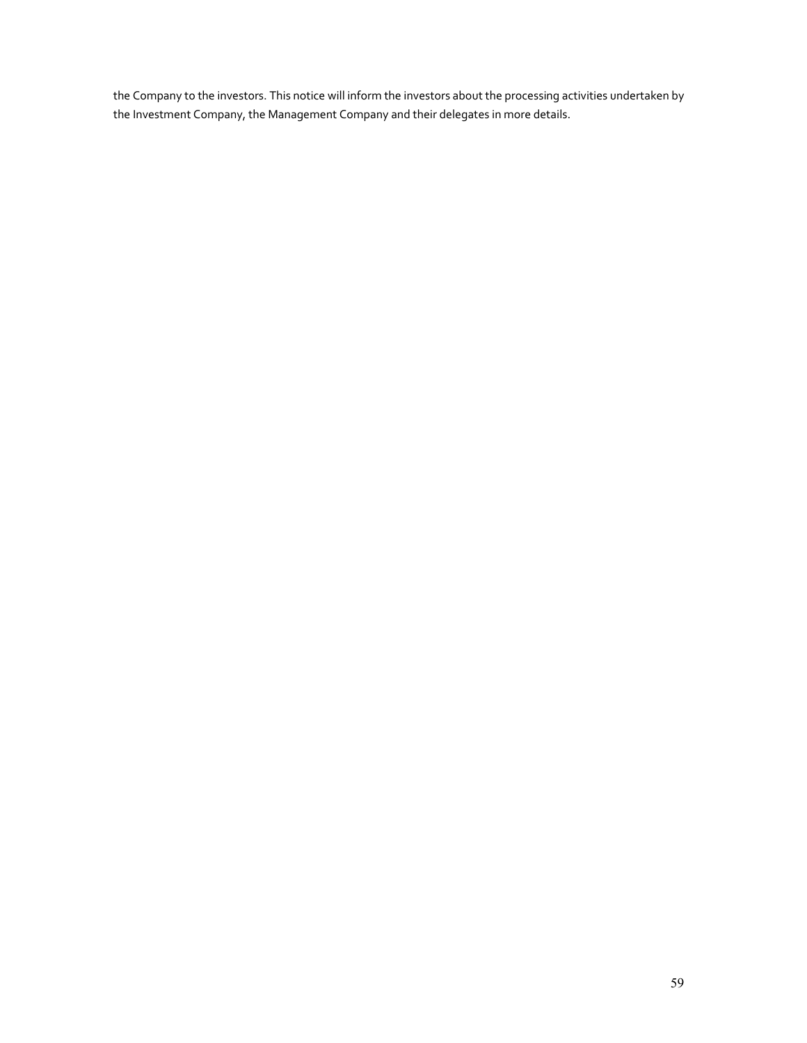the Company to the investors. This notice will inform the investors about the processing activities undertaken by the Investment Company, the Management Company and their delegates in more details.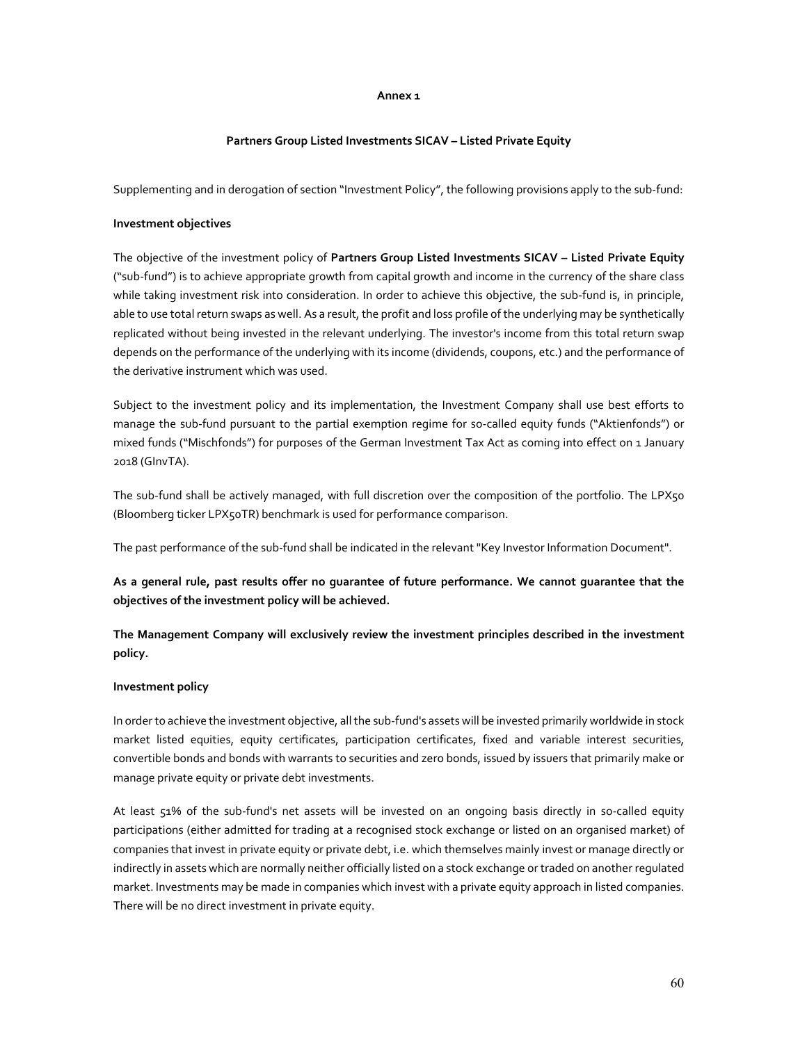#### **Annex 1**

## **Partners Group Listed Investments SICAV – Listed Private Equity**

Supplementing and in derogation of section "Investment Policy", the following provisions apply to the sub-fund:

## **Investment objectives**

The objective of the investment policy of **Partners Group Listed Investments SICAV – Listed Private Equity** ("sub-fund") is to achieve appropriate growth from capital growth and income in the currency of the share class while taking investment risk into consideration. In order to achieve this objective, the sub-fund is, in principle, able to use total return swaps as well. As a result, the profit and loss profile of the underlying may be synthetically replicated without being invested in the relevant underlying. The investor's income from this total return swap depends on the performance of the underlying with its income (dividends, coupons, etc.) and the performance of the derivative instrument which was used.

Subject to the investment policy and its implementation, the Investment Company shall use best efforts to manage the sub-fund pursuant to the partial exemption regime for so-called equity funds ("Aktienfonds") or mixed funds ("Mischfonds") for purposes of the German Investment Tax Act as coming into effect on 1 January 2018 (GInvTA).

The sub-fund shall be actively managed, with full discretion over the composition of the portfolio. The LPX50 (Bloomberg ticker LPX50TR) benchmark is used for performance comparison.

The past performance of the sub-fund shall be indicated in the relevant "Key Investor Information Document".

**As a general rule, past results offer no guarantee of future performance. We cannot guarantee that the objectives of the investment policy will be achieved.** 

**The Management Company will exclusively review the investment principles described in the investment policy.** 

# **Investment policy**

In order to achieve the investment objective, all the sub-fund's assets will be invested primarily worldwide in stock market listed equities, equity certificates, participation certificates, fixed and variable interest securities, convertible bonds and bonds with warrants to securities and zero bonds, issued by issuers that primarily make or manage private equity or private debt investments.

At least 51% of the sub-fund's net assets will be invested on an ongoing basis directly in so-called equity participations (either admitted for trading at a recognised stock exchange or listed on an organised market) of companies that invest in private equity or private debt, i.e. which themselves mainly invest or manage directly or indirectly in assets which are normally neither officially listed on a stock exchange or traded on another regulated market. Investments may be made in companies which invest with a private equity approach in listed companies. There will be no direct investment in private equity.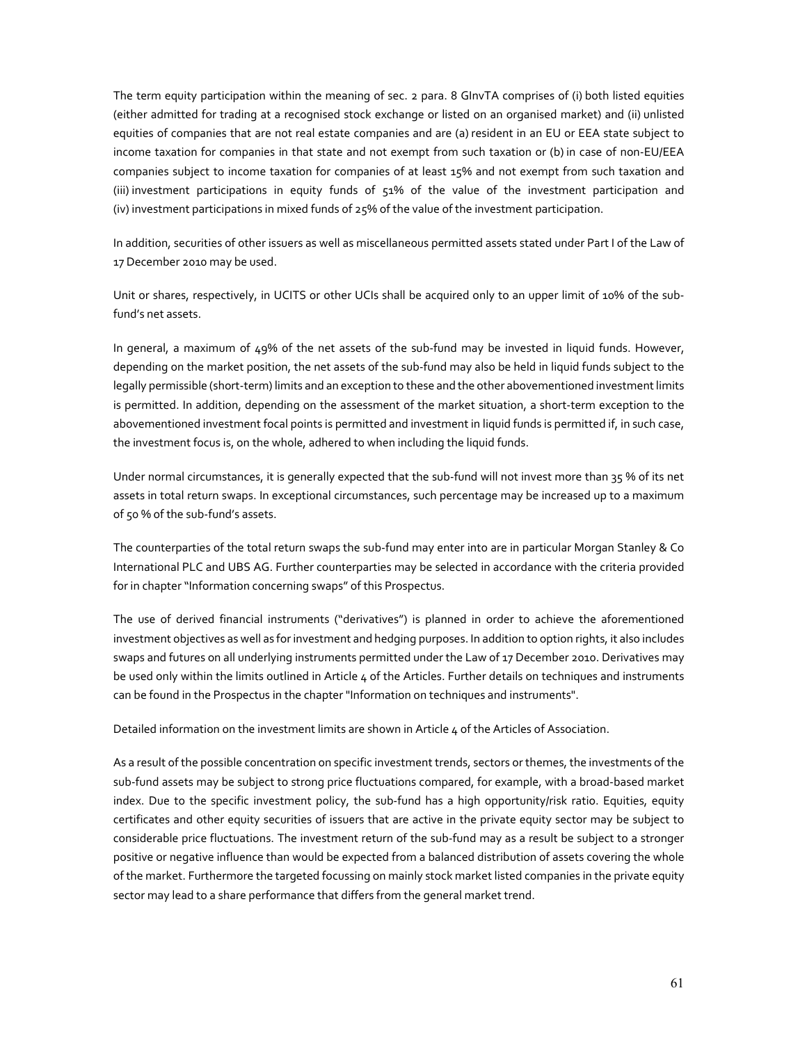The term equity participation within the meaning of sec. 2 para. 8 GInvTA comprises of (i) both listed equities (either admitted for trading at a recognised stock exchange or listed on an organised market) and (ii) unlisted equities of companies that are not real estate companies and are (a) resident in an EU or EEA state subject to income taxation for companies in that state and not exempt from such taxation or (b) in case of non-EU/EEA companies subject to income taxation for companies of at least 15% and not exempt from such taxation and (iii) investment participations in equity funds of 51% of the value of the investment participation and (iv) investment participations in mixed funds of 25% of the value of the investment participation.

In addition, securities of other issuers as well as miscellaneous permitted assets stated under Part I of the Law of 17 December 2010 may be used.

Unit or shares, respectively, in UCITS or other UCIs shall be acquired only to an upper limit of 10% of the subfund's net assets.

In general, a maximum of 49% of the net assets of the sub-fund may be invested in liquid funds. However, depending on the market position, the net assets of the sub-fund may also be held in liquid funds subject to the legally permissible (short-term) limits and an exception to these and the other abovementioned investment limits is permitted. In addition, depending on the assessment of the market situation, a short-term exception to the abovementioned investment focal points is permitted and investment in liquid funds is permitted if, in such case, the investment focus is, on the whole, adhered to when including the liquid funds.

Under normal circumstances, it is generally expected that the sub-fund will not invest more than 35 % of its net assets in total return swaps. In exceptional circumstances, such percentage may be increased up to a maximum of 50 % of the sub-fund's assets.

The counterparties of the total return swaps the sub-fund may enter into are in particular Morgan Stanley & Co International PLC and UBS AG. Further counterparties may be selected in accordance with the criteria provided for in chapter "Information concerning swaps" of this Prospectus.

The use of derived financial instruments ("derivatives") is planned in order to achieve the aforementioned investment objectives as well as for investment and hedging purposes. In addition to option rights, it also includes swaps and futures on all underlying instruments permitted under the Law of 17 December 2010. Derivatives may be used only within the limits outlined in Article 4 of the Articles. Further details on techniques and instruments can be found in the Prospectus in the chapter "Information on techniques and instruments".

Detailed information on the investment limits are shown in Article 4 of the Articles of Association.

As a result of the possible concentration on specific investment trends, sectors or themes, the investments of the sub-fund assets may be subject to strong price fluctuations compared, for example, with a broad-based market index. Due to the specific investment policy, the sub-fund has a high opportunity/risk ratio. Equities, equity certificates and other equity securities of issuers that are active in the private equity sector may be subject to considerable price fluctuations. The investment return of the sub-fund may as a result be subject to a stronger positive or negative influence than would be expected from a balanced distribution of assets covering the whole of the market. Furthermore the targeted focussing on mainly stock market listed companies in the private equity sector may lead to a share performance that differs from the general market trend.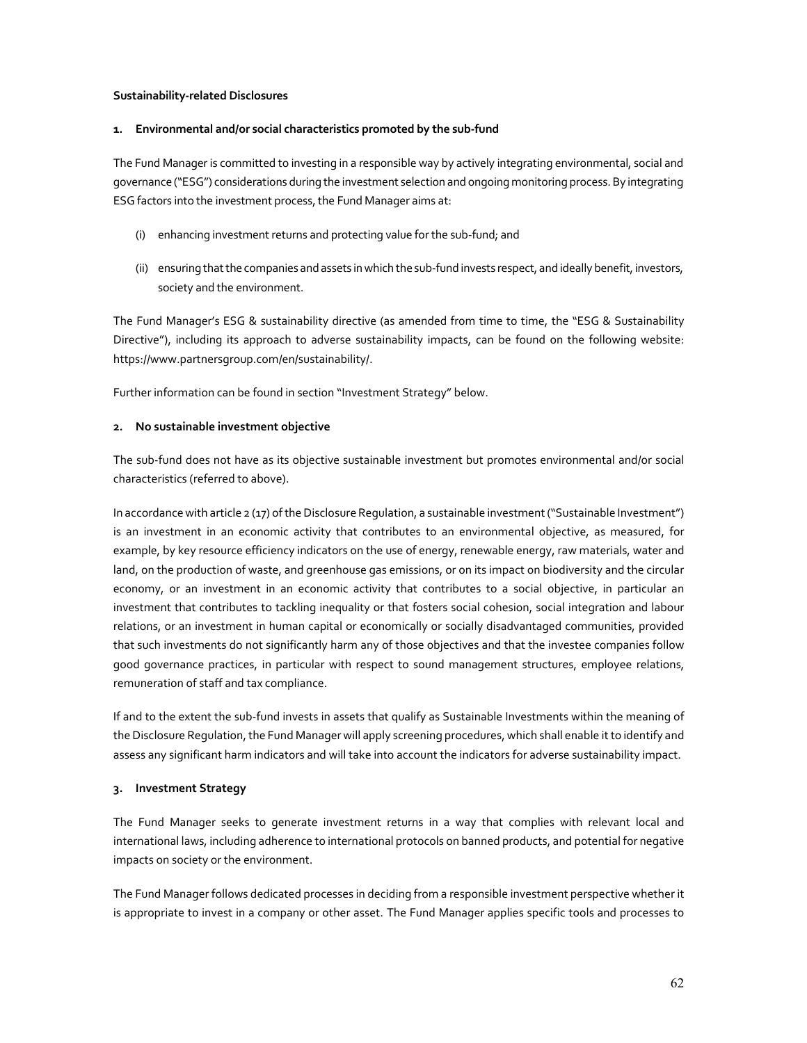## **Sustainability-related Disclosures**

#### **1. Environmental and/or social characteristics promoted by the sub-fund**

The Fund Manager is committed to investing in a responsible way by actively integrating environmental, social and governance ("ESG") considerations during the investment selection and ongoing monitoring process. By integrating ESG factors into the investment process, the Fund Manager aims at:

- (i) enhancing investment returns and protecting value for the sub-fund; and
- (ii) ensuring that the companies and assets in which the sub-fund invests respect, and ideally benefit, investors, society and the environment.

The Fund Manager's ESG & sustainability directive (as amended from time to time, the "ESG & Sustainability Directive"), including its approach to adverse sustainability impacts, can be found on the following website: https://www.partnersgroup.com/en/sustainability/.

Further information can be found in section "Investment Strategy" below.

## **2. No sustainable investment objective**

The sub-fund does not have as its objective sustainable investment but promotes environmental and/or social characteristics (referred to above).

In accordance with article 2 (17) of the Disclosure Regulation, a sustainable investment ("Sustainable Investment") is an investment in an economic activity that contributes to an environmental objective, as measured, for example, by key resource efficiency indicators on the use of energy, renewable energy, raw materials, water and land, on the production of waste, and greenhouse gas emissions, or on its impact on biodiversity and the circular economy, or an investment in an economic activity that contributes to a social objective, in particular an investment that contributes to tackling inequality or that fosters social cohesion, social integration and labour relations, or an investment in human capital or economically or socially disadvantaged communities, provided that such investments do not significantly harm any of those objectives and that the investee companies follow good governance practices, in particular with respect to sound management structures, employee relations, remuneration of staff and tax compliance.

If and to the extent the sub-fund invests in assets that qualify as Sustainable Investments within the meaning of the Disclosure Regulation, the Fund Manager will apply screening procedures, which shall enable it to identify and assess any significant harm indicators and will take into account the indicators for adverse sustainability impact.

## **3. Investment Strategy**

The Fund Manager seeks to generate investment returns in a way that complies with relevant local and international laws, including adherence to international protocols on banned products, and potential for negative impacts on society or the environment.

The Fund Manager follows dedicated processes in deciding from a responsible investment perspective whether it is appropriate to invest in a company or other asset. The Fund Manager applies specific tools and processes to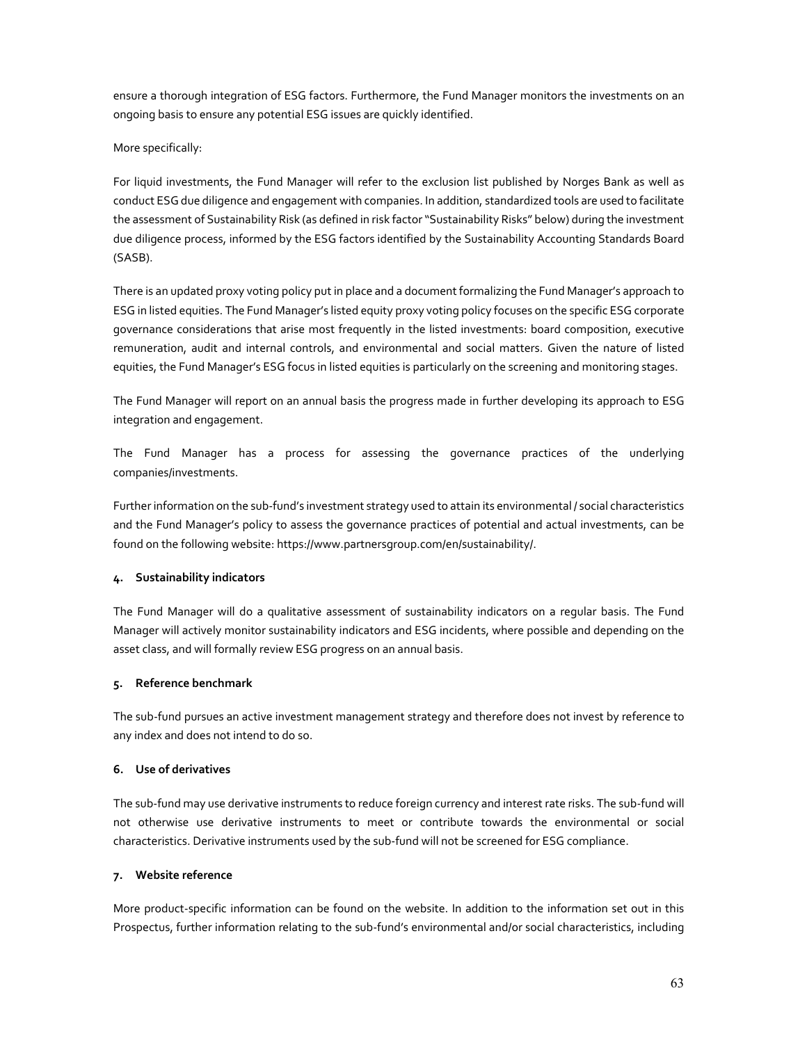ensure a thorough integration of ESG factors. Furthermore, the Fund Manager monitors the investments on an ongoing basis to ensure any potential ESG issues are quickly identified.

# More specifically:

For liquid investments, the Fund Manager will refer to the exclusion list published by Norges Bank as well as conduct ESG due diligence and engagement with companies. In addition, standardized tools are used to facilitate the assessment of Sustainability Risk (as defined in risk factor "Sustainability Risks" below) during the investment due diligence process, informed by the ESG factors identified by the Sustainability Accounting Standards Board (SASB).

There is an updated proxy voting policy put in place and a document formalizing the Fund Manager's approach to ESG in listed equities. The Fund Manager's listed equity proxy voting policy focuses on the specific ESG corporate governance considerations that arise most frequently in the listed investments: board composition, executive remuneration, audit and internal controls, and environmental and social matters. Given the nature of listed equities, the Fund Manager's ESG focus in listed equities is particularly on the screening and monitoring stages.

The Fund Manager will report on an annual basis the progress made in further developing its approach to ESG integration and engagement.

The Fund Manager has a process for assessing the governance practices of the underlying companies/investments.

Further information on the sub-fund's investment strategy used to attain its environmental / social characteristics and the Fund Manager's policy to assess the governance practices of potential and actual investments, can be found on the following website: https://www.partnersgroup.com/en/sustainability/.

## **4. Sustainability indicators**

The Fund Manager will do a qualitative assessment of sustainability indicators on a regular basis. The Fund Manager will actively monitor sustainability indicators and ESG incidents, where possible and depending on the asset class, and will formally review ESG progress on an annual basis.

## **5. Reference benchmark**

The sub-fund pursues an active investment management strategy and therefore does not invest by reference to any index and does not intend to do so.

# **6. Use of derivatives**

The sub-fund may use derivative instruments to reduce foreign currency and interest rate risks. The sub-fund will not otherwise use derivative instruments to meet or contribute towards the environmental or social characteristics. Derivative instruments used by the sub-fund will not be screened for ESG compliance.

## **7. Website reference**

More product-specific information can be found on the website. In addition to the information set out in this Prospectus, further information relating to the sub-fund's environmental and/or social characteristics, including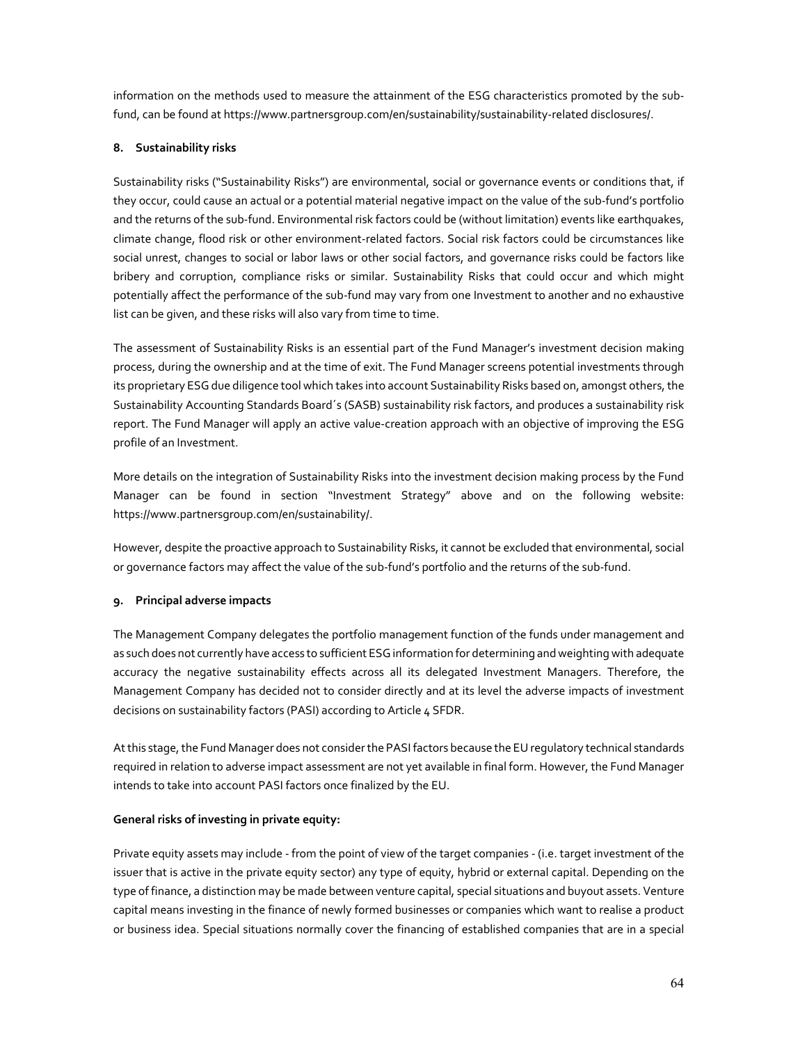information on the methods used to measure the attainment of the ESG characteristics promoted by the subfund, can be found at https://www.partnersgroup.com/en/sustainability/sustainability-related disclosures/.

# **8. Sustainability risks**

Sustainability risks ("Sustainability Risks") are environmental, social or governance events or conditions that, if they occur, could cause an actual or a potential material negative impact on the value of the sub-fund's portfolio and the returns of the sub-fund. Environmental risk factors could be (without limitation) events like earthquakes, climate change, flood risk or other environment-related factors. Social risk factors could be circumstances like social unrest, changes to social or labor laws or other social factors, and governance risks could be factors like bribery and corruption, compliance risks or similar. Sustainability Risks that could occur and which might potentially affect the performance of the sub-fund may vary from one Investment to another and no exhaustive list can be given, and these risks will also vary from time to time.

The assessment of Sustainability Risks is an essential part of the Fund Manager's investment decision making process, during the ownership and at the time of exit. The Fund Manager screens potential investments through its proprietary ESG due diligence tool which takes into account Sustainability Risks based on, amongst others, the Sustainability Accounting Standards Board´s (SASB) sustainability risk factors, and produces a sustainability risk report. The Fund Manager will apply an active value-creation approach with an objective of improving the ESG profile of an Investment.

More details on the integration of Sustainability Risks into the investment decision making process by the Fund Manager can be found in section "Investment Strategy" above and on the following website: https://www.partnersgroup.com/en/sustainability/.

However, despite the proactive approach to Sustainability Risks, it cannot be excluded that environmental, social or governance factors may affect the value of the sub-fund's portfolio and the returns of the sub-fund.

# **9. Principal adverse impacts**

The Management Company delegates the portfolio management function of the funds under management and as such does not currently have access to sufficient ESG information for determining and weighting with adequate accuracy the negative sustainability effects across all its delegated Investment Managers. Therefore, the Management Company has decided not to consider directly and at its level the adverse impacts of investment decisions on sustainability factors (PASI) according to Article 4 SFDR.

At this stage, the Fund Manager does not consider the PASI factors because the EU regulatory technical standards required in relation to adverse impact assessment are not yet available in final form. However, the Fund Manager intends to take into account PASI factors once finalized by the EU.

# **General risks of investing in private equity:**

Private equity assets may include - from the point of view of the target companies - (i.e. target investment of the issuer that is active in the private equity sector) any type of equity, hybrid or external capital. Depending on the type of finance, a distinction may be made between venture capital, special situations and buyout assets. Venture capital means investing in the finance of newly formed businesses or companies which want to realise a product or business idea. Special situations normally cover the financing of established companies that are in a special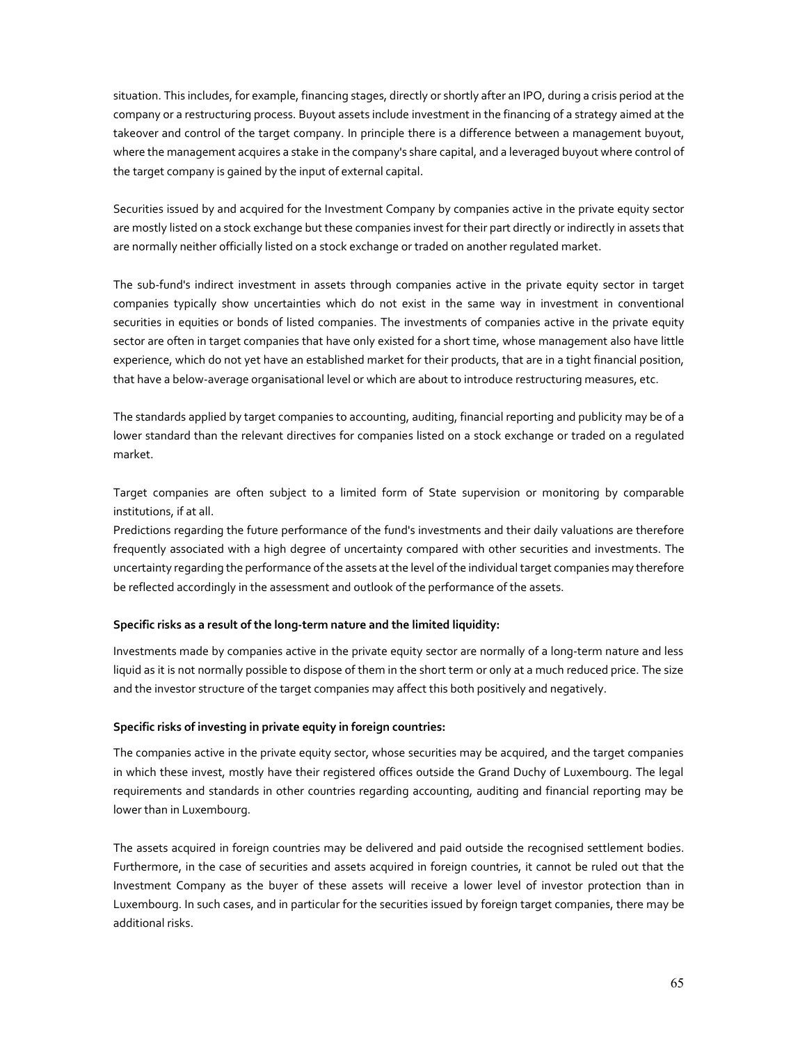situation. This includes, for example, financing stages, directly or shortly after an IPO, during a crisis period at the company or a restructuring process. Buyout assets include investment in the financing of a strategy aimed at the takeover and control of the target company. In principle there is a difference between a management buyout, where the management acquires a stake in the company's share capital, and a leveraged buyout where control of the target company is gained by the input of external capital.

Securities issued by and acquired for the Investment Company by companies active in the private equity sector are mostly listed on a stock exchange but these companies invest for their part directly or indirectly in assets that are normally neither officially listed on a stock exchange or traded on another regulated market.

The sub-fund's indirect investment in assets through companies active in the private equity sector in target companies typically show uncertainties which do not exist in the same way in investment in conventional securities in equities or bonds of listed companies. The investments of companies active in the private equity sector are often in target companies that have only existed for a short time, whose management also have little experience, which do not yet have an established market for their products, that are in a tight financial position, that have a below-average organisational level or which are about to introduce restructuring measures, etc.

The standards applied by target companies to accounting, auditing, financial reporting and publicity may be of a lower standard than the relevant directives for companies listed on a stock exchange or traded on a regulated market.

Target companies are often subject to a limited form of State supervision or monitoring by comparable institutions, if at all.

Predictions regarding the future performance of the fund's investments and their daily valuations are therefore frequently associated with a high degree of uncertainty compared with other securities and investments. The uncertainty regarding the performance of the assets at the level of the individual target companies may therefore be reflected accordingly in the assessment and outlook of the performance of the assets.

## **Specific risks as a result of the long-term nature and the limited liquidity:**

Investments made by companies active in the private equity sector are normally of a long-term nature and less liquid as it is not normally possible to dispose of them in the short term or only at a much reduced price. The size and the investor structure of the target companies may affect this both positively and negatively.

## **Specific risks of investing in private equity in foreign countries:**

The companies active in the private equity sector, whose securities may be acquired, and the target companies in which these invest, mostly have their registered offices outside the Grand Duchy of Luxembourg. The legal requirements and standards in other countries regarding accounting, auditing and financial reporting may be lower than in Luxembourg.

The assets acquired in foreign countries may be delivered and paid outside the recognised settlement bodies. Furthermore, in the case of securities and assets acquired in foreign countries, it cannot be ruled out that the Investment Company as the buyer of these assets will receive a lower level of investor protection than in Luxembourg. In such cases, and in particular for the securities issued by foreign target companies, there may be additional risks.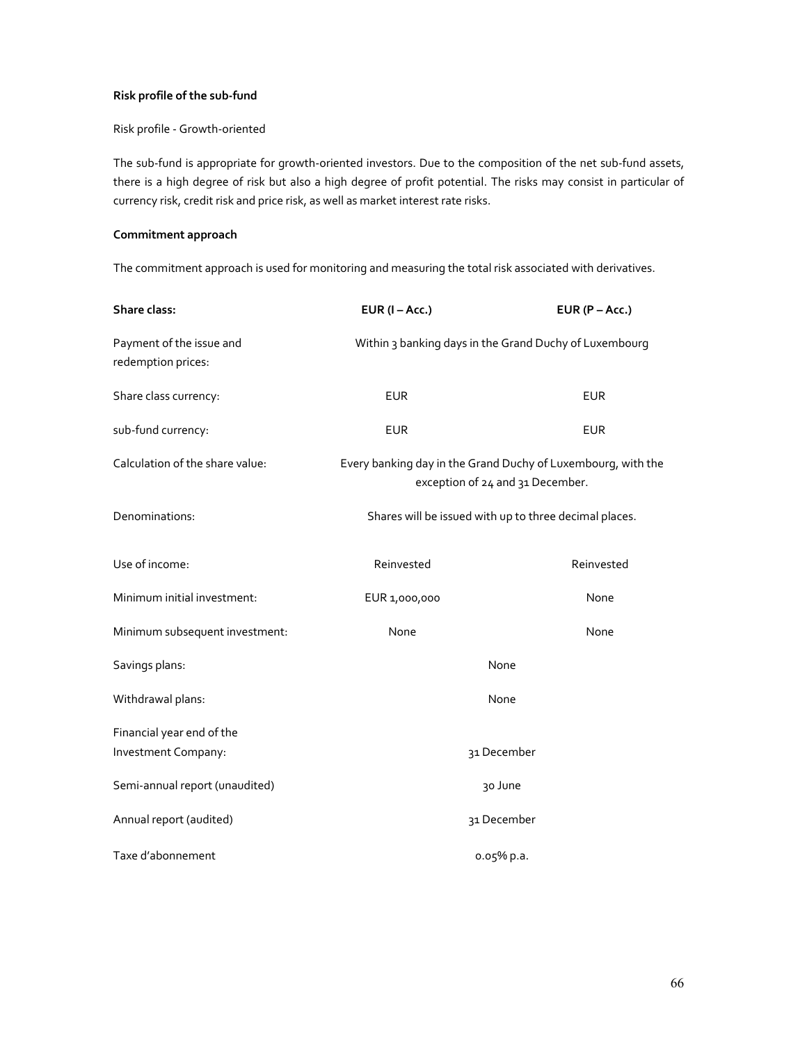# **Risk profile of the sub-fund**

## Risk profile - Growth-oriented

The sub-fund is appropriate for growth-oriented investors. Due to the composition of the net sub-fund assets, there is a high degree of risk but also a high degree of profit potential. The risks may consist in particular of currency risk, credit risk and price risk, as well as market interest rate risks.

## **Commitment approach**

The commitment approach is used for monitoring and measuring the total risk associated with derivatives.

| <b>Share class:</b>                            | $EUR (I - Acc.)$                                                                                 | $EUR(P - Acc.)$ |
|------------------------------------------------|--------------------------------------------------------------------------------------------------|-----------------|
| Payment of the issue and<br>redemption prices: | Within 3 banking days in the Grand Duchy of Luxembourg                                           |                 |
| Share class currency:                          | <b>EUR</b>                                                                                       | <b>EUR</b>      |
| sub-fund currency:                             | <b>EUR</b>                                                                                       | <b>EUR</b>      |
| Calculation of the share value:                | Every banking day in the Grand Duchy of Luxembourg, with the<br>exception of 24 and 31 December. |                 |
| Denominations:                                 | Shares will be issued with up to three decimal places.                                           |                 |
| Use of income:                                 | Reinvested                                                                                       | Reinvested      |
| Minimum initial investment:                    | EUR 1,000,000                                                                                    | None            |
| Minimum subsequent investment:                 | None                                                                                             | None            |
| Savings plans:                                 | None                                                                                             |                 |
| Withdrawal plans:                              | None                                                                                             |                 |
| Financial year end of the                      |                                                                                                  |                 |
| Investment Company:                            |                                                                                                  | 31 December     |
| Semi-annual report (unaudited)                 |                                                                                                  | 30 June         |
| Annual report (audited)                        | 31 December                                                                                      |                 |
| Taxe d'abonnement                              |                                                                                                  | 0.05% p.a.      |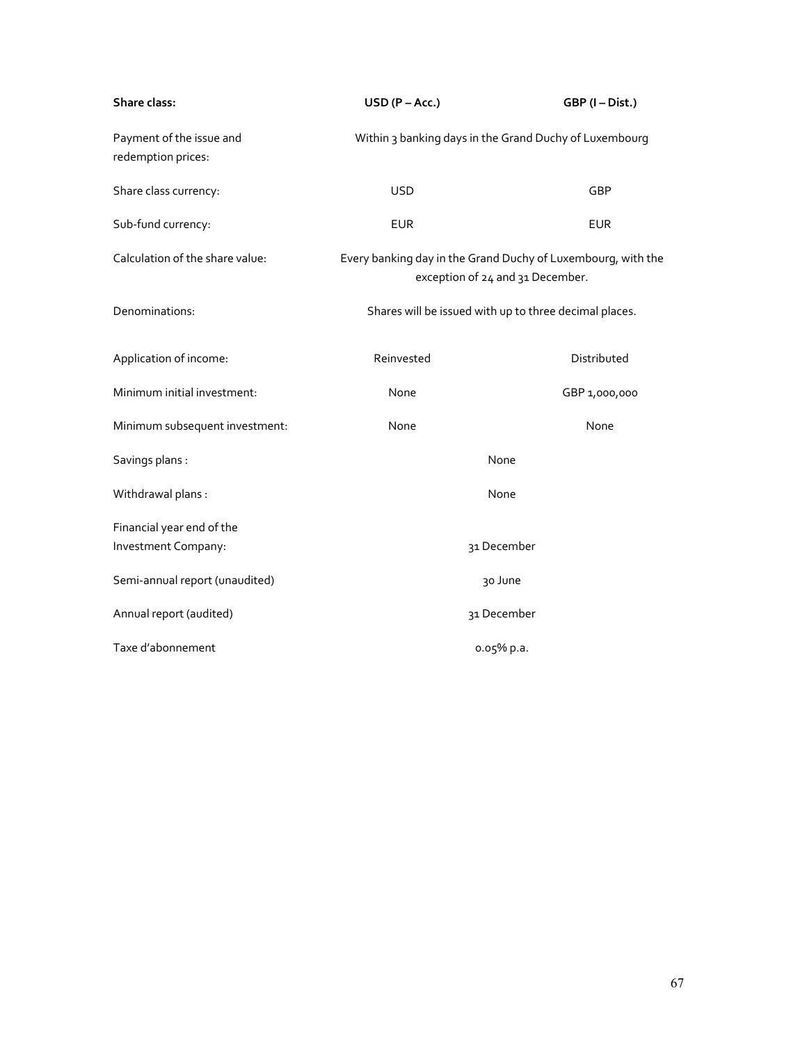| Share class:                                   | $USD (P - Acc.)$                                                                                 | GBP (I-Dist.)                                          |
|------------------------------------------------|--------------------------------------------------------------------------------------------------|--------------------------------------------------------|
| Payment of the issue and<br>redemption prices: |                                                                                                  | Within 3 banking days in the Grand Duchy of Luxembourg |
| Share class currency:                          | <b>USD</b>                                                                                       | GBP                                                    |
| Sub-fund currency:                             | <b>EUR</b>                                                                                       | <b>EUR</b>                                             |
| Calculation of the share value:                | Every banking day in the Grand Duchy of Luxembourg, with the<br>exception of 24 and 31 December. |                                                        |
| Denominations:                                 |                                                                                                  | Shares will be issued with up to three decimal places. |
| Application of income:                         | Reinvested                                                                                       | Distributed                                            |
| Minimum initial investment:                    | None                                                                                             | GBP 1,000,000                                          |
| Minimum subsequent investment:                 | None                                                                                             | None                                                   |
| Savings plans :                                | None                                                                                             |                                                        |
| Withdrawal plans :                             | None                                                                                             |                                                        |
| Financial year end of the                      |                                                                                                  |                                                        |
| Investment Company:                            |                                                                                                  | 31 December                                            |
| Semi-annual report (unaudited)                 |                                                                                                  | 30 June                                                |
| Annual report (audited)                        |                                                                                                  | 31 December                                            |
| Taxe d'abonnement                              |                                                                                                  | 0.05% p.a.                                             |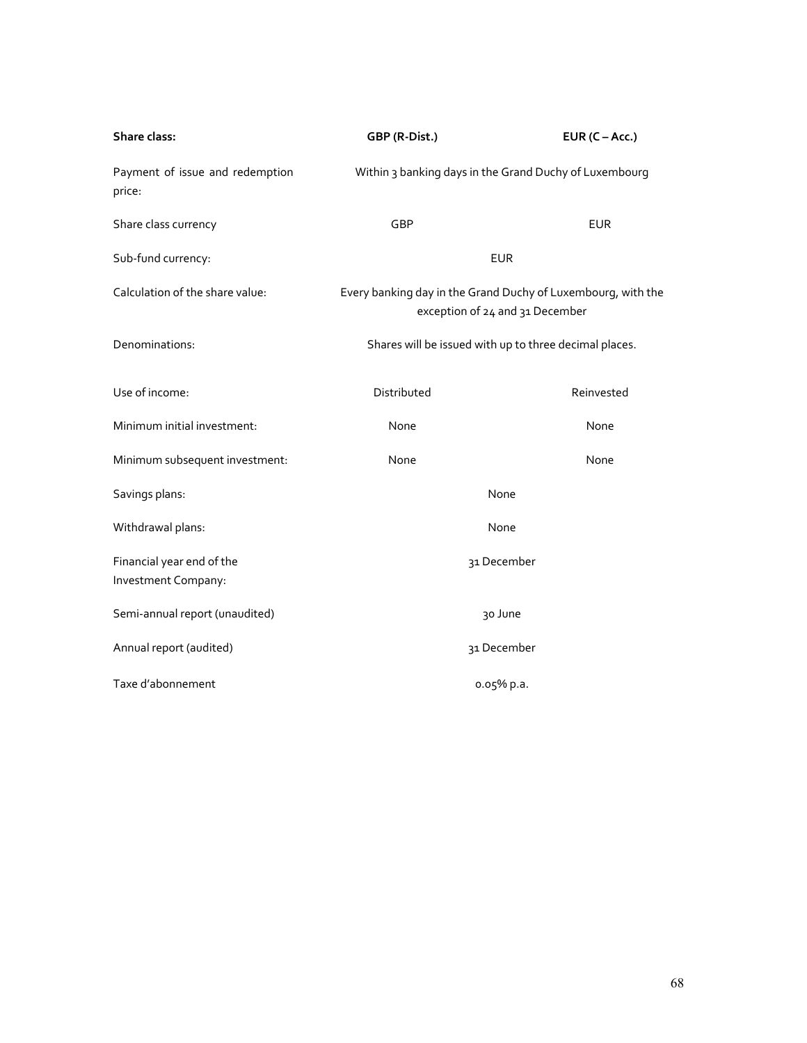| Share class:                                     | GBP (R-Dist.)                                                                                   | EUR $(C - Acc.)$                                       |
|--------------------------------------------------|-------------------------------------------------------------------------------------------------|--------------------------------------------------------|
| Payment of issue and redemption<br>price:        |                                                                                                 | Within 3 banking days in the Grand Duchy of Luxembourg |
| Share class currency                             | GBP                                                                                             | <b>EUR</b>                                             |
| Sub-fund currency:                               | <b>EUR</b>                                                                                      |                                                        |
| Calculation of the share value:                  | Every banking day in the Grand Duchy of Luxembourg, with the<br>exception of 24 and 31 December |                                                        |
| Denominations:                                   | Shares will be issued with up to three decimal places.                                          |                                                        |
| Use of income:                                   | Distributed                                                                                     | Reinvested                                             |
| Minimum initial investment:                      | None                                                                                            | None                                                   |
| Minimum subsequent investment:                   | None                                                                                            | None                                                   |
| Savings plans:                                   | None                                                                                            |                                                        |
| Withdrawal plans:                                | None                                                                                            |                                                        |
| Financial year end of the<br>Investment Company: |                                                                                                 | 31 December                                            |
| Semi-annual report (unaudited)                   | 30 June                                                                                         |                                                        |
| Annual report (audited)                          | 31 December                                                                                     |                                                        |
| Taxe d'abonnement                                | $0.05%$ p.a.                                                                                    |                                                        |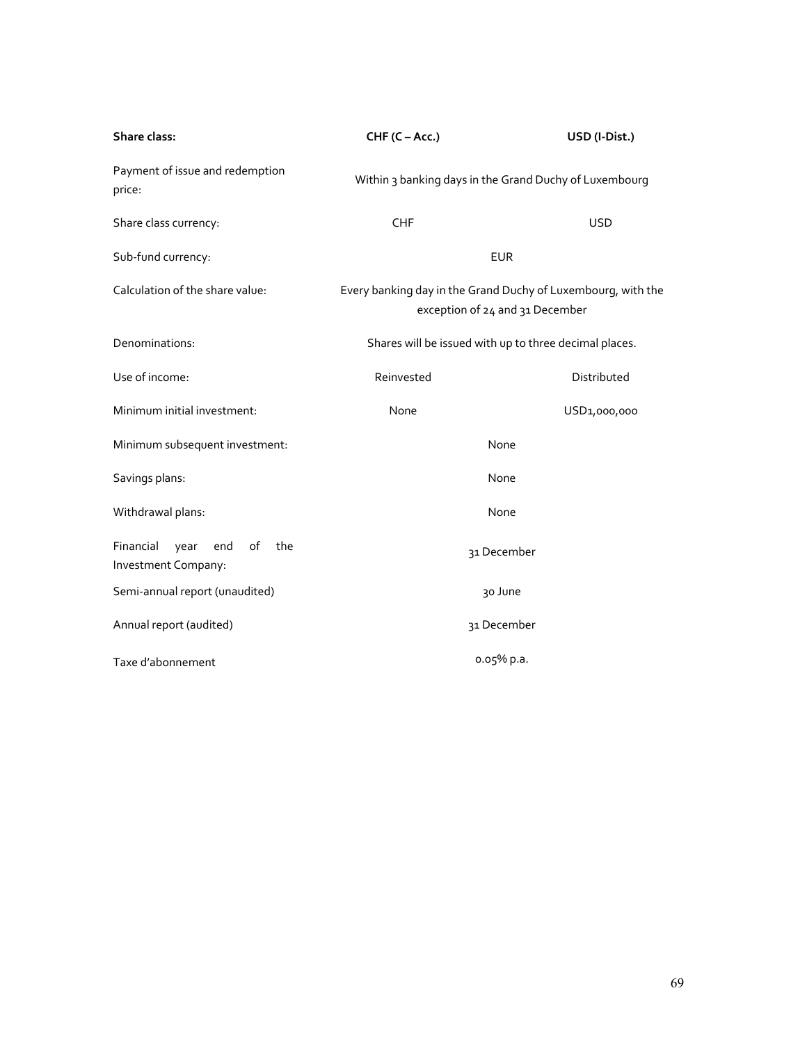| Share class:                                                 | CHF (C-Acc.)                                                                                    | USD (I-Dist.) |
|--------------------------------------------------------------|-------------------------------------------------------------------------------------------------|---------------|
| Payment of issue and redemption<br>price:                    | Within 3 banking days in the Grand Duchy of Luxembourg                                          |               |
| Share class currency:                                        | <b>CHF</b>                                                                                      | <b>USD</b>    |
| Sub-fund currency:                                           | <b>EUR</b>                                                                                      |               |
| Calculation of the share value:                              | Every banking day in the Grand Duchy of Luxembourg, with the<br>exception of 24 and 31 December |               |
| Denominations:                                               | Shares will be issued with up to three decimal places.                                          |               |
| Use of income:                                               | Reinvested                                                                                      | Distributed   |
| Minimum initial investment:                                  | None                                                                                            | USD1,000,000  |
| Minimum subsequent investment:                               | None                                                                                            |               |
| Savings plans:                                               | None                                                                                            |               |
| Withdrawal plans:                                            | None                                                                                            |               |
| Financial<br>end<br>of<br>the<br>year<br>Investment Company: | 31 December                                                                                     |               |
| Semi-annual report (unaudited)                               | 30 June                                                                                         |               |
| Annual report (audited)                                      | 31 December                                                                                     |               |
| Taxe d'abonnement                                            | o.o5% p.a.                                                                                      |               |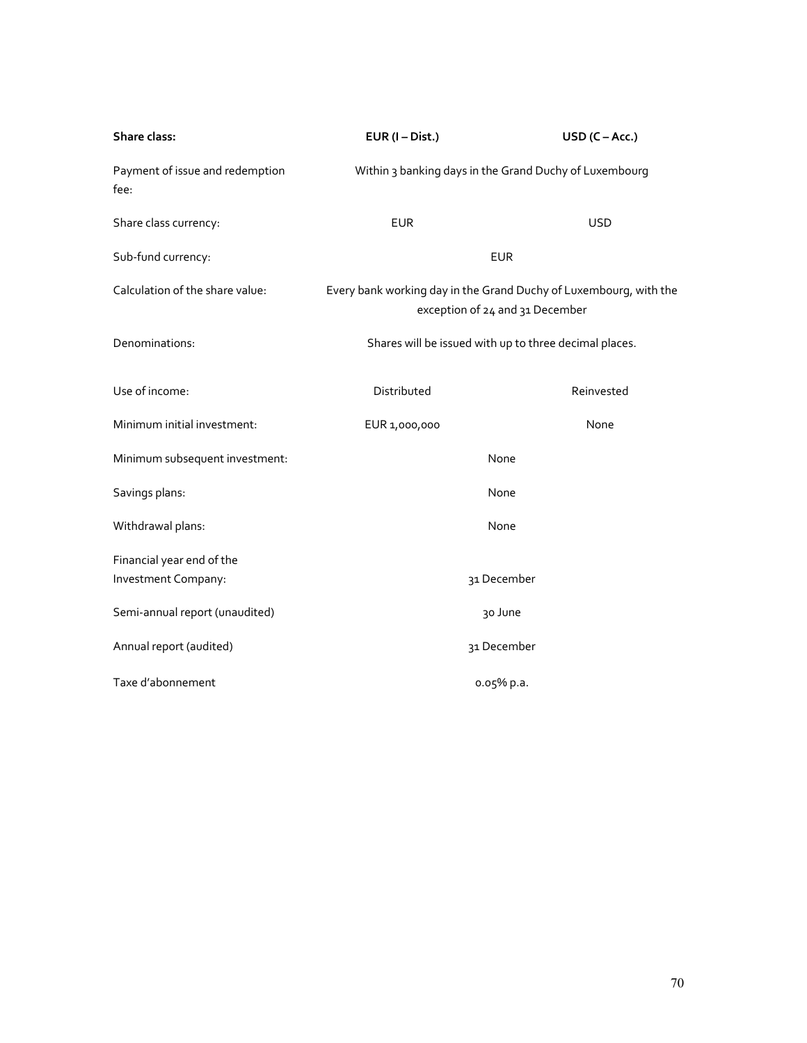| Share class:                            | $EUR (I-Dist.)$                                                                                      | $USD (C - Acc.)$ |
|-----------------------------------------|------------------------------------------------------------------------------------------------------|------------------|
| Payment of issue and redemption<br>fee: | Within 3 banking days in the Grand Duchy of Luxembourg                                               |                  |
| Share class currency:                   | <b>EUR</b>                                                                                           | <b>USD</b>       |
| Sub-fund currency:                      | <b>EUR</b>                                                                                           |                  |
| Calculation of the share value:         | Every bank working day in the Grand Duchy of Luxembourg, with the<br>exception of 24 and 31 December |                  |
| Denominations:                          | Shares will be issued with up to three decimal places.                                               |                  |
| Use of income:                          | Distributed                                                                                          | Reinvested       |
| Minimum initial investment:             | EUR 1,000,000                                                                                        | None             |
| Minimum subsequent investment:          | None                                                                                                 |                  |
| Savings plans:                          | None                                                                                                 |                  |
| Withdrawal plans:                       | None                                                                                                 |                  |
| Financial year end of the               |                                                                                                      |                  |
| Investment Company:                     | 31 December                                                                                          |                  |
| Semi-annual report (unaudited)          | 30 June                                                                                              |                  |
| Annual report (audited)                 | 31 December                                                                                          |                  |
| Taxe d'abonnement                       | 0.05% p.a.                                                                                           |                  |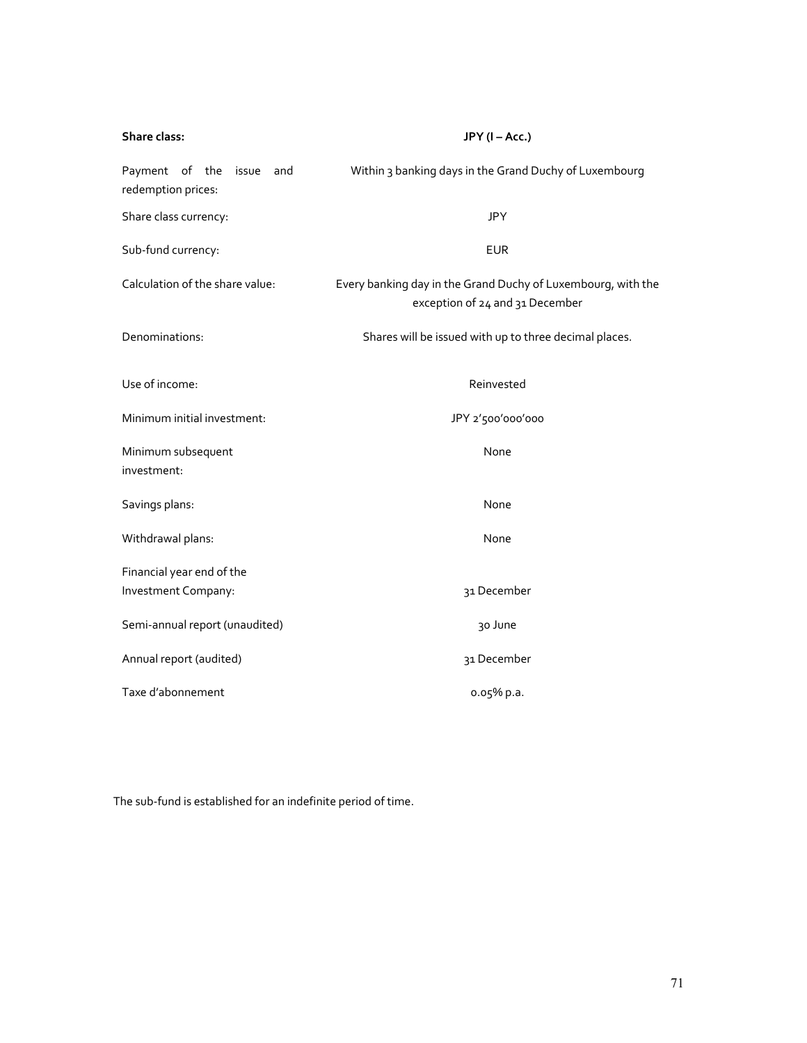| Share class:                                         | JPY (I-Acc.)                                                                                    |
|------------------------------------------------------|-------------------------------------------------------------------------------------------------|
| Payment of the<br>issue<br>and<br>redemption prices: | Within 3 banking days in the Grand Duchy of Luxembourg                                          |
| Share class currency:                                | <b>JPY</b>                                                                                      |
| Sub-fund currency:                                   | <b>EUR</b>                                                                                      |
| Calculation of the share value:                      | Every banking day in the Grand Duchy of Luxembourg, with the<br>exception of 24 and 31 December |
| Denominations:                                       | Shares will be issued with up to three decimal places.                                          |
| Use of income:                                       | Reinvested                                                                                      |
| Minimum initial investment:                          | JPY 2'500'000'000                                                                               |
| Minimum subsequent<br>investment:                    | None                                                                                            |
| Savings plans:                                       | None                                                                                            |
| Withdrawal plans:                                    | None                                                                                            |
| Financial year end of the                            |                                                                                                 |
| Investment Company:                                  | 31 December                                                                                     |
| Semi-annual report (unaudited)                       | 30 June                                                                                         |
| Annual report (audited)                              | 31 December                                                                                     |
| Taxe d'abonnement                                    | 0.05% p.a.                                                                                      |

The sub-fund is established for an indefinite period of time.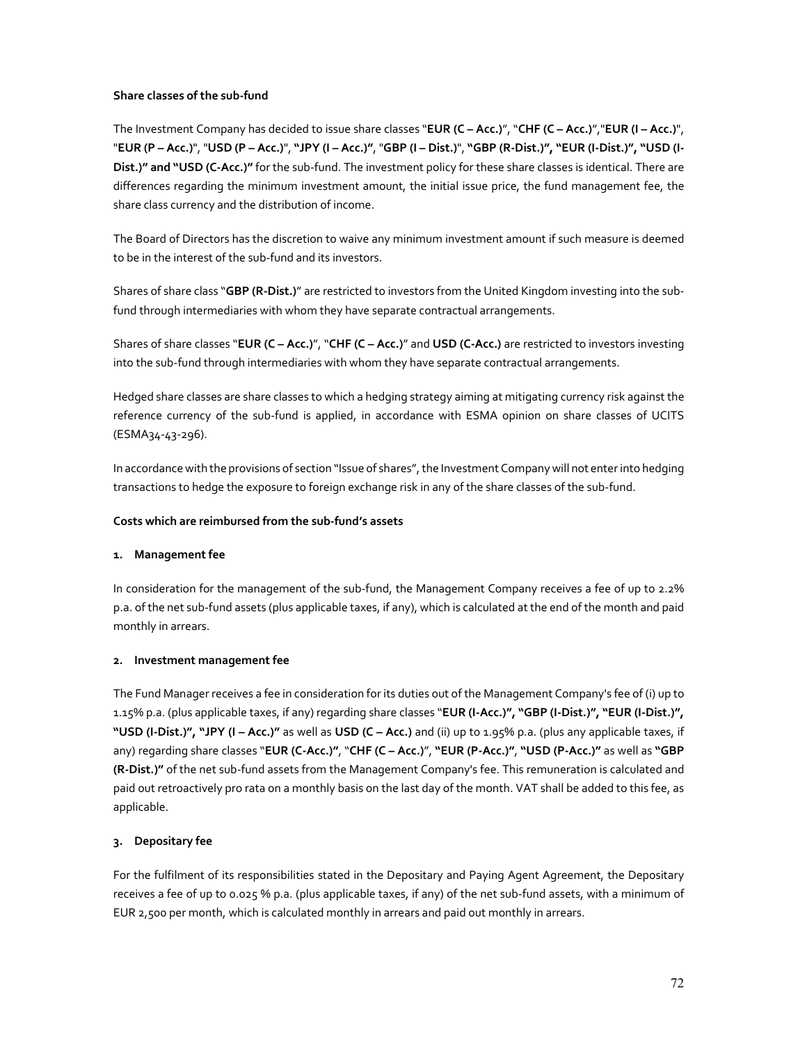## **Share classes of the sub-fund**

The Investment Company has decided to issue share classes "**EUR (C – Acc.)**", "**CHF (C – Acc.)**","**EUR (I – Acc.)**", "**EUR (P – Acc.)**", "**USD (P – Acc.)**", **"JPY (I – Acc.)"**, "**GBP (I – Dist.)**", **"GBP (R-Dist.)", "EUR (I-Dist.)", "USD (I-Dist.)" and "USD (C-Acc.)"** for the sub-fund. The investment policy for these share classes is identical. There are differences regarding the minimum investment amount, the initial issue price, the fund management fee, the share class currency and the distribution of income.

The Board of Directors has the discretion to waive any minimum investment amount if such measure is deemed to be in the interest of the sub-fund and its investors.

Shares of share class "**GBP (R-Dist.)**" are restricted to investors from the United Kingdom investing into the subfund through intermediaries with whom they have separate contractual arrangements.

Shares of share classes "**EUR (C – Acc.)**", "**CHF (C – Acc.)**" and **USD (C-Acc.)** are restricted to investors investing into the sub-fund through intermediaries with whom they have separate contractual arrangements.

Hedged share classes are share classes to which a hedging strategy aiming at mitigating currency risk against the reference currency of the sub-fund is applied, in accordance with ESMA opinion on share classes of UCITS (ESMA34-43-296).

In accordance with the provisions of section "Issue of shares", the Investment Company will not enter into hedging transactions to hedge the exposure to foreign exchange risk in any of the share classes of the sub-fund.

# **Costs which are reimbursed from the sub-fund's assets**

# **1. Management fee**

In consideration for the management of the sub-fund, the Management Company receives a fee of up to 2.2% p.a. of the net sub-fund assets (plus applicable taxes, if any), which is calculated at the end of the month and paid monthly in arrears.

# **2. Investment management fee**

The Fund Manager receives a fee in consideration for its duties out of the Management Company's fee of (i) up to 1.15% p.a. (plus applicable taxes, if any) regarding share classes "**EUR (I-Acc.)", "GBP (I-Dist.)", "EUR (I-Dist.)", "USD (I-Dist.)", "JPY (I – Acc.)"** as well as **USD (C – Acc.)** and (ii) up to 1.95% p.a. (plus any applicable taxes, if any) regarding share classes "**EUR (C-Acc.)"**, "**CHF (C – Acc.)**", **"EUR (P-Acc.)"**, **"USD (P-Acc.)"** as well as **"GBP (R-Dist.)"** of the net sub-fund assets from the Management Company's fee. This remuneration is calculated and paid out retroactively pro rata on a monthly basis on the last day of the month. VAT shall be added to this fee, as applicable.

# **3. Depositary fee**

For the fulfilment of its responsibilities stated in the Depositary and Paying Agent Agreement, the Depositary receives a fee of up to 0.025 % p.a. (plus applicable taxes, if any) of the net sub-fund assets, with a minimum of EUR 2,500 per month, which is calculated monthly in arrears and paid out monthly in arrears.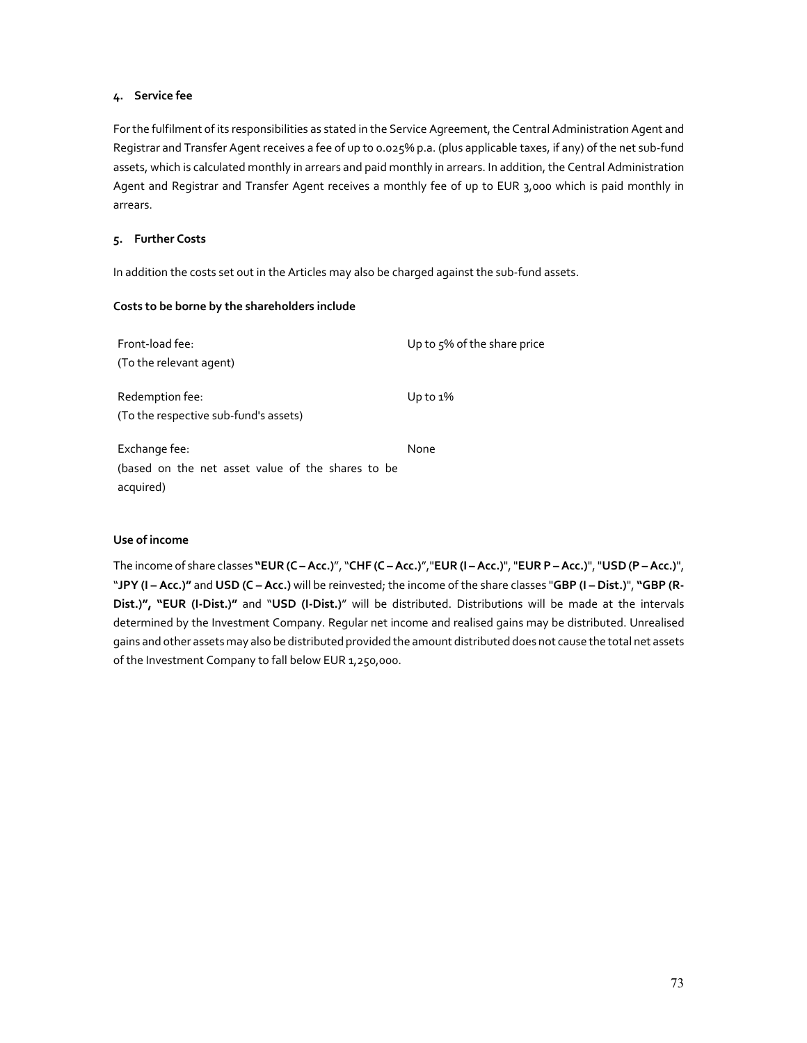### **4. Service fee**

For the fulfilment of its responsibilities as stated in the Service Agreement, the Central Administration Agent and Registrar and Transfer Agent receives a fee of up to 0.025% p.a. (plus applicable taxes, if any) of the net sub-fund assets, which is calculated monthly in arrears and paid monthly in arrears. In addition, the Central Administration Agent and Registrar and Transfer Agent receives a monthly fee of up to EUR 3,000 which is paid monthly in arrears.

### **5. Further Costs**

In addition the costs set out in the Articles may also be charged against the sub-fund assets.

## **Costs to be borne by the shareholders include**

| Front-load fee:<br>(To the relevant agent)                                      | Up to 5% of the share price |
|---------------------------------------------------------------------------------|-----------------------------|
| Redemption fee:<br>(To the respective sub-fund's assets)                        | Up to $1\%$                 |
| Exchange fee:<br>(based on the net asset value of the shares to be<br>acquired) | None                        |

## **Use of income**

The income of share classes **"EUR (C – Acc.)**", "**CHF (C – Acc.)**","**EUR (I – Acc.)**", "**EUR P – Acc.)**", "**USD (P – Acc.)**", "**JPY (I – Acc.)"** and **USD (C – Acc.)** will be reinvested; the income of the share classes "**GBP (I – Dist.)**", **"GBP (R-Dist.)", "EUR (I-Dist.)"** and "**USD (I-Dist.)**" will be distributed. Distributions will be made at the intervals determined by the Investment Company. Regular net income and realised gains may be distributed. Unrealised gains and other assets may also be distributed provided the amount distributed does not cause the total net assets of the Investment Company to fall below EUR 1,250,000.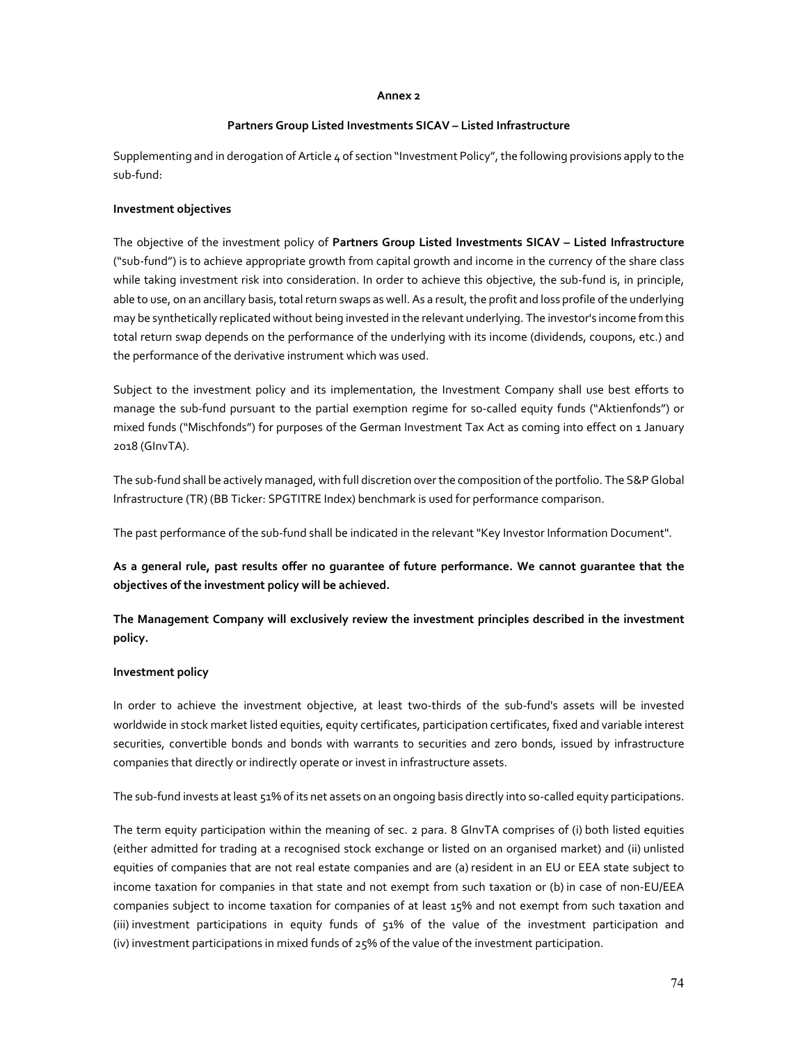#### **Annex 2**

### **Partners Group Listed Investments SICAV – Listed Infrastructure**

Supplementing and in derogation of Article 4 of section "Investment Policy", the following provisions apply to the sub-fund:

### **Investment objectives**

The objective of the investment policy of **Partners Group Listed Investments SICAV – Listed Infrastructure** ("sub-fund") is to achieve appropriate growth from capital growth and income in the currency of the share class while taking investment risk into consideration. In order to achieve this objective, the sub-fund is, in principle, able to use, on an ancillary basis, total return swaps as well. As a result, the profit and loss profile of the underlying may be synthetically replicated without being invested in the relevant underlying. The investor's income from this total return swap depends on the performance of the underlying with its income (dividends, coupons, etc.) and the performance of the derivative instrument which was used.

Subject to the investment policy and its implementation, the Investment Company shall use best efforts to manage the sub-fund pursuant to the partial exemption regime for so-called equity funds ("Aktienfonds") or mixed funds ("Mischfonds") for purposes of the German Investment Tax Act as coming into effect on 1 January 2018 (GInvTA).

The sub-fund shall be actively managed, with full discretion over the composition of the portfolio. The S&P Global Infrastructure (TR) (BB Ticker: SPGTITRE Index) benchmark is used for performance comparison.

The past performance of the sub-fund shall be indicated in the relevant "Key Investor Information Document".

**As a general rule, past results offer no guarantee of future performance. We cannot guarantee that the objectives of the investment policy will be achieved.** 

**The Management Company will exclusively review the investment principles described in the investment policy.** 

## **Investment policy**

In order to achieve the investment objective, at least two-thirds of the sub-fund's assets will be invested worldwide in stock market listed equities, equity certificates, participation certificates, fixed and variable interest securities, convertible bonds and bonds with warrants to securities and zero bonds, issued by infrastructure companies that directly or indirectly operate or invest in infrastructure assets.

The sub-fund invests at least 51% of its net assets on an ongoing basis directly into so-called equity participations.

The term equity participation within the meaning of sec. 2 para. 8 GInvTA comprises of (i) both listed equities (either admitted for trading at a recognised stock exchange or listed on an organised market) and (ii) unlisted equities of companies that are not real estate companies and are (a) resident in an EU or EEA state subject to income taxation for companies in that state and not exempt from such taxation or (b) in case of non-EU/EEA companies subject to income taxation for companies of at least 15% and not exempt from such taxation and (iii) investment participations in equity funds of 51% of the value of the investment participation and (iv) investment participations in mixed funds of 25% of the value of the investment participation.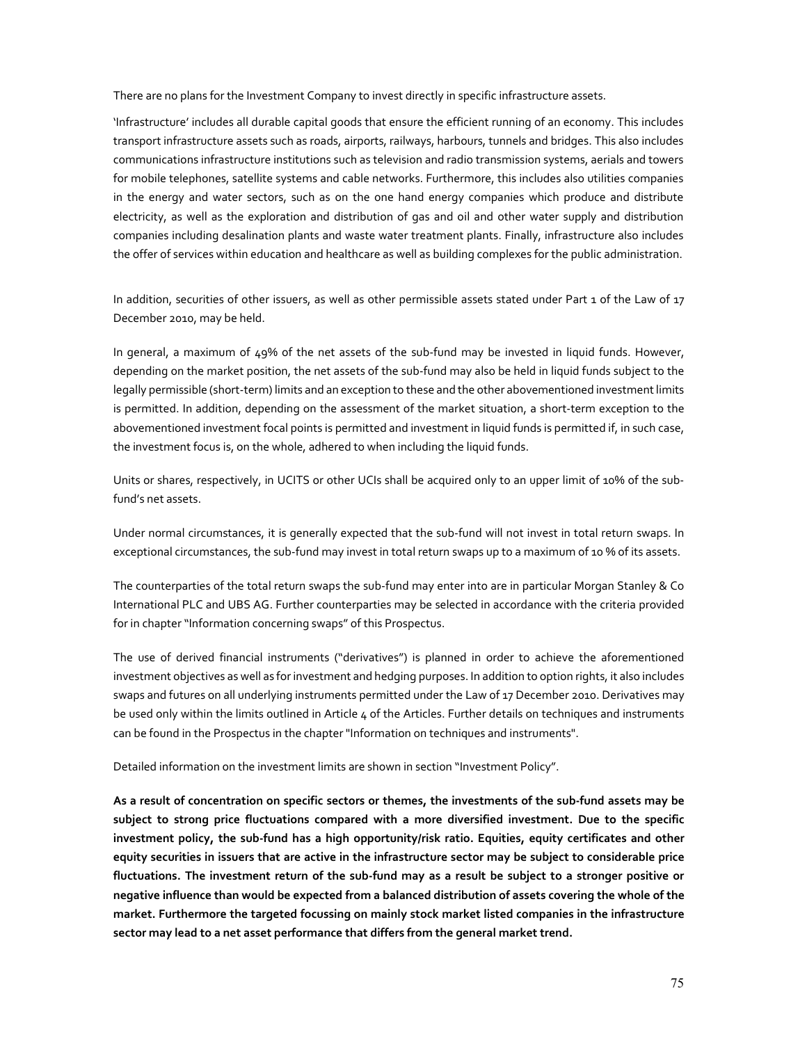There are no plans for the Investment Company to invest directly in specific infrastructure assets.

'Infrastructure' includes all durable capital goods that ensure the efficient running of an economy. This includes transport infrastructure assets such as roads, airports, railways, harbours, tunnels and bridges. This also includes communications infrastructure institutions such as television and radio transmission systems, aerials and towers for mobile telephones, satellite systems and cable networks. Furthermore, this includes also utilities companies in the energy and water sectors, such as on the one hand energy companies which produce and distribute electricity, as well as the exploration and distribution of gas and oil and other water supply and distribution companies including desalination plants and waste water treatment plants. Finally, infrastructure also includes the offer of services within education and healthcare as well as building complexes for the public administration.

In addition, securities of other issuers, as well as other permissible assets stated under Part 1 of the Law of 17 December 2010, may be held.

In general, a maximum of 49% of the net assets of the sub-fund may be invested in liquid funds. However, depending on the market position, the net assets of the sub-fund may also be held in liquid funds subject to the legally permissible (short-term) limits and an exception to these and the other abovementioned investment limits is permitted. In addition, depending on the assessment of the market situation, a short-term exception to the abovementioned investment focal points is permitted and investment in liquid funds is permitted if, in such case, the investment focus is, on the whole, adhered to when including the liquid funds.

Units or shares, respectively, in UCITS or other UCIs shall be acquired only to an upper limit of 10% of the subfund's net assets.

Under normal circumstances, it is generally expected that the sub-fund will not invest in total return swaps. In exceptional circumstances, the sub-fund may invest in total return swaps up to a maximum of 10 % of its assets.

The counterparties of the total return swaps the sub-fund may enter into are in particular Morgan Stanley & Co International PLC and UBS AG. Further counterparties may be selected in accordance with the criteria provided for in chapter "Information concerning swaps" of this Prospectus.

The use of derived financial instruments ("derivatives") is planned in order to achieve the aforementioned investment objectives as well as for investment and hedging purposes. In addition to option rights, it also includes swaps and futures on all underlying instruments permitted under the Law of 17 December 2010. Derivatives may be used only within the limits outlined in Article 4 of the Articles. Further details on techniques and instruments can be found in the Prospectus in the chapter "Information on techniques and instruments".

Detailed information on the investment limits are shown in section "Investment Policy".

**As a result of concentration on specific sectors or themes, the investments of the sub-fund assets may be subject to strong price fluctuations compared with a more diversified investment. Due to the specific investment policy, the sub-fund has a high opportunity/risk ratio. Equities, equity certificates and other equity securities in issuers that are active in the infrastructure sector may be subject to considerable price fluctuations. The investment return of the sub-fund may as a result be subject to a stronger positive or negative influence than would be expected from a balanced distribution of assets covering the whole of the market. Furthermore the targeted focussing on mainly stock market listed companies in the infrastructure sector may lead to a net asset performance that differs from the general market trend.**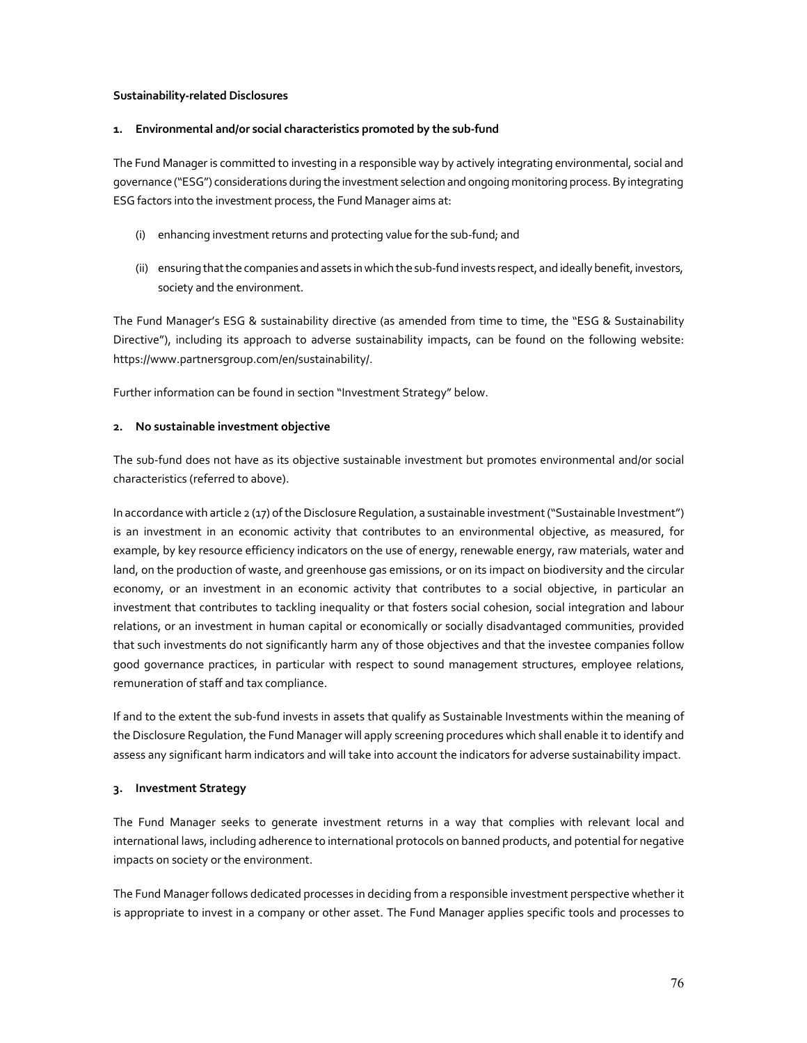### **Sustainability-related Disclosures**

#### **1. Environmental and/or social characteristics promoted by the sub-fund**

The Fund Manager is committed to investing in a responsible way by actively integrating environmental, social and governance ("ESG") considerations during the investment selection and ongoing monitoring process. By integrating ESG factors into the investment process, the Fund Manager aims at:

- (i) enhancing investment returns and protecting value for the sub-fund; and
- (ii) ensuring that the companies and assets in which the sub-fund invests respect, and ideally benefit, investors, society and the environment.

The Fund Manager's ESG & sustainability directive (as amended from time to time, the "ESG & Sustainability Directive"), including its approach to adverse sustainability impacts, can be found on the following website: https://www.partnersgroup.com/en/sustainability/.

Further information can be found in section "Investment Strategy" below.

### **2. No sustainable investment objective**

The sub-fund does not have as its objective sustainable investment but promotes environmental and/or social characteristics (referred to above).

In accordance with article 2 (17) of the Disclosure Regulation, a sustainable investment ("Sustainable Investment") is an investment in an economic activity that contributes to an environmental objective, as measured, for example, by key resource efficiency indicators on the use of energy, renewable energy, raw materials, water and land, on the production of waste, and greenhouse gas emissions, or on its impact on biodiversity and the circular economy, or an investment in an economic activity that contributes to a social objective, in particular an investment that contributes to tackling inequality or that fosters social cohesion, social integration and labour relations, or an investment in human capital or economically or socially disadvantaged communities, provided that such investments do not significantly harm any of those objectives and that the investee companies follow good governance practices, in particular with respect to sound management structures, employee relations, remuneration of staff and tax compliance.

If and to the extent the sub-fund invests in assets that qualify as Sustainable Investments within the meaning of the Disclosure Regulation, the Fund Manager will apply screening procedures which shall enable it to identify and assess any significant harm indicators and will take into account the indicators for adverse sustainability impact.

### **3. Investment Strategy**

The Fund Manager seeks to generate investment returns in a way that complies with relevant local and international laws, including adherence to international protocols on banned products, and potential for negative impacts on society or the environment.

The Fund Manager follows dedicated processes in deciding from a responsible investment perspective whether it is appropriate to invest in a company or other asset. The Fund Manager applies specific tools and processes to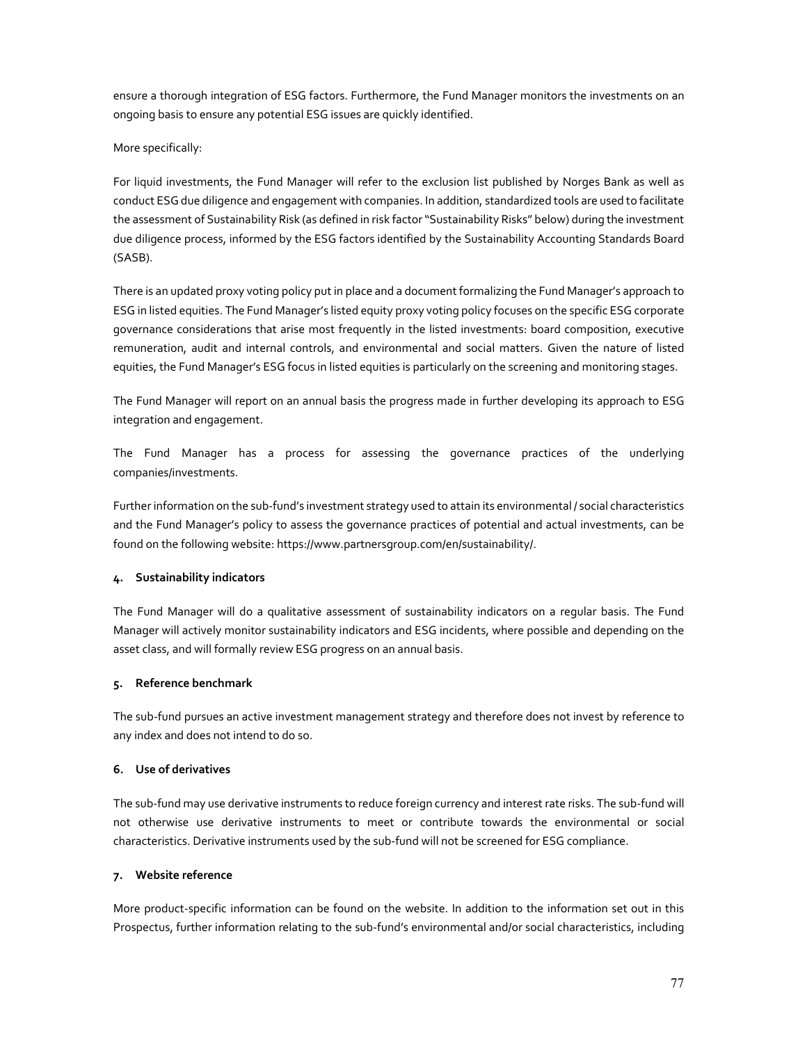ensure a thorough integration of ESG factors. Furthermore, the Fund Manager monitors the investments on an ongoing basis to ensure any potential ESG issues are quickly identified.

### More specifically:

For liquid investments, the Fund Manager will refer to the exclusion list published by Norges Bank as well as conduct ESG due diligence and engagement with companies. In addition, standardized tools are used to facilitate the assessment of Sustainability Risk (as defined in risk factor "Sustainability Risks" below) during the investment due diligence process, informed by the ESG factors identified by the Sustainability Accounting Standards Board (SASB).

There is an updated proxy voting policy put in place and a document formalizing the Fund Manager's approach to ESG in listed equities. The Fund Manager's listed equity proxy voting policy focuses on the specific ESG corporate governance considerations that arise most frequently in the listed investments: board composition, executive remuneration, audit and internal controls, and environmental and social matters. Given the nature of listed equities, the Fund Manager's ESG focus in listed equities is particularly on the screening and monitoring stages.

The Fund Manager will report on an annual basis the progress made in further developing its approach to ESG integration and engagement.

The Fund Manager has a process for assessing the governance practices of the underlying companies/investments.

Further information on the sub-fund's investment strategy used to attain its environmental / social characteristics and the Fund Manager's policy to assess the governance practices of potential and actual investments, can be found on the following website: https://www.partnersgroup.com/en/sustainability/.

## **4. Sustainability indicators**

The Fund Manager will do a qualitative assessment of sustainability indicators on a regular basis. The Fund Manager will actively monitor sustainability indicators and ESG incidents, where possible and depending on the asset class, and will formally review ESG progress on an annual basis.

### **5. Reference benchmark**

The sub-fund pursues an active investment management strategy and therefore does not invest by reference to any index and does not intend to do so.

# **6. Use of derivatives**

The sub-fund may use derivative instruments to reduce foreign currency and interest rate risks. The sub-fund will not otherwise use derivative instruments to meet or contribute towards the environmental or social characteristics. Derivative instruments used by the sub-fund will not be screened for ESG compliance.

## **7. Website reference**

More product-specific information can be found on the website. In addition to the information set out in this Prospectus, further information relating to the sub-fund's environmental and/or social characteristics, including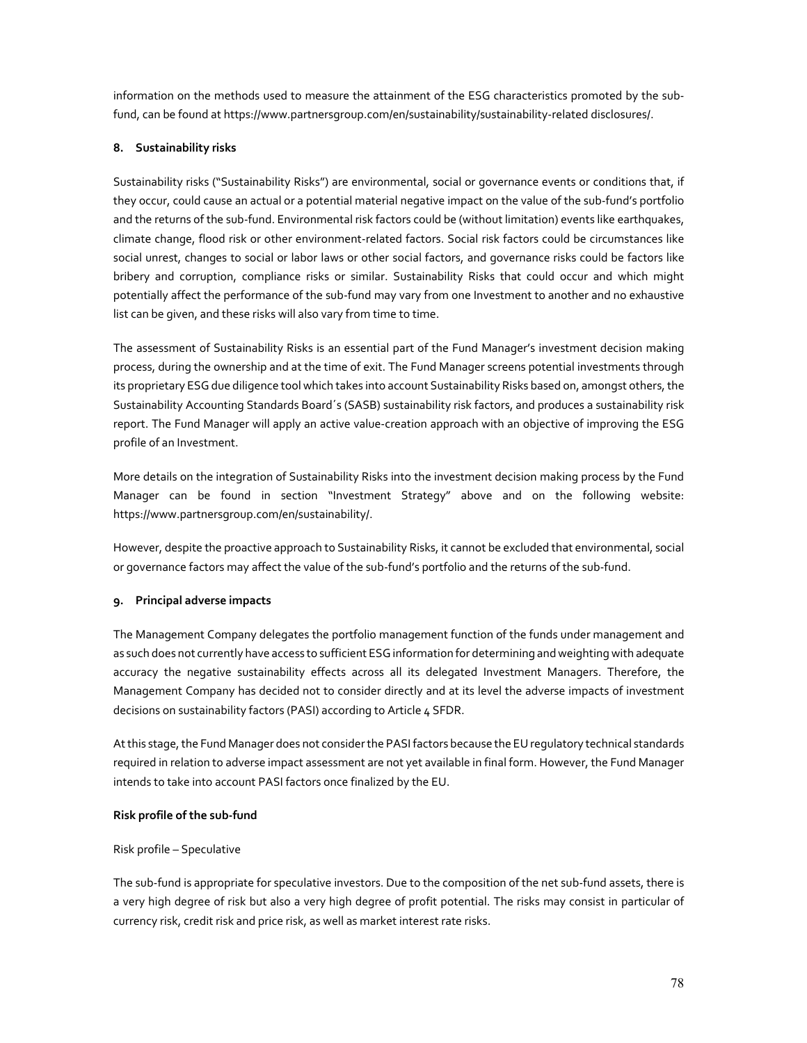information on the methods used to measure the attainment of the ESG characteristics promoted by the subfund, can be found at https://www.partnersgroup.com/en/sustainability/sustainability-related disclosures/.

### **8. Sustainability risks**

Sustainability risks ("Sustainability Risks") are environmental, social or governance events or conditions that, if they occur, could cause an actual or a potential material negative impact on the value of the sub-fund's portfolio and the returns of the sub-fund. Environmental risk factors could be (without limitation) events like earthquakes, climate change, flood risk or other environment-related factors. Social risk factors could be circumstances like social unrest, changes to social or labor laws or other social factors, and governance risks could be factors like bribery and corruption, compliance risks or similar. Sustainability Risks that could occur and which might potentially affect the performance of the sub-fund may vary from one Investment to another and no exhaustive list can be given, and these risks will also vary from time to time.

The assessment of Sustainability Risks is an essential part of the Fund Manager's investment decision making process, during the ownership and at the time of exit. The Fund Manager screens potential investments through its proprietary ESG due diligence tool which takes into account Sustainability Risks based on, amongst others, the Sustainability Accounting Standards Board´s (SASB) sustainability risk factors, and produces a sustainability risk report. The Fund Manager will apply an active value-creation approach with an objective of improving the ESG profile of an Investment.

More details on the integration of Sustainability Risks into the investment decision making process by the Fund Manager can be found in section "Investment Strategy" above and on the following website: https://www.partnersgroup.com/en/sustainability/.

However, despite the proactive approach to Sustainability Risks, it cannot be excluded that environmental, social or governance factors may affect the value of the sub-fund's portfolio and the returns of the sub-fund.

## **9. Principal adverse impacts**

The Management Company delegates the portfolio management function of the funds under management and as such does not currently have access to sufficient ESG information for determining and weighting with adequate accuracy the negative sustainability effects across all its delegated Investment Managers. Therefore, the Management Company has decided not to consider directly and at its level the adverse impacts of investment decisions on sustainability factors (PASI) according to Article 4 SFDR.

At this stage, the Fund Manager does not consider the PASI factors because the EU regulatory technical standards required in relation to adverse impact assessment are not yet available in final form. However, the Fund Manager intends to take into account PASI factors once finalized by the EU.

### **Risk profile of the sub-fund**

### Risk profile – Speculative

The sub-fund is appropriate for speculative investors. Due to the composition of the net sub-fund assets, there is a very high degree of risk but also a very high degree of profit potential. The risks may consist in particular of currency risk, credit risk and price risk, as well as market interest rate risks.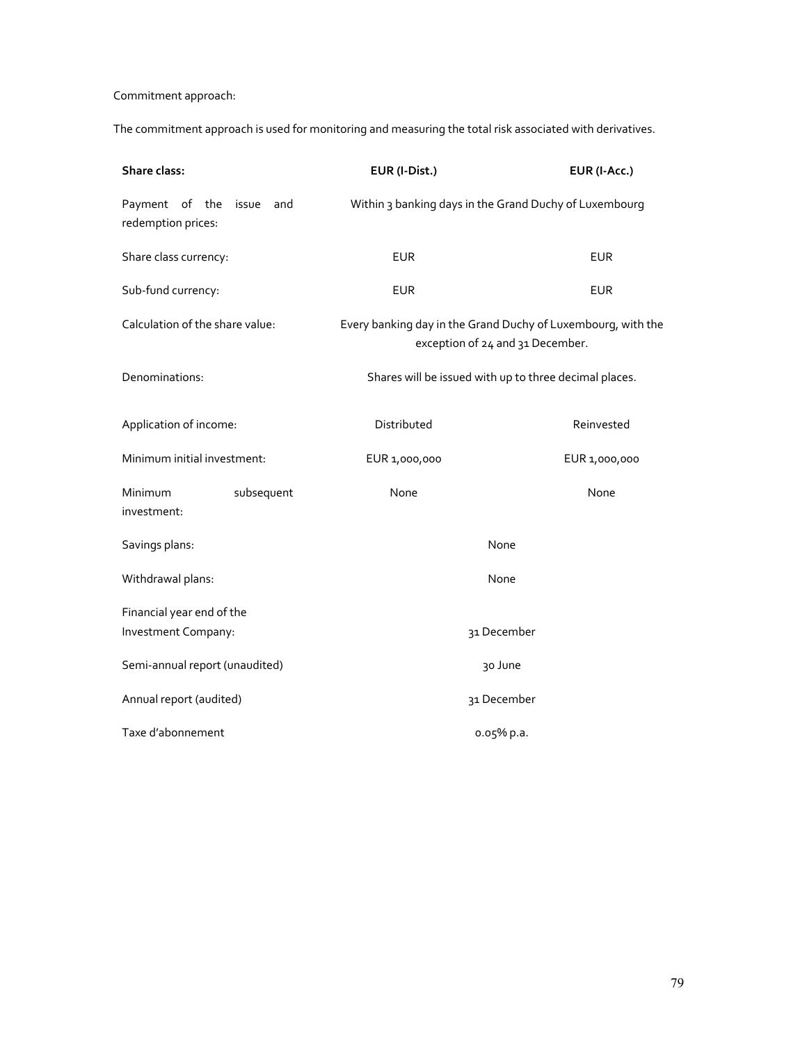# Commitment approach:

The commitment approach is used for monitoring and measuring the total risk associated with derivatives.

| Share class:                                     |              | EUR (I-Dist.)                                                                                    | EUR (I-Acc.)                                           |
|--------------------------------------------------|--------------|--------------------------------------------------------------------------------------------------|--------------------------------------------------------|
| Payment of the<br>redemption prices:             | and<br>issue | Within 3 banking days in the Grand Duchy of Luxembourg                                           |                                                        |
| Share class currency:                            |              | <b>EUR</b>                                                                                       | <b>EUR</b>                                             |
| Sub-fund currency:                               |              | <b>EUR</b>                                                                                       | <b>EUR</b>                                             |
| Calculation of the share value:                  |              | Every banking day in the Grand Duchy of Luxembourg, with the<br>exception of 24 and 31 December. |                                                        |
| Denominations:                                   |              |                                                                                                  | Shares will be issued with up to three decimal places. |
| Application of income:                           |              | Distributed                                                                                      | Reinvested                                             |
| Minimum initial investment:                      |              | EUR 1,000,000                                                                                    | EUR 1,000,000                                          |
| Minimum<br>investment:                           | subsequent   | None                                                                                             | None                                                   |
| Savings plans:                                   |              | None                                                                                             |                                                        |
| Withdrawal plans:                                |              | None                                                                                             |                                                        |
| Financial year end of the<br>Investment Company: |              |                                                                                                  | 31 December                                            |
| Semi-annual report (unaudited)                   |              |                                                                                                  | 30 June                                                |
| Annual report (audited)                          |              | 31 December                                                                                      |                                                        |
| Taxe d'abonnement                                |              |                                                                                                  | 0.05% p.a.                                             |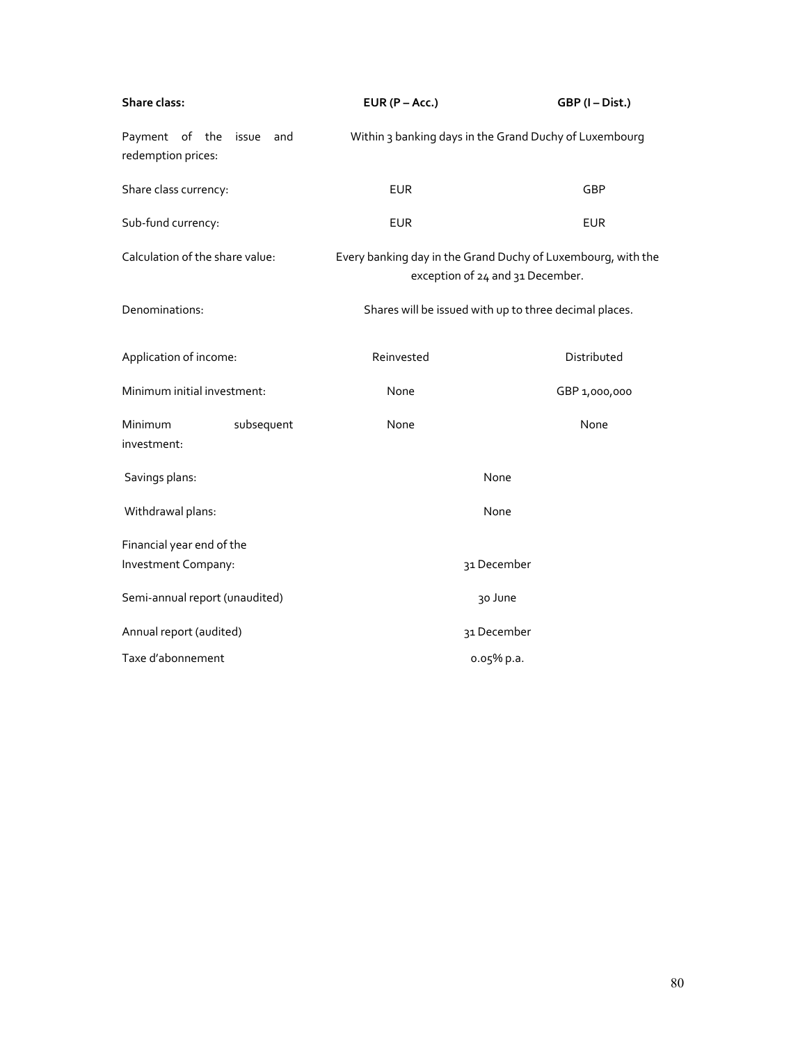| Share class:                                  |            | EUR $(P - Acc.)$                                                                                 | GBP (I-Dist.)                                          |
|-----------------------------------------------|------------|--------------------------------------------------------------------------------------------------|--------------------------------------------------------|
| Payment of the<br>issue<br>redemption prices: | and        |                                                                                                  | Within 3 banking days in the Grand Duchy of Luxembourg |
| Share class currency:                         |            | <b>EUR</b>                                                                                       | GBP                                                    |
| Sub-fund currency:                            |            | <b>EUR</b>                                                                                       | <b>EUR</b>                                             |
| Calculation of the share value:               |            | Every banking day in the Grand Duchy of Luxembourg, with the<br>exception of 24 and 31 December. |                                                        |
| Denominations:                                |            |                                                                                                  | Shares will be issued with up to three decimal places. |
| Application of income:                        |            | Reinvested                                                                                       | Distributed                                            |
| Minimum initial investment:                   |            | None                                                                                             | GBP 1,000,000                                          |
| Minimum<br>investment:                        | subsequent | None                                                                                             | None                                                   |
| Savings plans:                                |            | None                                                                                             |                                                        |
| Withdrawal plans:                             |            | None                                                                                             |                                                        |
| Financial year end of the                     |            |                                                                                                  |                                                        |
| Investment Company:                           |            |                                                                                                  | 31 December                                            |
| Semi-annual report (unaudited)                |            |                                                                                                  | 30 June                                                |
| Annual report (audited)                       |            |                                                                                                  | 31 December                                            |
| Taxe d'abonnement                             |            |                                                                                                  | 0.05% p.a.                                             |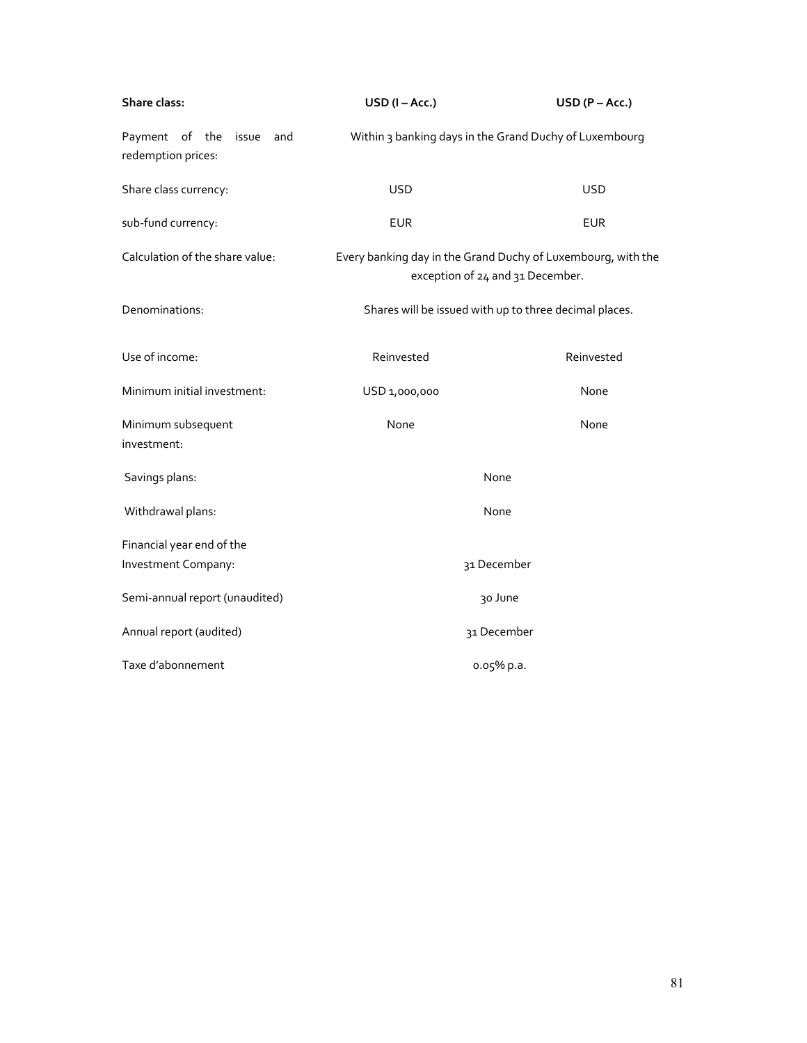| Share class:                                      | $USD (I - Acc.)$                                                                                 | $USD (P - Acc.)$                                       |
|---------------------------------------------------|--------------------------------------------------------------------------------------------------|--------------------------------------------------------|
| Payment of the<br>issue and<br>redemption prices: | Within 3 banking days in the Grand Duchy of Luxembourg                                           |                                                        |
| Share class currency:                             | <b>USD</b>                                                                                       | <b>USD</b>                                             |
| sub-fund currency:                                | <b>EUR</b>                                                                                       | <b>EUR</b>                                             |
| Calculation of the share value:                   | Every banking day in the Grand Duchy of Luxembourg, with the<br>exception of 24 and 31 December. |                                                        |
| Denominations:                                    |                                                                                                  | Shares will be issued with up to three decimal places. |
| Use of income:                                    | Reinvested                                                                                       | Reinvested                                             |
| Minimum initial investment:                       | USD 1,000,000                                                                                    | None                                                   |
| Minimum subsequent<br>investment:                 | None                                                                                             | None                                                   |
| Savings plans:                                    | None                                                                                             |                                                        |
| Withdrawal plans:                                 | None                                                                                             |                                                        |
| Financial year end of the<br>Investment Company:  |                                                                                                  | 31 December                                            |
| Semi-annual report (unaudited)                    |                                                                                                  | 30 June                                                |
| Annual report (audited)                           |                                                                                                  | 31 December                                            |
| Taxe d'abonnement                                 |                                                                                                  | 0.05% p.a.                                             |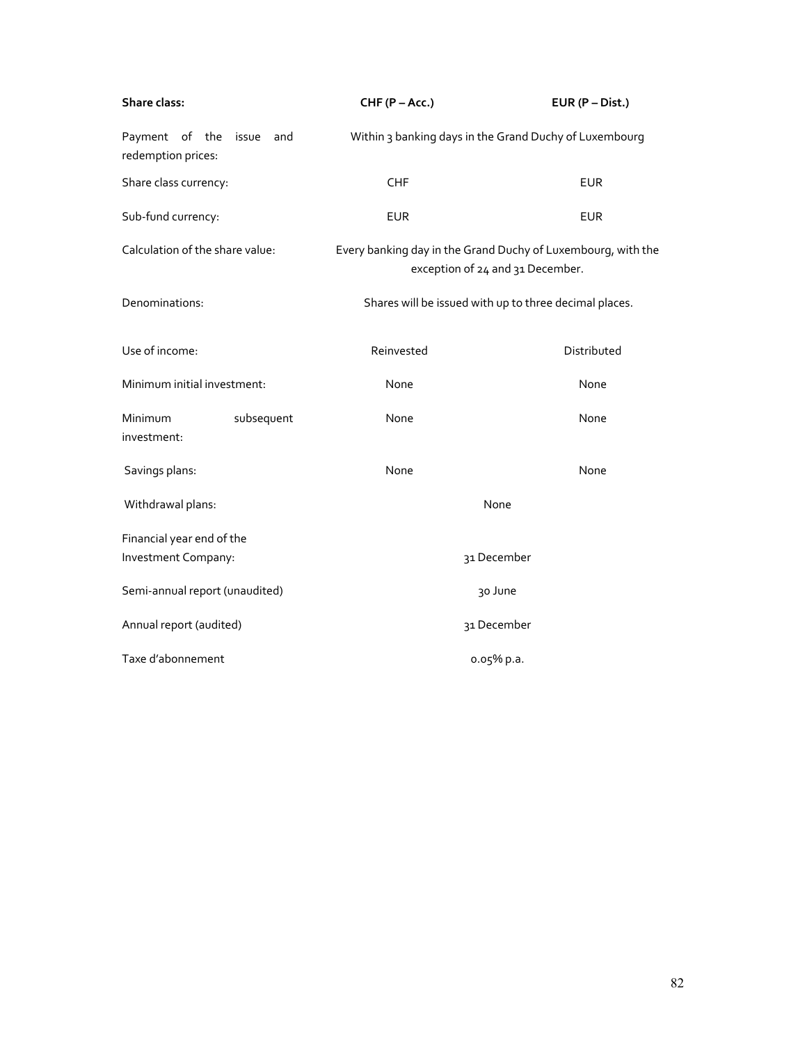| Share class:                                         | CHF (P - Acc.)                                                                                   | $EUR(P-Dist.)$                                         |
|------------------------------------------------------|--------------------------------------------------------------------------------------------------|--------------------------------------------------------|
| Payment of the<br>issue<br>and<br>redemption prices: |                                                                                                  | Within 3 banking days in the Grand Duchy of Luxembourg |
| Share class currency:                                | <b>CHF</b>                                                                                       | <b>EUR</b>                                             |
| Sub-fund currency:                                   | <b>EUR</b>                                                                                       | <b>EUR</b>                                             |
| Calculation of the share value:                      | Every banking day in the Grand Duchy of Luxembourg, with the<br>exception of 24 and 31 December. |                                                        |
| Denominations:                                       |                                                                                                  | Shares will be issued with up to three decimal places. |
| Use of income:                                       | Reinvested                                                                                       | Distributed                                            |
| Minimum initial investment:                          | None                                                                                             | None                                                   |
| Minimum<br>subsequent<br>investment:                 | None                                                                                             | None                                                   |
| Savings plans:                                       | None                                                                                             | None                                                   |
| Withdrawal plans:                                    | None                                                                                             |                                                        |
| Financial year end of the<br>Investment Company:     |                                                                                                  | 31 December                                            |
| Semi-annual report (unaudited)                       | 30 June                                                                                          |                                                        |
| Annual report (audited)                              | 31 December                                                                                      |                                                        |
| Taxe d'abonnement                                    |                                                                                                  | 0.05% p.a.                                             |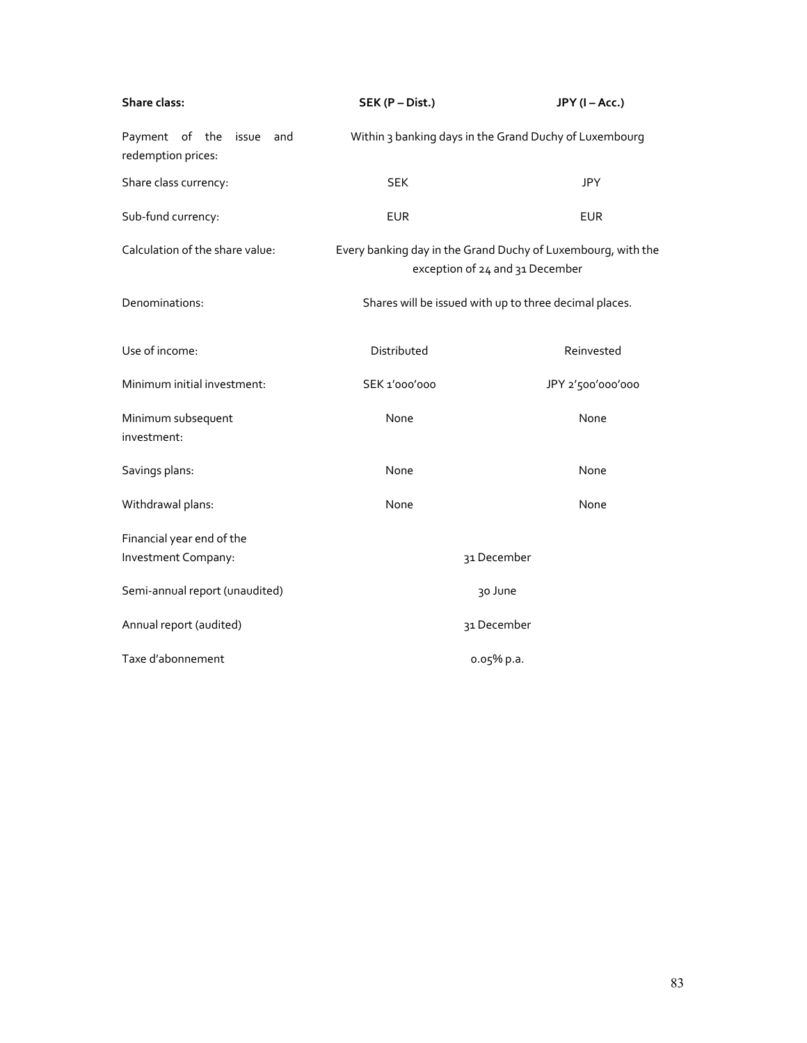| Share class:                                      | SEK (P - Dist.)                                                                                 | JPY (I-Acc.)                                           |
|---------------------------------------------------|-------------------------------------------------------------------------------------------------|--------------------------------------------------------|
| Payment of the<br>issue and<br>redemption prices: |                                                                                                 | Within 3 banking days in the Grand Duchy of Luxembourg |
| Share class currency:                             | <b>SEK</b>                                                                                      | <b>JPY</b>                                             |
| Sub-fund currency:                                | <b>EUR</b>                                                                                      | <b>EUR</b>                                             |
| Calculation of the share value:                   | Every banking day in the Grand Duchy of Luxembourg, with the<br>exception of 24 and 31 December |                                                        |
| Denominations:                                    | Shares will be issued with up to three decimal places.                                          |                                                        |
| Use of income:                                    | Distributed                                                                                     | Reinvested                                             |
| Minimum initial investment:                       | SEK 1'000'000                                                                                   | JPY 2'500'000'000                                      |
| Minimum subsequent<br>investment:                 | None                                                                                            | None                                                   |
| Savings plans:                                    | None                                                                                            | None                                                   |
| Withdrawal plans:                                 | None                                                                                            | None                                                   |
| Financial year end of the<br>Investment Company:  |                                                                                                 | 31 December                                            |
| Semi-annual report (unaudited)                    | 30 June                                                                                         |                                                        |
| Annual report (audited)                           | 31 December                                                                                     |                                                        |
| Taxe d'abonnement                                 |                                                                                                 | 0.05% p.a.                                             |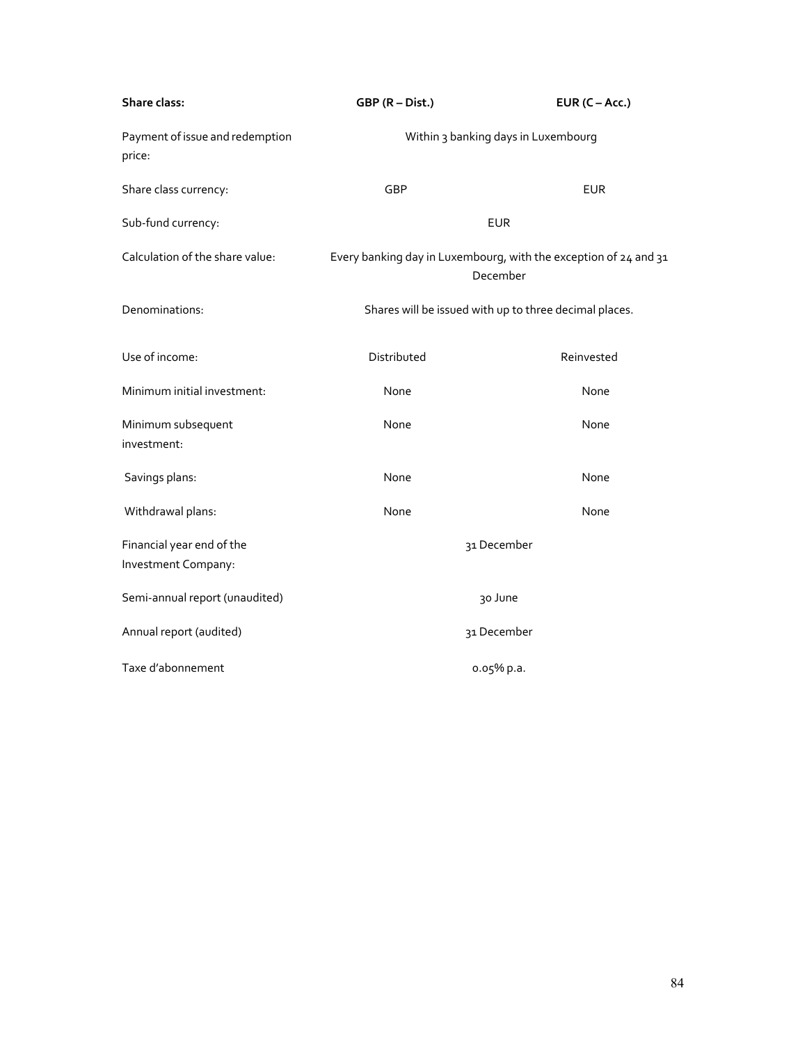| Share class:                                     | GBP (R - Dist.)                                                              | EUR $(C - Acc.)$ |
|--------------------------------------------------|------------------------------------------------------------------------------|------------------|
| Payment of issue and redemption<br>price:        | Within 3 banking days in Luxembourg                                          |                  |
| Share class currency:                            | GBP                                                                          | <b>EUR</b>       |
| Sub-fund currency:                               |                                                                              | <b>EUR</b>       |
| Calculation of the share value:                  | Every banking day in Luxembourg, with the exception of 24 and 31<br>December |                  |
| Denominations:                                   | Shares will be issued with up to three decimal places.                       |                  |
| Use of income:                                   | Distributed                                                                  | Reinvested       |
| Minimum initial investment:                      | None                                                                         | None             |
| Minimum subsequent<br>investment:                | None                                                                         | None             |
| Savings plans:                                   | None                                                                         | None             |
| Withdrawal plans:                                | None                                                                         | None             |
| Financial year end of the<br>Investment Company: |                                                                              | 31 December      |
| Semi-annual report (unaudited)                   |                                                                              | 30 June          |
| Annual report (audited)                          | 31 December                                                                  |                  |
| Taxe d'abonnement                                |                                                                              | 0.05% p.a.       |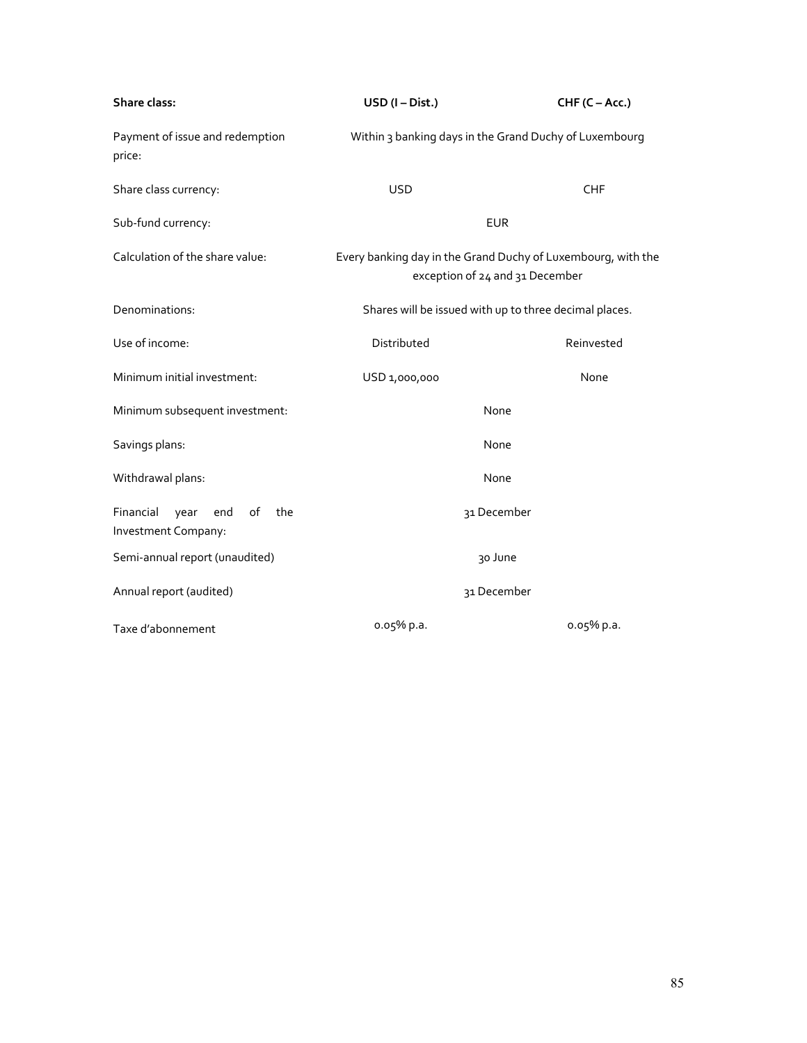| Share class:                                                 | USD (I-Dist.)                                                                                   | CHF (C-Acc.) |  |
|--------------------------------------------------------------|-------------------------------------------------------------------------------------------------|--------------|--|
| Payment of issue and redemption<br>price:                    | Within 3 banking days in the Grand Duchy of Luxembourg                                          |              |  |
| Share class currency:                                        | <b>USD</b>                                                                                      | <b>CHF</b>   |  |
| Sub-fund currency:                                           |                                                                                                 | <b>EUR</b>   |  |
| Calculation of the share value:                              | Every banking day in the Grand Duchy of Luxembourg, with the<br>exception of 24 and 31 December |              |  |
| Denominations:                                               | Shares will be issued with up to three decimal places.                                          |              |  |
| Use of income:                                               | Distributed                                                                                     | Reinvested   |  |
| Minimum initial investment:                                  | USD 1,000,000                                                                                   | None         |  |
| Minimum subsequent investment:                               | None                                                                                            |              |  |
| Savings plans:                                               | None                                                                                            |              |  |
| Withdrawal plans:                                            | None                                                                                            |              |  |
| Financial<br>of<br>year<br>end<br>the<br>Investment Company: | 31 December                                                                                     |              |  |
| Semi-annual report (unaudited)                               | 30 June                                                                                         |              |  |
| Annual report (audited)                                      | 31 December                                                                                     |              |  |
| Taxe d'abonnement                                            | 0.05% p.a.                                                                                      | 0.05% p.a.   |  |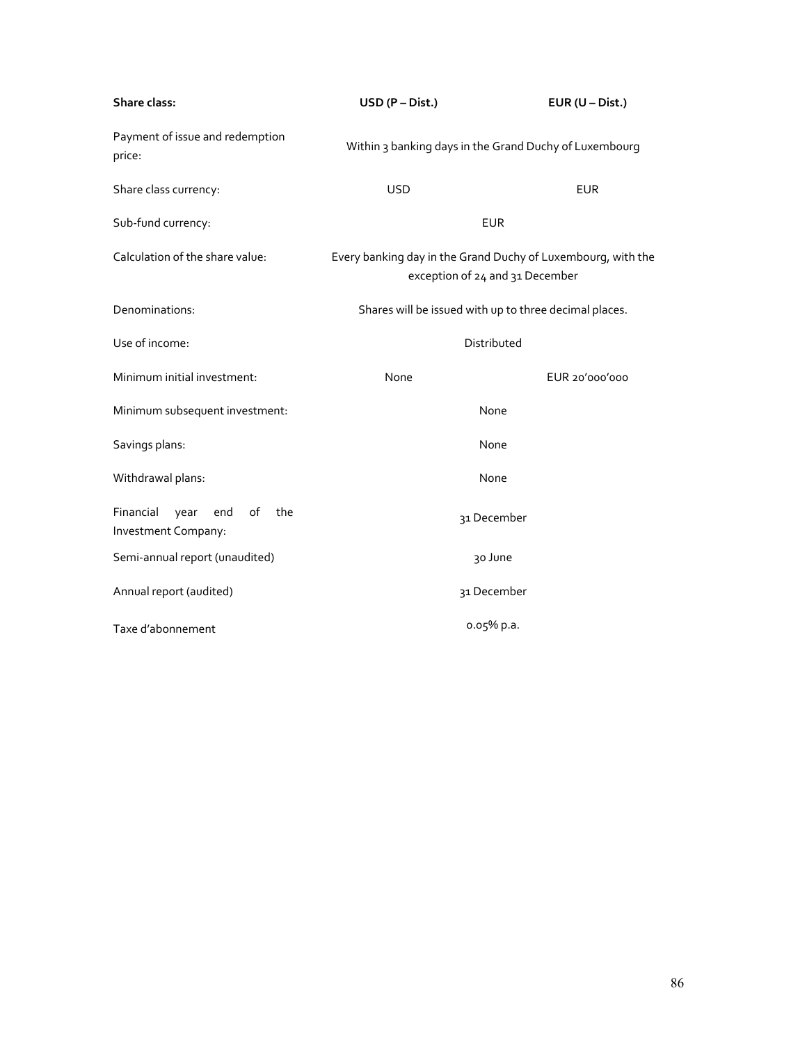| Share class:                                                        | USD (P - Dist.)                                                                                 | $EUR (U - Dist.)$                                      |  |
|---------------------------------------------------------------------|-------------------------------------------------------------------------------------------------|--------------------------------------------------------|--|
| Payment of issue and redemption<br>price:                           | Within 3 banking days in the Grand Duchy of Luxembourg                                          |                                                        |  |
| Share class currency:                                               | <b>USD</b>                                                                                      | <b>EUR</b>                                             |  |
| Sub-fund currency:                                                  | <b>EUR</b>                                                                                      |                                                        |  |
| Calculation of the share value:                                     | Every banking day in the Grand Duchy of Luxembourg, with the<br>exception of 24 and 31 December |                                                        |  |
| Denominations:                                                      |                                                                                                 | Shares will be issued with up to three decimal places. |  |
| Use of income:                                                      | Distributed                                                                                     |                                                        |  |
| Minimum initial investment:                                         | None                                                                                            | EUR 20'000'000                                         |  |
| Minimum subsequent investment:                                      | None                                                                                            |                                                        |  |
| Savings plans:                                                      | None                                                                                            |                                                        |  |
| Withdrawal plans:                                                   | None                                                                                            |                                                        |  |
| Financial<br>$\circ f$<br>year<br>end<br>the<br>Investment Company: | 31 December                                                                                     |                                                        |  |
| Semi-annual report (unaudited)                                      | 30 June                                                                                         |                                                        |  |
| Annual report (audited)                                             | 31 December                                                                                     |                                                        |  |
| Taxe d'abonnement                                                   | 0.05% p.a.                                                                                      |                                                        |  |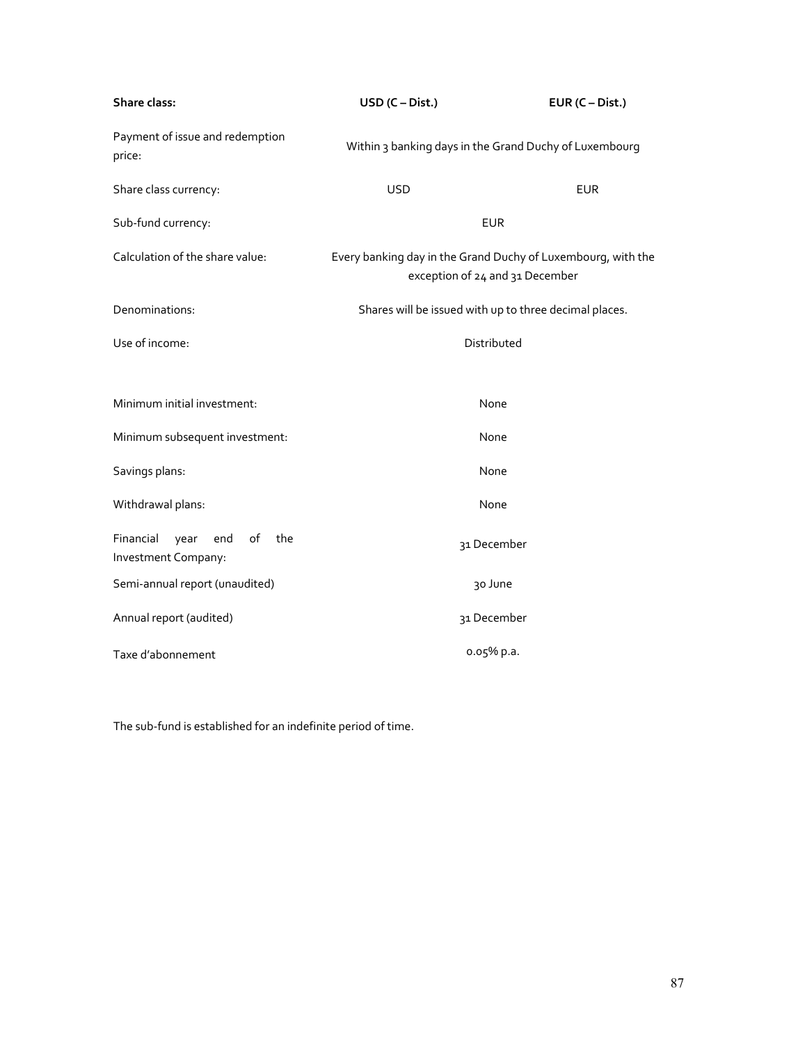| Share class:                                                 | $USD (C-Dist.)$                                                                                 | $EUR (C-Dist.)$ |
|--------------------------------------------------------------|-------------------------------------------------------------------------------------------------|-----------------|
| Payment of issue and redemption<br>price:                    | Within 3 banking days in the Grand Duchy of Luxembourg                                          |                 |
| Share class currency:                                        | <b>USD</b>                                                                                      | <b>EUR</b>      |
| Sub-fund currency:                                           | <b>EUR</b>                                                                                      |                 |
| Calculation of the share value:                              | Every banking day in the Grand Duchy of Luxembourg, with the<br>exception of 24 and 31 December |                 |
| Denominations:                                               | Shares will be issued with up to three decimal places.                                          |                 |
| Use of income:                                               | Distributed                                                                                     |                 |
|                                                              |                                                                                                 |                 |
| Minimum initial investment:                                  | None                                                                                            |                 |
| Minimum subsequent investment:                               | None                                                                                            |                 |
| Savings plans:                                               | None                                                                                            |                 |
| Withdrawal plans:                                            | None                                                                                            |                 |
| Financial<br>year<br>end<br>of<br>the<br>Investment Company: | 31 December                                                                                     |                 |
| Semi-annual report (unaudited)                               | 30 June                                                                                         |                 |
| Annual report (audited)                                      | 31 December                                                                                     |                 |
| Taxe d'abonnement                                            | o.o5% p.a.                                                                                      |                 |

The sub-fund is established for an indefinite period of time.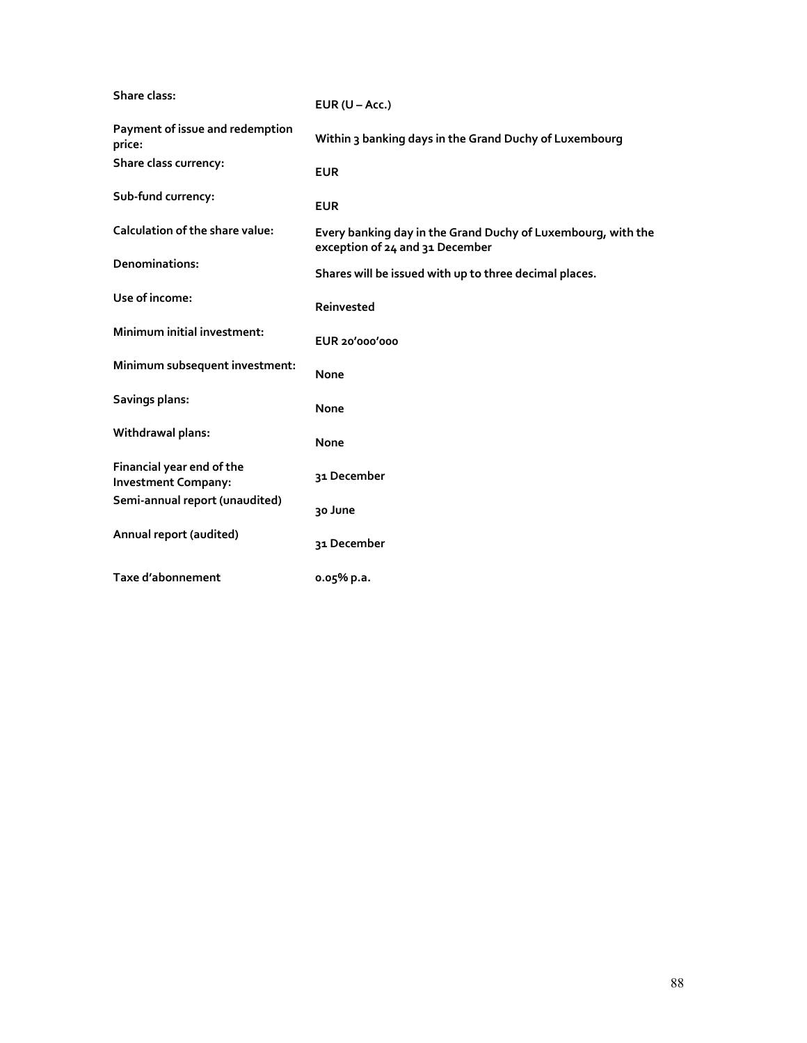| Share class:                                            | EUR $(U - Acc.)$                                                                                |
|---------------------------------------------------------|-------------------------------------------------------------------------------------------------|
| Payment of issue and redemption<br>price:               | Within 3 banking days in the Grand Duchy of Luxembourg                                          |
| Share class currency:                                   | <b>EUR</b>                                                                                      |
| Sub-fund currency:                                      | <b>EUR</b>                                                                                      |
| Calculation of the share value:                         | Every banking day in the Grand Duchy of Luxembourg, with the<br>exception of 24 and 31 December |
| Denominations:                                          | Shares will be issued with up to three decimal places.                                          |
| Use of income:                                          | Reinvested                                                                                      |
| Minimum initial investment:                             | EUR 20'000'000                                                                                  |
| Minimum subsequent investment:                          | None                                                                                            |
| Savings plans:                                          | None                                                                                            |
| Withdrawal plans:                                       | None                                                                                            |
| Financial year end of the<br><b>Investment Company:</b> | 31 December                                                                                     |
| Semi-annual report (unaudited)                          | 30 June                                                                                         |
| Annual report (audited)                                 | 31 December                                                                                     |
| Taxe d'abonnement                                       | 0.05% p.a.                                                                                      |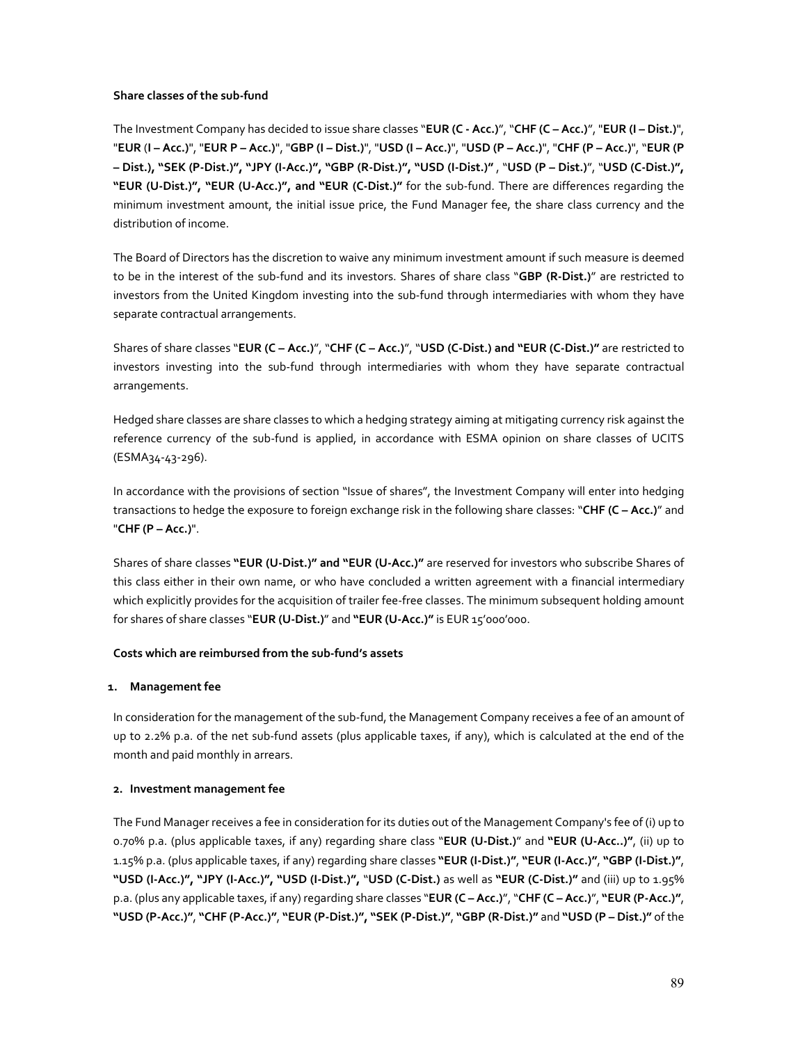### **Share classes of the sub-fund**

The Investment Company has decided to issue share classes "**EUR (C - Acc.)**", "**CHF (C – Acc.)**", "**EUR (I – Dist.)**", "**EUR** (**I – Acc.)**", "**EUR P – Acc.)**", "**GBP (I – Dist.)**", "**USD (I – Acc.)**", "**USD (P – Acc.)**", "**CHF (P – Acc.)**", "**EUR (P – Dist.), "SEK (P-Dist.)", "JPY (I-Acc.)", "GBP (R-Dist.)", "USD (I-Dist.)"** , "**USD (P – Dist.)**", "**USD (C-Dist.)", "EUR (U-Dist.)", "EUR (U-Acc.)", and "EUR (C-Dist.)"** for the sub-fund. There are differences regarding the minimum investment amount, the initial issue price, the Fund Manager fee, the share class currency and the distribution of income.

The Board of Directors has the discretion to waive any minimum investment amount if such measure is deemed to be in the interest of the sub-fund and its investors. Shares of share class "**GBP (R-Dist.)**" are restricted to investors from the United Kingdom investing into the sub-fund through intermediaries with whom they have separate contractual arrangements.

Shares of share classes "**EUR (C – Acc.)**", "**CHF (C – Acc.)**", "**USD (C-Dist.) and "EUR (C-Dist.)"** are restricted to investors investing into the sub-fund through intermediaries with whom they have separate contractual arrangements.

Hedged share classes are share classes to which a hedging strategy aiming at mitigating currency risk against the reference currency of the sub-fund is applied, in accordance with ESMA opinion on share classes of UCITS (ESMA34-43-296).

In accordance with the provisions of section "Issue of shares", the Investment Company will enter into hedging transactions to hedge the exposure to foreign exchange risk in the following share classes: "**CHF (C – Acc.)**" and "**CHF (P – Acc.)**".

Shares of share classes **"EUR (U-Dist.)" and "EUR (U-Acc.)"** are reserved for investors who subscribe Shares of this class either in their own name, or who have concluded a written agreement with a financial intermediary which explicitly provides for the acquisition of trailer fee-free classes. The minimum subsequent holding amount for shares of share classes "**EUR (U-Dist.)**" and **"EUR (U-Acc.)"** is EUR 15'000'000.

## **Costs which are reimbursed from the sub-fund's assets**

## **1. Management fee**

In consideration for the management of the sub-fund, the Management Company receives a fee of an amount of up to 2.2% p.a. of the net sub-fund assets (plus applicable taxes, if any), which is calculated at the end of the month and paid monthly in arrears.

## **2. Investment management fee**

The Fund Manager receives a fee in consideration for its duties out of the Management Company's fee of (i) up to 0.70% p.a. (plus applicable taxes, if any) regarding share class "**EUR (U-Dist.)**" and **"EUR (U-Acc..)"**, (ii) up to 1.15% p.a. (plus applicable taxes, if any) regarding share classes **"EUR (I-Dist.)"**, **"EUR (I-Acc.)"**, **"GBP (I-Dist.)"**, **"USD (I-Acc.)", "JPY (I-Acc.)", "USD (I-Dist.)",** "**USD (C-Dist.)** as well as **"EUR (C-Dist.)"** and (iii) up to 1.95% p.a. (plus any applicable taxes, if any) regarding share classes "**EUR (C – Acc.)**", "**CHF (C – Acc.)**", **"EUR (P-Acc.)"**, **"USD (P-Acc.)"**, **"CHF (P-Acc.)"**, **"EUR (P-Dist.)", "SEK (P-Dist.)"**, **"GBP (R-Dist.)"** and **"USD (P – Dist.)"** of the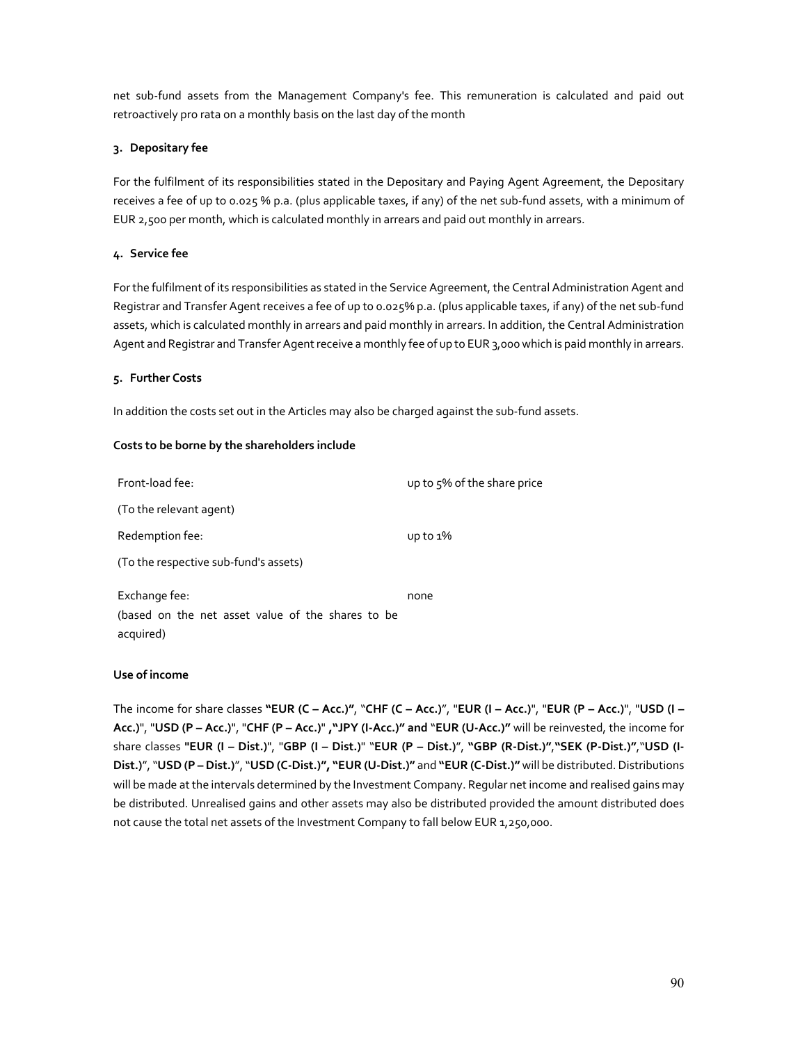net sub-fund assets from the Management Company's fee. This remuneration is calculated and paid out retroactively pro rata on a monthly basis on the last day of the month

## **3. Depositary fee**

For the fulfilment of its responsibilities stated in the Depositary and Paying Agent Agreement, the Depositary receives a fee of up to 0.025 % p.a. (plus applicable taxes, if any) of the net sub-fund assets, with a minimum of EUR 2,500 per month, which is calculated monthly in arrears and paid out monthly in arrears.

### **4. Service fee**

For the fulfilment of its responsibilities as stated in the Service Agreement, the Central Administration Agent and Registrar and Transfer Agent receives a fee of up to 0.025% p.a. (plus applicable taxes, if any) of the net sub-fund assets, which is calculated monthly in arrears and paid monthly in arrears. In addition, the Central Administration Agent and Registrar and Transfer Agent receive a monthly fee of up to EUR 3,000 which is paid monthly in arrears.

### **5. Further Costs**

In addition the costs set out in the Articles may also be charged against the sub-fund assets.

### **Costs to be borne by the shareholders include**

| Front-load fee:                                                                 | up to 5% of the share price |
|---------------------------------------------------------------------------------|-----------------------------|
| (To the relevant agent)                                                         |                             |
| Redemption fee:                                                                 | $up to 1\%$                 |
| (To the respective sub-fund's assets)                                           |                             |
| Exchange fee:<br>(based on the net asset value of the shares to be<br>acquired) | none                        |

### **Use of income**

The income for share classes **"EUR (C – Acc.)"**, "**CHF (C – Acc.)**", "**EUR (I – Acc.)**", "**EUR (P – Acc.)**", "**USD (I – Acc.)**", "**USD (P – Acc.)**", "**CHF (P – Acc.)**" **,"JPY (I-Acc.)" and** "**EUR (U-Acc.)"** will be reinvested, the income for share classes **"EUR (I – Dist.)**", "**GBP (I – Dist.)**" "**EUR (P – Dist.)**", **"GBP (R-Dist.)"**,**"SEK (P-Dist.)"**,"**USD (I-Dist.)**", "**USD (P – Dist.)**", "**USD (C-Dist.)", "EUR (U-Dist.)"** and **"EUR (C-Dist.)"** will be distributed. Distributions will be made at the intervals determined by the Investment Company. Regular net income and realised gains may be distributed. Unrealised gains and other assets may also be distributed provided the amount distributed does not cause the total net assets of the Investment Company to fall below EUR 1,250,000.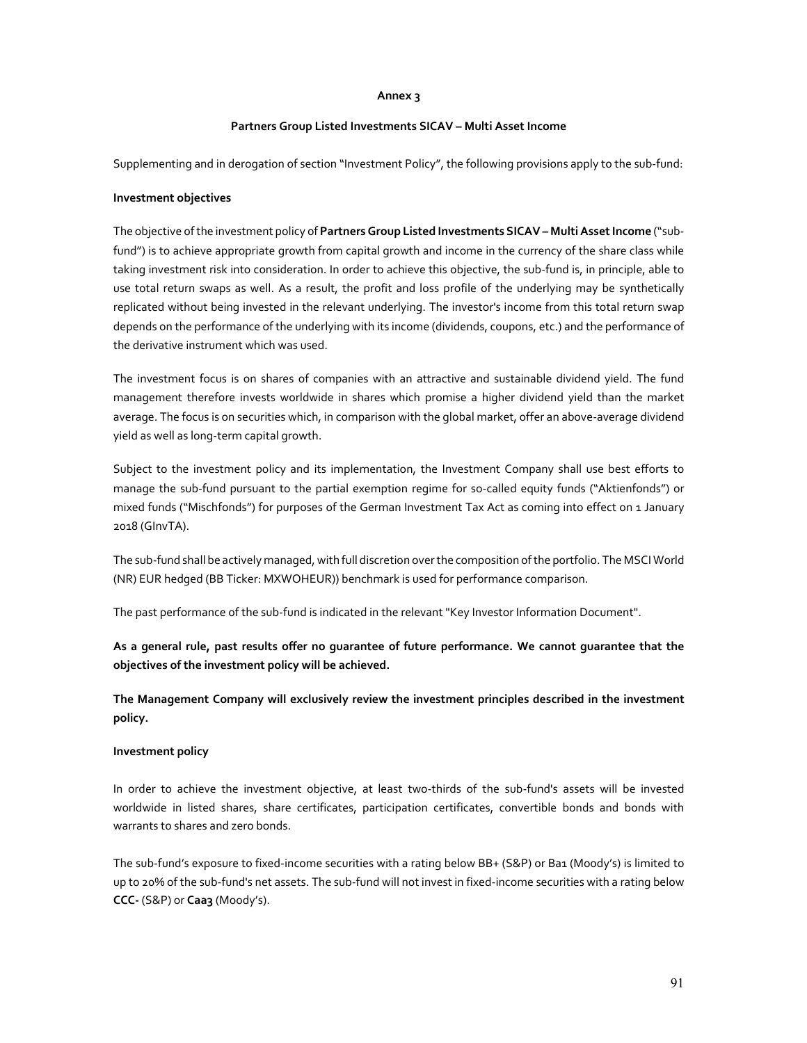#### **Annex 3**

#### **Partners Group Listed Investments SICAV – Multi Asset Income**

Supplementing and in derogation of section "Investment Policy", the following provisions apply to the sub-fund:

#### **Investment objectives**

The objective of the investment policy of **Partners Group Listed Investments SICAV – Multi Asset Income** ("subfund") is to achieve appropriate growth from capital growth and income in the currency of the share class while taking investment risk into consideration. In order to achieve this objective, the sub-fund is, in principle, able to use total return swaps as well. As a result, the profit and loss profile of the underlying may be synthetically replicated without being invested in the relevant underlying. The investor's income from this total return swap depends on the performance of the underlying with its income (dividends, coupons, etc.) and the performance of the derivative instrument which was used.

The investment focus is on shares of companies with an attractive and sustainable dividend yield. The fund management therefore invests worldwide in shares which promise a higher dividend yield than the market average. The focus is on securities which, in comparison with the global market, offer an above-average dividend yield as well as long-term capital growth.

Subject to the investment policy and its implementation, the Investment Company shall use best efforts to manage the sub-fund pursuant to the partial exemption regime for so-called equity funds ("Aktienfonds") or mixed funds ("Mischfonds") for purposes of the German Investment Tax Act as coming into effect on 1 January 2018 (GInvTA).

The sub-fund shall be actively managed, with full discretion over the composition of the portfolio. The MSCI World (NR) EUR hedged (BB Ticker: MXWOHEUR)) benchmark is used for performance comparison.

The past performance of the sub-fund is indicated in the relevant "Key Investor Information Document".

**As a general rule, past results offer no guarantee of future performance. We cannot guarantee that the objectives of the investment policy will be achieved.** 

**The Management Company will exclusively review the investment principles described in the investment policy.** 

### **Investment policy**

In order to achieve the investment objective, at least two-thirds of the sub-fund's assets will be invested worldwide in listed shares, share certificates, participation certificates, convertible bonds and bonds with warrants to shares and zero bonds.

The sub-fund's exposure to fixed-income securities with a rating below BB+ (S&P) or Ba1 (Moody's) is limited to up to 20% of the sub-fund's net assets. The sub-fund will not invest in fixed-income securities with a rating below **CCC-** (S&P) or **Caa3** (Moody's).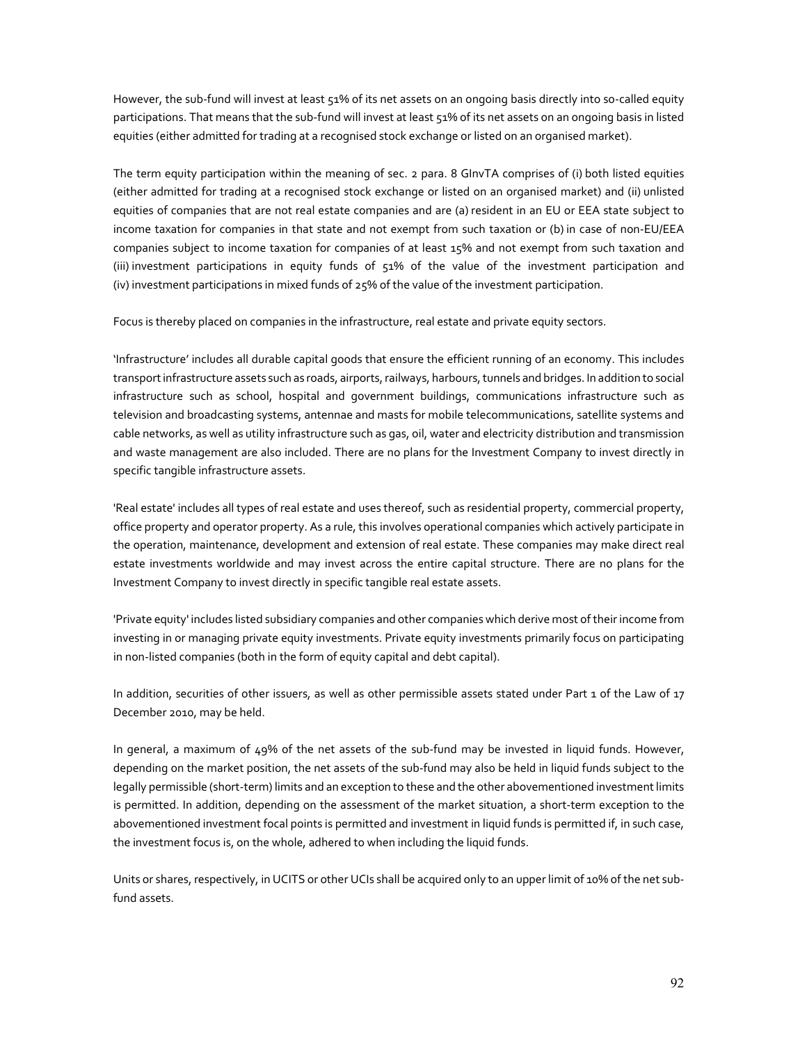However, the sub-fund will invest at least 51% of its net assets on an ongoing basis directly into so-called equity participations. That means that the sub-fund will invest at least 51% of its net assets on an ongoing basis in listed equities (either admitted for trading at a recognised stock exchange or listed on an organised market).

The term equity participation within the meaning of sec. 2 para. 8 GInvTA comprises of (i) both listed equities (either admitted for trading at a recognised stock exchange or listed on an organised market) and (ii) unlisted equities of companies that are not real estate companies and are (a) resident in an EU or EEA state subject to income taxation for companies in that state and not exempt from such taxation or (b) in case of non-EU/EEA companies subject to income taxation for companies of at least 15% and not exempt from such taxation and (iii) investment participations in equity funds of 51% of the value of the investment participation and (iv) investment participations in mixed funds of 25% of the value of the investment participation.

Focus is thereby placed on companies in the infrastructure, real estate and private equity sectors.

'Infrastructure' includes all durable capital goods that ensure the efficient running of an economy. This includes transport infrastructure assets such as roads, airports, railways, harbours, tunnels and bridges. In addition to social infrastructure such as school, hospital and government buildings, communications infrastructure such as television and broadcasting systems, antennae and masts for mobile telecommunications, satellite systems and cable networks, as well as utility infrastructure such as gas, oil, water and electricity distribution and transmission and waste management are also included. There are no plans for the Investment Company to invest directly in specific tangible infrastructure assets.

'Real estate' includes all types of real estate and uses thereof, such as residential property, commercial property, office property and operator property. As a rule, this involves operational companies which actively participate in the operation, maintenance, development and extension of real estate. These companies may make direct real estate investments worldwide and may invest across the entire capital structure. There are no plans for the Investment Company to invest directly in specific tangible real estate assets.

'Private equity' includes listed subsidiary companies and other companies which derive most of their income from investing in or managing private equity investments. Private equity investments primarily focus on participating in non-listed companies (both in the form of equity capital and debt capital).

In addition, securities of other issuers, as well as other permissible assets stated under Part 1 of the Law of 17 December 2010, may be held.

In general, a maximum of 49% of the net assets of the sub-fund may be invested in liquid funds. However, depending on the market position, the net assets of the sub-fund may also be held in liquid funds subject to the legally permissible (short-term) limits and an exception to these and the other abovementioned investment limits is permitted. In addition, depending on the assessment of the market situation, a short-term exception to the abovementioned investment focal points is permitted and investment in liquid funds is permitted if, in such case, the investment focus is, on the whole, adhered to when including the liquid funds.

Units or shares, respectively, in UCITS or other UCIs shall be acquired only to an upper limit of 10% of the net subfund assets.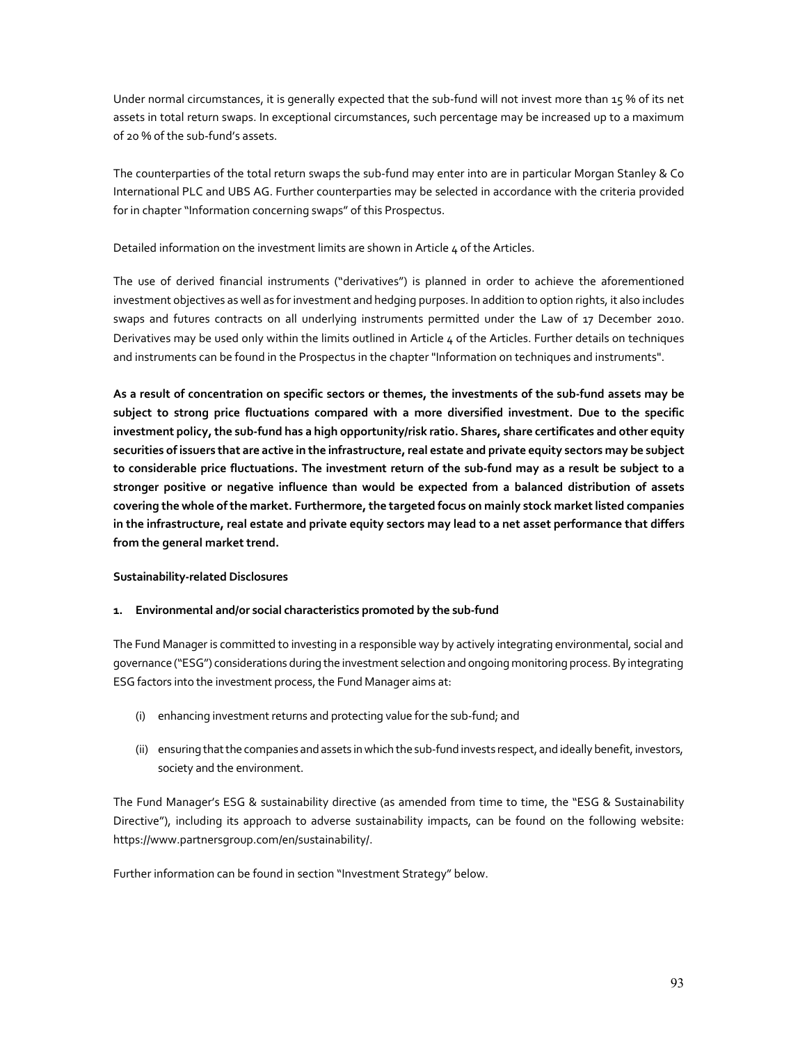Under normal circumstances, it is generally expected that the sub-fund will not invest more than 15 % of its net assets in total return swaps. In exceptional circumstances, such percentage may be increased up to a maximum of 20 % of the sub-fund's assets.

The counterparties of the total return swaps the sub-fund may enter into are in particular Morgan Stanley & Co International PLC and UBS AG. Further counterparties may be selected in accordance with the criteria provided for in chapter "Information concerning swaps" of this Prospectus.

Detailed information on the investment limits are shown in Article 4 of the Articles.

The use of derived financial instruments ("derivatives") is planned in order to achieve the aforementioned investment objectives as well as for investment and hedging purposes. In addition to option rights, it also includes swaps and futures contracts on all underlying instruments permitted under the Law of 17 December 2010. Derivatives may be used only within the limits outlined in Article  $\mu$  of the Articles. Further details on techniques and instruments can be found in the Prospectus in the chapter "Information on techniques and instruments".

**As a result of concentration on specific sectors or themes, the investments of the sub-fund assets may be subject to strong price fluctuations compared with a more diversified investment. Due to the specific investment policy, the sub-fund has a high opportunity/risk ratio. Shares, share certificates and other equity securities of issuers that are active in the infrastructure, real estate and private equity sectors may be subject to considerable price fluctuations. The investment return of the sub-fund may as a result be subject to a stronger positive or negative influence than would be expected from a balanced distribution of assets covering the whole of the market. Furthermore, the targeted focus on mainly stock market listed companies in the infrastructure, real estate and private equity sectors may lead to a net asset performance that differs from the general market trend.** 

## **Sustainability-related Disclosures**

### **1. Environmental and/or social characteristics promoted by the sub-fund**

The Fund Manager is committed to investing in a responsible way by actively integrating environmental, social and governance ("ESG") considerations during the investment selection and ongoing monitoring process. By integrating ESG factors into the investment process, the Fund Manager aims at:

- (i) enhancing investment returns and protecting value for the sub-fund; and
- (ii) ensuring that the companies and assets in which the sub-fund invests respect, and ideally benefit, investors, society and the environment.

The Fund Manager's ESG & sustainability directive (as amended from time to time, the "ESG & Sustainability Directive"), including its approach to adverse sustainability impacts, can be found on the following website: https://www.partnersgroup.com/en/sustainability/.

Further information can be found in section "Investment Strategy" below.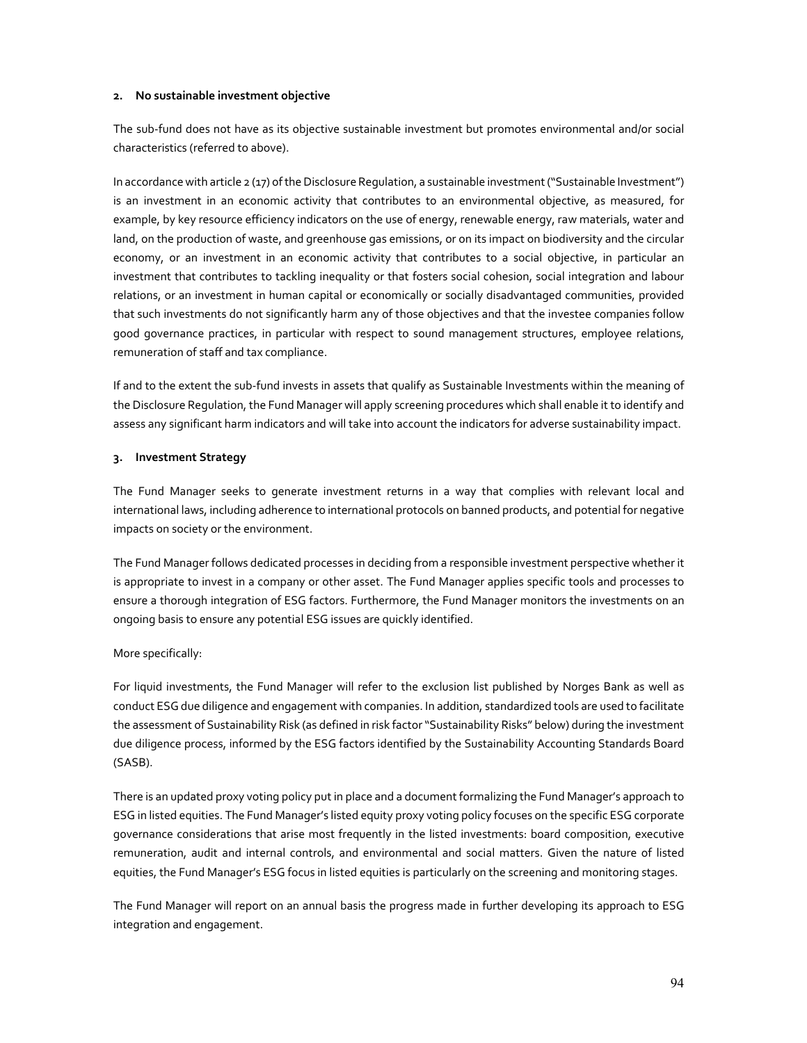#### **2. No sustainable investment objective**

The sub-fund does not have as its objective sustainable investment but promotes environmental and/or social characteristics (referred to above).

In accordance with article 2 (17) of the Disclosure Regulation, a sustainable investment ("Sustainable Investment") is an investment in an economic activity that contributes to an environmental objective, as measured, for example, by key resource efficiency indicators on the use of energy, renewable energy, raw materials, water and land, on the production of waste, and greenhouse gas emissions, or on its impact on biodiversity and the circular economy, or an investment in an economic activity that contributes to a social objective, in particular an investment that contributes to tackling inequality or that fosters social cohesion, social integration and labour relations, or an investment in human capital or economically or socially disadvantaged communities, provided that such investments do not significantly harm any of those objectives and that the investee companies follow good governance practices, in particular with respect to sound management structures, employee relations, remuneration of staff and tax compliance.

If and to the extent the sub-fund invests in assets that qualify as Sustainable Investments within the meaning of the Disclosure Regulation, the Fund Manager will apply screening procedures which shall enable it to identify and assess any significant harm indicators and will take into account the indicators for adverse sustainability impact.

#### **3. Investment Strategy**

The Fund Manager seeks to generate investment returns in a way that complies with relevant local and international laws, including adherence to international protocols on banned products, and potential for negative impacts on society or the environment.

The Fund Manager follows dedicated processes in deciding from a responsible investment perspective whether it is appropriate to invest in a company or other asset. The Fund Manager applies specific tools and processes to ensure a thorough integration of ESG factors. Furthermore, the Fund Manager monitors the investments on an ongoing basis to ensure any potential ESG issues are quickly identified.

### More specifically:

For liquid investments, the Fund Manager will refer to the exclusion list published by Norges Bank as well as conduct ESG due diligence and engagement with companies. In addition, standardized tools are used to facilitate the assessment of Sustainability Risk (as defined in risk factor "Sustainability Risks" below) during the investment due diligence process, informed by the ESG factors identified by the Sustainability Accounting Standards Board (SASB).

There is an updated proxy voting policy put in place and a document formalizing the Fund Manager's approach to ESG in listed equities. The Fund Manager's listed equity proxy voting policy focuses on the specific ESG corporate governance considerations that arise most frequently in the listed investments: board composition, executive remuneration, audit and internal controls, and environmental and social matters. Given the nature of listed equities, the Fund Manager's ESG focus in listed equities is particularly on the screening and monitoring stages.

The Fund Manager will report on an annual basis the progress made in further developing its approach to ESG integration and engagement.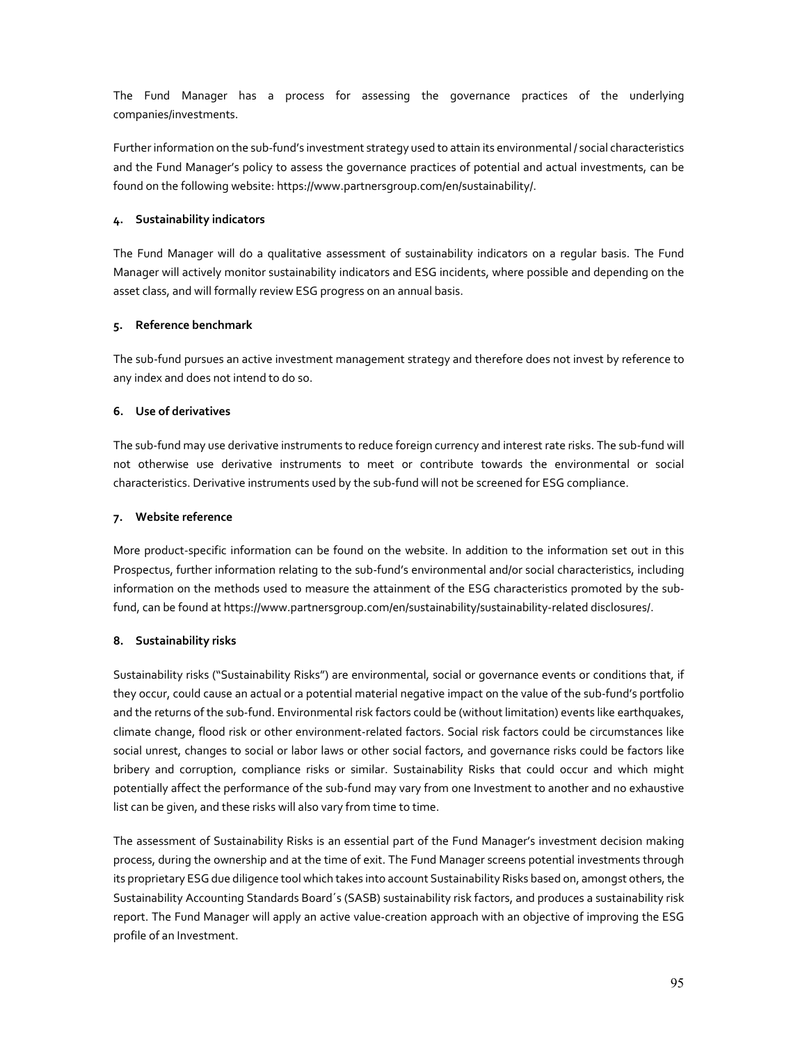The Fund Manager has a process for assessing the governance practices of the underlying companies/investments.

Further information on the sub-fund's investment strategy used to attain its environmental / social characteristics and the Fund Manager's policy to assess the governance practices of potential and actual investments, can be found on the following website: https://www.partnersgroup.com/en/sustainability/.

## **4. Sustainability indicators**

The Fund Manager will do a qualitative assessment of sustainability indicators on a regular basis. The Fund Manager will actively monitor sustainability indicators and ESG incidents, where possible and depending on the asset class, and will formally review ESG progress on an annual basis.

### **5. Reference benchmark**

The sub-fund pursues an active investment management strategy and therefore does not invest by reference to any index and does not intend to do so.

### **6. Use of derivatives**

The sub-fund may use derivative instruments to reduce foreign currency and interest rate risks. The sub-fund will not otherwise use derivative instruments to meet or contribute towards the environmental or social characteristics. Derivative instruments used by the sub-fund will not be screened for ESG compliance.

### **7. Website reference**

More product-specific information can be found on the website. In addition to the information set out in this Prospectus, further information relating to the sub-fund's environmental and/or social characteristics, including information on the methods used to measure the attainment of the ESG characteristics promoted by the subfund, can be found at https://www.partnersgroup.com/en/sustainability/sustainability-related disclosures/.

## **8. Sustainability risks**

Sustainability risks ("Sustainability Risks") are environmental, social or governance events or conditions that, if they occur, could cause an actual or a potential material negative impact on the value of the sub-fund's portfolio and the returns of the sub-fund. Environmental risk factors could be (without limitation) events like earthquakes, climate change, flood risk or other environment-related factors. Social risk factors could be circumstances like social unrest, changes to social or labor laws or other social factors, and governance risks could be factors like bribery and corruption, compliance risks or similar. Sustainability Risks that could occur and which might potentially affect the performance of the sub-fund may vary from one Investment to another and no exhaustive list can be given, and these risks will also vary from time to time.

The assessment of Sustainability Risks is an essential part of the Fund Manager's investment decision making process, during the ownership and at the time of exit. The Fund Manager screens potential investments through its proprietary ESG due diligence tool which takes into account Sustainability Risks based on, amongst others, the Sustainability Accounting Standards Board´s (SASB) sustainability risk factors, and produces a sustainability risk report. The Fund Manager will apply an active value-creation approach with an objective of improving the ESG profile of an Investment.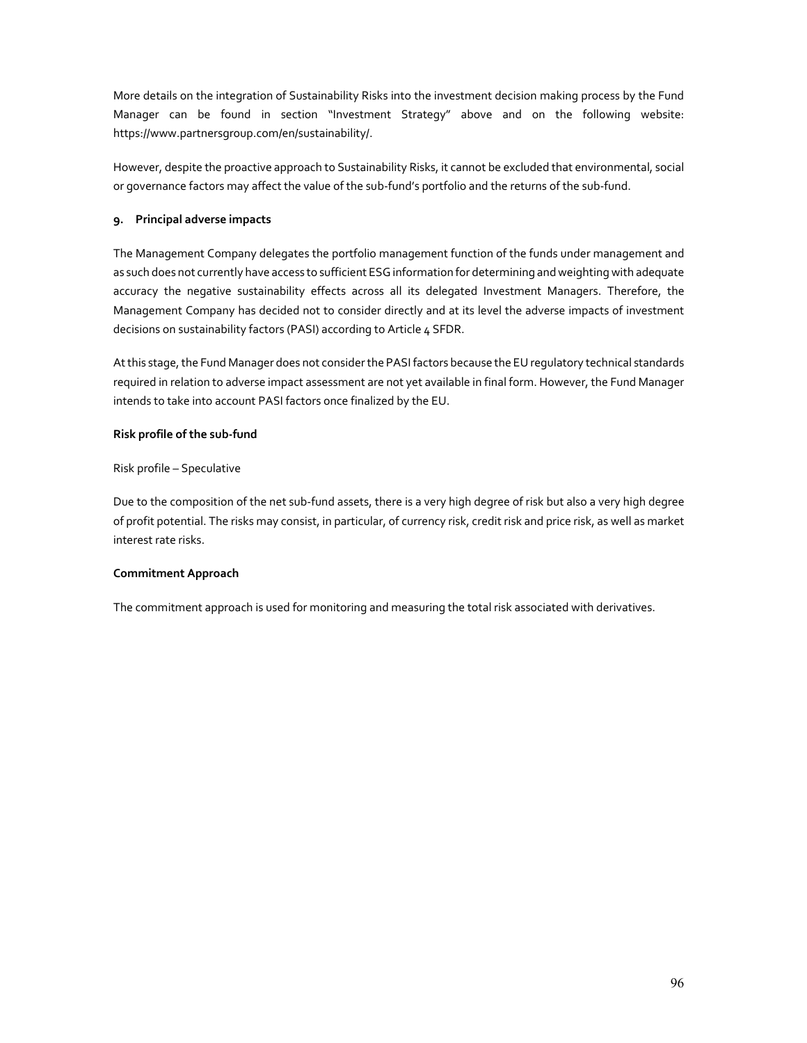More details on the integration of Sustainability Risks into the investment decision making process by the Fund Manager can be found in section "Investment Strategy" above and on the following website: https://www.partnersgroup.com/en/sustainability/.

However, despite the proactive approach to Sustainability Risks, it cannot be excluded that environmental, social or governance factors may affect the value of the sub-fund's portfolio and the returns of the sub-fund.

### **9. Principal adverse impacts**

The Management Company delegates the portfolio management function of the funds under management and as such does not currently have access to sufficient ESG information for determining and weighting with adequate accuracy the negative sustainability effects across all its delegated Investment Managers. Therefore, the Management Company has decided not to consider directly and at its level the adverse impacts of investment decisions on sustainability factors (PASI) according to Article 4 SFDR.

At this stage, the Fund Manager does not consider the PASI factors because the EU regulatory technical standards required in relation to adverse impact assessment are not yet available in final form. However, the Fund Manager intends to take into account PASI factors once finalized by the EU.

### **Risk profile of the sub-fund**

Risk profile – Speculative

Due to the composition of the net sub-fund assets, there is a very high degree of risk but also a very high degree of profit potential. The risks may consist, in particular, of currency risk, credit risk and price risk, as well as market interest rate risks.

### **Commitment Approach**

The commitment approach is used for monitoring and measuring the total risk associated with derivatives.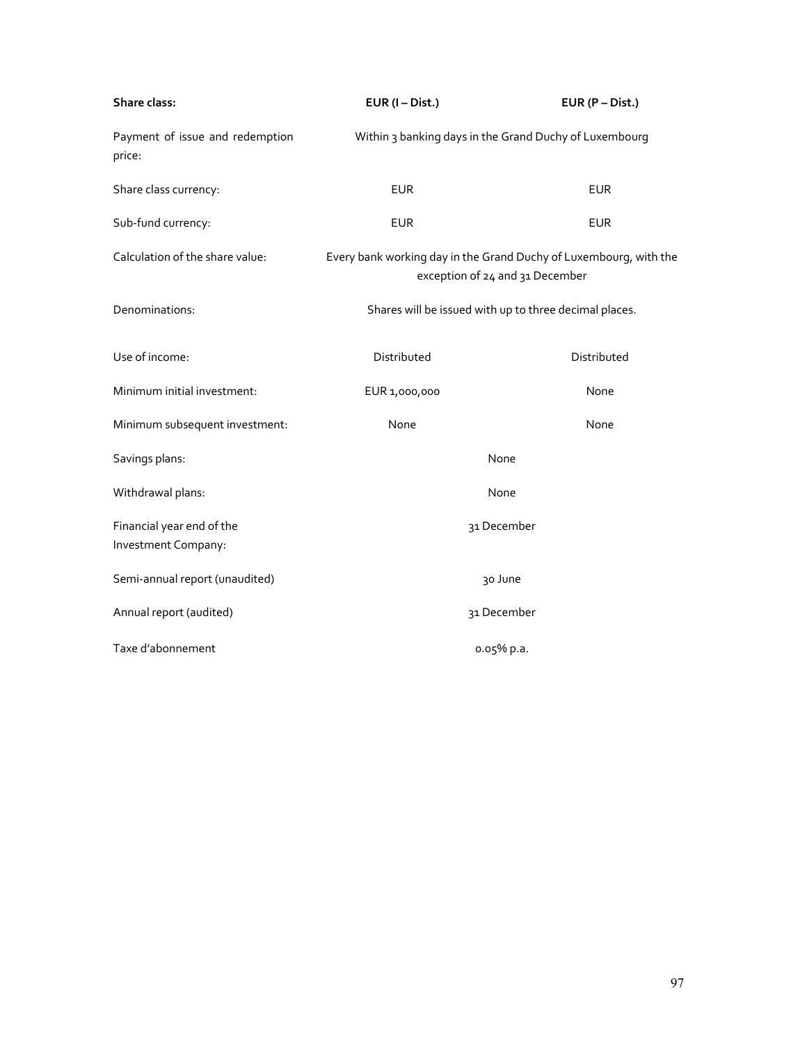| Share class:                                     | $EUR (I-Dist.)$                                                                                      | $EUR(P-Dist.)$                                         |
|--------------------------------------------------|------------------------------------------------------------------------------------------------------|--------------------------------------------------------|
| Payment of issue and redemption<br>price:        |                                                                                                      | Within 3 banking days in the Grand Duchy of Luxembourg |
| Share class currency:                            | <b>EUR</b>                                                                                           | <b>EUR</b>                                             |
| Sub-fund currency:                               | <b>EUR</b>                                                                                           | <b>EUR</b>                                             |
| Calculation of the share value:                  | Every bank working day in the Grand Duchy of Luxembourg, with the<br>exception of 24 and 31 December |                                                        |
| Denominations:                                   | Shares will be issued with up to three decimal places.                                               |                                                        |
| Use of income:                                   | Distributed                                                                                          | Distributed                                            |
| Minimum initial investment:                      | EUR 1,000,000                                                                                        | None                                                   |
| Minimum subsequent investment:                   | None                                                                                                 | None                                                   |
| Savings plans:                                   | None                                                                                                 |                                                        |
| Withdrawal plans:                                | None                                                                                                 |                                                        |
| Financial year end of the<br>Investment Company: |                                                                                                      | 31 December                                            |
| Semi-annual report (unaudited)                   | 30 June                                                                                              |                                                        |
| Annual report (audited)                          | 31 December                                                                                          |                                                        |
| Taxe d'abonnement                                |                                                                                                      | o.o5% p.a.                                             |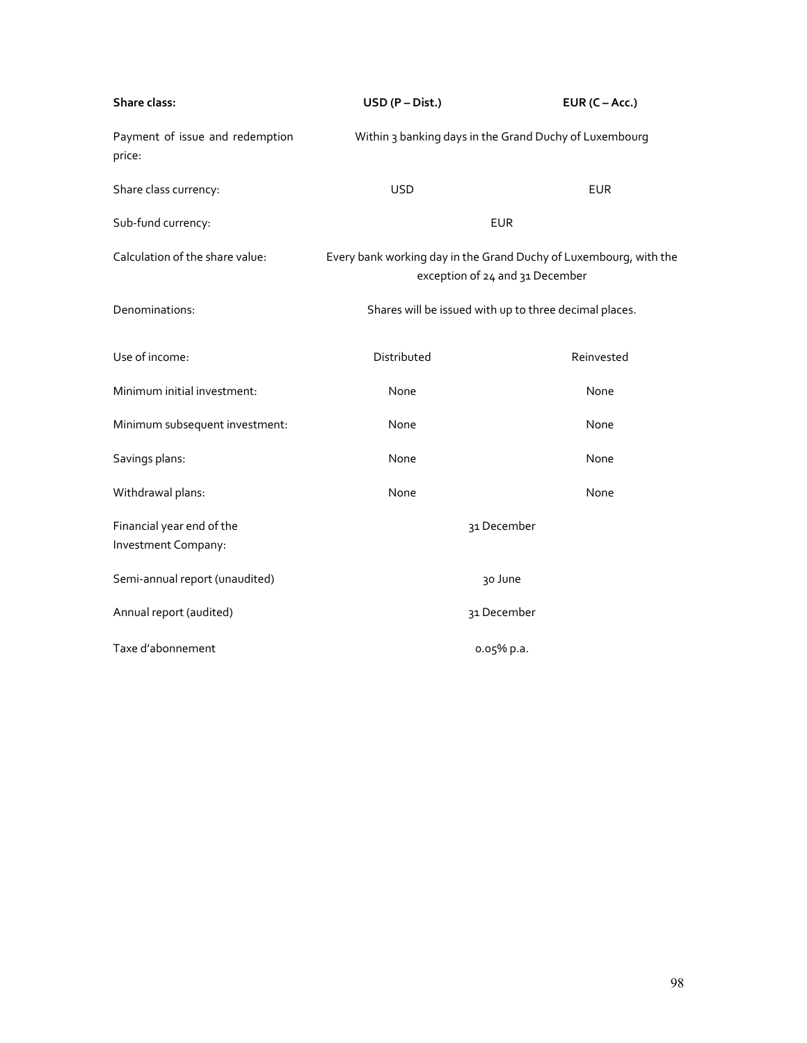| Share class:                                     | $USD (P-Dist.)$                                                                                      | EUR $(C - Acc.)$ |
|--------------------------------------------------|------------------------------------------------------------------------------------------------------|------------------|
| Payment of issue and redemption<br>price:        | Within 3 banking days in the Grand Duchy of Luxembourg                                               |                  |
| Share class currency:                            | <b>USD</b>                                                                                           | <b>EUR</b>       |
| Sub-fund currency:                               | <b>EUR</b>                                                                                           |                  |
| Calculation of the share value:                  | Every bank working day in the Grand Duchy of Luxembourg, with the<br>exception of 24 and 31 December |                  |
| Denominations:                                   | Shares will be issued with up to three decimal places.                                               |                  |
| Use of income:                                   | Distributed                                                                                          | Reinvested       |
| Minimum initial investment:                      | None                                                                                                 | None             |
| Minimum subsequent investment:                   | None                                                                                                 | None             |
| Savings plans:                                   | None                                                                                                 | None             |
| Withdrawal plans:                                | None                                                                                                 | None             |
| Financial year end of the<br>Investment Company: |                                                                                                      | 31 December      |
| Semi-annual report (unaudited)                   | 30 June                                                                                              |                  |
| Annual report (audited)                          | 31 December                                                                                          |                  |
| Taxe d'abonnement                                |                                                                                                      | 0.05% p.a.       |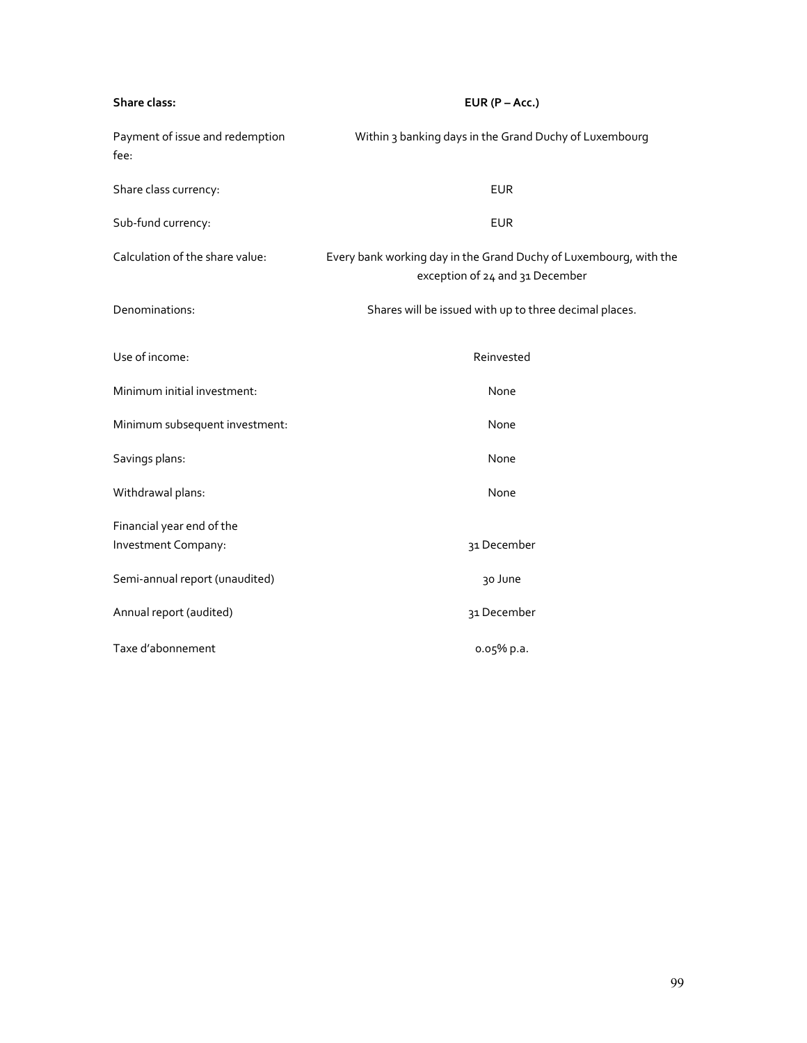| Share class:                            | EUR $(P - Acc.)$                                                                                     |  |
|-----------------------------------------|------------------------------------------------------------------------------------------------------|--|
| Payment of issue and redemption<br>fee: | Within 3 banking days in the Grand Duchy of Luxembourg                                               |  |
| Share class currency:                   | <b>EUR</b>                                                                                           |  |
| Sub-fund currency:                      | <b>EUR</b>                                                                                           |  |
| Calculation of the share value:         | Every bank working day in the Grand Duchy of Luxembourg, with the<br>exception of 24 and 31 December |  |
| Denominations:                          | Shares will be issued with up to three decimal places.                                               |  |
| Use of income:                          | Reinvested                                                                                           |  |
| Minimum initial investment:             | None                                                                                                 |  |
| Minimum subsequent investment:          | None                                                                                                 |  |
| Savings plans:                          | None                                                                                                 |  |
| Withdrawal plans:                       | None                                                                                                 |  |
| Financial year end of the               |                                                                                                      |  |
| Investment Company:                     | 31 December                                                                                          |  |
| Semi-annual report (unaudited)          | 30 June                                                                                              |  |
| Annual report (audited)                 | 31 December                                                                                          |  |
| Taxe d'abonnement                       | 0.05% p.a.                                                                                           |  |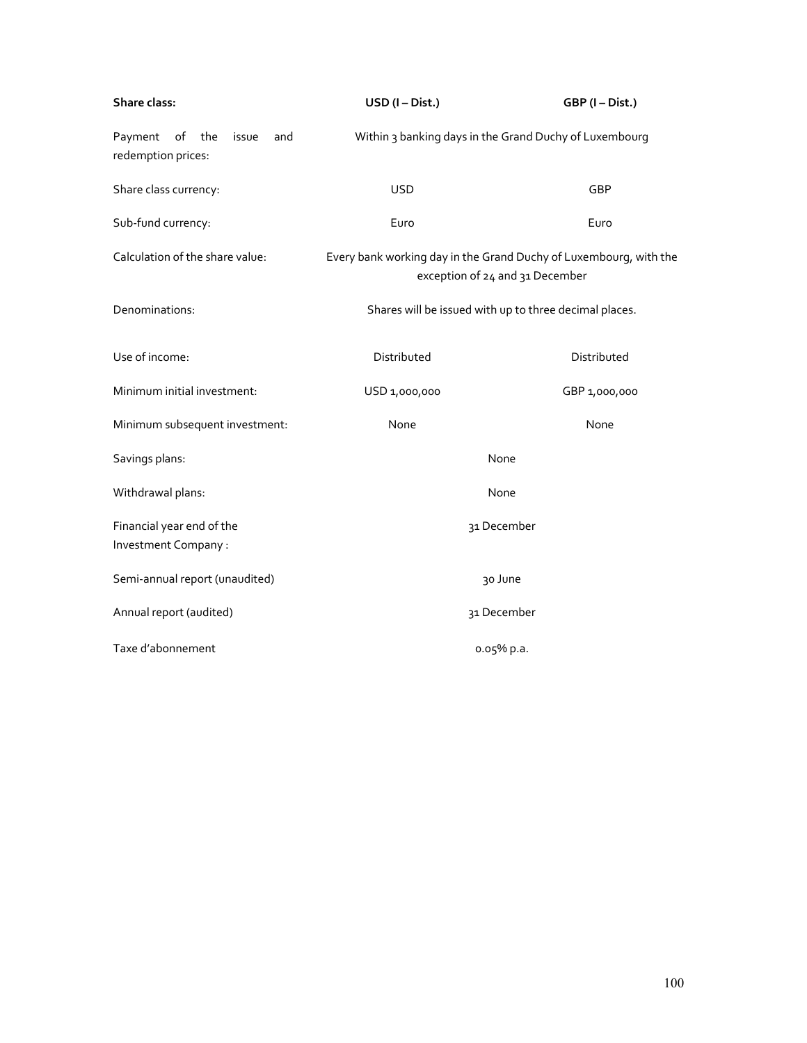| Share class:                                               | USD (I-Dist.)                                                                                        | GBP (I-Dist.) |
|------------------------------------------------------------|------------------------------------------------------------------------------------------------------|---------------|
| Payment<br>of<br>the<br>issue<br>and<br>redemption prices: | Within 3 banking days in the Grand Duchy of Luxembourg                                               |               |
| Share class currency:                                      | <b>USD</b>                                                                                           | GBP           |
| Sub-fund currency:                                         | Euro                                                                                                 | Euro          |
| Calculation of the share value:                            | Every bank working day in the Grand Duchy of Luxembourg, with the<br>exception of 24 and 31 December |               |
| Denominations:                                             | Shares will be issued with up to three decimal places.                                               |               |
| Use of income:                                             | Distributed                                                                                          | Distributed   |
| Minimum initial investment:                                | USD 1,000,000                                                                                        | GBP 1,000,000 |
| Minimum subsequent investment:                             | None                                                                                                 | None          |
| Savings plans:                                             | None                                                                                                 |               |
| Withdrawal plans:                                          | None                                                                                                 |               |
| Financial year end of the<br>Investment Company :          | 31 December                                                                                          |               |
|                                                            |                                                                                                      |               |
| Semi-annual report (unaudited)                             | 30 June                                                                                              |               |
| Annual report (audited)                                    | 31 December                                                                                          |               |
| Taxe d'abonnement                                          | o.o5% p.a.                                                                                           |               |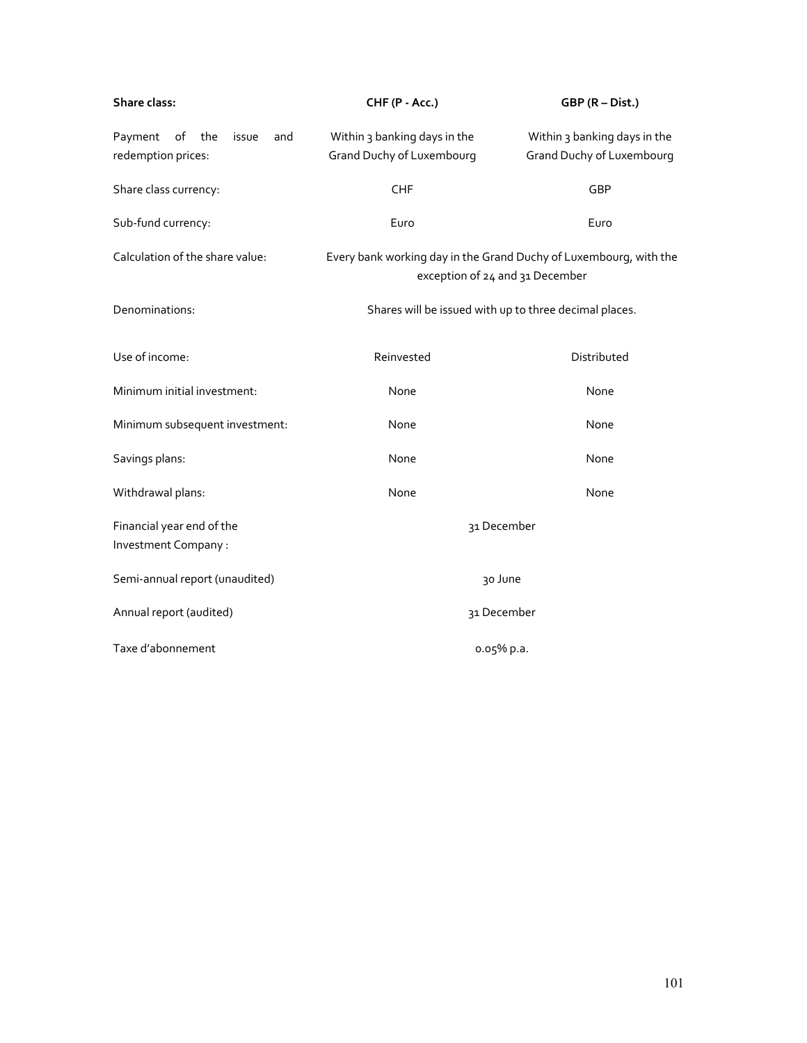| Share class:                                               | CHF (P - Acc.)                                                                                       | GBP (R - Dist.)                                           |
|------------------------------------------------------------|------------------------------------------------------------------------------------------------------|-----------------------------------------------------------|
| Payment<br>of<br>the<br>issue<br>and<br>redemption prices: | Within 3 banking days in the<br><b>Grand Duchy of Luxembourg</b>                                     | Within 3 banking days in the<br>Grand Duchy of Luxembourg |
| Share class currency:                                      | CHF                                                                                                  | GBP                                                       |
| Sub-fund currency:                                         | Euro                                                                                                 | Euro                                                      |
| Calculation of the share value:                            | Every bank working day in the Grand Duchy of Luxembourg, with the<br>exception of 24 and 31 December |                                                           |
| Denominations:                                             | Shares will be issued with up to three decimal places.                                               |                                                           |
| Use of income:                                             | Reinvested                                                                                           | Distributed                                               |
| Minimum initial investment:                                | None                                                                                                 | None                                                      |
| Minimum subsequent investment:                             | None                                                                                                 | None                                                      |
| Savings plans:                                             | None                                                                                                 | None                                                      |
| Withdrawal plans:                                          | None                                                                                                 | None                                                      |
| Financial year end of the<br>Investment Company:           | 31 December                                                                                          |                                                           |
| Semi-annual report (unaudited)                             | 30 June                                                                                              |                                                           |
| Annual report (audited)                                    | 31 December                                                                                          |                                                           |
| Taxe d'abonnement                                          | o.o5% p.a.                                                                                           |                                                           |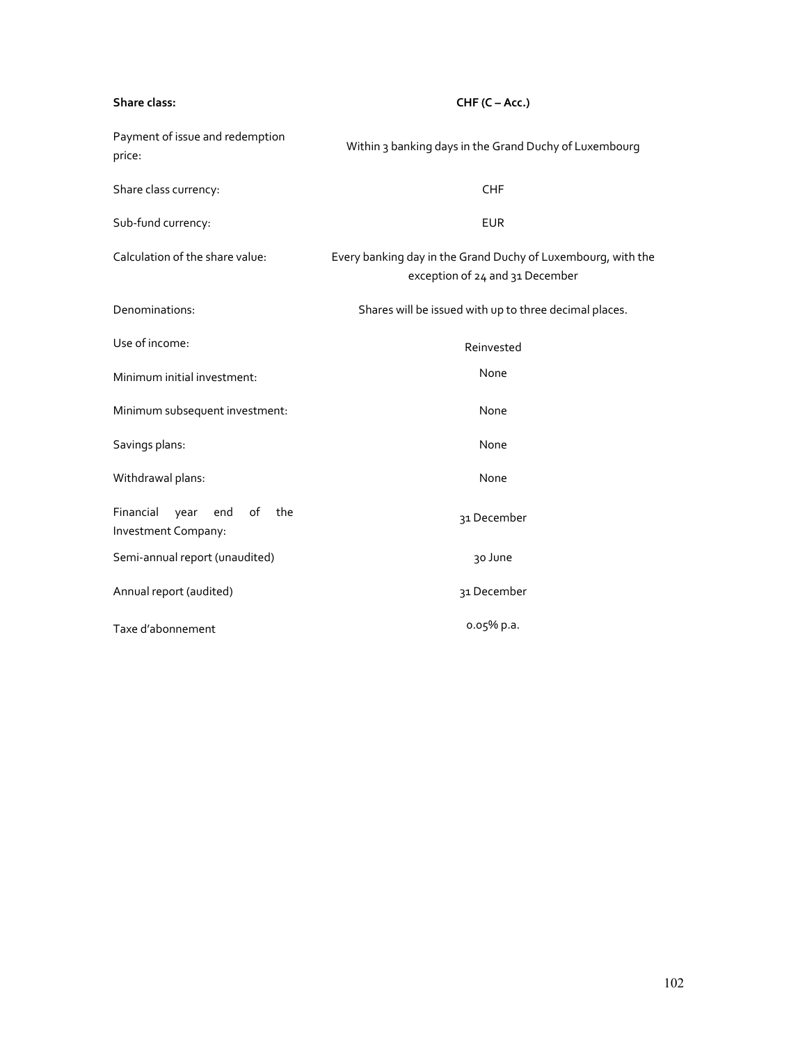| Share class:                                                 | $CHF(C - Acc.)$                                                                                 |  |
|--------------------------------------------------------------|-------------------------------------------------------------------------------------------------|--|
| Payment of issue and redemption<br>price:                    | Within 3 banking days in the Grand Duchy of Luxembourg                                          |  |
| Share class currency:                                        | <b>CHF</b>                                                                                      |  |
| Sub-fund currency:                                           | <b>EUR</b>                                                                                      |  |
| Calculation of the share value:                              | Every banking day in the Grand Duchy of Luxembourg, with the<br>exception of 24 and 31 December |  |
| Denominations:                                               | Shares will be issued with up to three decimal places.                                          |  |
| Use of income:                                               | Reinvested                                                                                      |  |
| Minimum initial investment:                                  | None                                                                                            |  |
| Minimum subsequent investment:                               | None                                                                                            |  |
| Savings plans:                                               | None                                                                                            |  |
| Withdrawal plans:                                            | None                                                                                            |  |
| Financial<br>of<br>year<br>end<br>the<br>Investment Company: | 31 December                                                                                     |  |
| Semi-annual report (unaudited)                               | 30 June                                                                                         |  |
| Annual report (audited)                                      | 31 December                                                                                     |  |
| Taxe d'abonnement                                            | o.o5% p.a.                                                                                      |  |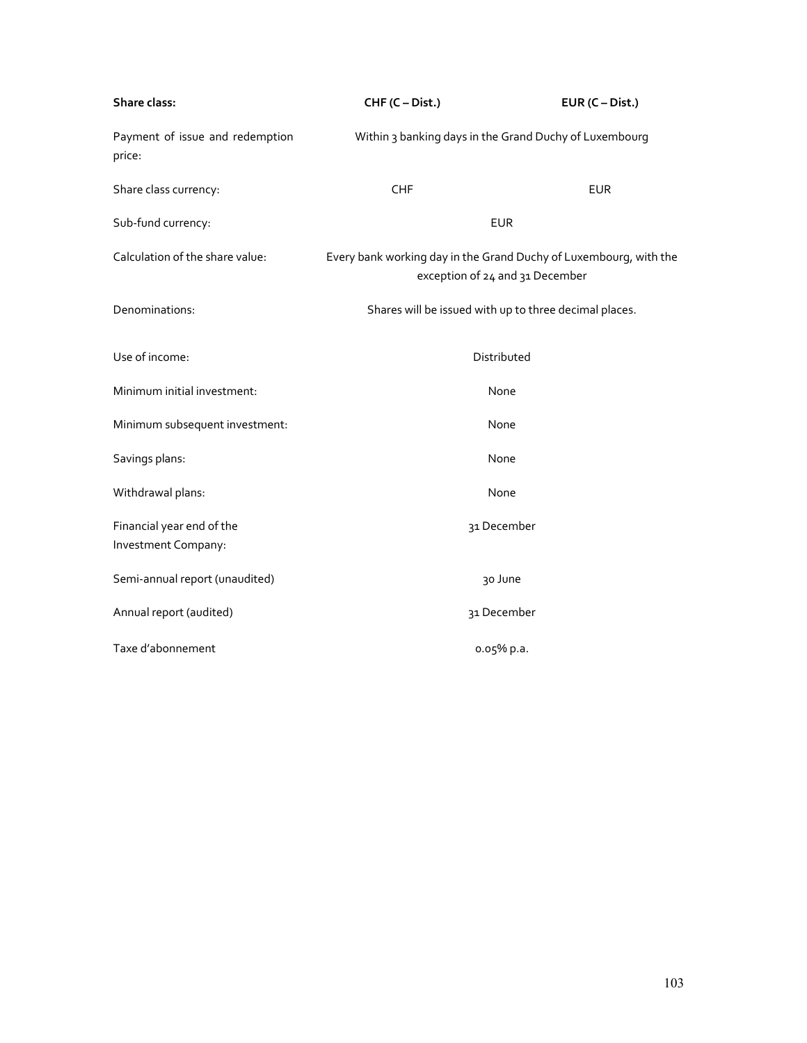| Share class:                                     | CHF (C - Dist.)                                                                                      | $EUR (C-Dist.)$ |  |
|--------------------------------------------------|------------------------------------------------------------------------------------------------------|-----------------|--|
| Payment of issue and redemption<br>price:        | Within 3 banking days in the Grand Duchy of Luxembourg                                               |                 |  |
| Share class currency:                            | CHF                                                                                                  | <b>EUR</b>      |  |
| Sub-fund currency:                               | <b>EUR</b>                                                                                           |                 |  |
| Calculation of the share value:                  | Every bank working day in the Grand Duchy of Luxembourg, with the<br>exception of 24 and 31 December |                 |  |
| Denominations:                                   | Shares will be issued with up to three decimal places.                                               |                 |  |
| Use of income:                                   | Distributed                                                                                          |                 |  |
| Minimum initial investment:                      | None                                                                                                 |                 |  |
| Minimum subsequent investment:                   | None                                                                                                 |                 |  |
| Savings plans:                                   | None                                                                                                 |                 |  |
| Withdrawal plans:                                | None                                                                                                 |                 |  |
| Financial year end of the<br>Investment Company: | 31 December                                                                                          |                 |  |
| Semi-annual report (unaudited)                   | 30 June                                                                                              |                 |  |
| Annual report (audited)                          | 31 December                                                                                          |                 |  |
| Taxe d'abonnement                                | o.o5% p.a.                                                                                           |                 |  |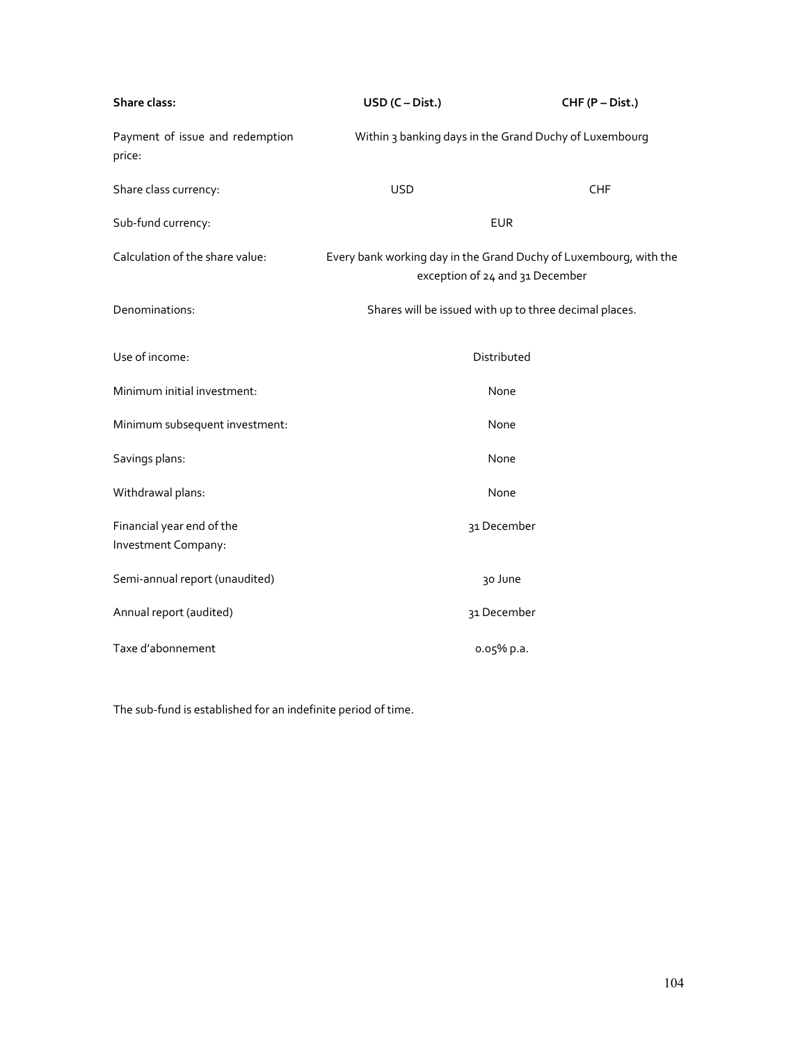| Share class:                                     | $USD (C-Dist.)$                                                                                      | CHF (P - Dist.) |
|--------------------------------------------------|------------------------------------------------------------------------------------------------------|-----------------|
| Payment of issue and redemption<br>price:        | Within 3 banking days in the Grand Duchy of Luxembourg                                               |                 |
| Share class currency:                            | <b>USD</b>                                                                                           | <b>CHF</b>      |
| Sub-fund currency:                               | <b>EUR</b>                                                                                           |                 |
| Calculation of the share value:                  | Every bank working day in the Grand Duchy of Luxembourg, with the<br>exception of 24 and 31 December |                 |
| Denominations:                                   | Shares will be issued with up to three decimal places.                                               |                 |
| Use of income:                                   | Distributed                                                                                          |                 |
| Minimum initial investment:                      | None                                                                                                 |                 |
| Minimum subsequent investment:                   | None                                                                                                 |                 |
| Savings plans:                                   | None                                                                                                 |                 |
| Withdrawal plans:                                | None                                                                                                 |                 |
| Financial year end of the<br>Investment Company: | 31 December                                                                                          |                 |
| Semi-annual report (unaudited)                   | 30 June                                                                                              |                 |
| Annual report (audited)                          | 31 December                                                                                          |                 |
| Taxe d'abonnement                                | 0.05% p.a.                                                                                           |                 |

The sub-fund is established for an indefinite period of time.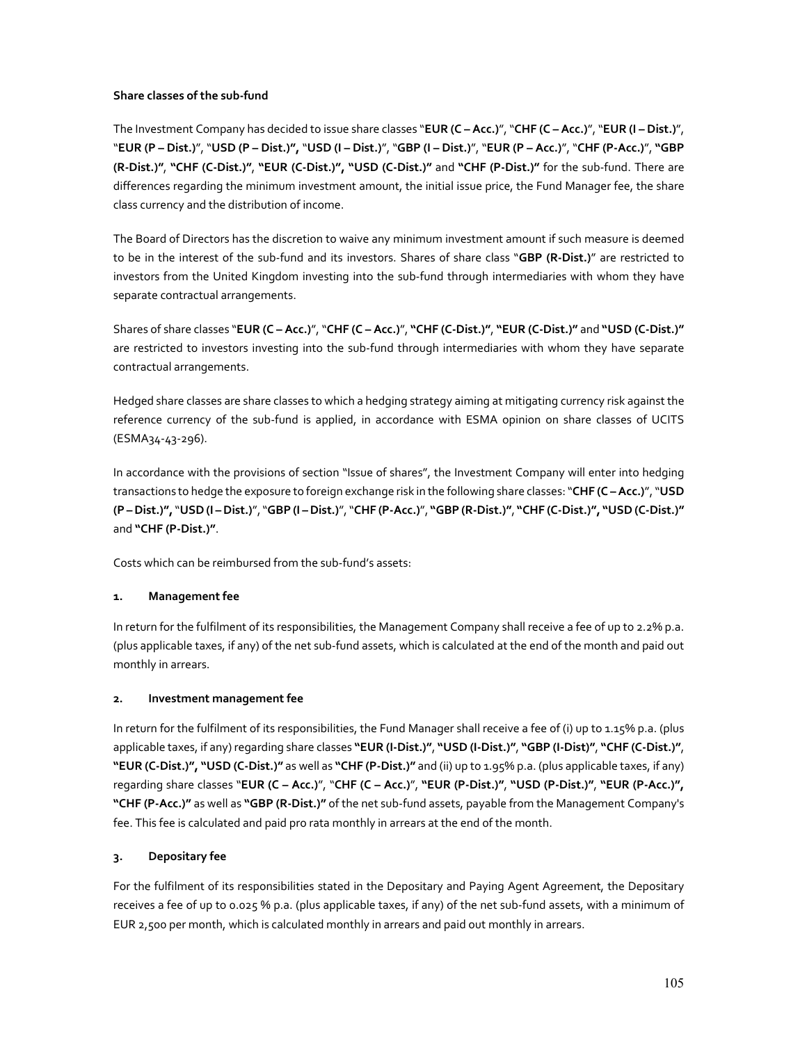### **Share classes of the sub-fund**

The Investment Company has decided to issue share classes "**EUR (C – Acc.)**", "**CHF (C – Acc.)**", "**EUR (I – Dist.)**", "**EUR (P – Dist.)**", "**USD (P – Dist.)",** "**USD (I – Dist.)**", "**GBP (I – Dist.)**", "**EUR (P – Acc.)**", "**CHF (P-Acc.)**", **"GBP (R-Dist.)"**, **"CHF (C-Dist.)"**, **"EUR (C-Dist.)", "USD (C-Dist.)"** and **"CHF (P-Dist.)"** for the sub-fund. There are differences regarding the minimum investment amount, the initial issue price, the Fund Manager fee, the share class currency and the distribution of income.

The Board of Directors has the discretion to waive any minimum investment amount if such measure is deemed to be in the interest of the sub-fund and its investors. Shares of share class "**GBP (R-Dist.)**" are restricted to investors from the United Kingdom investing into the sub-fund through intermediaries with whom they have separate contractual arrangements.

Shares of share classes "**EUR (C – Acc.)**", "**CHF (C – Acc.)**", **"CHF (C-Dist.)"**, **"EUR (C-Dist.)"** and **"USD (C-Dist.)"** are restricted to investors investing into the sub-fund through intermediaries with whom they have separate contractual arrangements.

Hedged share classes are share classes to which a hedging strategy aiming at mitigating currency risk against the reference currency of the sub-fund is applied, in accordance with ESMA opinion on share classes of UCITS (ESMA34-43-296).

In accordance with the provisions of section "Issue of shares", the Investment Company will enter into hedging transactions to hedge the exposure to foreign exchange risk in the following share classes: "**CHF (C – Acc.)**", "**USD (P – Dist.)",** "**USD (I – Dist.)**", "**GBP (I – Dist.)**", "**CHF (P-Acc.)**", **"GBP (R-Dist.)"**, **"CHF (C-Dist.)", "USD (C-Dist.)"** and **"CHF (P-Dist.)"**.

Costs which can be reimbursed from the sub-fund's assets:

# **1. Management fee**

In return for the fulfilment of its responsibilities, the Management Company shall receive a fee of up to 2.2% p.a. (plus applicable taxes, if any) of the net sub-fund assets, which is calculated at the end of the month and paid out monthly in arrears.

## **2. Investment management fee**

In return for the fulfilment of its responsibilities, the Fund Manager shall receive a fee of (i) up to 1.15% p.a. (plus applicable taxes, if any) regarding share classes **"EUR (I-Dist.)"**, **"USD (I-Dist.)"**, **"GBP (I-Dist)"**, **"CHF (C-Dist.)"**, **"EUR (C-Dist.)", "USD (C-Dist.)"** as well as **"CHF (P-Dist.)"** and (ii) up to 1.95% p.a. (plus applicable taxes, if any) regarding share classes "**EUR (C – Acc.)**", "**CHF (C – Acc.)**", **"EUR (P-Dist.)"**, **"USD (P-Dist.)"**, **"EUR (P-Acc.)", "CHF (P-Acc.)"** as well as **"GBP (R-Dist.)"** of the net sub-fund assets, payable from the Management Company's fee. This fee is calculated and paid pro rata monthly in arrears at the end of the month.

# **3. Depositary fee**

For the fulfilment of its responsibilities stated in the Depositary and Paying Agent Agreement, the Depositary receives a fee of up to 0.025 % p.a. (plus applicable taxes, if any) of the net sub-fund assets, with a minimum of EUR 2,500 per month, which is calculated monthly in arrears and paid out monthly in arrears.